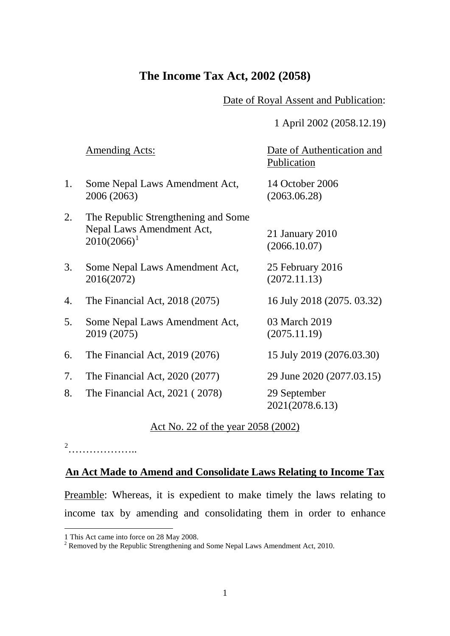# **The Income Tax Act, 2002 (2058)**

Date of Royal Assent and Publication:

1 April 2002 (2058.12.19)

|    | Amending Acts:                                                                     | Date of Authentication and<br>Publication |
|----|------------------------------------------------------------------------------------|-------------------------------------------|
| 1. | Some Nepal Laws Amendment Act,<br>2006 (2063)                                      | 14 October 2006<br>(2063.06.28)           |
| 2. | The Republic Strengthening and Some<br>Nepal Laws Amendment Act,<br>$2010(2066)^1$ | 21 January $2010$<br>(2066.10.07)         |
| 3. | Some Nepal Laws Amendment Act,<br>2016(2072)                                       | 25 February 2016<br>(2072.11.13)          |
| 4. | The Financial Act, 2018 (2075)                                                     | 16 July 2018 (2075, 03.32)                |
| 5. | Some Nepal Laws Amendment Act,<br>2019 (2075)                                      | 03 March 2019<br>(2075.11.19)             |
| 6. | The Financial Act, 2019 (2076)                                                     | 15 July 2019 (2076.03.30)                 |
| 7. | The Financial Act, 2020 (2077)                                                     | 29 June 2020 (2077.03.15)                 |
| 8. | The Financial Act, 2021 (2078)                                                     | 29 September<br>2021(2078.6.13)           |

# Act No. 22 of the year 2058 (2002)

[2](#page-0-1)<br>……………………

<u>.</u>

# **An Act Made to Amend and Consolidate Laws Relating to Income Tax**

Preamble: Whereas, it is expedient to make timely the laws relating to income tax by amending and consolidating them in order to enhance

<span id="page-0-1"></span><span id="page-0-0"></span>

<sup>1</sup> This Act came into force on 28 May 2008.<br><sup>2</sup> Removed by the Republic Strengthening and Some Nepal Laws Amendment Act, 2010.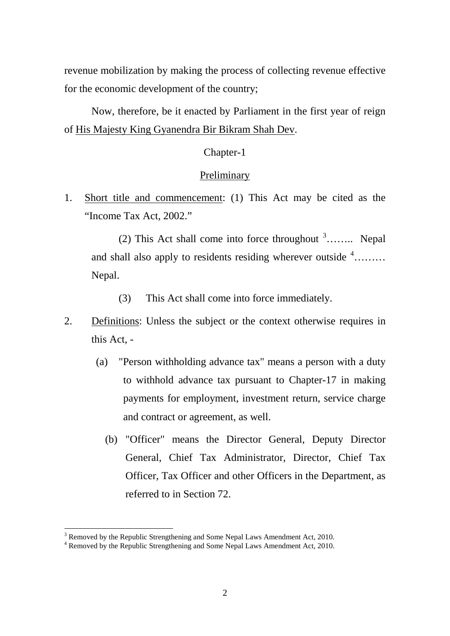revenue mobilization by making the process of collecting revenue effective for the economic development of the country;

Now, therefore, be it enacted by Parliament in the first year of reign of His Majesty King Gyanendra Bir Bikram Shah Dev.

### Chapter-1

#### **Preliminary**

1. Short title and commencement: (1) This Act may be cited as the "Income Tax Act, 2002."

(2) This Act shall come into force throughout  $3$ ........ Nepal and shall also apply to residents residing wherever outside  $4$ ........ Nepal.

(3) This Act shall come into force immediately.

- 2. Definitions: Unless the subject or the context otherwise requires in this Act, -
	- (a) "Person withholding advance tax" means a person with a duty to withhold advance tax pursuant to Chapter-17 in making payments for employment, investment return, service charge and contract or agreement, as well.
		- (b) "Officer" means the Director General, Deputy Director General, Chief Tax Administrator, Director, Chief Tax Officer, Tax Officer and other Officers in the Department, as referred to in Section 72.

<span id="page-1-0"></span><sup>&</sup>lt;sup>3</sup> Removed by the Republic Strengthening and Some Nepal Laws Amendment Act, 2010.

<span id="page-1-1"></span> $3<sup>4</sup>$  Removed by the Republic Strengthening and Some Nepal Laws Amendment Act, 2010.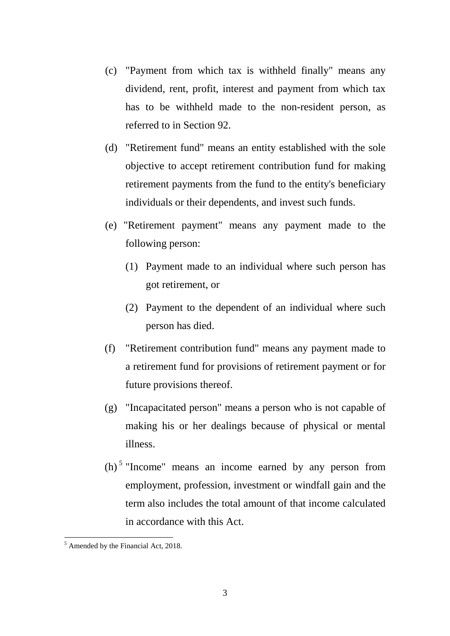- (c) "Payment from which tax is withheld finally" means any dividend, rent, profit, interest and payment from which tax has to be withheld made to the non-resident person, as referred to in Section 92.
- (d) "Retirement fund" means an entity established with the sole objective to accept retirement contribution fund for making retirement payments from the fund to the entity's beneficiary individuals or their dependents, and invest such funds.
- (e) "Retirement payment" means any payment made to the following person:
	- (1) Payment made to an individual where such person has got retirement, or
	- (2) Payment to the dependent of an individual where such person has died.
- (f) "Retirement contribution fund" means any payment made to a retirement fund for provisions of retirement payment or for future provisions thereof.
- (g) "Incapacitated person" means a person who is not capable of making his or her dealings because of physical or mental illness.
- (h) [5](#page-2-0) "Income" means an income earned by any person from employment, profession, investment or windfall gain and the term also includes the total amount of that income calculated in accordance with this Act.

<span id="page-2-0"></span> $<sup>5</sup>$  Amended by the Financial Act, 2018.</sup>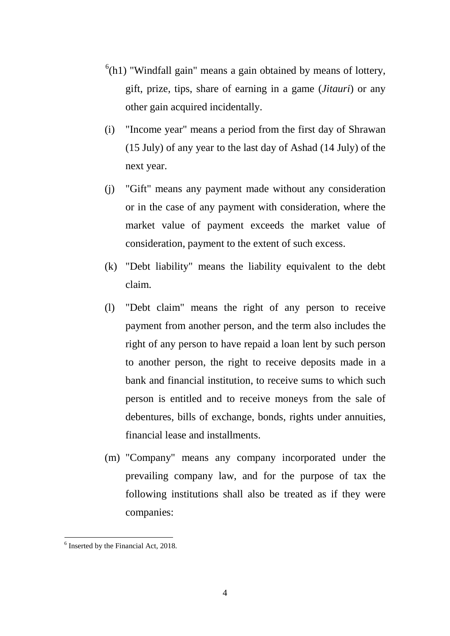- $<sup>6</sup>(h1)$  $<sup>6</sup>(h1)$  $<sup>6</sup>(h1)$  "Windfall gain" means a gain obtained by means of lottery,</sup> gift, prize, tips, share of earning in a game (*Jitauri*) or any other gain acquired incidentally.
- (i) "Income year" means a period from the first day of Shrawan (15 July) of any year to the last day of Ashad (14 July) of the next year.
- (j) "Gift" means any payment made without any consideration or in the case of any payment with consideration, where the market value of payment exceeds the market value of consideration, payment to the extent of such excess.
- (k) "Debt liability" means the liability equivalent to the debt claim.
- (l) "Debt claim" means the right of any person to receive payment from another person, and the term also includes the right of any person to have repaid a loan lent by such person to another person, the right to receive deposits made in a bank and financial institution, to receive sums to which such person is entitled and to receive moneys from the sale of debentures, bills of exchange, bonds, rights under annuities, financial lease and installments.
- (m) "Company" means any company incorporated under the prevailing company law, and for the purpose of tax the following institutions shall also be treated as if they were companies:

<span id="page-3-0"></span><sup>&</sup>lt;sup>6</sup> Inserted by the Financial Act, 2018.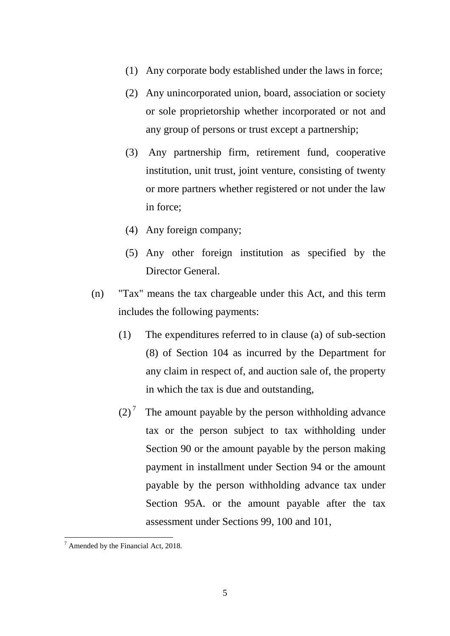- (1) Any corporate body established under the laws in force;
- (2) Any unincorporated union, board, association or society or sole proprietorship whether incorporated or not and any group of persons or trust except a partnership;
- (3) Any partnership firm, retirement fund, cooperative institution, unit trust, joint venture, consisting of twenty or more partners whether registered or not under the law in force;
- (4) Any foreign company;
- (5) Any other foreign institution as specified by the Director General.
- (n) "Tax" means the tax chargeable under this Act, and this term includes the following payments:
	- (1) The expenditures referred to in clause (a) of sub-section (8) of Section 104 as incurred by the Department for any claim in respect of, and auction sale of, the property in which the tax is due and outstanding,
	- $(2)^7$  $(2)^7$  The amount payable by the person withholding advance tax or the person subject to tax withholding under Section 90 or the amount payable by the person making payment in installment under Section 94 or the amount payable by the person withholding advance tax under Section 95A. or the amount payable after the tax assessment under Sections 99, 100 and 101,

<span id="page-4-0"></span> $7$  Amended by the Financial Act, 2018.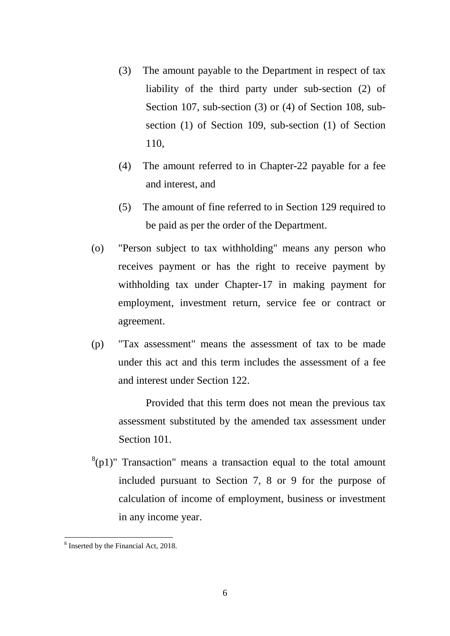- (3) The amount payable to the Department in respect of tax liability of the third party under sub-section (2) of Section 107, sub-section (3) or (4) of Section 108, subsection (1) of Section 109, sub-section (1) of Section 110,
- (4) The amount referred to in Chapter-22 payable for a fee and interest, and
- (5) The amount of fine referred to in Section 129 required to be paid as per the order of the Department.
- (o) "Person subject to tax withholding" means any person who receives payment or has the right to receive payment by withholding tax under Chapter-17 in making payment for employment, investment return, service fee or contract or agreement.
- (p) "Tax assessment" means the assessment of tax to be made under this act and this term includes the assessment of a fee and interest under Section 122.

Provided that this term does not mean the previous tax assessment substituted by the amended tax assessment under Section 101.

 $^{8}(p1)$  $^{8}(p1)$  $^{8}(p1)$ " Transaction" means a transaction equal to the total amount included pursuant to Section 7, 8 or 9 for the purpose of calculation of income of employment, business or investment in any income year.

<span id="page-5-0"></span><sup>&</sup>lt;sup>8</sup> Inserted by the Financial Act, 2018.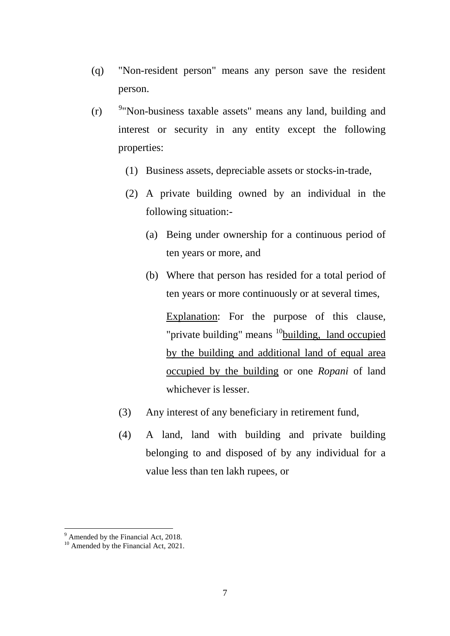- (q) "Non-resident person" means any person save the resident person.
- $(r)$ <sup>9</sup> Non-business taxable assets" means any land, building and interest or security in any entity except the following properties:
	- (1) Business assets, depreciable assets or stocks-in-trade,
	- (2) A private building owned by an individual in the following situation:-
		- (a) Being under ownership for a continuous period of ten years or more, and
		- (b) Where that person has resided for a total period of ten years or more continuously or at several times, Explanation: For the purpose of this clause, "private building" means  $10$  building, land occupied by the building and additional land of equal area occupied by the building or one *Ropani* of land whichever is lesser.
	- (3) Any interest of any beneficiary in retirement fund,
	- (4) A land, land with building and private building belonging to and disposed of by any individual for a value less than ten lakh rupees, or

<span id="page-6-1"></span><span id="page-6-0"></span> $9$  Amended by the Financial Act, 2018.

<sup>&</sup>lt;sup>10</sup> Amended by the Financial Act, 2021.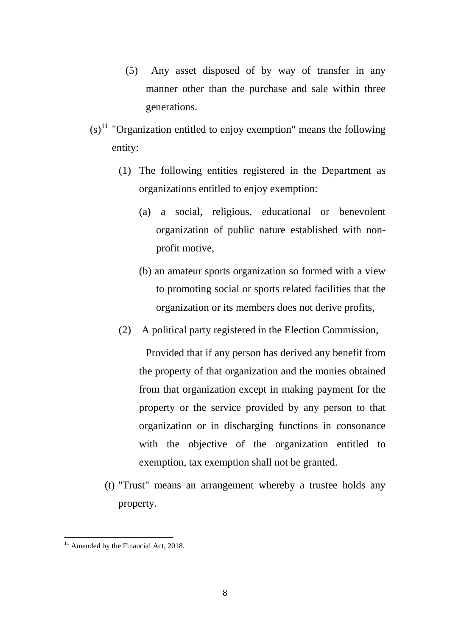- (5) Any asset disposed of by way of transfer in any manner other than the purchase and sale within three generations.
- $(s)$ <sup>[11](#page-7-0)</sup> "Organization entitled to enjoy exemption" means the following entity:
	- (1) The following entities registered in the Department as organizations entitled to enjoy exemption:
		- (a) a social, religious, educational or benevolent organization of public nature established with nonprofit motive,
		- (b) an amateur sports organization so formed with a view to promoting social or sports related facilities that the organization or its members does not derive profits,
	- (2) A political party registered in the Election Commission,

Provided that if any person has derived any benefit from the property of that organization and the monies obtained from that organization except in making payment for the property or the service provided by any person to that organization or in discharging functions in consonance with the objective of the organization entitled to exemption, tax exemption shall not be granted.

(t) "Trust" means an arrangement whereby a trustee holds any property.

<span id="page-7-0"></span> $11$  Amended by the Financial Act, 2018. -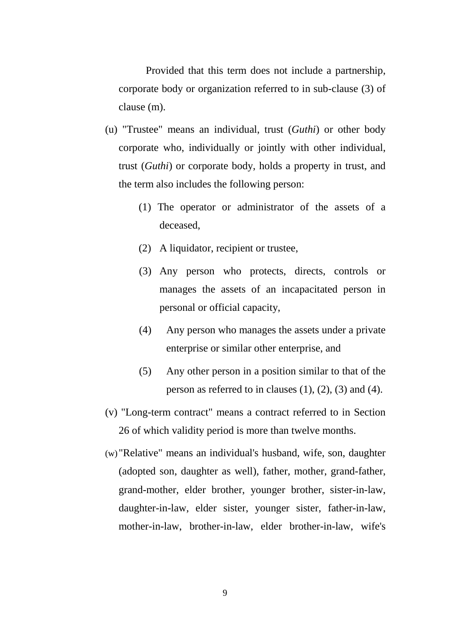Provided that this term does not include a partnership, corporate body or organization referred to in sub-clause (3) of clause (m).

- (u) "Trustee" means an individual, trust (*Guthi*) or other body corporate who, individually or jointly with other individual, trust (*Guthi*) or corporate body, holds a property in trust, and the term also includes the following person:
	- (1) The operator or administrator of the assets of a deceased,
	- (2) A liquidator, recipient or trustee,
	- (3) Any person who protects, directs, controls or manages the assets of an incapacitated person in personal or official capacity,
	- (4) Any person who manages the assets under a private enterprise or similar other enterprise, and
	- (5) Any other person in a position similar to that of the person as referred to in clauses  $(1)$ ,  $(2)$ ,  $(3)$  and  $(4)$ .
- (v) "Long-term contract" means a contract referred to in Section 26 of which validity period is more than twelve months.
- (w)"Relative" means an individual's husband, wife, son, daughter (adopted son, daughter as well), father, mother, grand-father, grand-mother, elder brother, younger brother, sister-in-law, daughter-in-law, elder sister, younger sister, father-in-law, mother-in-law, brother-in-law, elder brother-in-law, wife's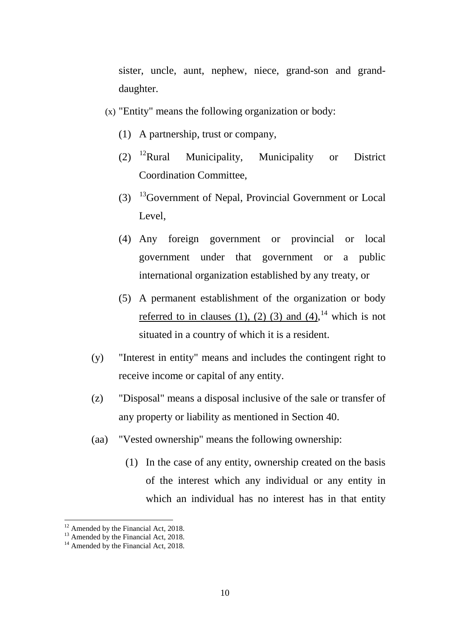sister, uncle, aunt, nephew, niece, grand-son and granddaughter.

- (x) "Entity" means the following organization or body:
	- (1) A partnership, trust or company,
	- (2) [12R](#page-9-0)ural Municipality, Municipality or District Coordination Committee,
	- $(3)$  <sup>13</sup>Government of Nepal, Provincial Government or Local Level,
	- (4) Any foreign government or provincial or local government under that government or a public international organization established by any treaty, or
	- (5) A permanent establishment of the organization or body <u>referred to in clauses (1), (2) (3) and (4)</u>,<sup>[14](#page-9-2)</sup> which is not situated in a country of which it is a resident.
- (y) "Interest in entity" means and includes the contingent right to receive income or capital of any entity.
- (z) "Disposal" means a disposal inclusive of the sale or transfer of any property or liability as mentioned in Section 40.
- (aa) "Vested ownership" means the following ownership:
	- (1) In the case of any entity, ownership created on the basis of the interest which any individual or any entity in which an individual has no interest has in that entity

<span id="page-9-1"></span><span id="page-9-0"></span>

<sup>&</sup>lt;sup>12</sup> Amended by the Financial Act, 2018.<br><sup>13</sup> Amended by the Financial Act, 2018.<br><sup>14</sup> Amended by the Financial Act, 2018.

<span id="page-9-2"></span>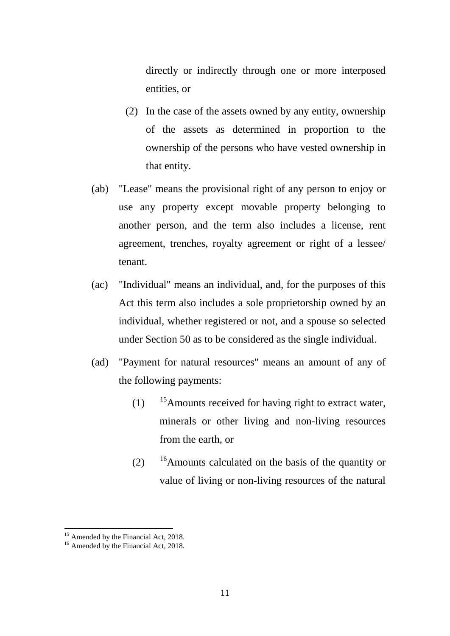directly or indirectly through one or more interposed entities, or

- (2) In the case of the assets owned by any entity, ownership of the assets as determined in proportion to the ownership of the persons who have vested ownership in that entity.
- (ab) "Lease" means the provisional right of any person to enjoy or use any property except movable property belonging to another person, and the term also includes a license, rent agreement, trenches, royalty agreement or right of a lessee/ tenant.
- (ac) "Individual" means an individual, and, for the purposes of this Act this term also includes a sole proprietorship owned by an individual, whether registered or not, and a spouse so selected under Section 50 as to be considered as the single individual.
- (ad) "Payment for natural resources" means an amount of any of the following payments:
	- (1)  $15A$  mounts received for having right to extract water, minerals or other living and non-living resources from the earth, or
	- $(2)$  <sup>16</sup>Amounts calculated on the basis of the quantity or value of living or non-living resources of the natural

<span id="page-10-1"></span><span id="page-10-0"></span><sup>&</sup>lt;sup>15</sup> Amended by the Financial Act, 2018.<br><sup>16</sup> Amended by the Financial Act, 2018.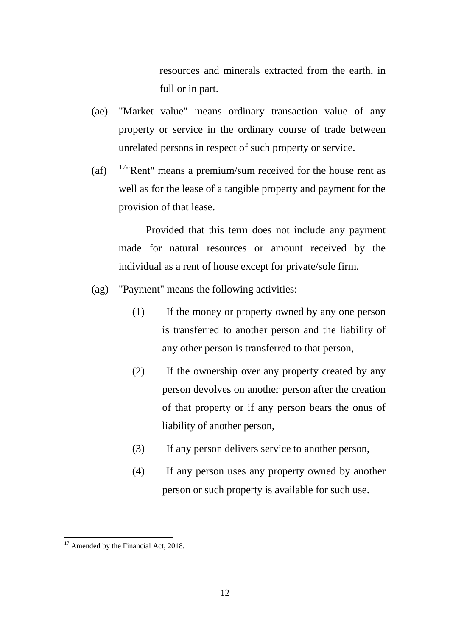resources and minerals extracted from the earth, in full or in part.

- (ae) "Market value" means ordinary transaction value of any property or service in the ordinary course of trade between unrelated persons in respect of such property or service.
- (af)  $17^{\circ}$ "Rent" means a premium/sum received for the house rent as well as for the lease of a tangible property and payment for the provision of that lease.

Provided that this term does not include any payment made for natural resources or amount received by the individual as a rent of house except for private/sole firm.

- (ag) "Payment" means the following activities:
	- (1) If the money or property owned by any one person is transferred to another person and the liability of any other person is transferred to that person,
	- (2) If the ownership over any property created by any person devolves on another person after the creation of that property or if any person bears the onus of liability of another person,
	- (3) If any person delivers service to another person,
	- (4) If any person uses any property owned by another person or such property is available for such use.

<span id="page-11-0"></span><sup>&</sup>lt;sup>17</sup> Amended by the Financial Act, 2018.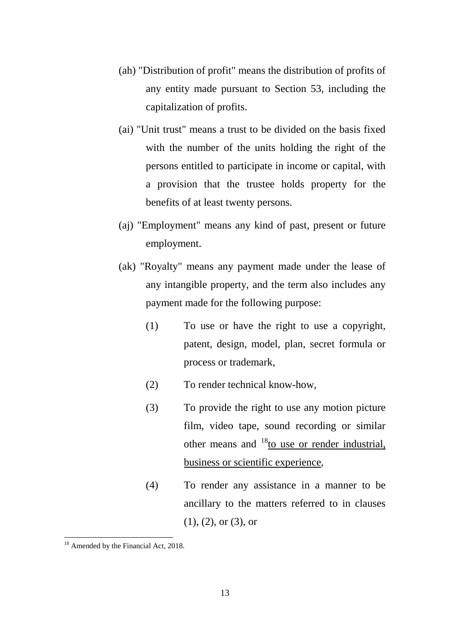- (ah) "Distribution of profit" means the distribution of profits of any entity made pursuant to Section 53, including the capitalization of profits.
- (ai) "Unit trust" means a trust to be divided on the basis fixed with the number of the units holding the right of the persons entitled to participate in income or capital, with a provision that the trustee holds property for the benefits of at least twenty persons.
- (aj) "Employment" means any kind of past, present or future employment.
- (ak) "Royalty" means any payment made under the lease of any intangible property, and the term also includes any payment made for the following purpose:
	- (1) To use or have the right to use a copyright, patent, design, model, plan, secret formula or process or trademark,
	- (2) To render technical know-how,
	- (3) To provide the right to use any motion picture film, video tape, sound recording or similar other means and  $^{18}$  to use or render industrial, business or scientific experience,
	- (4) To render any assistance in a manner to be ancillary to the matters referred to in clauses (1), (2), or (3), or

<span id="page-12-0"></span><sup>&</sup>lt;sup>18</sup> Amended by the Financial Act, 2018.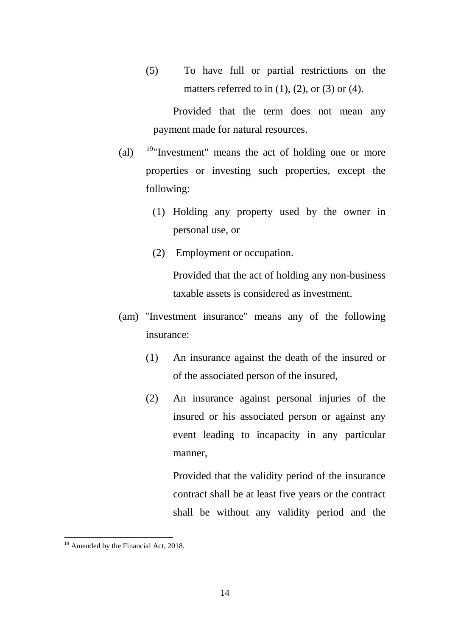(5) To have full or partial restrictions on the matters referred to in  $(1)$ ,  $(2)$ , or  $(3)$  or  $(4)$ .

Provided that the term does not mean any payment made for natural resources.

- (al)  $19"$ Investment" means the act of holding one or more properties or investing such properties, except the following:
	- (1) Holding any property used by the owner in personal use, or
	- (2) Employment or occupation.

Provided that the act of holding any non-business taxable assets is considered as investment.

- (am) "Investment insurance" means any of the following insurance:
	- (1) An insurance against the death of the insured or of the associated person of the insured,
	- (2) An insurance against personal injuries of the insured or his associated person or against any event leading to incapacity in any particular manner,

Provided that the validity period of the insurance contract shall be at least five years or the contract shall be without any validity period and the

<span id="page-13-0"></span><sup>&</sup>lt;sup>19</sup> Amended by the Financial Act, 2018.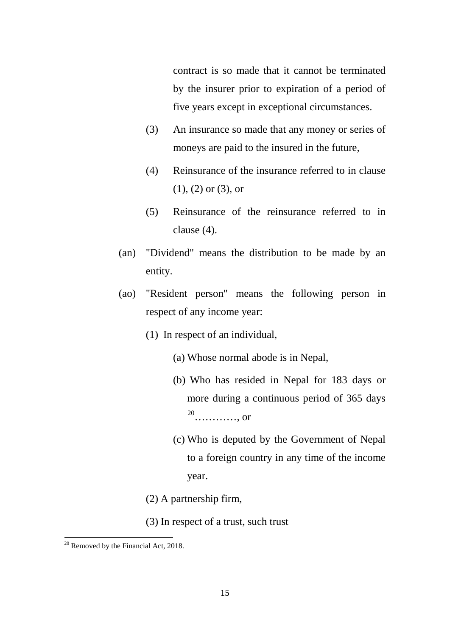contract is so made that it cannot be terminated by the insurer prior to expiration of a period of five years except in exceptional circumstances.

- (3) An insurance so made that any money or series of moneys are paid to the insured in the future,
- (4) Reinsurance of the insurance referred to in clause (1), (2) or (3), or
- (5) Reinsurance of the reinsurance referred to in clause (4).
- (an) "Dividend" means the distribution to be made by an entity.
- (ao) "Resident person" means the following person in respect of any income year:
	- (1) In respect of an individual,
		- (a) Whose normal abode is in Nepal,
		- (b) Who has resided in Nepal for 183 days or more during a continuous period of 365 days [20](#page-14-0)…………, or
		- (c) Who is deputed by the Government of Nepal to a foreign country in any time of the income year.
	- (2) A partnership firm,
	- (3) In respect of a trust, such trust

<span id="page-14-0"></span> $20$  Removed by the Financial Act, 2018. -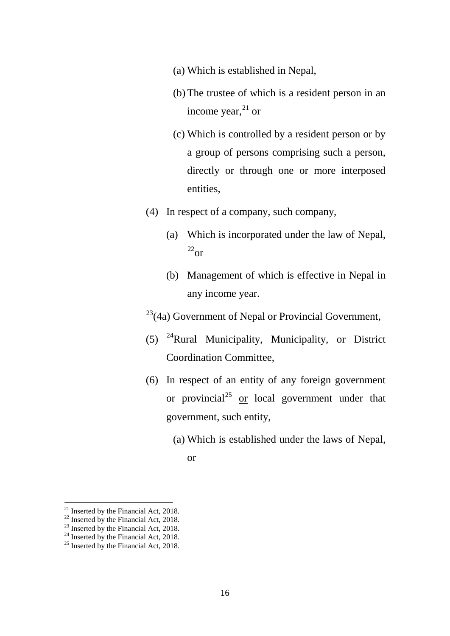- (a) Which is established in Nepal,
- (b) The trustee of which is a resident person in an income year, $^{21}$  $^{21}$  $^{21}$  or
- (c) Which is controlled by a resident person or by a group of persons comprising such a person, directly or through one or more interposed entities,
- (4) In respect of a company, such company,
	- (a) Which is incorporated under the law of Nepal,  $^{22}$  $^{22}$  $^{22}$ or
	- (b) Management of which is effective in Nepal in any income year.

 $23(4a)$  $23(4a)$  Government of Nepal or Provincial Government,

- (5) [24R](#page-15-3)ural Municipality, Municipality, or District Coordination Committee,
- (6) In respect of an entity of any foreign government or provincial<sup>[25](#page-15-4)</sup> or local government under that government, such entity,
	- (a) Which is established under the laws of Nepal,

or

<span id="page-15-0"></span>

<span id="page-15-2"></span><span id="page-15-1"></span>

<sup>&</sup>lt;sup>21</sup> Inserted by the Financial Act, 2018.<br><sup>22</sup> Inserted by the Financial Act, 2018.<br><sup>23</sup> Inserted by the Financial Act, 2018.<br><sup>25</sup> Inserted by the Financial Act, 2018.

<span id="page-15-3"></span>

<span id="page-15-4"></span>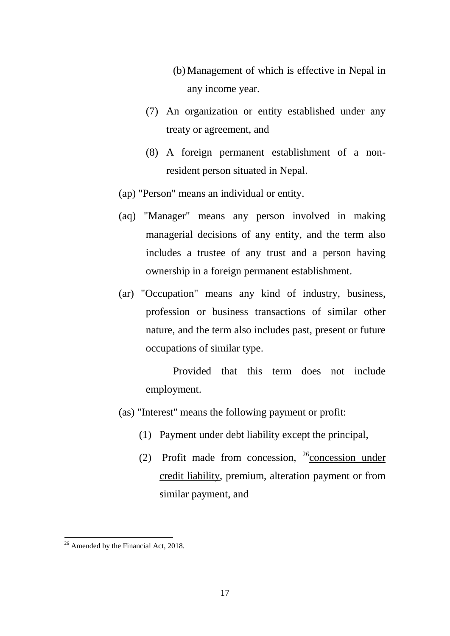- (b) Management of which is effective in Nepal in any income year.
- (7) An organization or entity established under any treaty or agreement, and
- (8) A foreign permanent establishment of a nonresident person situated in Nepal.
- (ap) "Person" means an individual or entity.
- (aq) "Manager" means any person involved in making managerial decisions of any entity, and the term also includes a trustee of any trust and a person having ownership in a foreign permanent establishment.
- (ar) "Occupation" means any kind of industry, business, profession or business transactions of similar other nature, and the term also includes past, present or future occupations of similar type.

Provided that this term does not include employment.

- (as) "Interest" means the following payment or profit:
	- (1) Payment under debt liability except the principal,
	- (2) Profit made from concession,  $^{26}$  $^{26}$  $^{26}$ concession under credit liability, premium, alteration payment or from similar payment, and

<span id="page-16-0"></span><sup>&</sup>lt;sup>26</sup> Amended by the Financial Act, 2018.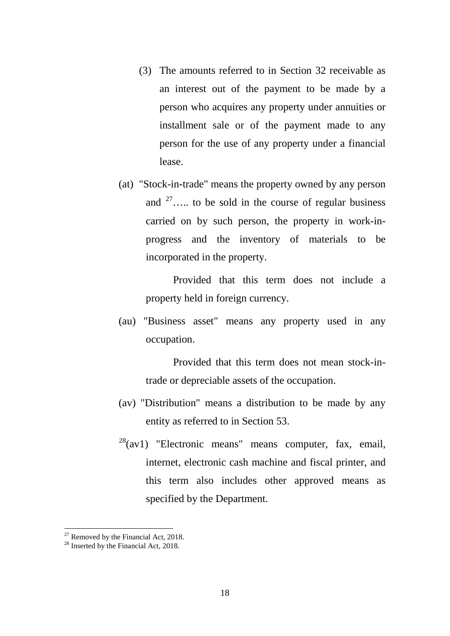- (3) The amounts referred to in Section 32 receivable as an interest out of the payment to be made by a person who acquires any property under annuities or installment sale or of the payment made to any person for the use of any property under a financial lease.
- (at) "Stock-in-trade" means the property owned by any person and  $27\ldots$  $27\ldots$  to be sold in the course of regular business carried on by such person, the property in work-inprogress and the inventory of materials to be incorporated in the property.

Provided that this term does not include a property held in foreign currency.

(au) "Business asset" means any property used in any occupation.

> Provided that this term does not mean stock-intrade or depreciable assets of the occupation.

- (av) "Distribution" means a distribution to be made by any entity as referred to in Section 53.
- $28$ (av1) "Electronic means" means computer, fax, email, internet, electronic cash machine and fiscal printer, and this term also includes other approved means as specified by the Department.

<span id="page-17-1"></span><span id="page-17-0"></span>

<sup>&</sup>lt;sup>27</sup> Removed by the Financial Act, 2018.<br><sup>28</sup> Inserted by the Financial Act, 2018.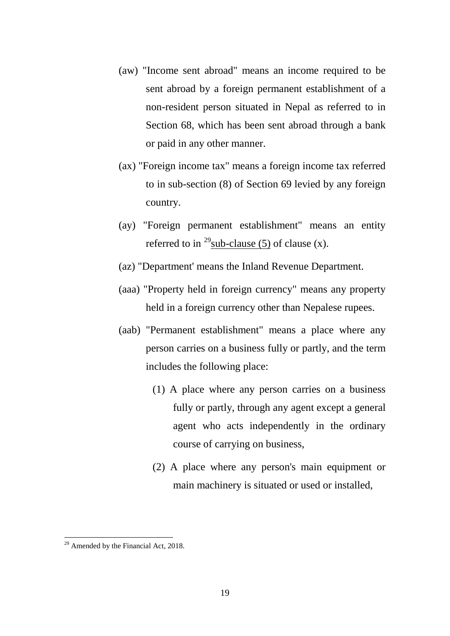- (aw) "Income sent abroad" means an income required to be sent abroad by a foreign permanent establishment of a non-resident person situated in Nepal as referred to in Section 68, which has been sent abroad through a bank or paid in any other manner.
- (ax) "Foreign income tax" means a foreign income tax referred to in sub-section (8) of Section 69 levied by any foreign country.
- (ay) "Foreign permanent establishment" means an entity referred to in <sup>[29](#page-18-0)</sup>sub-clause (5) of clause (x).
- (az) "Department' means the Inland Revenue Department.
- (aaa) "Property held in foreign currency" means any property held in a foreign currency other than Nepalese rupees.
- (aab) "Permanent establishment" means a place where any person carries on a business fully or partly, and the term includes the following place:
	- (1) A place where any person carries on a business fully or partly, through any agent except a general agent who acts independently in the ordinary course of carrying on business,
	- (2) A place where any person's main equipment or main machinery is situated or used or installed,

<span id="page-18-0"></span><sup>&</sup>lt;sup>29</sup> Amended by the Financial Act, 2018.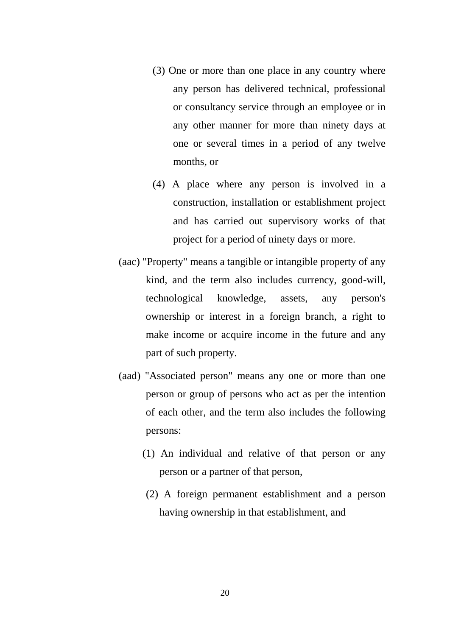- (3) One or more than one place in any country where any person has delivered technical, professional or consultancy service through an employee or in any other manner for more than ninety days at one or several times in a period of any twelve months, or
- (4) A place where any person is involved in a construction, installation or establishment project and has carried out supervisory works of that project for a period of ninety days or more.
- (aac) "Property" means a tangible or intangible property of any kind, and the term also includes currency, good-will, technological knowledge, assets, any person's ownership or interest in a foreign branch, a right to make income or acquire income in the future and any part of such property.
- (aad) "Associated person" means any one or more than one person or group of persons who act as per the intention of each other, and the term also includes the following persons:
	- (1) An individual and relative of that person or any person or a partner of that person,
	- (2) A foreign permanent establishment and a person having ownership in that establishment, and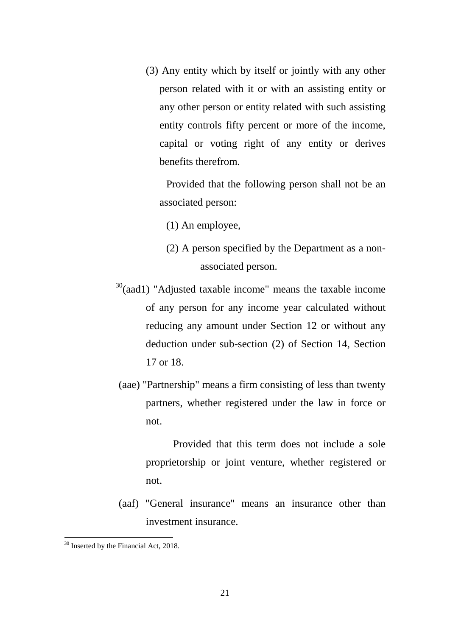(3) Any entity which by itself or jointly with any other person related with it or with an assisting entity or any other person or entity related with such assisting entity controls fifty percent or more of the income, capital or voting right of any entity or derives benefits therefrom.

Provided that the following person shall not be an associated person:

(1) An employee,

- (2) A person specified by the Department as a nonassociated person.
- $30$ (aad1) "Adjusted taxable income" means the taxable income of any person for any income year calculated without reducing any amount under Section 12 or without any deduction under sub-section (2) of Section 14, Section 17 or 18.
- (aae) "Partnership" means a firm consisting of less than twenty partners, whether registered under the law in force or not.

Provided that this term does not include a sole proprietorship or joint venture, whether registered or not.

(aaf) "General insurance" means an insurance other than investment insurance.

<span id="page-20-0"></span><sup>&</sup>lt;sup>30</sup> Inserted by the Financial Act, 2018.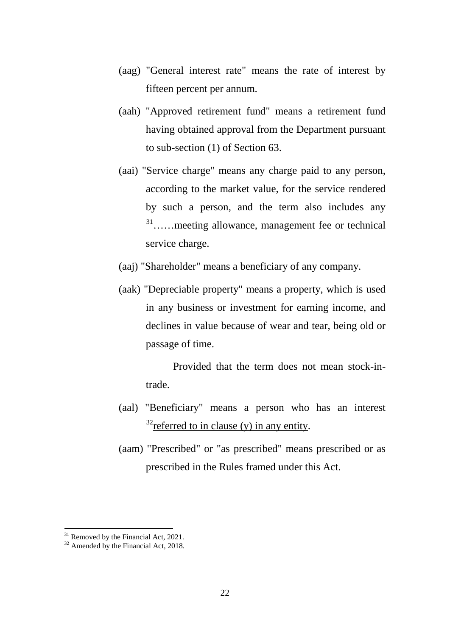- (aag) "General interest rate" means the rate of interest by fifteen percent per annum.
- (aah) "Approved retirement fund" means a retirement fund having obtained approval from the Department pursuant to sub-section (1) of Section 63.
- (aai) "Service charge" means any charge paid to any person, according to the market value, for the service rendered by such a person, and the term also includes any [31…](#page-21-0)…meeting allowance, management fee or technical service charge.
- (aaj) "Shareholder" means a beneficiary of any company.
- (aak) "Depreciable property" means a property, which is used in any business or investment for earning income, and declines in value because of wear and tear, being old or passage of time.

Provided that the term does not mean stock-intrade.

- (aal) "Beneficiary" means a person who has an interest  $32$ referred to in clause (y) in any entity.
- (aam) "Prescribed" or "as prescribed" means prescribed or as prescribed in the Rules framed under this Act.

<span id="page-21-1"></span><span id="page-21-0"></span><sup>&</sup>lt;sup>31</sup> Removed by the Financial Act, 2021.<br><sup>32</sup> Amended by the Financial Act, 2018.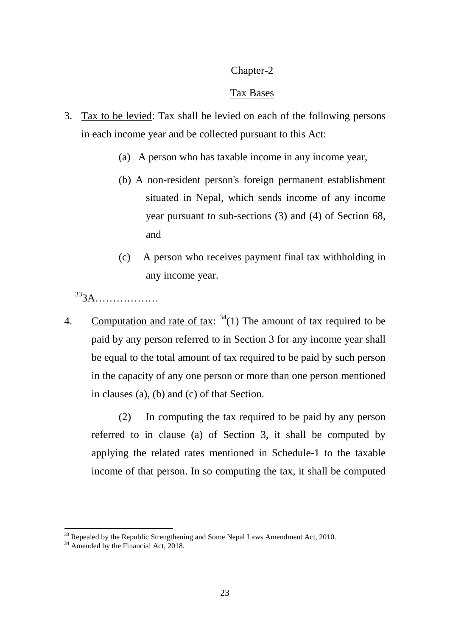# Chapter-2

## Tax Bases

- 3. Tax to be levied: Tax shall be levied on each of the following persons in each income year and be collected pursuant to this Act:
	- (a) A person who has taxable income in any income year,
	- (b) A non-resident person's foreign permanent establishment situated in Nepal, which sends income of any income year pursuant to sub-sections (3) and (4) of Section 68, and
	- (c) A person who receives payment final tax withholding in any income year.

[333](#page-22-0)A………………

4. Computation and rate of tax:  $34(1)$  $34(1)$  The amount of tax required to be paid by any person referred to in Section 3 for any income year shall be equal to the total amount of tax required to be paid by such person in the capacity of any one person or more than one person mentioned in clauses (a), (b) and (c) of that Section.

(2) In computing the tax required to be paid by any person referred to in clause (a) of Section 3, it shall be computed by applying the related rates mentioned in Schedule-1 to the taxable income of that person. In so computing the tax, it shall be computed

<span id="page-22-0"></span> $33$  Repealed by the Republic Strengthening and Some Nepal Laws Amendment Act, 2010.<br> $34$  Amended by the Financial Act, 2018.

<span id="page-22-1"></span>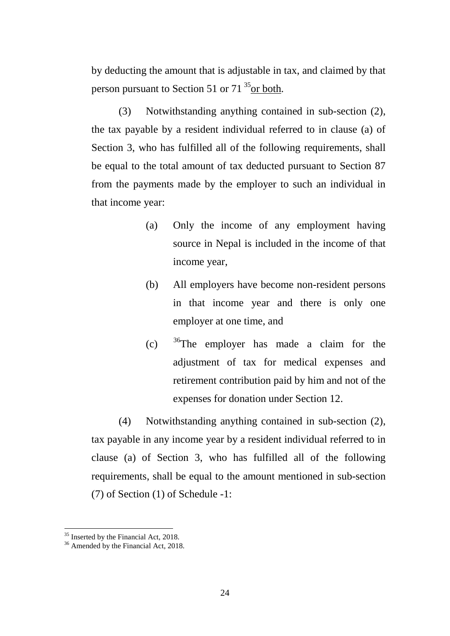by deducting the amount that is adjustable in tax, and claimed by that person pursuant to Section 51 or  $71^{35}$  $71^{35}$  $71^{35}$ or both.

(3) Notwithstanding anything contained in sub-section (2), the tax payable by a resident individual referred to in clause (a) of Section 3, who has fulfilled all of the following requirements, shall be equal to the total amount of tax deducted pursuant to Section 87 from the payments made by the employer to such an individual in that income year:

- (a) Only the income of any employment having source in Nepal is included in the income of that income year,
- (b) All employers have become non-resident persons in that income year and there is only one employer at one time, and
- (c)  $36$ The employer has made a claim for the adjustment of tax for medical expenses and retirement contribution paid by him and not of the expenses for donation under Section 12.

(4) Notwithstanding anything contained in sub-section (2), tax payable in any income year by a resident individual referred to in clause (a) of Section 3, who has fulfilled all of the following requirements, shall be equal to the amount mentioned in sub-section (7) of Section (1) of Schedule -1:

<span id="page-23-0"></span> $35$  Inserted by the Financial Act, 2018.<br> $36$  Amended by the Financial Act, 2018.

<span id="page-23-1"></span>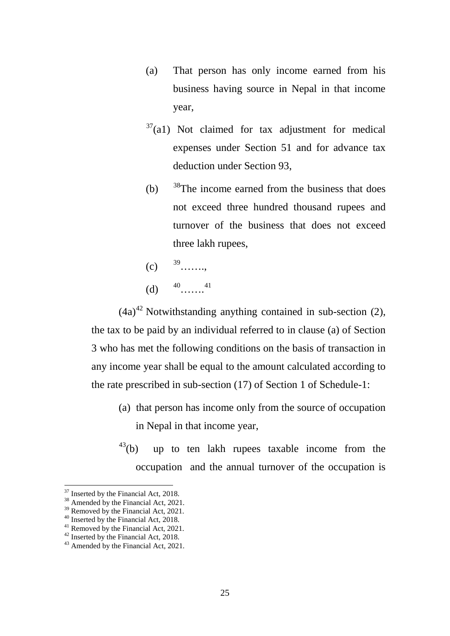- (a) That person has only income earned from his business having source in Nepal in that income year,
- $37$ (a1) Not claimed for tax adjustment for medical expenses under Section 51 and for advance tax deduction under Section 93,
- (b)  $38$ The income earned from the business that does not exceed three hundred thousand rupees and turnover of the business that does not exceed three lakh rupees,
- $(c)$  <sup>39</sup>…… (d)  $^{40}$ …….<sup>[41](#page-24-4)</sup>

 $(4a)^{42}$  $(4a)^{42}$  $(4a)^{42}$  Notwithstanding anything contained in sub-section (2), the tax to be paid by an individual referred to in clause (a) of Section 3 who has met the following conditions on the basis of transaction in any income year shall be equal to the amount calculated according to the rate prescribed in sub-section (17) of Section 1 of Schedule-1:

- (a) that person has income only from the source of occupation in Nepal in that income year,
- $^{43}$ (b) up to ten lakh rupees taxable income from the occupation and the annual turnover of the occupation is

<span id="page-24-0"></span><sup>&</sup>lt;sup>37</sup> Inserted by the Financial Act, 2018.

<span id="page-24-2"></span><span id="page-24-1"></span><sup>&</sup>lt;sup>38</sup> Amended by the Financial Act, 2021.<br><sup>39</sup> Removed by the Financial Act, 2021.<br><sup>40</sup> Inserted by the Financial Act, 2018.<br><sup>41</sup> Removed by the Financial Act, 2021.<br><sup>42</sup> Inserted by the Financial Act, 2018.<br><sup>43</sup> Amended b

<span id="page-24-3"></span>

<span id="page-24-4"></span>

<span id="page-24-5"></span>

<span id="page-24-6"></span>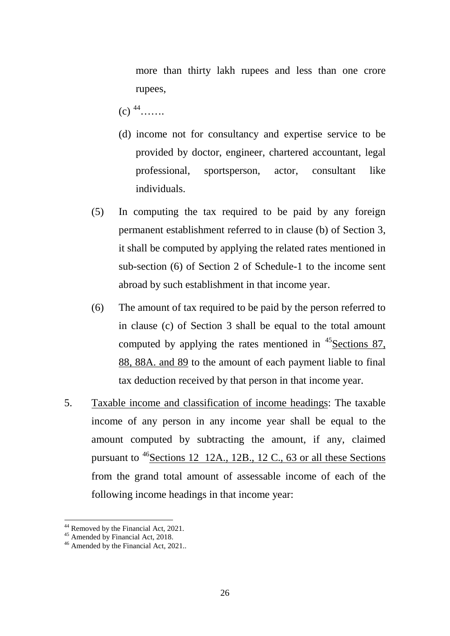more than thirty lakh rupees and less than one crore rupees,

- $(c)$   $^{44}$ ……
- (d) income not for consultancy and expertise service to be provided by doctor, engineer, chartered accountant, legal professional, sportsperson, actor, consultant like individuals.
- (5) In computing the tax required to be paid by any foreign permanent establishment referred to in clause (b) of Section 3, it shall be computed by applying the related rates mentioned in sub-section (6) of Section 2 of Schedule-1 to the income sent abroad by such establishment in that income year.
- (6) The amount of tax required to be paid by the person referred to in clause (c) of Section 3 shall be equal to the total amount computed by applying the rates mentioned in  $\frac{45}{3}$  Sections 87, 88, 88A. and 89 to the amount of each payment liable to final tax deduction received by that person in that income year.
- 5. Taxable income and classification of income headings: The taxable income of any person in any income year shall be equal to the amount computed by subtracting the amount, if any, claimed pursuant to  $^{46}$ Sections 12 12A., 12B., 12 C., 63 or all these Sections from the grand total amount of assessable income of each of the following income headings in that income year:

<span id="page-25-0"></span><sup>&</sup>lt;sup>44</sup> Removed by the Financial Act, 2021.<br><sup>45</sup> Amended by Financial Act, 2018.<br><sup>46</sup> Amended by the Financial Act, 2021..

<span id="page-25-1"></span>

<span id="page-25-2"></span>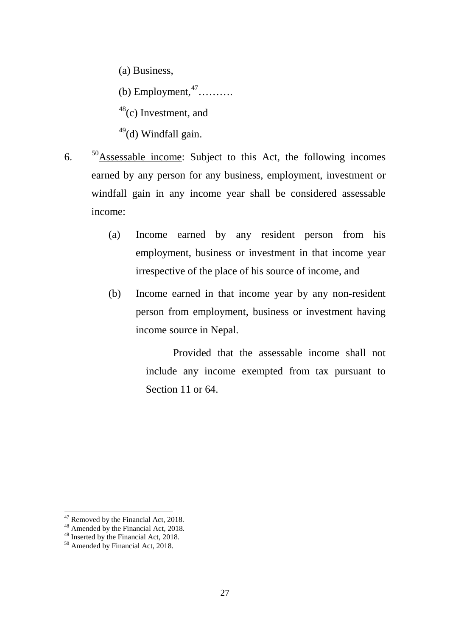(a) Business,

(b) Employment,  $47$ ……….

 $48$ (c) Investment, and

 $49$ (d) Windfall gain.

- 6. [50A](#page-26-3)ssessable income: Subject to this Act, the following incomes earned by any person for any business, employment, investment or windfall gain in any income year shall be considered assessable income:
	- (a) Income earned by any resident person from his employment, business or investment in that income year irrespective of the place of his source of income, and
	- (b) Income earned in that income year by any non-resident person from employment, business or investment having income source in Nepal.

Provided that the assessable income shall not include any income exempted from tax pursuant to Section 11 or 64.

<span id="page-26-1"></span><span id="page-26-0"></span><sup>&</sup>lt;sup>47</sup> Removed by the Financial Act, 2018.<br><sup>48</sup> Amended by the Financial Act, 2018. <sup>47</sup> Removed by the Financial Act, 2018.

<span id="page-26-2"></span> $^{49}$  Inserted by the Financial Act, 2018.<br><sup>50</sup> Amended by Financial Act, 2018.

<span id="page-26-3"></span>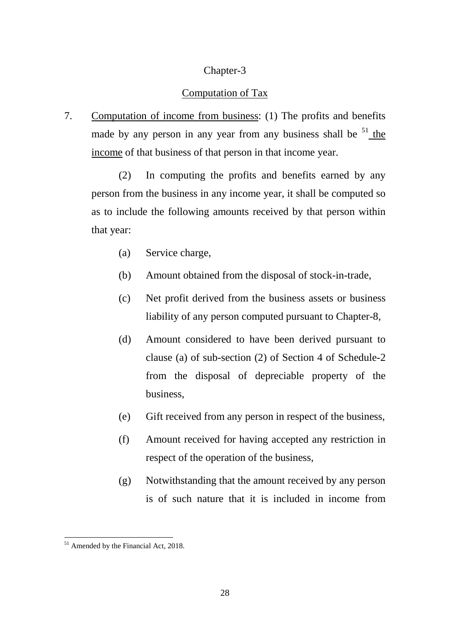### Chapter-3

#### Computation of Tax

7. Computation of income from business: (1) The profits and benefits made by any person in any year from any business shall be  $51$  the income of that business of that person in that income year.

(2) In computing the profits and benefits earned by any person from the business in any income year, it shall be computed so as to include the following amounts received by that person within that year:

- (a) Service charge,
- (b) Amount obtained from the disposal of stock-in-trade,
- (c) Net profit derived from the business assets or business liability of any person computed pursuant to Chapter-8,
- (d) Amount considered to have been derived pursuant to clause (a) of sub-section (2) of Section 4 of Schedule-2 from the disposal of depreciable property of the business,
- (e) Gift received from any person in respect of the business,
- (f) Amount received for having accepted any restriction in respect of the operation of the business,
- (g) Notwithstanding that the amount received by any person is of such nature that it is included in income from

<span id="page-27-0"></span><sup>&</sup>lt;sup>51</sup> Amended by the Financial Act, 2018.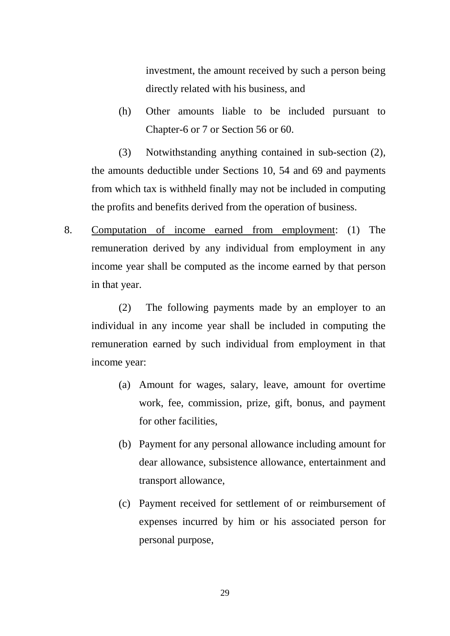investment, the amount received by such a person being directly related with his business, and

(h) Other amounts liable to be included pursuant to Chapter-6 or 7 or Section 56 or 60.

(3) Notwithstanding anything contained in sub-section (2), the amounts deductible under Sections 10, 54 and 69 and payments from which tax is withheld finally may not be included in computing the profits and benefits derived from the operation of business.

8. Computation of income earned from employment: (1) The remuneration derived by any individual from employment in any income year shall be computed as the income earned by that person in that year.

(2) The following payments made by an employer to an individual in any income year shall be included in computing the remuneration earned by such individual from employment in that income year:

- (a) Amount for wages, salary, leave, amount for overtime work, fee, commission, prize, gift, bonus, and payment for other facilities,
- (b) Payment for any personal allowance including amount for dear allowance, subsistence allowance, entertainment and transport allowance,
- (c) Payment received for settlement of or reimbursement of expenses incurred by him or his associated person for personal purpose,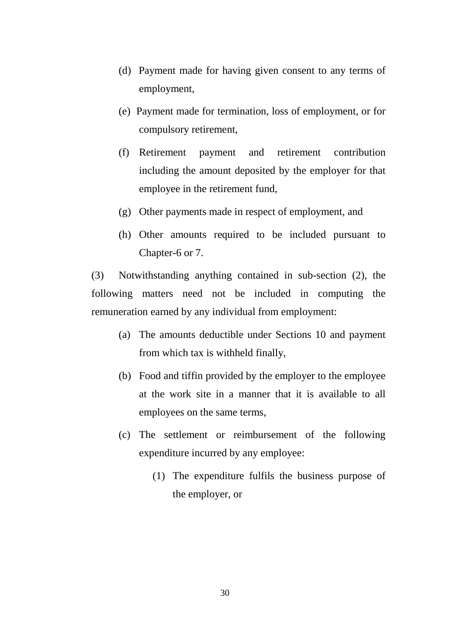- (d) Payment made for having given consent to any terms of employment,
- (e) Payment made for termination, loss of employment, or for compulsory retirement,
- (f) Retirement payment and retirement contribution including the amount deposited by the employer for that employee in the retirement fund,
- (g) Other payments made in respect of employment, and
- (h) Other amounts required to be included pursuant to Chapter-6 or 7.

(3) Notwithstanding anything contained in sub-section (2), the following matters need not be included in computing the remuneration earned by any individual from employment:

- (a) The amounts deductible under Sections 10 and payment from which tax is withheld finally,
- (b) Food and tiffin provided by the employer to the employee at the work site in a manner that it is available to all employees on the same terms,
- (c) The settlement or reimbursement of the following expenditure incurred by any employee:
	- (1) The expenditure fulfils the business purpose of the employer, or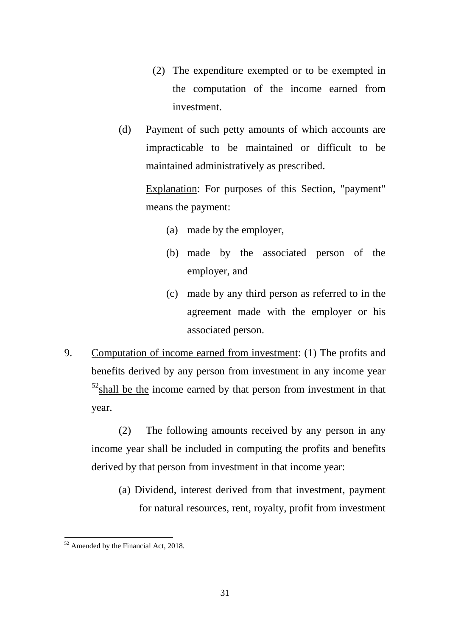- (2) The expenditure exempted or to be exempted in the computation of the income earned from investment.
- (d) Payment of such petty amounts of which accounts are impracticable to be maintained or difficult to be maintained administratively as prescribed.

Explanation: For purposes of this Section, "payment" means the payment:

- (a) made by the employer,
- (b) made by the associated person of the employer, and
- (c) made by any third person as referred to in the agreement made with the employer or his associated person.
- 9. Computation of income earned from investment: (1) The profits and benefits derived by any person from investment in any income year  $52$ shall be the income earned by that person from investment in that year.

(2) The following amounts received by any person in any income year shall be included in computing the profits and benefits derived by that person from investment in that income year:

(a) Dividend, interest derived from that investment, payment for natural resources, rent, royalty, profit from investment

<span id="page-30-0"></span><sup>&</sup>lt;sup>52</sup> Amended by the Financial Act, 2018. -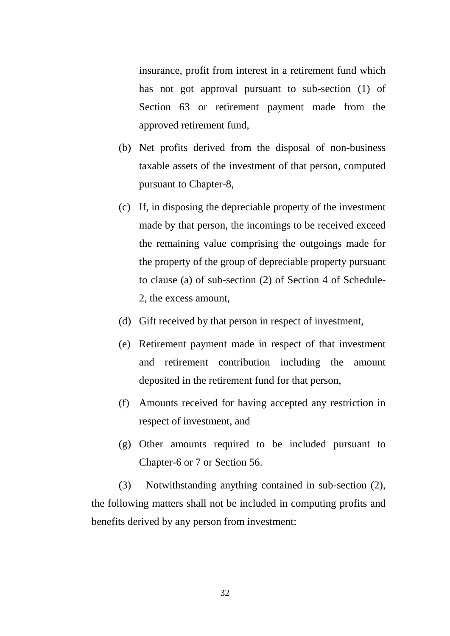insurance, profit from interest in a retirement fund which has not got approval pursuant to sub-section (1) of Section 63 or retirement payment made from the approved retirement fund,

- (b) Net profits derived from the disposal of non-business taxable assets of the investment of that person, computed pursuant to Chapter-8,
- (c) If, in disposing the depreciable property of the investment made by that person, the incomings to be received exceed the remaining value comprising the outgoings made for the property of the group of depreciable property pursuant to clause (a) of sub-section (2) of Section 4 of Schedule-2, the excess amount,
- (d) Gift received by that person in respect of investment,
- (e) Retirement payment made in respect of that investment and retirement contribution including the amount deposited in the retirement fund for that person,
- (f) Amounts received for having accepted any restriction in respect of investment, and
- (g) Other amounts required to be included pursuant to Chapter-6 or 7 or Section 56.

(3) Notwithstanding anything contained in sub-section (2), the following matters shall not be included in computing profits and benefits derived by any person from investment: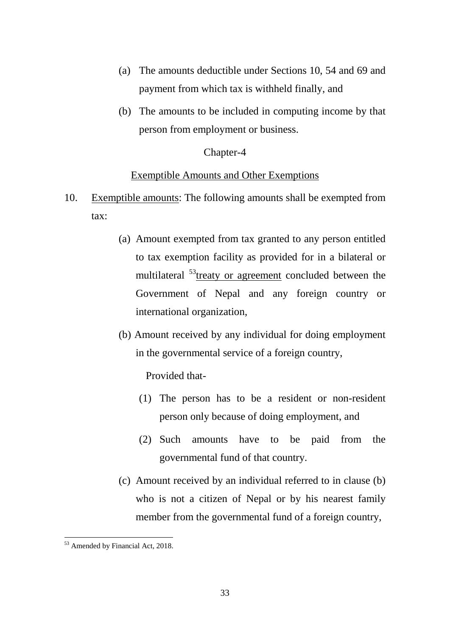- (a) The amounts deductible under Sections 10, 54 and 69 and payment from which tax is withheld finally, and
- (b) The amounts to be included in computing income by that person from employment or business.

#### Chapter-4

#### Exemptible Amounts and Other Exemptions

- 10. Exemptible amounts: The following amounts shall be exempted from tax:
	- (a) Amount exempted from tax granted to any person entitled to tax exemption facility as provided for in a bilateral or multilateral <sup>[53](#page-32-0)</sup>treaty or agreement concluded between the Government of Nepal and any foreign country or international organization,
	- (b) Amount received by any individual for doing employment in the governmental service of a foreign country,

Provided that-

- (1) The person has to be a resident or non-resident person only because of doing employment, and
- (2) Such amounts have to be paid from the governmental fund of that country.
- (c) Amount received by an individual referred to in clause (b) who is not a citizen of Nepal or by his nearest family member from the governmental fund of a foreign country,

<span id="page-32-0"></span><sup>53</sup> Amended by Financial Act, 2018. -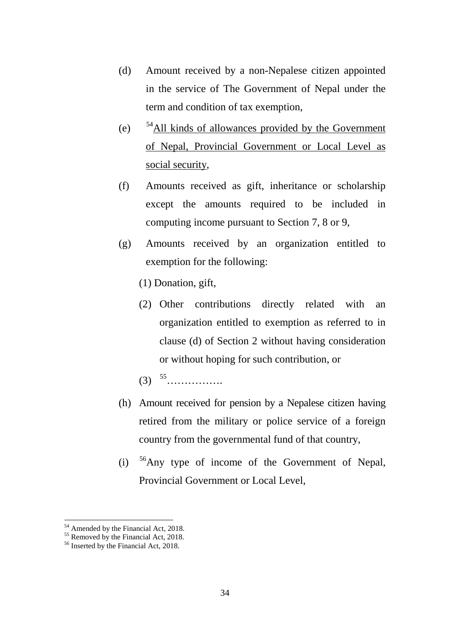- (d) Amount received by a non-Nepalese citizen appointed in the service of The Government of Nepal under the term and condition of tax exemption,
- (e)  $54$ All kinds of allowances provided by the Government of Nepal, Provincial Government or Local Level as social security,
- (f) Amounts received as gift, inheritance or scholarship except the amounts required to be included in computing income pursuant to Section 7, 8 or 9,
- (g) Amounts received by an organization entitled to exemption for the following:
	- (1) Donation, gift,
	- (2) Other contributions directly related with an organization entitled to exemption as referred to in clause (d) of Section 2 without having consideration or without hoping for such contribution, or
	- (3) [55…](#page-33-1)………….
- (h) Amount received for pension by a Nepalese citizen having retired from the military or police service of a foreign country from the governmental fund of that country,
- (i) [56A](#page-33-2)ny type of income of the Government of Nepal, Provincial Government or Local Level,

<span id="page-33-1"></span><span id="page-33-0"></span>

<sup>&</sup>lt;sup>54</sup> Amended by the Financial Act, 2018.<br><sup>55</sup> Removed by the Financial Act, 2018.<br><sup>56</sup> Inserted by the Financial Act, 2018.

<span id="page-33-2"></span>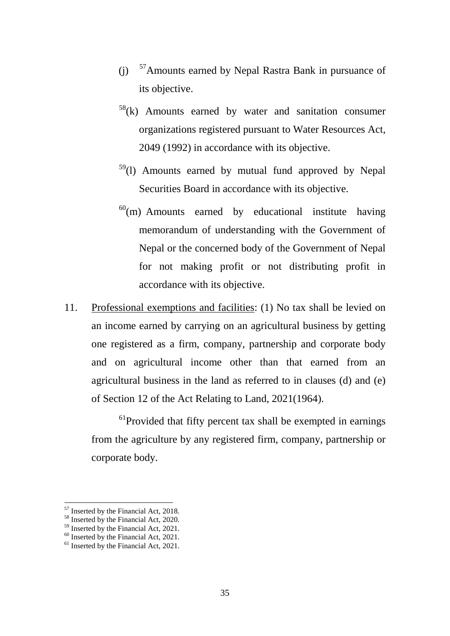- (j) [57A](#page-34-0)mounts earned by Nepal Rastra Bank in pursuance of its objective.
- $58(k)$  $58(k)$  Amounts earned by water and sanitation consumer organizations registered pursuant to Water Resources Act, 2049 (1992) in accordance with its objective.
- $59(1)$  $59(1)$  Amounts earned by mutual fund approved by Nepal Securities Board in accordance with its objective.
- $^{60}$ (m) Amounts earned by educational institute having memorandum of understanding with the Government of Nepal or the concerned body of the Government of Nepal for not making profit or not distributing profit in accordance with its objective.
- 11. Professional exemptions and facilities: (1) No tax shall be levied on an income earned by carrying on an agricultural business by getting one registered as a firm, company, partnership and corporate body and on agricultural income other than that earned from an agricultural business in the land as referred to in clauses (d) and (e) of Section 12 of the Act Relating to Land, 2021(1964).

<sup>61</sup>Provided that fifty percent tax shall be exempted in earnings from the agriculture by any registered firm, company, partnership or corporate body.

<span id="page-34-0"></span><sup>&</sup>lt;sup>57</sup> Inserted by the Financial Act, 2018.

<span id="page-34-1"></span> $58 \text{ Inserted by the Financial Act, 2020.}$ <br> $59 \text{ Inserted by the Financial Act, 2021.}$ 

<span id="page-34-4"></span><span id="page-34-3"></span><span id="page-34-2"></span> $^{60}$  Inserted by the Financial Act, 2021.<br><sup>61</sup> Inserted by the Financial Act, 2021.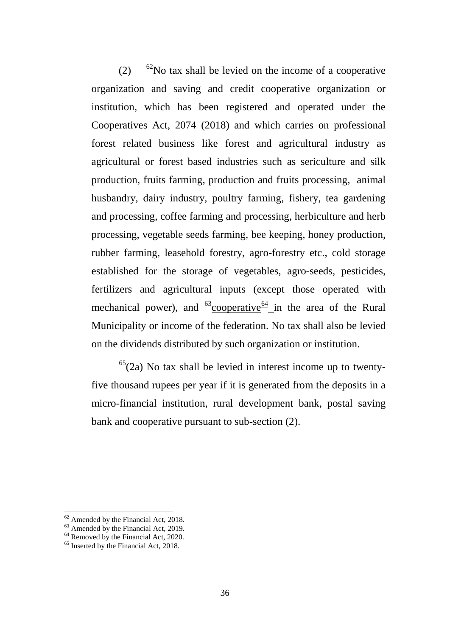$(2)$  <sup>62</sup>No tax shall be levied on the income of a cooperative organization and saving and credit cooperative organization or institution, which has been registered and operated under the Cooperatives Act, 2074 (2018) and which carries on professional forest related business like forest and agricultural industry as agricultural or forest based industries such as sericulture and silk production, fruits farming, production and fruits processing, animal husbandry, dairy industry, poultry farming, fishery, tea gardening and processing, coffee farming and processing, herbiculture and herb processing, vegetable seeds farming, bee keeping, honey production, rubber farming, leasehold forestry, agro-forestry etc., cold storage established for the storage of vegetables, agro-seeds, pesticides, fertilizers and agricultural inputs (except those operated with mechanical power), and  $^{63}$ cooperative<sup>[64](#page-35-2)</sup> in the area of the Rural Municipality or income of the federation. No tax shall also be levied on the dividends distributed by such organization or institution.

 $65(2a)$  $65(2a)$  No tax shall be levied in interest income up to twentyfive thousand rupees per year if it is generated from the deposits in a micro-financial institution, rural development bank, postal saving bank and cooperative pursuant to sub-section (2).

<span id="page-35-1"></span><span id="page-35-0"></span><sup>&</sup>lt;sup>62</sup> Amended by the Financial Act, 2018.<br><sup>64</sup> Removed by the Financial Act, 2019.<br><sup>64</sup> Removed by the Financial Act, 2020.<br><sup>65</sup> Inserted by the Financial Act, 2018.

<span id="page-35-2"></span>

<span id="page-35-3"></span>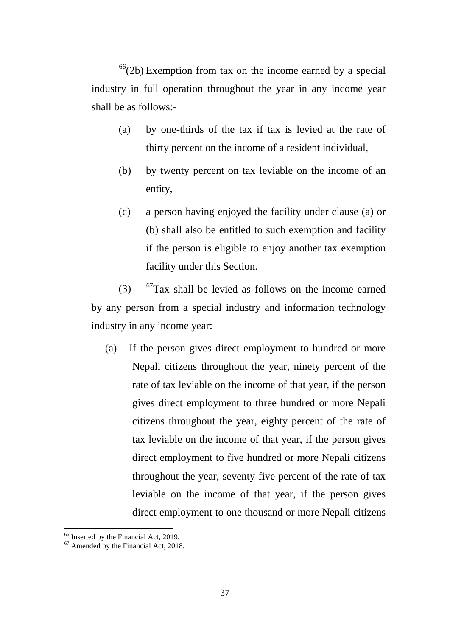$66(2b)$  $66(2b)$  Exemption from tax on the income earned by a special industry in full operation throughout the year in any income year shall be as follows:-

- (a) by one-thirds of the tax if tax is levied at the rate of thirty percent on the income of a resident individual,
- (b) by twenty percent on tax leviable on the income of an entity,
- (c) a person having enjoyed the facility under clause (a) or (b) shall also be entitled to such exemption and facility if the person is eligible to enjoy another tax exemption facility under this Section.

(3)  $67$ Tax shall be levied as follows on the income earned by any person from a special industry and information technology industry in any income year:

(a) If the person gives direct employment to hundred or more Nepali citizens throughout the year, ninety percent of the rate of tax leviable on the income of that year, if the person gives direct employment to three hundred or more Nepali citizens throughout the year, eighty percent of the rate of tax leviable on the income of that year, if the person gives direct employment to five hundred or more Nepali citizens throughout the year, seventy-five percent of the rate of tax leviable on the income of that year, if the person gives direct employment to one thousand or more Nepali citizens

<span id="page-36-0"></span> $^{66}$  Inserted by the Financial Act, 2019.<br><sup>67</sup> Amended by the Financial Act, 2018.

<span id="page-36-1"></span>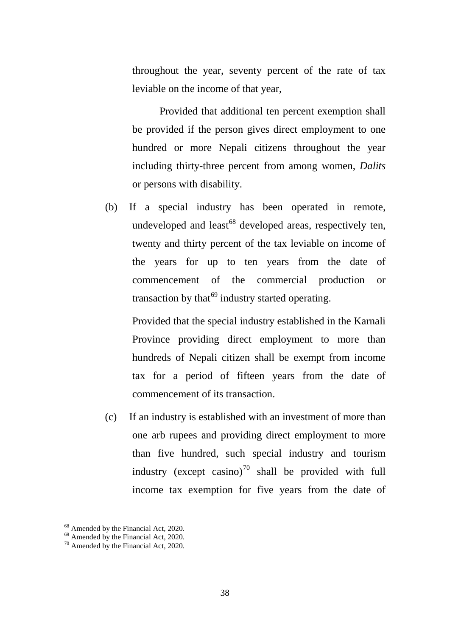throughout the year, seventy percent of the rate of tax leviable on the income of that year,

Provided that additional ten percent exemption shall be provided if the person gives direct employment to one hundred or more Nepali citizens throughout the year including thirty-three percent from among women, *Dalits*  or persons with disability.

(b) If a special industry has been operated in remote, undeveloped and least<sup>[68](#page-37-0)</sup> developed areas, respectively ten, twenty and thirty percent of the tax leviable on income of the years for up to ten years from the date of commencement of the commercial production or transaction by that $69$  industry started operating.

Provided that the special industry established in the Karnali Province providing direct employment to more than hundreds of Nepali citizen shall be exempt from income tax for a period of fifteen years from the date of commencement of its transaction.

(c) If an industry is established with an investment of more than one arb rupees and providing direct employment to more than five hundred, such special industry and tourism industry (except casino)<sup>[70](#page-37-2)</sup> shall be provided with full income tax exemption for five years from the date of

<span id="page-37-0"></span><sup>&</sup>lt;sup>68</sup> Amended by the Financial Act, 2020.<br><sup>69</sup> Amended by the Financial Act, 2020.<br><sup>70</sup> Amended by the Financial Act, 2020.

<span id="page-37-1"></span>

<span id="page-37-2"></span>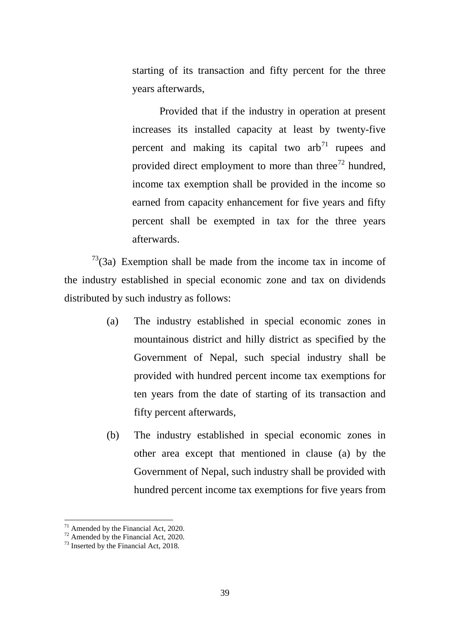starting of its transaction and fifty percent for the three years afterwards,

Provided that if the industry in operation at present increases its installed capacity at least by twenty-five percent and making its capital two  $arb^{71}$  $arb^{71}$  $arb^{71}$  rupees and provided direct employment to more than three $72$  hundred, income tax exemption shall be provided in the income so earned from capacity enhancement for five years and fifty percent shall be exempted in tax for the three years afterwards.

 $73$ (3a) Exemption shall be made from the income tax in income of the industry established in special economic zone and tax on dividends distributed by such industry as follows:

- (a) The industry established in special economic zones in mountainous district and hilly district as specified by the Government of Nepal, such special industry shall be provided with hundred percent income tax exemptions for ten years from the date of starting of its transaction and fifty percent afterwards,
- (b) The industry established in special economic zones in other area except that mentioned in clause (a) by the Government of Nepal, such industry shall be provided with hundred percent income tax exemptions for five years from

<span id="page-38-1"></span><span id="page-38-0"></span>

<sup>&</sup>lt;sup>71</sup> Amended by the Financial Act, 2020.<br><sup>72</sup> Amended by the Financial Act, 2020.<br><sup>73</sup> Inserted by the Financial Act, 2018.

<span id="page-38-2"></span>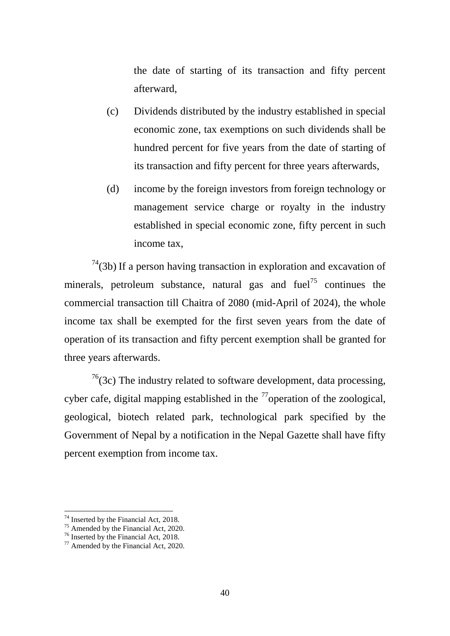the date of starting of its transaction and fifty percent afterward,

- (c) Dividends distributed by the industry established in special economic zone, tax exemptions on such dividends shall be hundred percent for five years from the date of starting of its transaction and fifty percent for three years afterwards,
- (d) income by the foreign investors from foreign technology or management service charge or royalty in the industry established in special economic zone, fifty percent in such income tax,

 $74(3b)$  $74(3b)$  If a person having transaction in exploration and excavation of minerals, petroleum substance, natural gas and fuel<sup>[75](#page-39-1)</sup> continues the commercial transaction till Chaitra of 2080 (mid-April of 2024), the whole income tax shall be exempted for the first seven years from the date of operation of its transaction and fifty percent exemption shall be granted for three years afterwards.

 $76(3c)$  $76(3c)$  The industry related to software development, data processing, cyber cafe, digital mapping established in the  $^{77}$  $^{77}$  $^{77}$ operation of the zoological, geological, biotech related park, technological park specified by the Government of Nepal by a notification in the Nepal Gazette shall have fifty percent exemption from income tax.

<span id="page-39-1"></span><span id="page-39-0"></span><sup>&</sup>lt;sup>74</sup> Inserted by the Financial Act, 2018.<br><sup>75</sup> Amended by the Financial Act, 2020.<br><sup>76</sup> Inserted by the Financial Act, 2018.<br><sup>77</sup> Amended by the Financial Act, 2020.

<span id="page-39-2"></span>

<span id="page-39-3"></span>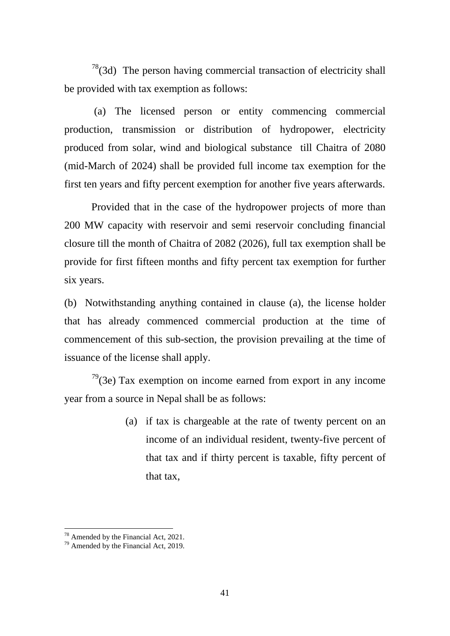$78$ (3d) The person having commercial transaction of electricity shall be provided with tax exemption as follows:

(a) The licensed person or entity commencing commercial production, transmission or distribution of hydropower, electricity produced from solar, wind and biological substance till Chaitra of 2080 (mid-March of 2024) shall be provided full income tax exemption for the first ten years and fifty percent exemption for another five years afterwards.

Provided that in the case of the hydropower projects of more than 200 MW capacity with reservoir and semi reservoir concluding financial closure till the month of Chaitra of 2082 (2026), full tax exemption shall be provide for first fifteen months and fifty percent tax exemption for further six years.

(b) Notwithstanding anything contained in clause (a), the license holder that has already commenced commercial production at the time of commencement of this sub-section, the provision prevailing at the time of issuance of the license shall apply.

 $79(3e)$  $79(3e)$  Tax exemption on income earned from export in any income year from a source in Nepal shall be as follows:

> (a) if tax is chargeable at the rate of twenty percent on an income of an individual resident, twenty-five percent of that tax and if thirty percent is taxable, fifty percent of that tax,

<span id="page-40-1"></span><span id="page-40-0"></span><sup>&</sup>lt;sup>78</sup> Amended by the Financial Act, 2021.<br><sup>79</sup> Amended by the Financial Act, 2019.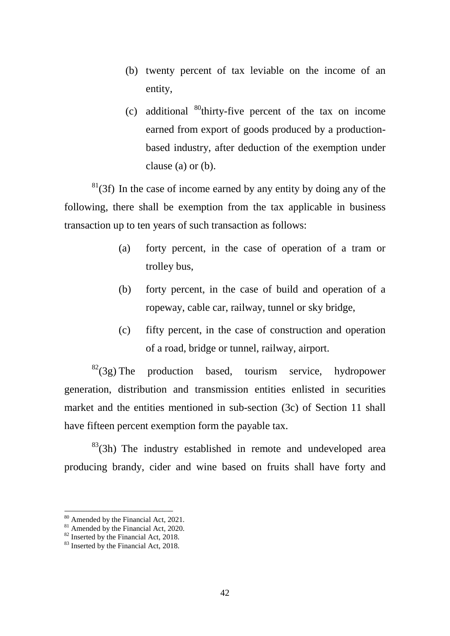- (b) twenty percent of tax leviable on the income of an entity,
- (c) additional  $^{80}$  $^{80}$  $^{80}$ thirty-five percent of the tax on income earned from export of goods produced by a productionbased industry, after deduction of the exemption under clause (a) or (b).

 $81(3f)$  $81(3f)$  In the case of income earned by any entity by doing any of the following, there shall be exemption from the tax applicable in business transaction up to ten years of such transaction as follows:

- (a) forty percent, in the case of operation of a tram or trolley bus,
- (b) forty percent, in the case of build and operation of a ropeway, cable car, railway, tunnel or sky bridge,
- (c) fifty percent, in the case of construction and operation of a road, bridge or tunnel, railway, airport.

 $82(3g)$  $82(3g)$  The production based, tourism service, hydropower generation, distribution and transmission entities enlisted in securities market and the entities mentioned in sub-section (3c) of Section 11 shall have fifteen percent exemption form the payable tax.

 $83^8$ (3h) The industry established in remote and undeveloped area producing brandy, cider and wine based on fruits shall have forty and

<span id="page-41-2"></span>

<span id="page-41-1"></span><span id="page-41-0"></span><sup>&</sup>lt;sup>80</sup> Amended by the Financial Act, 2021.<br><sup>81</sup> Amended by the Financial Act, 2020.<br><sup>82</sup> Inserted by the Financial Act, 2018.<br><sup>83</sup> Inserted by the Financial Act. 2018.

<span id="page-41-3"></span>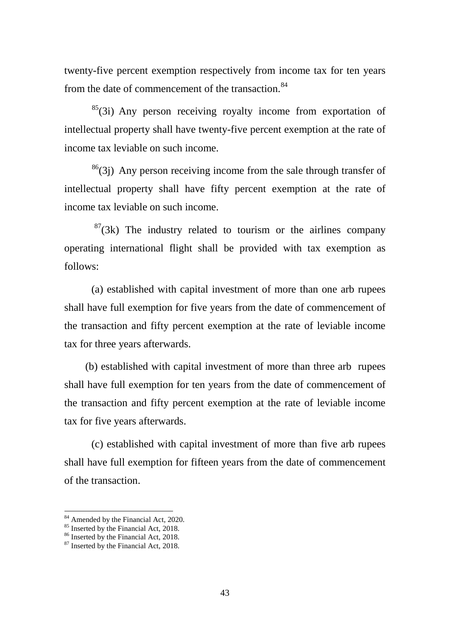twenty-five percent exemption respectively from income tax for ten years from the date of commencement of the transaction.<sup>[84](#page-42-0)</sup>

 $^{85}$ (3i) Any person receiving royalty income from exportation of intellectual property shall have twenty-five percent exemption at the rate of income tax leviable on such income.

 $86(3)$  $86(3)$  Any person receiving income from the sale through transfer of intellectual property shall have fifty percent exemption at the rate of income tax leviable on such income.

 $87(3k)$  $87(3k)$  The industry related to tourism or the airlines company operating international flight shall be provided with tax exemption as follows:

(a) established with capital investment of more than one arb rupees shall have full exemption for five years from the date of commencement of the transaction and fifty percent exemption at the rate of leviable income tax for three years afterwards.

 (b) established with capital investment of more than three arb rupees shall have full exemption for ten years from the date of commencement of the transaction and fifty percent exemption at the rate of leviable income tax for five years afterwards.

(c) established with capital investment of more than five arb rupees shall have full exemption for fifteen years from the date of commencement of the transaction.

<sup>&</sup>lt;sup>84</sup> Amended by the Financial Act, 2020.

<span id="page-42-2"></span><span id="page-42-1"></span><span id="page-42-0"></span><sup>&</sup>lt;sup>85</sup> Inserted by the Financial Act, 2018. <sup>86</sup> Inserted by the Financial Act, 2018. <sup>87</sup> Inserted by the Financial Act, 2018.

<span id="page-42-3"></span>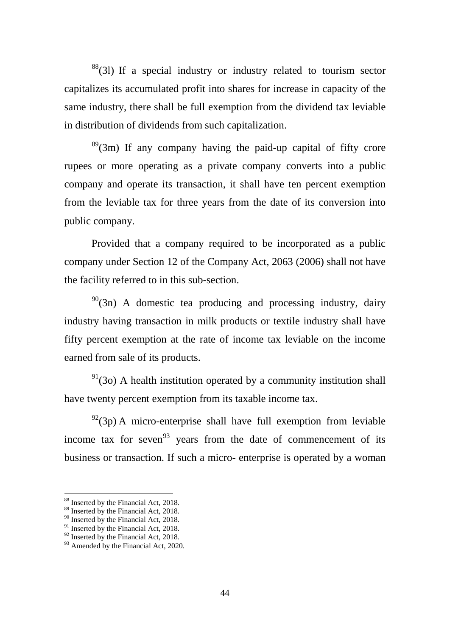$88$ <sup>88</sup>(31) If a special industry or industry related to tourism sector capitalizes its accumulated profit into shares for increase in capacity of the same industry, there shall be full exemption from the dividend tax leviable in distribution of dividends from such capitalization.

 $89^{\circ}$ (3m) If any company having the paid-up capital of fifty crore rupees or more operating as a private company converts into a public company and operate its transaction, it shall have ten percent exemption from the leviable tax for three years from the date of its conversion into public company.

Provided that a company required to be incorporated as a public company under Section 12 of the Company Act, 2063 (2006) shall not have the facility referred to in this sub-section.

 $90(3n)$  $90(3n)$  A domestic tea producing and processing industry, dairy industry having transaction in milk products or textile industry shall have fifty percent exemption at the rate of income tax leviable on the income earned from sale of its products.

 $91(3)$  $91(3)$  A health institution operated by a community institution shall have twenty percent exemption from its taxable income tax.

 $^{92}(3p)$  A micro-enterprise shall have full exemption from leviable income tax for seven<sup>[93](#page-43-5)</sup> years from the date of commencement of its business or transaction. If such a micro- enterprise is operated by a woman

<span id="page-43-0"></span><sup>&</sup>lt;sup>88</sup> Inserted by the Financial Act, 2018.

<span id="page-43-1"></span><sup>&</sup>lt;sup>89</sup> Inserted by the Financial Act, 2018.

<sup>&</sup>lt;sup>90</sup> Inserted by the Financial Act, 2018.

<span id="page-43-3"></span><span id="page-43-2"></span><sup>&</sup>lt;sup>91</sup> Inserted by the Financial Act, 2018.<br><sup>92</sup> Inserted by the Financial Act, 2018.

<span id="page-43-5"></span><span id="page-43-4"></span> $93$  Amended by the Financial Act, 2020.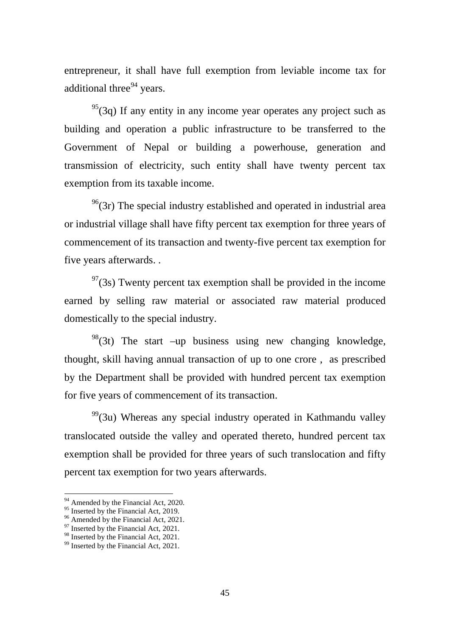entrepreneur, it shall have full exemption from leviable income tax for additional three $94$  years.

 $^{95}(3q)$  If any entity in any income year operates any project such as building and operation a public infrastructure to be transferred to the Government of Nepal or building a powerhouse, generation and transmission of electricity, such entity shall have twenty percent tax exemption from its taxable income.

 $96(3r)$  $96(3r)$  The special industry established and operated in industrial area or industrial village shall have fifty percent tax exemption for three years of commencement of its transaction and twenty-five percent tax exemption for five years afterwards. .

 $97(3s)$  $97(3s)$  Twenty percent tax exemption shall be provided in the income earned by selling raw material or associated raw material produced domestically to the special industry.

 $98(3t)$  $98(3t)$  The start –up business using new changing knowledge, thought, skill having annual transaction of up to one crore , as prescribed by the Department shall be provided with hundred percent tax exemption for five years of commencement of its transaction.

 $99^9$ (3u) Whereas any special industry operated in Kathmandu valley translocated outside the valley and operated thereto, hundred percent tax exemption shall be provided for three years of such translocation and fifty percent tax exemption for two years afterwards.

<sup>&</sup>lt;sup>94</sup> Amended by the Financial Act, 2020.

<span id="page-44-2"></span><span id="page-44-1"></span><span id="page-44-0"></span><sup>&</sup>lt;sup>95</sup> Inserted by the Financial Act, 2019.<br><sup>96</sup> Amended by the Financial Act, 2021.<br><sup>97</sup> Inserted by the Financial Act, 2021.

<span id="page-44-3"></span>

<span id="page-44-5"></span><span id="page-44-4"></span> $99$  Inserted by the Financial Act, 2021.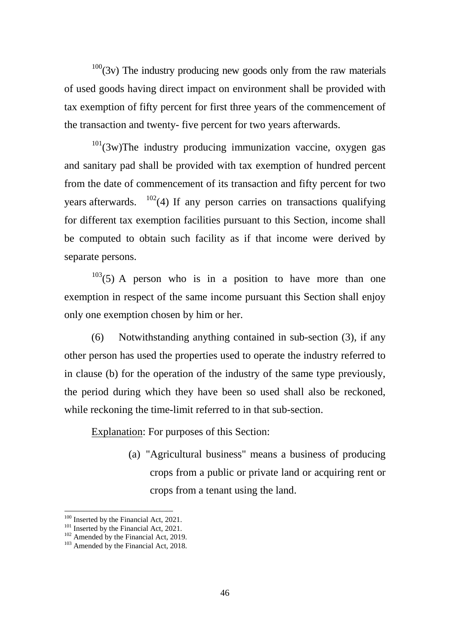$100(3v)$  $100(3v)$  The industry producing new goods only from the raw materials of used goods having direct impact on environment shall be provided with tax exemption of fifty percent for first three years of the commencement of the transaction and twenty- five percent for two years afterwards.

 $101(3w)$  $101(3w)$ The industry producing immunization vaccine, oxygen gas and sanitary pad shall be provided with tax exemption of hundred percent from the date of commencement of its transaction and fifty percent for two years afterwards.  $102(4)$  $102(4)$  If any person carries on transactions qualifying for different tax exemption facilities pursuant to this Section, income shall be computed to obtain such facility as if that income were derived by separate persons.

 $103(5)$  $103(5)$  A person who is in a position to have more than one exemption in respect of the same income pursuant this Section shall enjoy only one exemption chosen by him or her.

(6) Notwithstanding anything contained in sub-section (3), if any other person has used the properties used to operate the industry referred to in clause (b) for the operation of the industry of the same type previously, the period during which they have been so used shall also be reckoned, while reckoning the time-limit referred to in that sub-section.

Explanation: For purposes of this Section:

(a) "Agricultural business" means a business of producing crops from a public or private land or acquiring rent or crops from a tenant using the land.

 $100$  Inserted by the Financial Act, 2021.

<span id="page-45-2"></span><span id="page-45-1"></span><span id="page-45-0"></span><sup>101</sup> Inserted by the Financial Act, 2021.<br><sup>102</sup> Amended by the Financial Act, 2019.<br><sup>103</sup> Amended by the Financial Act, 2018.

<span id="page-45-3"></span>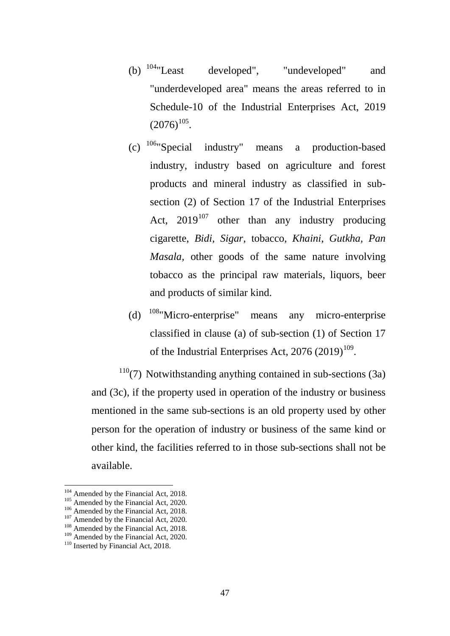- (b)  $104$ "Least developed", "undeveloped" and "underdeveloped area" means the areas referred to in Schedule-10 of the Industrial Enterprises Act, 2019  $(2076)^{105}$ .
- (c) [106](#page-46-2)"Special industry" means a production-based industry, industry based on agriculture and forest products and mineral industry as classified in subsection (2) of Section 17 of the Industrial Enterprises Act,  $2019^{107}$  $2019^{107}$  $2019^{107}$  other than any industry producing cigarette, *Bidi, Sigar,* tobacco, *Khaini*, *Gutkha, Pan Masala,* other goods of the same nature involving tobacco as the principal raw materials, liquors, beer and products of similar kind.
- (d)  $108$ "Micro-enterprise" means any micro-enterprise classified in clause (a) of sub-section (1) of Section 17 of the Industrial Enterprises Act,  $2076 (2019)^{109}$  $2076 (2019)^{109}$  $2076 (2019)^{109}$ .

 $110(7)$  $110(7)$  Notwithstanding anything contained in sub-sections (3a) and (3c), if the property used in operation of the industry or business mentioned in the same sub-sections is an old property used by other person for the operation of industry or business of the same kind or other kind, the facilities referred to in those sub-sections shall not be available.

<span id="page-46-0"></span><sup>&</sup>lt;sup>104</sup> Amended by the Financial Act, 2018.

<span id="page-46-2"></span>

<span id="page-46-3"></span>

<span id="page-46-5"></span><span id="page-46-4"></span>

<span id="page-46-1"></span><sup>&</sup>lt;sup>105</sup> Amended by the Financial Act, 2020.<br><sup>106</sup> Amended by the Financial Act, 2018.<br><sup>107</sup> Amended by the Financial Act, 2020.<br><sup>108</sup> Amended by the Financial Act, 2018.<br><sup>109</sup> Amended by the Financial Act, 2020.<br><sup>110</sup> Inser

<span id="page-46-6"></span>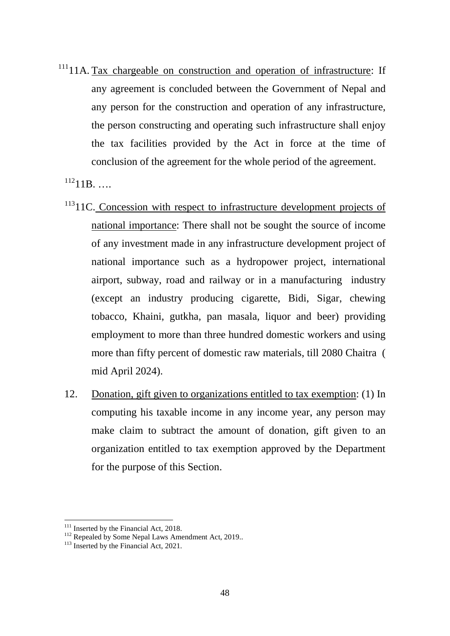$11111$  $11111$ <sub>111</sub> Tax chargeable on construction and operation of infrastructure: If any agreement is concluded between the Government of Nepal and any person for the construction and operation of any infrastructure, the person constructing and operating such infrastructure shall enjoy the tax facilities provided by the Act in force at the time of conclusion of the agreement for the whole period of the agreement.

 $^{112}11B$  $^{112}11B$  $^{112}11B$ . ....

- <sup>[113](#page-47-2)</sup>11C. Concession with respect to infrastructure development projects of national importance: There shall not be sought the source of income of any investment made in any infrastructure development project of national importance such as a hydropower project, international airport, subway, road and railway or in a manufacturing industry (except an industry producing cigarette, Bidi, Sigar, chewing tobacco, Khaini, gutkha, pan masala, liquor and beer) providing employment to more than three hundred domestic workers and using more than fifty percent of domestic raw materials, till 2080 Chaitra ( mid April 2024).
- 12. Donation, gift given to organizations entitled to tax exemption: (1) In computing his taxable income in any income year, any person may make claim to subtract the amount of donation, gift given to an organization entitled to tax exemption approved by the Department for the purpose of this Section.

<span id="page-47-1"></span><span id="page-47-0"></span><sup>&</sup>lt;sup>111</sup> Inserted by the Financial Act, 2018.<br><sup>112</sup> Repealed by Some Nepal Laws Amendment Act, 2019..<br><sup>113</sup> Inserted by the Financial Act, 2021.

<span id="page-47-2"></span>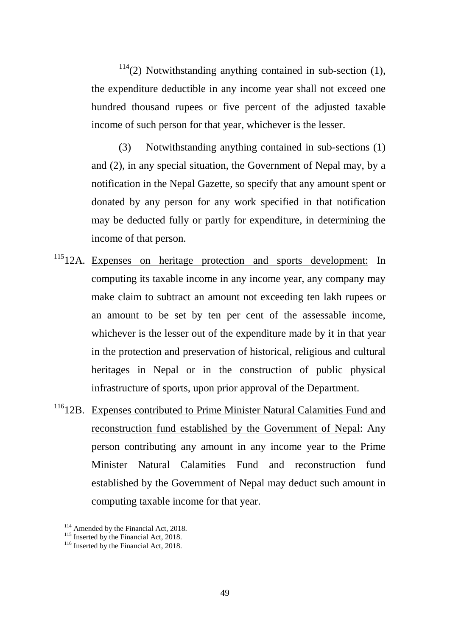$114(2)$  $114(2)$  Notwithstanding anything contained in sub-section (1), the expenditure deductible in any income year shall not exceed one hundred thousand rupees or five percent of the adjusted taxable income of such person for that year, whichever is the lesser.

(3) Notwithstanding anything contained in sub-sections (1) and (2), in any special situation, the Government of Nepal may, by a notification in the Nepal Gazette, so specify that any amount spent or donated by any person for any work specified in that notification may be deducted fully or partly for expenditure, in determining the income of that person.

- <sup>[115](#page-48-1)</sup>12A. Expenses on heritage protection and sports development: In computing its taxable income in any income year, any company may make claim to subtract an amount not exceeding ten lakh rupees or an amount to be set by ten per cent of the assessable income, whichever is the lesser out of the expenditure made by it in that year in the protection and preservation of historical, religious and cultural heritages in Nepal or in the construction of public physical infrastructure of sports, upon prior approval of the Department.
- <sup>[116](#page-48-2)</sup>12B. Expenses contributed to Prime Minister Natural Calamities Fund and reconstruction fund established by the Government of Nepal: Any person contributing any amount in any income year to the Prime Minister Natural Calamities Fund and reconstruction fund established by the Government of Nepal may deduct such amount in computing taxable income for that year.

<span id="page-48-1"></span>

<span id="page-48-0"></span><sup>&</sup>lt;sup>114</sup> Amended by the Financial Act, 2018.<br><sup>115</sup> Inserted by the Financial Act, 2018.<br><sup>116</sup> Inserted by the Financial Act, 2018.

<span id="page-48-2"></span>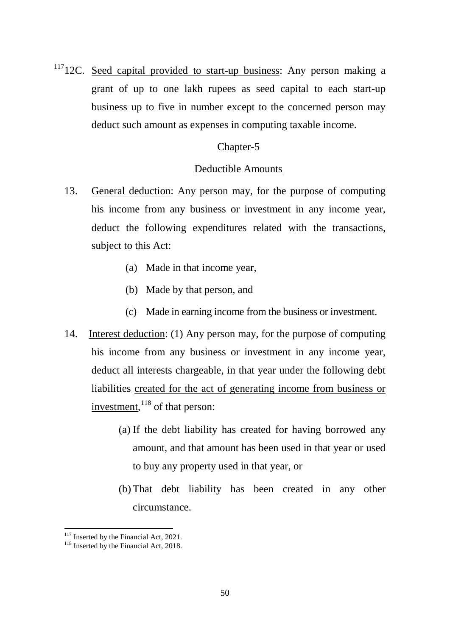<sup>[117](#page-49-0)</sup>12C. Seed capital provided to start-up business: Any person making a grant of up to one lakh rupees as seed capital to each start-up business up to five in number except to the concerned person may deduct such amount as expenses in computing taxable income.

# Chapter-5

# Deductible Amounts

- 13. General deduction: Any person may, for the purpose of computing his income from any business or investment in any income year, deduct the following expenditures related with the transactions, subject to this Act:
	- (a) Made in that income year,
	- (b) Made by that person, and
	- (c) Made in earning income from the business or investment.
- 14. Interest deduction: (1) Any person may, for the purpose of computing his income from any business or investment in any income year, deduct all interests chargeable, in that year under the following debt liabilities created for the act of generating income from business or investment, <sup>[118](#page-49-1)</sup> of that person:
	- (a) If the debt liability has created for having borrowed any amount, and that amount has been used in that year or used to buy any property used in that year, or
	- (b) That debt liability has been created in any other circumstance.

<span id="page-49-0"></span><sup>&</sup>lt;sup>117</sup> Inserted by the Financial Act, 2021.<br><sup>118</sup> Inserted by the Financial Act, 2018.

<span id="page-49-1"></span>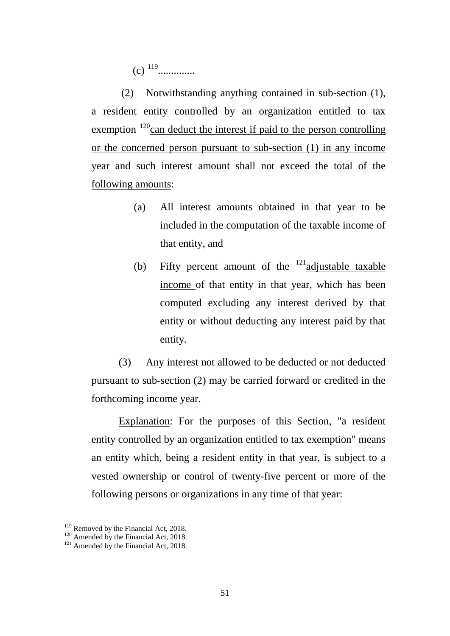(c) [119](#page-50-0)..............

(2) Notwithstanding anything contained in sub-section (1), a resident entity controlled by an organization entitled to tax exemption  $120$ can deduct the interest if paid to the person controlling or the concerned person pursuant to sub-section (1) in any income year and such interest amount shall not exceed the total of the following amounts:

- (a) All interest amounts obtained in that year to be included in the computation of the taxable income of that entity, and
- (b) Fifty percent amount of the  $121$  adjustable taxable income of that entity in that year, which has been computed excluding any interest derived by that entity or without deducting any interest paid by that entity.

(3) Any interest not allowed to be deducted or not deducted pursuant to sub-section (2) may be carried forward or credited in the forthcoming income year.

Explanation: For the purposes of this Section, "a resident entity controlled by an organization entitled to tax exemption" means an entity which, being a resident entity in that year, is subject to a vested ownership or control of twenty-five percent or more of the following persons or organizations in any time of that year:

<span id="page-50-1"></span><span id="page-50-0"></span><sup>&</sup>lt;sup>119</sup> Removed by the Financial Act, 2018.<br><sup>120</sup> Amended by the Financial Act, 2018.<br><sup>121</sup> Amended by the Financial Act, 2018.

<span id="page-50-2"></span>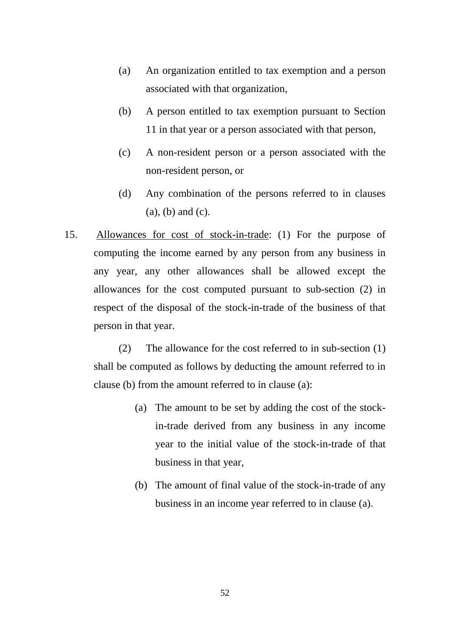- (a) An organization entitled to tax exemption and a person associated with that organization,
- (b) A person entitled to tax exemption pursuant to Section 11 in that year or a person associated with that person,
- (c) A non-resident person or a person associated with the non-resident person, or
- (d) Any combination of the persons referred to in clauses (a), (b) and (c).
- 15. Allowances for cost of stock-in-trade: (1) For the purpose of computing the income earned by any person from any business in any year, any other allowances shall be allowed except the allowances for the cost computed pursuant to sub-section (2) in respect of the disposal of the stock-in-trade of the business of that person in that year.

(2) The allowance for the cost referred to in sub-section (1) shall be computed as follows by deducting the amount referred to in clause (b) from the amount referred to in clause (a):

- (a) The amount to be set by adding the cost of the stockin-trade derived from any business in any income year to the initial value of the stock-in-trade of that business in that year,
- (b) The amount of final value of the stock-in-trade of any business in an income year referred to in clause (a).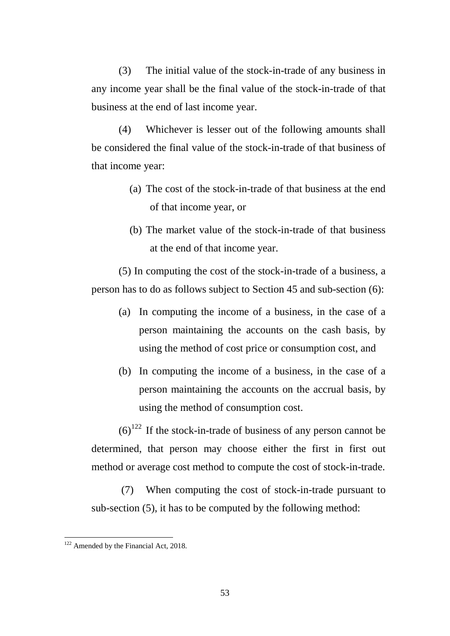(3) The initial value of the stock-in-trade of any business in any income year shall be the final value of the stock-in-trade of that business at the end of last income year.

(4) Whichever is lesser out of the following amounts shall be considered the final value of the stock-in-trade of that business of that income year:

- (a) The cost of the stock-in-trade of that business at the end of that income year, or
- (b) The market value of the stock-in-trade of that business at the end of that income year.

(5) In computing the cost of the stock-in-trade of a business, a person has to do as follows subject to Section 45 and sub-section (6):

- (a) In computing the income of a business, in the case of a person maintaining the accounts on the cash basis, by using the method of cost price or consumption cost, and
- (b) In computing the income of a business, in the case of a person maintaining the accounts on the accrual basis, by using the method of consumption cost.

 $(6)^{122}$  $(6)^{122}$  $(6)^{122}$  If the stock-in-trade of business of any person cannot be determined, that person may choose either the first in first out method or average cost method to compute the cost of stock-in-trade.

(7) When computing the cost of stock-in-trade pursuant to sub-section (5), it has to be computed by the following method:

<span id="page-52-0"></span><sup>&</sup>lt;sup>122</sup> Amended by the Financial Act, 2018.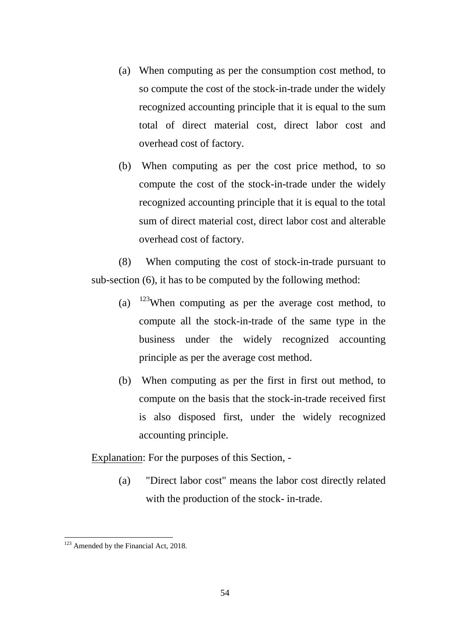- (a) When computing as per the consumption cost method, to so compute the cost of the stock-in-trade under the widely recognized accounting principle that it is equal to the sum total of direct material cost, direct labor cost and overhead cost of factory.
- (b) When computing as per the cost price method, to so compute the cost of the stock-in-trade under the widely recognized accounting principle that it is equal to the total sum of direct material cost, direct labor cost and alterable overhead cost of factory.

(8) When computing the cost of stock-in-trade pursuant to sub-section (6), it has to be computed by the following method:

- (a)  $123$ When computing as per the average cost method, to compute all the stock-in-trade of the same type in the business under the widely recognized accounting principle as per the average cost method.
- (b) When computing as per the first in first out method, to compute on the basis that the stock-in-trade received first is also disposed first, under the widely recognized accounting principle.

Explanation: For the purposes of this Section, -

(a) "Direct labor cost" means the labor cost directly related with the production of the stock- in-trade.

<span id="page-53-0"></span><sup>&</sup>lt;sup>123</sup> Amended by the Financial Act, 2018. -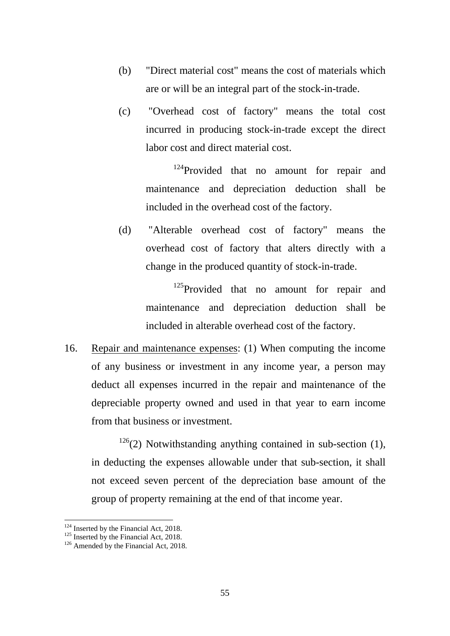- (b) "Direct material cost" means the cost of materials which are or will be an integral part of the stock-in-trade.
- (c) "Overhead cost of factory" means the total cost incurred in producing stock-in-trade except the direct labor cost and direct material cost.

<sup>[124](#page-54-0)</sup>Provided that no amount for repair and maintenance and depreciation deduction shall be included in the overhead cost of the factory.

(d) "Alterable overhead cost of factory" means the overhead cost of factory that alters directly with a change in the produced quantity of stock-in-trade.

> <sup>[125](#page-54-1)</sup>Provided that no amount for repair and maintenance and depreciation deduction shall be included in alterable overhead cost of the factory.

16. Repair and maintenance expenses: (1) When computing the income of any business or investment in any income year, a person may deduct all expenses incurred in the repair and maintenance of the depreciable property owned and used in that year to earn income from that business or investment.

 $126(2)$  $126(2)$  Notwithstanding anything contained in sub-section (1), in deducting the expenses allowable under that sub-section, it shall not exceed seven percent of the depreciation base amount of the group of property remaining at the end of that income year.

<span id="page-54-2"></span><span id="page-54-1"></span>

<span id="page-54-0"></span><sup>&</sup>lt;sup>124</sup> Inserted by the Financial Act, 2018.<br><sup>125</sup> Inserted by the Financial Act, 2018.<br><sup>126</sup> Amended by the Financial Act, 2018.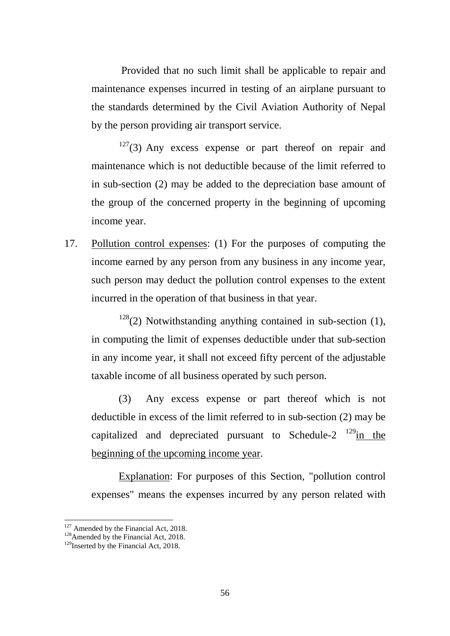Provided that no such limit shall be applicable to repair and maintenance expenses incurred in testing of an airplane pursuant to the standards determined by the Civil Aviation Authority of Nepal by the person providing air transport service.

 $127(3)$  $127(3)$  Any excess expense or part thereof on repair and maintenance which is not deductible because of the limit referred to in sub-section (2) may be added to the depreciation base amount of the group of the concerned property in the beginning of upcoming income year.

17. Pollution control expenses: (1) For the purposes of computing the income earned by any person from any business in any income year, such person may deduct the pollution control expenses to the extent incurred in the operation of that business in that year.

 $128(2)$  $128(2)$  Notwithstanding anything contained in sub-section (1), in computing the limit of expenses deductible under that sub-section in any income year, it shall not exceed fifty percent of the adjustable taxable income of all business operated by such person.

(3) Any excess expense or part thereof which is not deductible in excess of the limit referred to in sub-section (2) may be capitalized and depreciated pursuant to Schedule-2  $129$ in the beginning of the upcoming income year.

Explanation: For purposes of this Section, "pollution control expenses" means the expenses incurred by any person related with

<span id="page-55-1"></span><span id="page-55-0"></span><sup>&</sup>lt;sup>127</sup> Amended by the Financial Act, 2018.<br><sup>128</sup>Amended by the Financial Act, 2018.<br><sup>129</sup>Inserted by the Financial Act, 2018.

<span id="page-55-2"></span>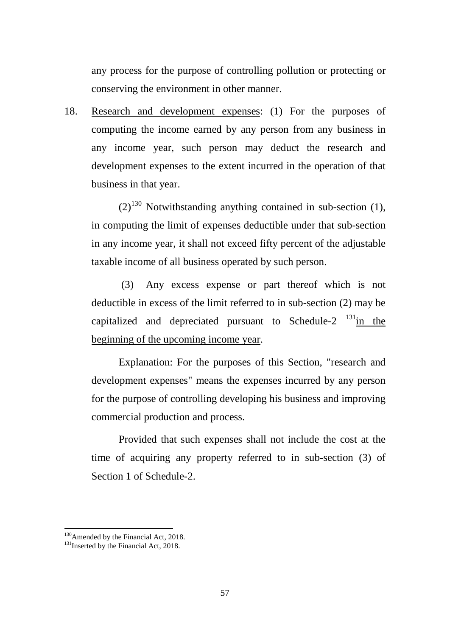any process for the purpose of controlling pollution or protecting or conserving the environment in other manner.

18. Research and development expenses: (1) For the purposes of computing the income earned by any person from any business in any income year, such person may deduct the research and development expenses to the extent incurred in the operation of that business in that year.

 $(2)^{130}$  $(2)^{130}$  $(2)^{130}$  Notwithstanding anything contained in sub-section (1), in computing the limit of expenses deductible under that sub-section in any income year, it shall not exceed fifty percent of the adjustable taxable income of all business operated by such person.

(3) Any excess expense or part thereof which is not deductible in excess of the limit referred to in sub-section (2) may be capitalized and depreciated pursuant to Schedule-2  $\frac{131 \text{ in } \text{the}}{131 \text{ in } \text{the}}$  $\frac{131 \text{ in } \text{the}}{131 \text{ in } \text{the}}$  $\frac{131 \text{ in } \text{the}}{131 \text{ in } \text{the}}$ beginning of the upcoming income year.

Explanation: For the purposes of this Section, "research and development expenses" means the expenses incurred by any person for the purpose of controlling developing his business and improving commercial production and process.

Provided that such expenses shall not include the cost at the time of acquiring any property referred to in sub-section (3) of Section 1 of Schedule-2.

<span id="page-56-1"></span><span id="page-56-0"></span><sup>&</sup>lt;sup>130</sup>Amended by the Financial Act, 2018.<br><sup>131</sup>Inserted by the Financial Act, 2018.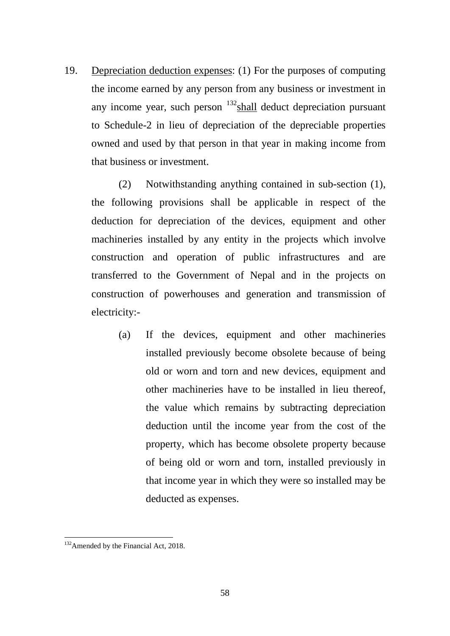19. Depreciation deduction expenses: (1) For the purposes of computing the income earned by any person from any business or investment in any income year, such person  $132$  shall deduct depreciation pursuant to Schedule-2 in lieu of depreciation of the depreciable properties owned and used by that person in that year in making income from that business or investment.

(2) Notwithstanding anything contained in sub-section (1), the following provisions shall be applicable in respect of the deduction for depreciation of the devices, equipment and other machineries installed by any entity in the projects which involve construction and operation of public infrastructures and are transferred to the Government of Nepal and in the projects on construction of powerhouses and generation and transmission of electricity:-

(a) If the devices, equipment and other machineries installed previously become obsolete because of being old or worn and torn and new devices, equipment and other machineries have to be installed in lieu thereof, the value which remains by subtracting depreciation deduction until the income year from the cost of the property, which has become obsolete property because of being old or worn and torn, installed previously in that income year in which they were so installed may be deducted as expenses.

<span id="page-57-0"></span><sup>&</sup>lt;sup>132</sup> Amended by the Financial Act, 2018.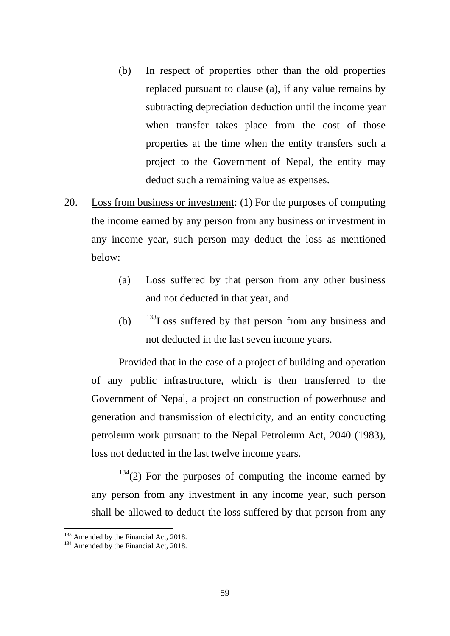- (b) In respect of properties other than the old properties replaced pursuant to clause (a), if any value remains by subtracting depreciation deduction until the income year when transfer takes place from the cost of those properties at the time when the entity transfers such a project to the Government of Nepal, the entity may deduct such a remaining value as expenses.
- 20. Loss from business or investment: (1) For the purposes of computing the income earned by any person from any business or investment in any income year, such person may deduct the loss as mentioned below:
	- (a) Loss suffered by that person from any other business and not deducted in that year, and
	- (b)  $133$  Loss suffered by that person from any business and not deducted in the last seven income years.

Provided that in the case of a project of building and operation of any public infrastructure, which is then transferred to the Government of Nepal, a project on construction of powerhouse and generation and transmission of electricity, and an entity conducting petroleum work pursuant to the Nepal Petroleum Act, 2040 (1983), loss not deducted in the last twelve income years.

 $134(2)$  $134(2)$  For the purposes of computing the income earned by any person from any investment in any income year, such person shall be allowed to deduct the loss suffered by that person from any

<span id="page-58-0"></span> $133$  Amended by the Financial Act, 2018.<br> $134$  Amended by the Financial Act, 2018.

<span id="page-58-1"></span>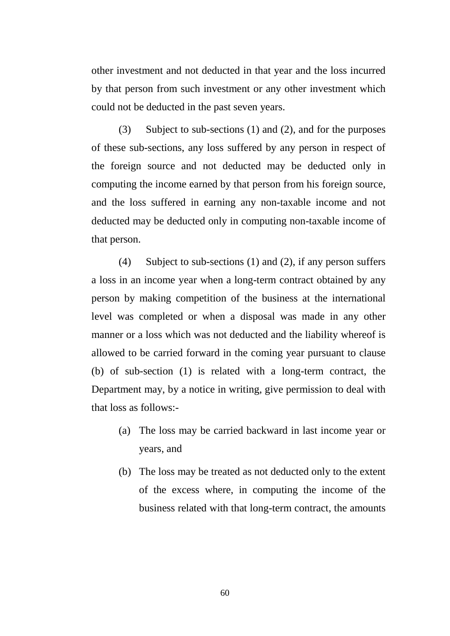other investment and not deducted in that year and the loss incurred by that person from such investment or any other investment which could not be deducted in the past seven years.

(3) Subject to sub-sections (1) and (2), and for the purposes of these sub-sections, any loss suffered by any person in respect of the foreign source and not deducted may be deducted only in computing the income earned by that person from his foreign source, and the loss suffered in earning any non-taxable income and not deducted may be deducted only in computing non-taxable income of that person.

(4) Subject to sub-sections (1) and (2), if any person suffers a loss in an income year when a long-term contract obtained by any person by making competition of the business at the international level was completed or when a disposal was made in any other manner or a loss which was not deducted and the liability whereof is allowed to be carried forward in the coming year pursuant to clause (b) of sub-section (1) is related with a long-term contract, the Department may, by a notice in writing, give permission to deal with that loss as follows:-

- (a) The loss may be carried backward in last income year or years, and
- (b) The loss may be treated as not deducted only to the extent of the excess where, in computing the income of the business related with that long-term contract, the amounts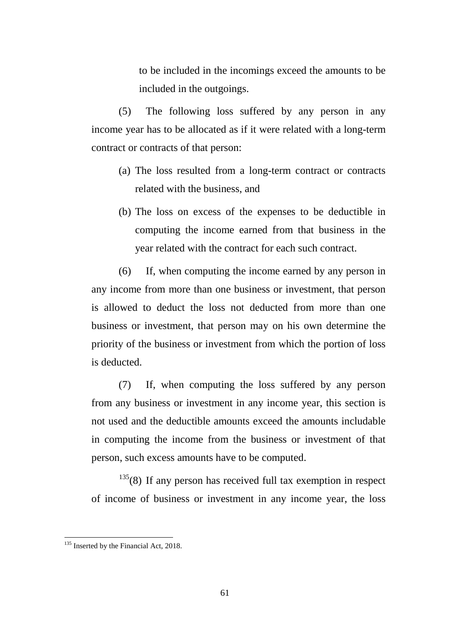to be included in the incomings exceed the amounts to be included in the outgoings.

(5) The following loss suffered by any person in any income year has to be allocated as if it were related with a long-term contract or contracts of that person:

- (a) The loss resulted from a long-term contract or contracts related with the business, and
- (b) The loss on excess of the expenses to be deductible in computing the income earned from that business in the year related with the contract for each such contract.

(6) If, when computing the income earned by any person in any income from more than one business or investment, that person is allowed to deduct the loss not deducted from more than one business or investment, that person may on his own determine the priority of the business or investment from which the portion of loss is deducted.

(7) If, when computing the loss suffered by any person from any business or investment in any income year, this section is not used and the deductible amounts exceed the amounts includable in computing the income from the business or investment of that person, such excess amounts have to be computed.

 $135(8)$  $135(8)$  If any person has received full tax exemption in respect of income of business or investment in any income year, the loss

<span id="page-60-0"></span><sup>&</sup>lt;sup>135</sup> Inserted by the Financial Act, 2018.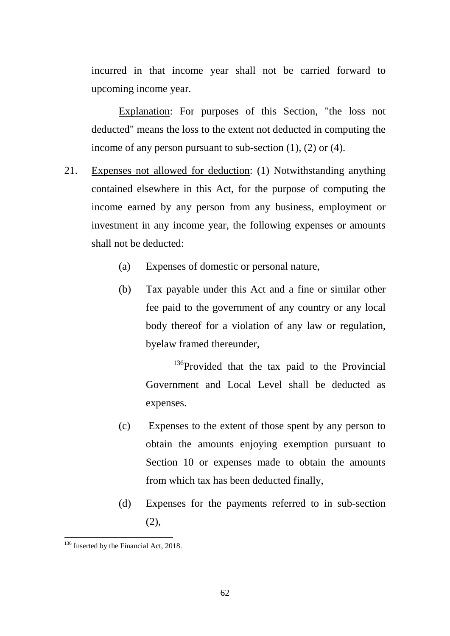incurred in that income year shall not be carried forward to upcoming income year.

Explanation: For purposes of this Section, "the loss not deducted" means the loss to the extent not deducted in computing the income of any person pursuant to sub-section (1), (2) or (4).

- 21. Expenses not allowed for deduction: (1) Notwithstanding anything contained elsewhere in this Act, for the purpose of computing the income earned by any person from any business, employment or investment in any income year, the following expenses or amounts shall not be deducted:
	- (a) Expenses of domestic or personal nature,
	- (b) Tax payable under this Act and a fine or similar other fee paid to the government of any country or any local body thereof for a violation of any law or regulation, byelaw framed thereunder,

<sup>[136](#page-61-0)</sup>Provided that the tax paid to the Provincial Government and Local Level shall be deducted as expenses.

- (c) Expenses to the extent of those spent by any person to obtain the amounts enjoying exemption pursuant to Section 10 or expenses made to obtain the amounts from which tax has been deducted finally,
- (d) Expenses for the payments referred to in sub-section (2),

<span id="page-61-0"></span><sup>&</sup>lt;sup>136</sup> Inserted by the Financial Act, 2018.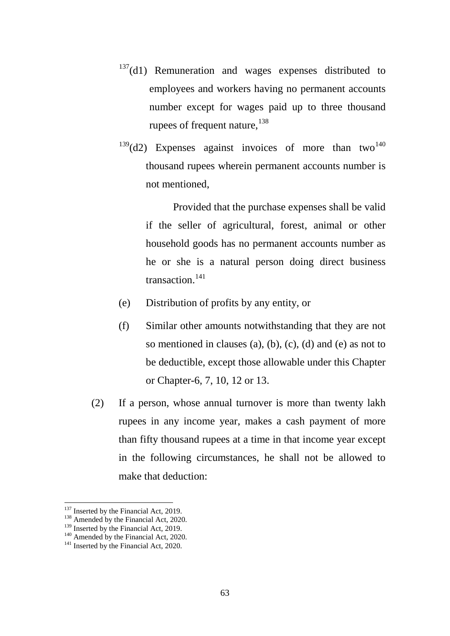- $137(d1)$  $137(d1)$  Remuneration and wages expenses distributed to employees and workers having no permanent accounts number except for wages paid up to three thousand rupees of frequent nature,  $138$
- $139$ (d2) Expenses against invoices of more than two<sup>[140](#page-62-3)</sup> thousand rupees wherein permanent accounts number is not mentioned,

Provided that the purchase expenses shall be valid if the seller of agricultural, forest, animal or other household goods has no permanent accounts number as he or she is a natural person doing direct business transaction.<sup>[141](#page-62-4)</sup>

- (e) Distribution of profits by any entity, or
- (f) Similar other amounts notwithstanding that they are not so mentioned in clauses (a), (b), (c), (d) and (e) as not to be deductible, except those allowable under this Chapter or Chapter-6, 7, 10, 12 or 13.
- (2) If a person, whose annual turnover is more than twenty lakh rupees in any income year, makes a cash payment of more than fifty thousand rupees at a time in that income year except in the following circumstances, he shall not be allowed to make that deduction:

<span id="page-62-0"></span><sup>&</sup>lt;sup>137</sup> Inserted by the Financial Act, 2019.

<span id="page-62-3"></span><span id="page-62-2"></span>

<span id="page-62-1"></span><sup>&</sup>lt;sup>138</sup> Amended by the Financial Act, 2020.<br><sup>139</sup> Inserted by the Financial Act, 2019.<br><sup>140</sup> Amended by the Financial Act, 2020.<br><sup>141</sup> Inserted by the Financial Act, 2020.

<span id="page-62-4"></span>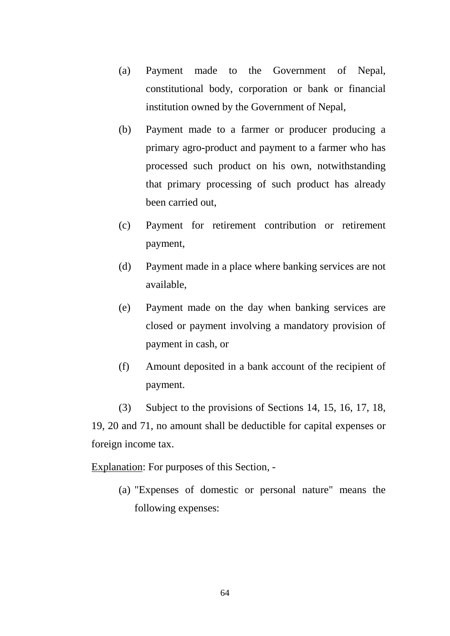- (a) Payment made to the Government of Nepal, constitutional body, corporation or bank or financial institution owned by the Government of Nepal,
- (b) Payment made to a farmer or producer producing a primary agro-product and payment to a farmer who has processed such product on his own, notwithstanding that primary processing of such product has already been carried out,
- (c) Payment for retirement contribution or retirement payment,
- (d) Payment made in a place where banking services are not available,
- (e) Payment made on the day when banking services are closed or payment involving a mandatory provision of payment in cash, or
- (f) Amount deposited in a bank account of the recipient of payment.

(3) Subject to the provisions of Sections 14, 15, 16, 17, 18, 19, 20 and 71, no amount shall be deductible for capital expenses or foreign income tax.

Explanation: For purposes of this Section, -

(a) "Expenses of domestic or personal nature" means the following expenses: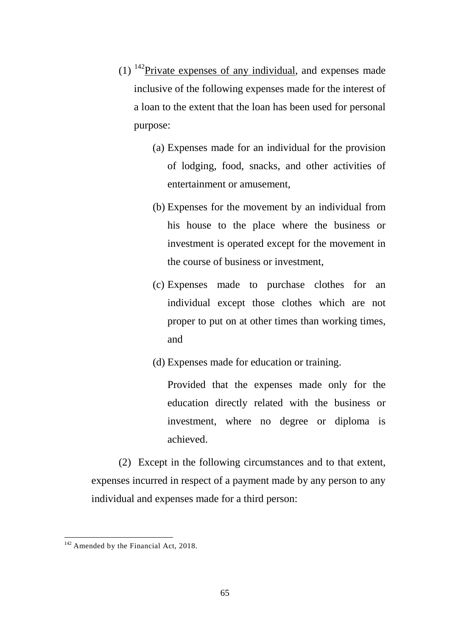- $(1)$  <sup>142</sup>Private expenses of any individual, and expenses made inclusive of the following expenses made for the interest of a loan to the extent that the loan has been used for personal purpose:
	- (a) Expenses made for an individual for the provision of lodging, food, snacks, and other activities of entertainment or amusement,
	- (b) Expenses for the movement by an individual from his house to the place where the business or investment is operated except for the movement in the course of business or investment,
	- (c) Expenses made to purchase clothes for an individual except those clothes which are not proper to put on at other times than working times, and
	- (d) Expenses made for education or training.

Provided that the expenses made only for the education directly related with the business or investment, where no degree or diploma is achieved.

(2) Except in the following circumstances and to that extent, expenses incurred in respect of a payment made by any person to any individual and expenses made for a third person:

<span id="page-64-0"></span><sup>&</sup>lt;sup>142</sup> Amended by the Financial Act, 2018.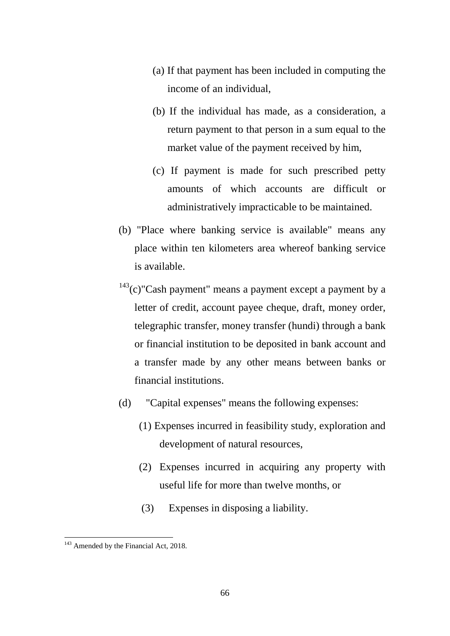- (a) If that payment has been included in computing the income of an individual,
- (b) If the individual has made, as a consideration, a return payment to that person in a sum equal to the market value of the payment received by him,
- (c) If payment is made for such prescribed petty amounts of which accounts are difficult or administratively impracticable to be maintained.
- (b) "Place where banking service is available" means any place within ten kilometers area whereof banking service is available.
- $143$ (c)"Cash payment" means a payment except a payment by a letter of credit, account payee cheque, draft, money order, telegraphic transfer, money transfer (hundi) through a bank or financial institution to be deposited in bank account and a transfer made by any other means between banks or financial institutions.
- (d) "Capital expenses" means the following expenses:
	- (1) Expenses incurred in feasibility study, exploration and development of natural resources,
	- (2) Expenses incurred in acquiring any property with useful life for more than twelve months, or
	- (3) Expenses in disposing a liability.

<span id="page-65-0"></span><sup>&</sup>lt;sup>143</sup> Amended by the Financial Act, 2018. -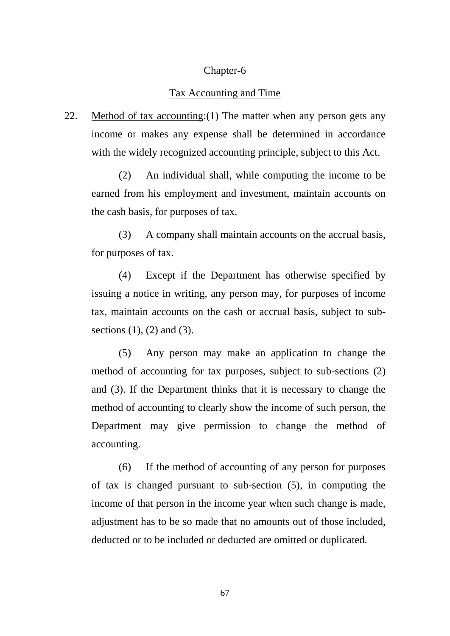### Chapter-6

#### Tax Accounting and Time

22. Method of tax accounting:  $(1)$  The matter when any person gets any income or makes any expense shall be determined in accordance with the widely recognized accounting principle, subject to this Act.

(2) An individual shall, while computing the income to be earned from his employment and investment, maintain accounts on the cash basis, for purposes of tax.

(3) A company shall maintain accounts on the accrual basis, for purposes of tax.

(4) Except if the Department has otherwise specified by issuing a notice in writing, any person may, for purposes of income tax, maintain accounts on the cash or accrual basis, subject to subsections  $(1)$ ,  $(2)$  and  $(3)$ .

(5) Any person may make an application to change the method of accounting for tax purposes, subject to sub-sections (2) and (3). If the Department thinks that it is necessary to change the method of accounting to clearly show the income of such person, the Department may give permission to change the method of accounting.

(6) If the method of accounting of any person for purposes of tax is changed pursuant to sub-section (5), in computing the income of that person in the income year when such change is made, adjustment has to be so made that no amounts out of those included, deducted or to be included or deducted are omitted or duplicated.

67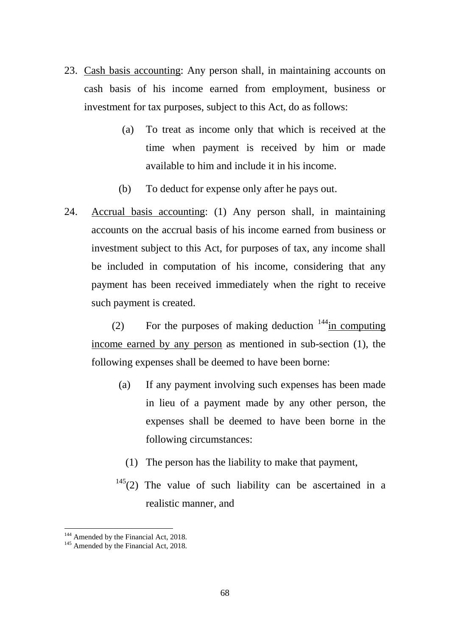- 23. Cash basis accounting: Any person shall, in maintaining accounts on cash basis of his income earned from employment, business or investment for tax purposes, subject to this Act, do as follows:
	- (a) To treat as income only that which is received at the time when payment is received by him or made available to him and include it in his income.
	- (b) To deduct for expense only after he pays out.
- 24. Accrual basis accounting: (1) Any person shall, in maintaining accounts on the accrual basis of his income earned from business or investment subject to this Act, for purposes of tax, any income shall be included in computation of his income, considering that any payment has been received immediately when the right to receive such payment is created.

(2) For the purposes of making deduction  $144$  in computing income earned by any person as mentioned in sub-section (1), the following expenses shall be deemed to have been borne:

- (a) If any payment involving such expenses has been made in lieu of a payment made by any other person, the expenses shall be deemed to have been borne in the following circumstances:
	- (1) The person has the liability to make that payment,
- $145(2)$  $145(2)$  The value of such liability can be ascertained in a realistic manner, and

<span id="page-67-1"></span>

<span id="page-67-0"></span><sup>&</sup>lt;sup>144</sup> Amended by the Financial Act, 2018.<br><sup>145</sup> Amended by the Financial Act, 2018.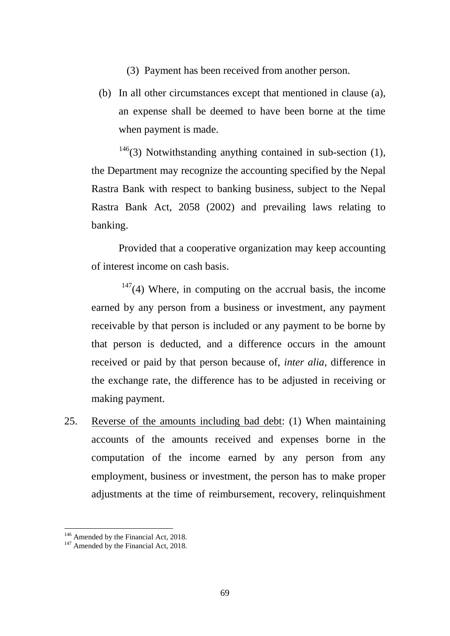- (3) Payment has been received from another person.
- (b) In all other circumstances except that mentioned in clause (a), an expense shall be deemed to have been borne at the time when payment is made.

 $146$ (3) Notwithstanding anything contained in sub-section (1), the Department may recognize the accounting specified by the Nepal Rastra Bank with respect to banking business, subject to the Nepal Rastra Bank Act, 2058 (2002) and prevailing laws relating to banking.

Provided that a cooperative organization may keep accounting of interest income on cash basis.

 $147(4)$  $147(4)$  Where, in computing on the accrual basis, the income earned by any person from a business or investment, any payment receivable by that person is included or any payment to be borne by that person is deducted, and a difference occurs in the amount received or paid by that person because of, *inter alia*, difference in the exchange rate, the difference has to be adjusted in receiving or making payment.

25. Reverse of the amounts including bad debt: (1) When maintaining accounts of the amounts received and expenses borne in the computation of the income earned by any person from any employment, business or investment, the person has to make proper adjustments at the time of reimbursement, recovery, relinquishment

<span id="page-68-0"></span><sup>&</sup>lt;sup>146</sup> Amended by the Financial Act, 2018.<br><sup>147</sup> Amended by the Financial Act, 2018.

<span id="page-68-1"></span>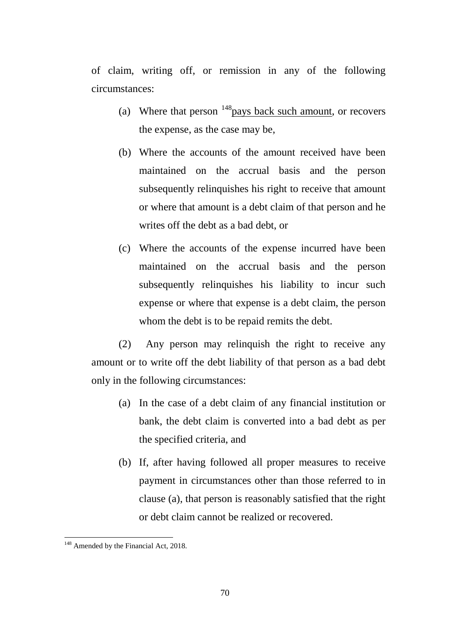of claim, writing off, or remission in any of the following circumstances:

- (a) Where that person  $148$  pays back such amount, or recovers the expense, as the case may be,
- (b) Where the accounts of the amount received have been maintained on the accrual basis and the person subsequently relinquishes his right to receive that amount or where that amount is a debt claim of that person and he writes off the debt as a bad debt, or
- (c) Where the accounts of the expense incurred have been maintained on the accrual basis and the person subsequently relinquishes his liability to incur such expense or where that expense is a debt claim, the person whom the debt is to be repaid remits the debt.

(2) Any person may relinquish the right to receive any amount or to write off the debt liability of that person as a bad debt only in the following circumstances:

- (a) In the case of a debt claim of any financial institution or bank, the debt claim is converted into a bad debt as per the specified criteria, and
- (b) If, after having followed all proper measures to receive payment in circumstances other than those referred to in clause (a), that person is reasonably satisfied that the right or debt claim cannot be realized or recovered.

<span id="page-69-0"></span><sup>&</sup>lt;sup>148</sup> Amended by the Financial Act, 2018. -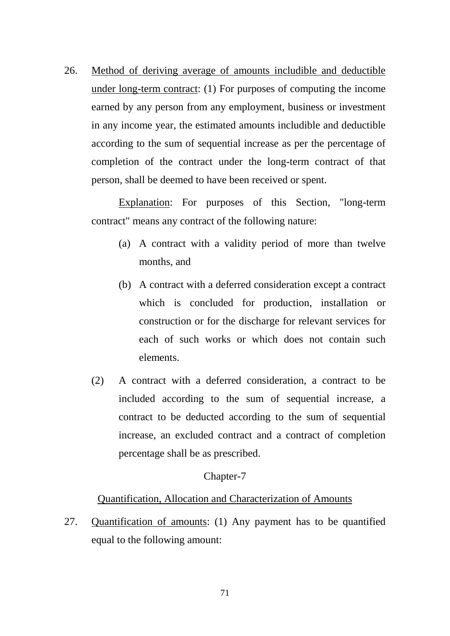26. Method of deriving average of amounts includible and deductible under long-term contract: (1) For purposes of computing the income earned by any person from any employment, business or investment in any income year, the estimated amounts includible and deductible according to the sum of sequential increase as per the percentage of completion of the contract under the long-term contract of that person, shall be deemed to have been received or spent.

Explanation: For purposes of this Section, "long-term contract" means any contract of the following nature:

- (a) A contract with a validity period of more than twelve months, and
- (b) A contract with a deferred consideration except a contract which is concluded for production, installation or construction or for the discharge for relevant services for each of such works or which does not contain such elements.
- (2) A contract with a deferred consideration, a contract to be included according to the sum of sequential increase, a contract to be deducted according to the sum of sequential increase, an excluded contract and a contract of completion percentage shall be as prescribed.

### Chapter-7

### Quantification, Allocation and Characterization of Amounts

27. Quantification of amounts: (1) Any payment has to be quantified equal to the following amount: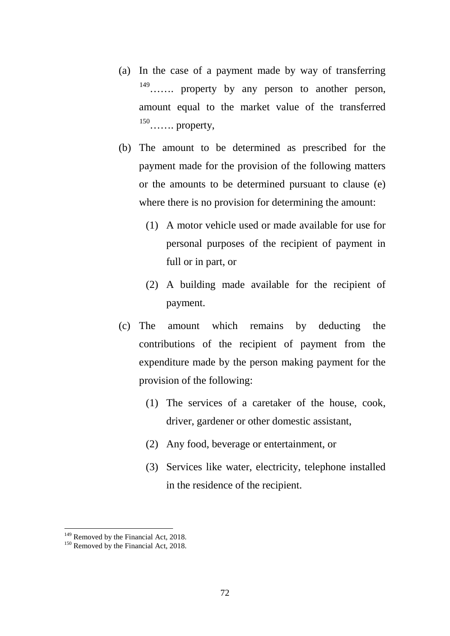- (a) In the case of a payment made by way of transferring [149](#page-71-0)……. property by any person to another person, amount equal to the market value of the transferred <sup>[150](#page-71-1)</sup>……. property,
- (b) The amount to be determined as prescribed for the payment made for the provision of the following matters or the amounts to be determined pursuant to clause (e) where there is no provision for determining the amount:
	- (1) A motor vehicle used or made available for use for personal purposes of the recipient of payment in full or in part, or
	- (2) A building made available for the recipient of payment.
- (c) The amount which remains by deducting the contributions of the recipient of payment from the expenditure made by the person making payment for the provision of the following:
	- (1) The services of a caretaker of the house, cook, driver, gardener or other domestic assistant,
	- (2) Any food, beverage or entertainment, or
	- (3) Services like water, electricity, telephone installed in the residence of the recipient.

<span id="page-71-0"></span><sup>&</sup>lt;sup>149</sup> Removed by the Financial Act, 2018.<br><sup>150</sup> Removed by the Financial Act, 2018.

<span id="page-71-1"></span>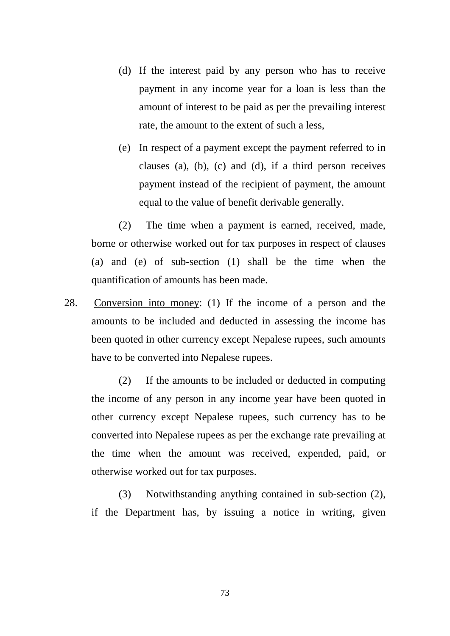(d) If the interest paid by any person who has to receive payment in any income year for a loan is less than the amount of interest to be paid as per the prevailing interest rate, the amount to the extent of such a less,

(e) In respect of a payment except the payment referred to in clauses (a), (b), (c) and (d), if a third person receives payment instead of the recipient of payment, the amount equal to the value of benefit derivable generally.

(2) The time when a payment is earned, received, made, borne or otherwise worked out for tax purposes in respect of clauses (a) and (e) of sub-section (1) shall be the time when the quantification of amounts has been made.

28. Conversion into money: (1) If the income of a person and the amounts to be included and deducted in assessing the income has been quoted in other currency except Nepalese rupees, such amounts have to be converted into Nepalese rupees.

(2) If the amounts to be included or deducted in computing the income of any person in any income year have been quoted in other currency except Nepalese rupees, such currency has to be converted into Nepalese rupees as per the exchange rate prevailing at the time when the amount was received, expended, paid, or otherwise worked out for tax purposes.

(3) Notwithstanding anything contained in sub-section (2), if the Department has, by issuing a notice in writing, given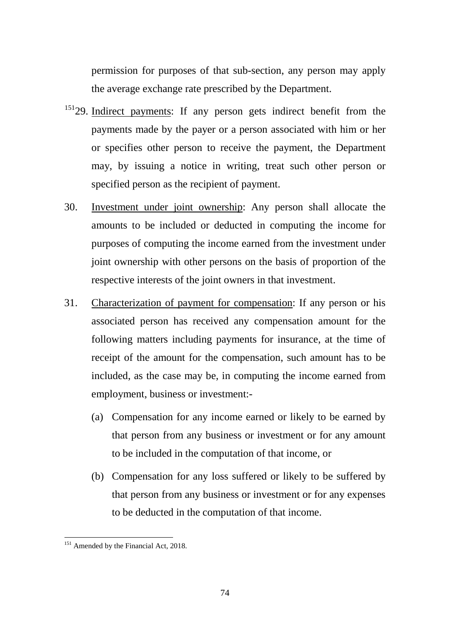permission for purposes of that sub-section, any person may apply the average exchange rate prescribed by the Department.

- <sup>[151](#page-73-0)</sup>29. Indirect payments: If any person gets indirect benefit from the payments made by the payer or a person associated with him or her or specifies other person to receive the payment, the Department may, by issuing a notice in writing, treat such other person or specified person as the recipient of payment.
- 30. Investment under joint ownership: Any person shall allocate the amounts to be included or deducted in computing the income for purposes of computing the income earned from the investment under joint ownership with other persons on the basis of proportion of the respective interests of the joint owners in that investment.
- 31. Characterization of payment for compensation: If any person or his associated person has received any compensation amount for the following matters including payments for insurance, at the time of receipt of the amount for the compensation, such amount has to be included, as the case may be, in computing the income earned from employment, business or investment:-
	- (a) Compensation for any income earned or likely to be earned by that person from any business or investment or for any amount to be included in the computation of that income, or
	- (b) Compensation for any loss suffered or likely to be suffered by that person from any business or investment or for any expenses to be deducted in the computation of that income.

<span id="page-73-0"></span><sup>&</sup>lt;sup>151</sup> Amended by the Financial Act, 2018. -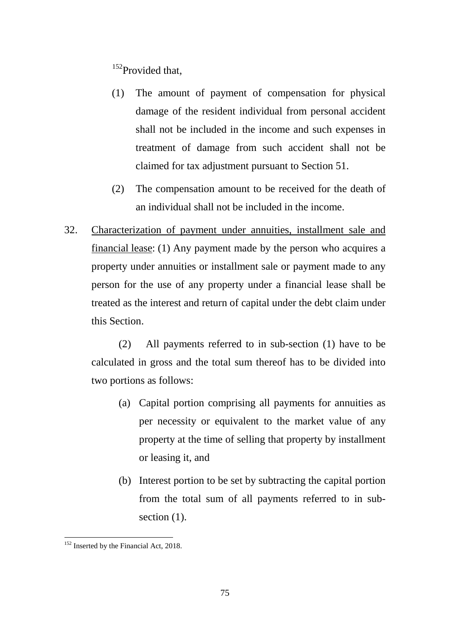<sup>[152](#page-74-0)</sup>Provided that,

- (1) The amount of payment of compensation for physical damage of the resident individual from personal accident shall not be included in the income and such expenses in treatment of damage from such accident shall not be claimed for tax adjustment pursuant to Section 51.
- (2) The compensation amount to be received for the death of an individual shall not be included in the income.
- 32. Characterization of payment under annuities, installment sale and financial lease: (1) Any payment made by the person who acquires a property under annuities or installment sale or payment made to any person for the use of any property under a financial lease shall be treated as the interest and return of capital under the debt claim under this Section.

(2) All payments referred to in sub-section (1) have to be calculated in gross and the total sum thereof has to be divided into two portions as follows:

- (a) Capital portion comprising all payments for annuities as per necessity or equivalent to the market value of any property at the time of selling that property by installment or leasing it, and
- (b) Interest portion to be set by subtracting the capital portion from the total sum of all payments referred to in subsection  $(1)$ .

<span id="page-74-0"></span><sup>&</sup>lt;sup>152</sup> Inserted by the Financial Act, 2018. -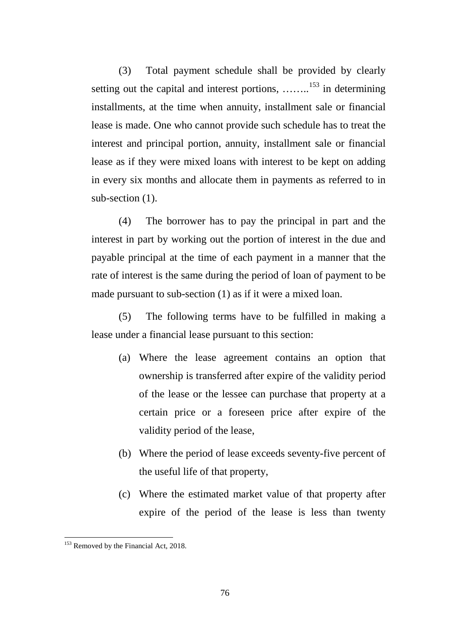(3) Total payment schedule shall be provided by clearly setting out the capital and interest portions, ........<sup>[153](#page-75-0)</sup> in determining installments, at the time when annuity, installment sale or financial lease is made. One who cannot provide such schedule has to treat the interest and principal portion, annuity, installment sale or financial lease as if they were mixed loans with interest to be kept on adding in every six months and allocate them in payments as referred to in sub-section  $(1)$ .

(4) The borrower has to pay the principal in part and the interest in part by working out the portion of interest in the due and payable principal at the time of each payment in a manner that the rate of interest is the same during the period of loan of payment to be made pursuant to sub-section (1) as if it were a mixed loan.

(5) The following terms have to be fulfilled in making a lease under a financial lease pursuant to this section:

- (a) Where the lease agreement contains an option that ownership is transferred after expire of the validity period of the lease or the lessee can purchase that property at a certain price or a foreseen price after expire of the validity period of the lease,
- (b) Where the period of lease exceeds seventy-five percent of the useful life of that property,
- (c) Where the estimated market value of that property after expire of the period of the lease is less than twenty

<span id="page-75-0"></span><sup>&</sup>lt;sup>153</sup> Removed by the Financial Act, 2018.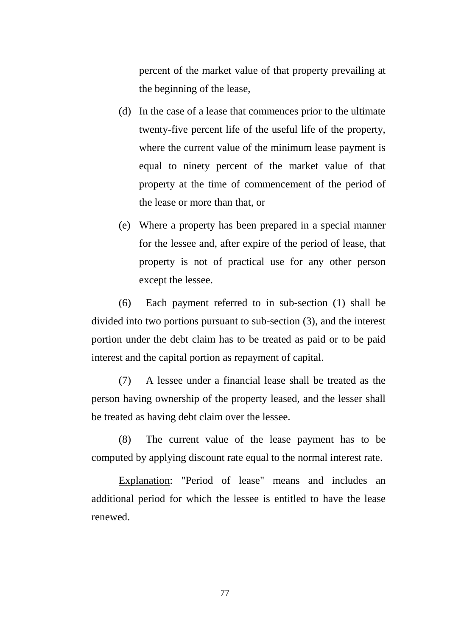percent of the market value of that property prevailing at the beginning of the lease,

- (d) In the case of a lease that commences prior to the ultimate twenty-five percent life of the useful life of the property, where the current value of the minimum lease payment is equal to ninety percent of the market value of that property at the time of commencement of the period of the lease or more than that, or
- (e) Where a property has been prepared in a special manner for the lessee and, after expire of the period of lease, that property is not of practical use for any other person except the lessee.

(6) Each payment referred to in sub-section (1) shall be divided into two portions pursuant to sub-section (3), and the interest portion under the debt claim has to be treated as paid or to be paid interest and the capital portion as repayment of capital.

(7) A lessee under a financial lease shall be treated as the person having ownership of the property leased, and the lesser shall be treated as having debt claim over the lessee.

(8) The current value of the lease payment has to be computed by applying discount rate equal to the normal interest rate.

Explanation: "Period of lease" means and includes an additional period for which the lessee is entitled to have the lease renewed.

77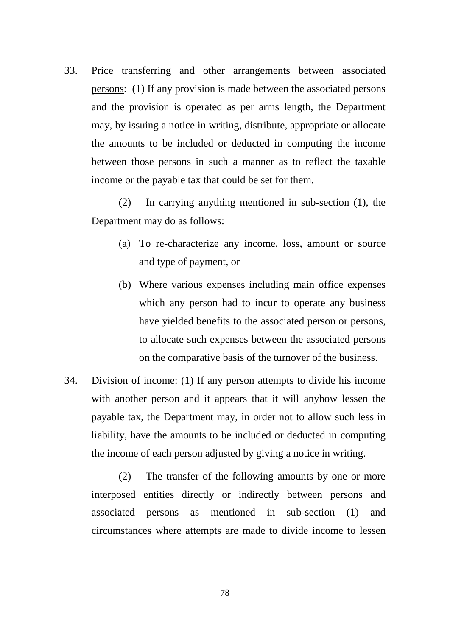33. Price transferring and other arrangements between associated persons: (1) If any provision is made between the associated persons and the provision is operated as per arms length, the Department may, by issuing a notice in writing, distribute, appropriate or allocate the amounts to be included or deducted in computing the income between those persons in such a manner as to reflect the taxable income or the payable tax that could be set for them.

(2) In carrying anything mentioned in sub-section (1), the Department may do as follows:

- (a) To re-characterize any income, loss, amount or source and type of payment, or
- (b) Where various expenses including main office expenses which any person had to incur to operate any business have yielded benefits to the associated person or persons, to allocate such expenses between the associated persons on the comparative basis of the turnover of the business.
- 34. Division of income: (1) If any person attempts to divide his income with another person and it appears that it will anyhow lessen the payable tax, the Department may, in order not to allow such less in liability, have the amounts to be included or deducted in computing the income of each person adjusted by giving a notice in writing.

(2) The transfer of the following amounts by one or more interposed entities directly or indirectly between persons and associated persons as mentioned in sub-section (1) and circumstances where attempts are made to divide income to lessen

78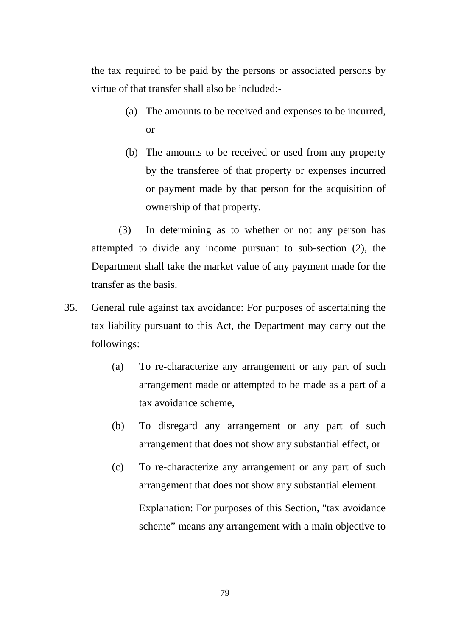the tax required to be paid by the persons or associated persons by virtue of that transfer shall also be included:-

- (a) The amounts to be received and expenses to be incurred, or
- (b) The amounts to be received or used from any property by the transferee of that property or expenses incurred or payment made by that person for the acquisition of ownership of that property.

(3) In determining as to whether or not any person has attempted to divide any income pursuant to sub-section (2), the Department shall take the market value of any payment made for the transfer as the basis.

- 35. General rule against tax avoidance: For purposes of ascertaining the tax liability pursuant to this Act, the Department may carry out the followings:
	- (a) To re-characterize any arrangement or any part of such arrangement made or attempted to be made as a part of a tax avoidance scheme,
	- (b) To disregard any arrangement or any part of such arrangement that does not show any substantial effect, or
	- (c) To re-characterize any arrangement or any part of such arrangement that does not show any substantial element. Explanation: For purposes of this Section, "tax avoidance scheme" means any arrangement with a main objective to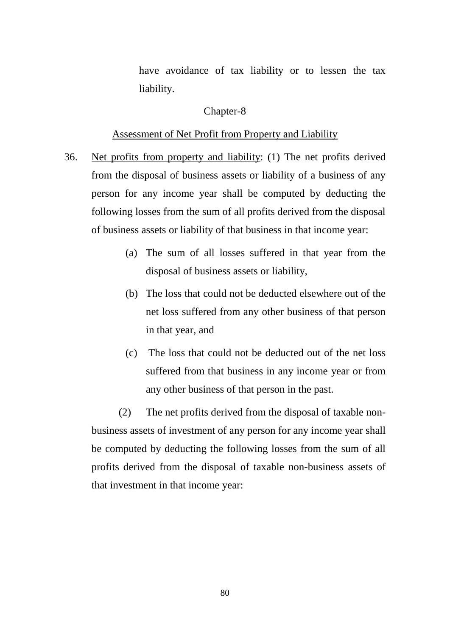have avoidance of tax liability or to lessen the tax liability.

## Chapter-8

#### Assessment of Net Profit from Property and Liability

- 36. Net profits from property and liability: (1) The net profits derived from the disposal of business assets or liability of a business of any person for any income year shall be computed by deducting the following losses from the sum of all profits derived from the disposal of business assets or liability of that business in that income year:
	- (a) The sum of all losses suffered in that year from the disposal of business assets or liability,
	- (b) The loss that could not be deducted elsewhere out of the net loss suffered from any other business of that person in that year, and
	- (c) The loss that could not be deducted out of the net loss suffered from that business in any income year or from any other business of that person in the past.

(2) The net profits derived from the disposal of taxable nonbusiness assets of investment of any person for any income year shall be computed by deducting the following losses from the sum of all profits derived from the disposal of taxable non-business assets of that investment in that income year: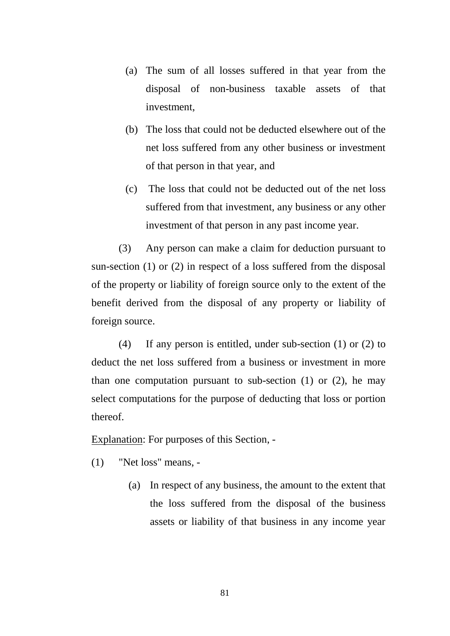- (a) The sum of all losses suffered in that year from the disposal of non-business taxable assets of that investment,
- (b) The loss that could not be deducted elsewhere out of the net loss suffered from any other business or investment of that person in that year, and
- (c) The loss that could not be deducted out of the net loss suffered from that investment, any business or any other investment of that person in any past income year.

(3) Any person can make a claim for deduction pursuant to sun-section (1) or (2) in respect of a loss suffered from the disposal of the property or liability of foreign source only to the extent of the benefit derived from the disposal of any property or liability of foreign source.

(4) If any person is entitled, under sub-section (1) or (2) to deduct the net loss suffered from a business or investment in more than one computation pursuant to sub-section  $(1)$  or  $(2)$ , he may select computations for the purpose of deducting that loss or portion thereof.

Explanation: For purposes of this Section, -

(1) "Net loss" means, -

(a) In respect of any business, the amount to the extent that the loss suffered from the disposal of the business assets or liability of that business in any income year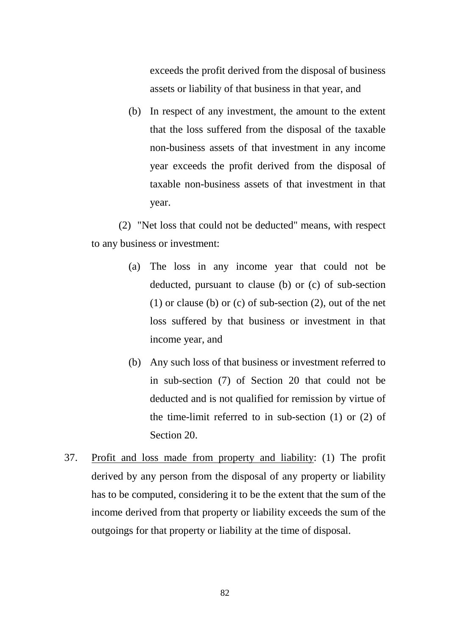exceeds the profit derived from the disposal of business assets or liability of that business in that year, and

(b) In respect of any investment, the amount to the extent that the loss suffered from the disposal of the taxable non-business assets of that investment in any income year exceeds the profit derived from the disposal of taxable non-business assets of that investment in that year.

(2) "Net loss that could not be deducted" means, with respect to any business or investment:

- (a) The loss in any income year that could not be deducted, pursuant to clause (b) or (c) of sub-section (1) or clause (b) or (c) of sub-section (2), out of the net loss suffered by that business or investment in that income year, and
- (b) Any such loss of that business or investment referred to in sub-section (7) of Section 20 that could not be deducted and is not qualified for remission by virtue of the time-limit referred to in sub-section (1) or (2) of Section 20.
- 37. Profit and loss made from property and liability: (1) The profit derived by any person from the disposal of any property or liability has to be computed, considering it to be the extent that the sum of the income derived from that property or liability exceeds the sum of the outgoings for that property or liability at the time of disposal.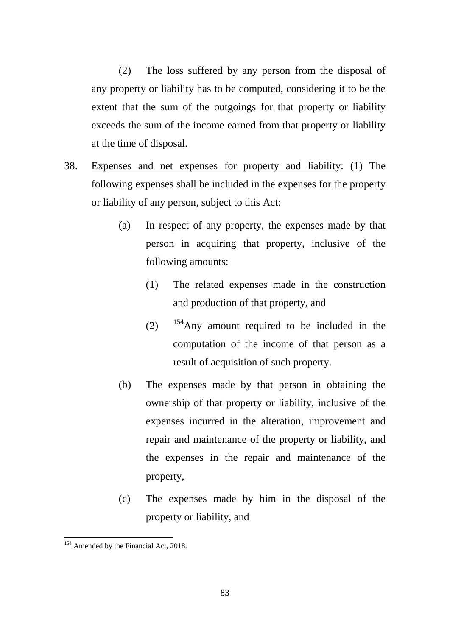(2) The loss suffered by any person from the disposal of any property or liability has to be computed, considering it to be the extent that the sum of the outgoings for that property or liability exceeds the sum of the income earned from that property or liability at the time of disposal.

- 38. Expenses and net expenses for property and liability: (1) The following expenses shall be included in the expenses for the property or liability of any person, subject to this Act:
	- (a) In respect of any property, the expenses made by that person in acquiring that property, inclusive of the following amounts:
		- (1) The related expenses made in the construction and production of that property, and
		- $(2)$  <sup>[154](#page-82-0)</sup>Any amount required to be included in the computation of the income of that person as a result of acquisition of such property.
	- (b) The expenses made by that person in obtaining the ownership of that property or liability, inclusive of the expenses incurred in the alteration, improvement and repair and maintenance of the property or liability, and the expenses in the repair and maintenance of the property,
	- (c) The expenses made by him in the disposal of the property or liability, and

<span id="page-82-0"></span><sup>&</sup>lt;sup>154</sup> Amended by the Financial Act, 2018. -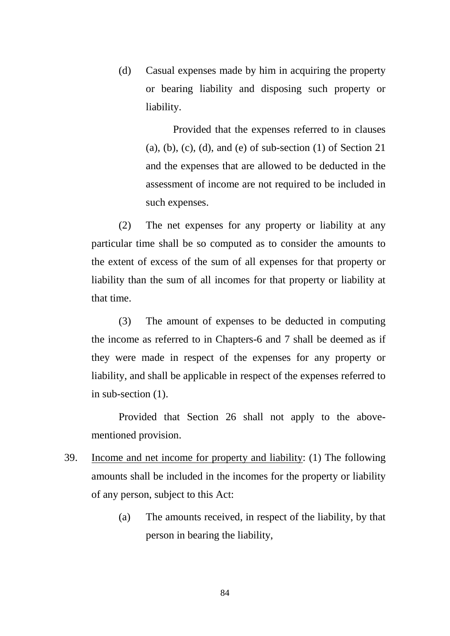(d) Casual expenses made by him in acquiring the property or bearing liability and disposing such property or liability.

> Provided that the expenses referred to in clauses (a), (b), (c), (d), and (e) of sub-section  $(1)$  of Section  $21$ and the expenses that are allowed to be deducted in the assessment of income are not required to be included in such expenses.

(2) The net expenses for any property or liability at any particular time shall be so computed as to consider the amounts to the extent of excess of the sum of all expenses for that property or liability than the sum of all incomes for that property or liability at that time.

(3) The amount of expenses to be deducted in computing the income as referred to in Chapters-6 and 7 shall be deemed as if they were made in respect of the expenses for any property or liability, and shall be applicable in respect of the expenses referred to in sub-section (1).

Provided that Section 26 shall not apply to the abovementioned provision.

- 39. Income and net income for property and liability: (1) The following amounts shall be included in the incomes for the property or liability of any person, subject to this Act:
	- (a) The amounts received, in respect of the liability, by that person in bearing the liability,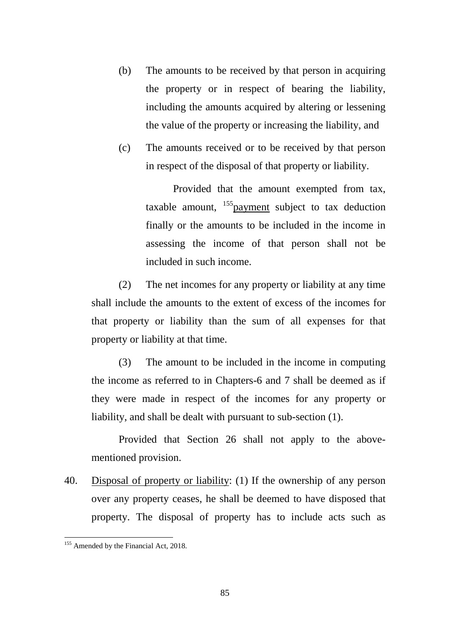- (b) The amounts to be received by that person in acquiring the property or in respect of bearing the liability, including the amounts acquired by altering or lessening the value of the property or increasing the liability, and
- (c) The amounts received or to be received by that person in respect of the disposal of that property or liability.

Provided that the amount exempted from tax, taxable amount,  $^{155}$  payment subject to tax deduction finally or the amounts to be included in the income in assessing the income of that person shall not be included in such income.

(2) The net incomes for any property or liability at any time shall include the amounts to the extent of excess of the incomes for that property or liability than the sum of all expenses for that property or liability at that time.

(3) The amount to be included in the income in computing the income as referred to in Chapters-6 and 7 shall be deemed as if they were made in respect of the incomes for any property or liability, and shall be dealt with pursuant to sub-section (1).

Provided that Section 26 shall not apply to the abovementioned provision.

40. Disposal of property or liability: (1) If the ownership of any person over any property ceases, he shall be deemed to have disposed that property. The disposal of property has to include acts such as

<span id="page-84-0"></span><sup>&</sup>lt;sup>155</sup> Amended by the Financial Act, 2018.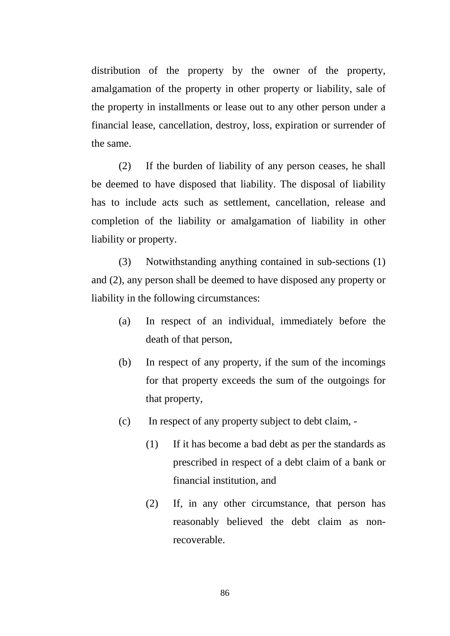distribution of the property by the owner of the property, amalgamation of the property in other property or liability, sale of the property in installments or lease out to any other person under a financial lease, cancellation, destroy, loss, expiration or surrender of the same.

(2) If the burden of liability of any person ceases, he shall be deemed to have disposed that liability. The disposal of liability has to include acts such as settlement, cancellation, release and completion of the liability or amalgamation of liability in other liability or property.

(3) Notwithstanding anything contained in sub-sections (1) and (2), any person shall be deemed to have disposed any property or liability in the following circumstances:

- (a) In respect of an individual, immediately before the death of that person,
- (b) In respect of any property, if the sum of the incomings for that property exceeds the sum of the outgoings for that property,
- (c) In respect of any property subject to debt claim,
	- (1) If it has become a bad debt as per the standards as prescribed in respect of a debt claim of a bank or financial institution, and
	- (2) If, in any other circumstance, that person has reasonably believed the debt claim as nonrecoverable.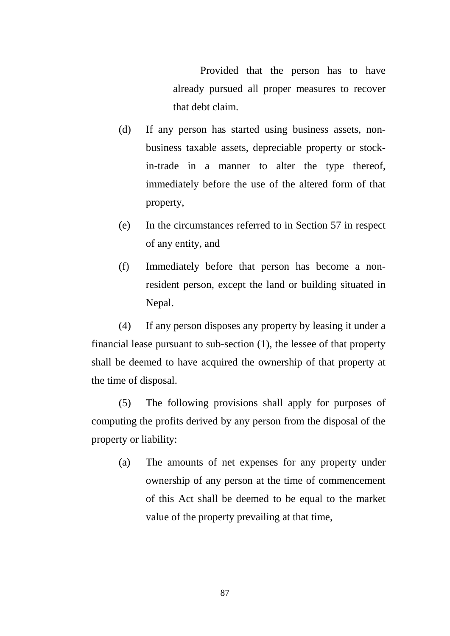Provided that the person has to have already pursued all proper measures to recover that debt claim.

- (d) If any person has started using business assets, nonbusiness taxable assets, depreciable property or stockin-trade in a manner to alter the type thereof, immediately before the use of the altered form of that property,
- (e) In the circumstances referred to in Section 57 in respect of any entity, and
- (f) Immediately before that person has become a nonresident person, except the land or building situated in Nepal.

(4) If any person disposes any property by leasing it under a financial lease pursuant to sub-section (1), the lessee of that property shall be deemed to have acquired the ownership of that property at the time of disposal.

(5) The following provisions shall apply for purposes of computing the profits derived by any person from the disposal of the property or liability:

(a) The amounts of net expenses for any property under ownership of any person at the time of commencement of this Act shall be deemed to be equal to the market value of the property prevailing at that time,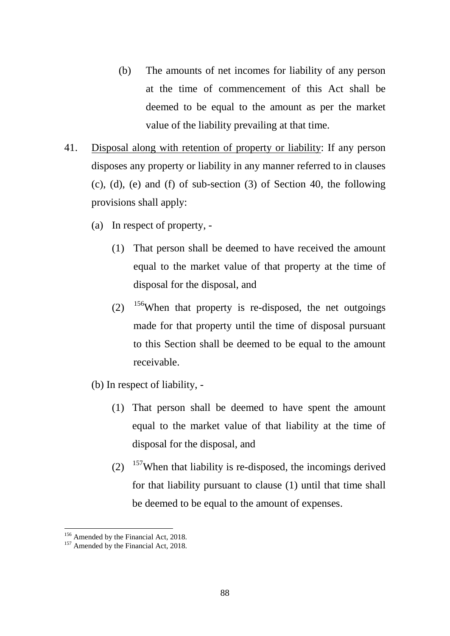- (b) The amounts of net incomes for liability of any person at the time of commencement of this Act shall be deemed to be equal to the amount as per the market value of the liability prevailing at that time.
- 41. Disposal along with retention of property or liability: If any person disposes any property or liability in any manner referred to in clauses (c), (d), (e) and (f) of sub-section (3) of Section 40, the following provisions shall apply:
	- (a) In respect of property,
		- (1) That person shall be deemed to have received the amount equal to the market value of that property at the time of disposal for the disposal, and
		- (2)  $156$ When that property is re-disposed, the net outgoings made for that property until the time of disposal pursuant to this Section shall be deemed to be equal to the amount receivable.
	- (b) In respect of liability,
		- (1) That person shall be deemed to have spent the amount equal to the market value of that liability at the time of disposal for the disposal, and
		- $(2)$  <sup>[157](#page-87-1)</sup>When that liability is re-disposed, the incomings derived for that liability pursuant to clause (1) until that time shall be deemed to be equal to the amount of expenses.

<u>.</u>

<span id="page-87-0"></span> $156$  Amended by the Financial Act, 2018.<br> $157$  Amended by the Financial Act, 2018.

<span id="page-87-1"></span>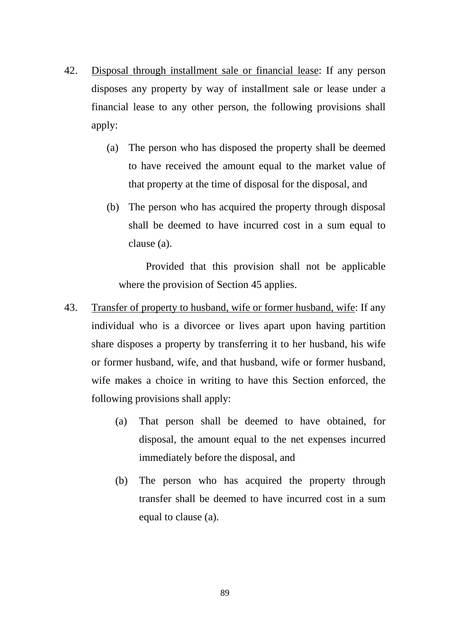- 42. Disposal through installment sale or financial lease: If any person disposes any property by way of installment sale or lease under a financial lease to any other person, the following provisions shall apply:
	- (a) The person who has disposed the property shall be deemed to have received the amount equal to the market value of that property at the time of disposal for the disposal, and
	- (b) The person who has acquired the property through disposal shall be deemed to have incurred cost in a sum equal to clause (a).

Provided that this provision shall not be applicable where the provision of Section 45 applies.

- 43. Transfer of property to husband, wife or former husband, wife: If any individual who is a divorcee or lives apart upon having partition share disposes a property by transferring it to her husband, his wife or former husband, wife, and that husband, wife or former husband, wife makes a choice in writing to have this Section enforced, the following provisions shall apply:
	- (a) That person shall be deemed to have obtained, for disposal, the amount equal to the net expenses incurred immediately before the disposal, and
	- (b) The person who has acquired the property through transfer shall be deemed to have incurred cost in a sum equal to clause (a).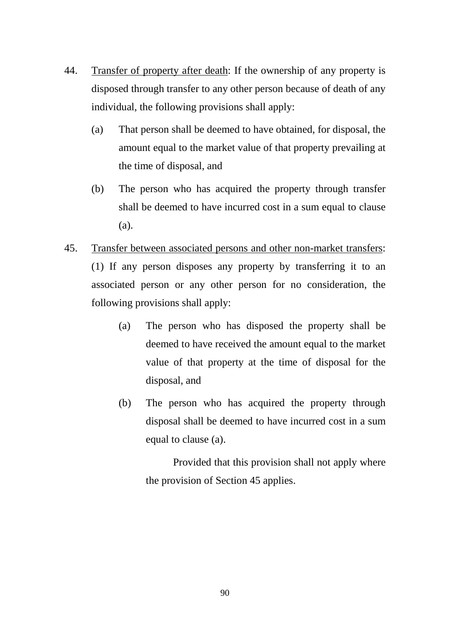- 44. Transfer of property after death: If the ownership of any property is disposed through transfer to any other person because of death of any individual, the following provisions shall apply:
	- (a) That person shall be deemed to have obtained, for disposal, the amount equal to the market value of that property prevailing at the time of disposal, and
	- (b) The person who has acquired the property through transfer shall be deemed to have incurred cost in a sum equal to clause (a).
- 45. Transfer between associated persons and other non-market transfers: (1) If any person disposes any property by transferring it to an associated person or any other person for no consideration, the following provisions shall apply:
	- (a) The person who has disposed the property shall be deemed to have received the amount equal to the market value of that property at the time of disposal for the disposal, and
	- (b) The person who has acquired the property through disposal shall be deemed to have incurred cost in a sum equal to clause (a).

Provided that this provision shall not apply where the provision of Section 45 applies.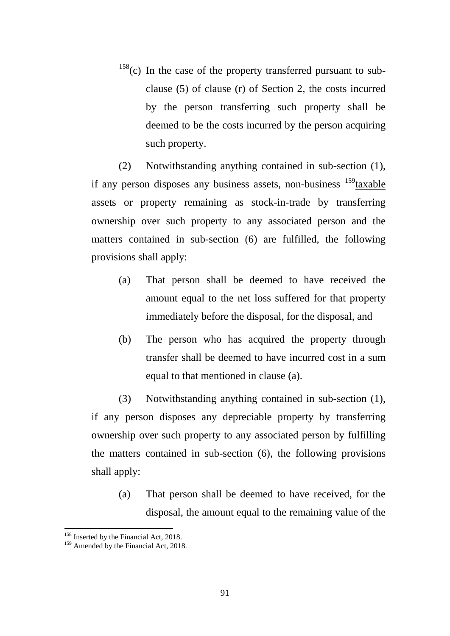$158(c)$  $158(c)$  In the case of the property transferred pursuant to subclause (5) of clause (r) of Section 2, the costs incurred by the person transferring such property shall be deemed to be the costs incurred by the person acquiring such property.

(2) Notwithstanding anything contained in sub-section (1), if any person disposes any business assets, non-business  $159$  taxable assets or property remaining as stock-in-trade by transferring ownership over such property to any associated person and the matters contained in sub-section (6) are fulfilled, the following provisions shall apply:

- (a) That person shall be deemed to have received the amount equal to the net loss suffered for that property immediately before the disposal, for the disposal, and
- (b) The person who has acquired the property through transfer shall be deemed to have incurred cost in a sum equal to that mentioned in clause (a).

(3) Notwithstanding anything contained in sub-section (1), if any person disposes any depreciable property by transferring ownership over such property to any associated person by fulfilling the matters contained in sub-section (6), the following provisions shall apply:

(a) That person shall be deemed to have received, for the disposal, the amount equal to the remaining value of the

<u>.</u>

<span id="page-90-0"></span><sup>&</sup>lt;sup>158</sup> Inserted by the Financial Act, 2018.<br><sup>159</sup> Amended by the Financial Act, 2018.

<span id="page-90-1"></span>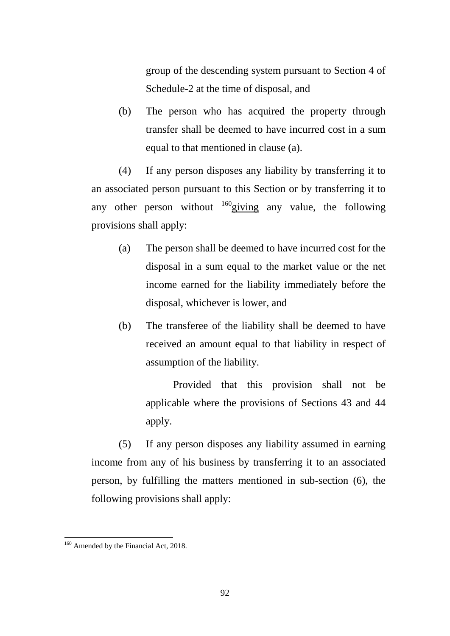group of the descending system pursuant to Section 4 of Schedule-2 at the time of disposal, and

(b) The person who has acquired the property through transfer shall be deemed to have incurred cost in a sum equal to that mentioned in clause (a).

(4) If any person disposes any liability by transferring it to an associated person pursuant to this Section or by transferring it to any other person without  $160$  giving any value, the following provisions shall apply:

- (a) The person shall be deemed to have incurred cost for the disposal in a sum equal to the market value or the net income earned for the liability immediately before the disposal, whichever is lower, and
- (b) The transferee of the liability shall be deemed to have received an amount equal to that liability in respect of assumption of the liability.

Provided that this provision shall not be applicable where the provisions of Sections 43 and 44 apply.

(5) If any person disposes any liability assumed in earning income from any of his business by transferring it to an associated person, by fulfilling the matters mentioned in sub-section (6), the following provisions shall apply:

<span id="page-91-0"></span><sup>&</sup>lt;sup>160</sup> Amended by the Financial Act, 2018.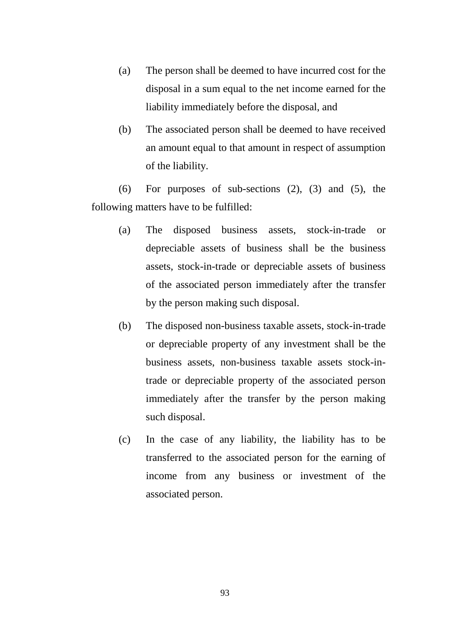- (a) The person shall be deemed to have incurred cost for the disposal in a sum equal to the net income earned for the liability immediately before the disposal, and
- (b) The associated person shall be deemed to have received an amount equal to that amount in respect of assumption of the liability.

(6) For purposes of sub-sections (2), (3) and (5), the following matters have to be fulfilled:

- (a) The disposed business assets, stock-in-trade or depreciable assets of business shall be the business assets, stock-in-trade or depreciable assets of business of the associated person immediately after the transfer by the person making such disposal.
- (b) The disposed non-business taxable assets, stock-in-trade or depreciable property of any investment shall be the business assets, non-business taxable assets stock-intrade or depreciable property of the associated person immediately after the transfer by the person making such disposal.
- (c) In the case of any liability, the liability has to be transferred to the associated person for the earning of income from any business or investment of the associated person.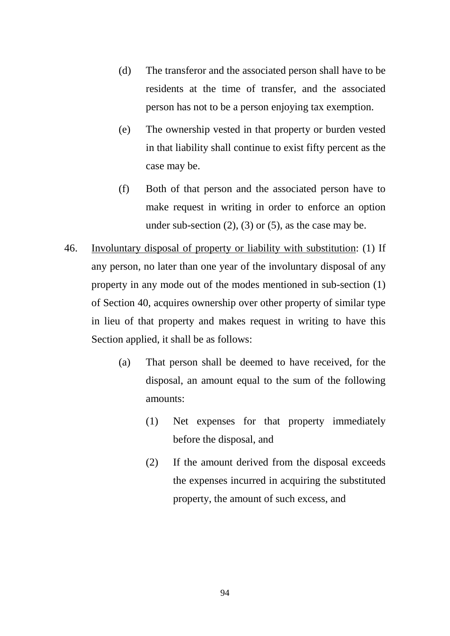- (d) The transferor and the associated person shall have to be residents at the time of transfer, and the associated person has not to be a person enjoying tax exemption.
- (e) The ownership vested in that property or burden vested in that liability shall continue to exist fifty percent as the case may be.
- (f) Both of that person and the associated person have to make request in writing in order to enforce an option under sub-section  $(2)$ ,  $(3)$  or  $(5)$ , as the case may be.
- 46. Involuntary disposal of property or liability with substitution: (1) If any person, no later than one year of the involuntary disposal of any property in any mode out of the modes mentioned in sub-section (1) of Section 40, acquires ownership over other property of similar type in lieu of that property and makes request in writing to have this Section applied, it shall be as follows:
	- (a) That person shall be deemed to have received, for the disposal, an amount equal to the sum of the following amounts:
		- (1) Net expenses for that property immediately before the disposal, and
		- (2) If the amount derived from the disposal exceeds the expenses incurred in acquiring the substituted property, the amount of such excess, and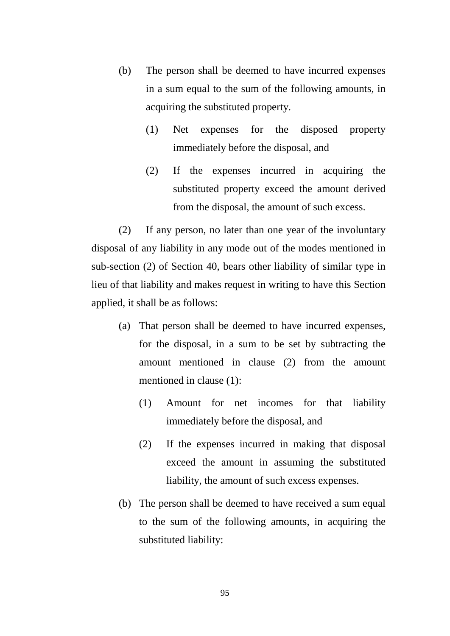- (b) The person shall be deemed to have incurred expenses in a sum equal to the sum of the following amounts, in acquiring the substituted property.
	- (1) Net expenses for the disposed property immediately before the disposal, and
	- (2) If the expenses incurred in acquiring the substituted property exceed the amount derived from the disposal, the amount of such excess.

(2) If any person, no later than one year of the involuntary disposal of any liability in any mode out of the modes mentioned in sub-section (2) of Section 40, bears other liability of similar type in lieu of that liability and makes request in writing to have this Section applied, it shall be as follows:

- (a) That person shall be deemed to have incurred expenses, for the disposal, in a sum to be set by subtracting the amount mentioned in clause (2) from the amount mentioned in clause (1):
	- (1) Amount for net incomes for that liability immediately before the disposal, and
	- (2) If the expenses incurred in making that disposal exceed the amount in assuming the substituted liability, the amount of such excess expenses.
- (b) The person shall be deemed to have received a sum equal to the sum of the following amounts, in acquiring the substituted liability: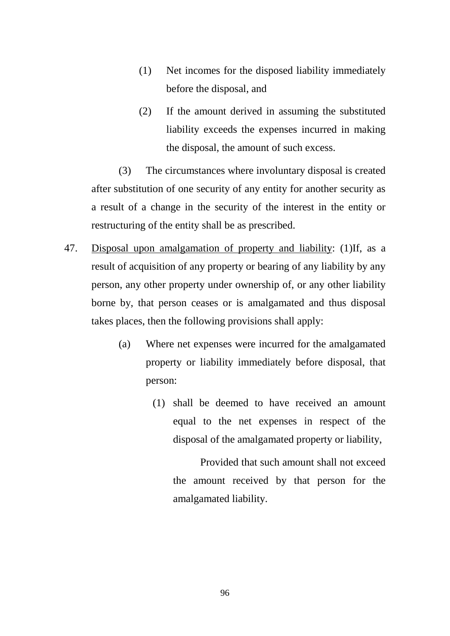- (1) Net incomes for the disposed liability immediately before the disposal, and
- (2) If the amount derived in assuming the substituted liability exceeds the expenses incurred in making the disposal, the amount of such excess.

(3) The circumstances where involuntary disposal is created after substitution of one security of any entity for another security as a result of a change in the security of the interest in the entity or restructuring of the entity shall be as prescribed.

- 47. Disposal upon amalgamation of property and liability: (1)If, as a result of acquisition of any property or bearing of any liability by any person, any other property under ownership of, or any other liability borne by, that person ceases or is amalgamated and thus disposal takes places, then the following provisions shall apply:
	- (a) Where net expenses were incurred for the amalgamated property or liability immediately before disposal, that person:
		- (1) shall be deemed to have received an amount equal to the net expenses in respect of the disposal of the amalgamated property or liability,

Provided that such amount shall not exceed the amount received by that person for the amalgamated liability.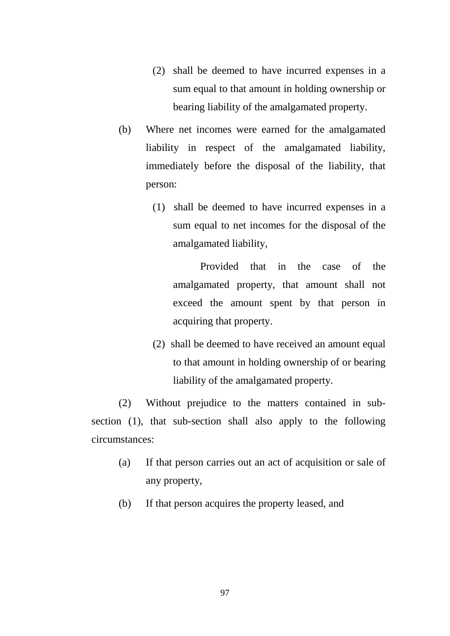- (2) shall be deemed to have incurred expenses in a sum equal to that amount in holding ownership or bearing liability of the amalgamated property.
- (b) Where net incomes were earned for the amalgamated liability in respect of the amalgamated liability, immediately before the disposal of the liability, that person:
	- (1) shall be deemed to have incurred expenses in a sum equal to net incomes for the disposal of the amalgamated liability,

Provided that in the case of the amalgamated property, that amount shall not exceed the amount spent by that person in acquiring that property.

(2) shall be deemed to have received an amount equal to that amount in holding ownership of or bearing liability of the amalgamated property.

(2) Without prejudice to the matters contained in subsection (1), that sub-section shall also apply to the following circumstances:

- (a) If that person carries out an act of acquisition or sale of any property,
- (b) If that person acquires the property leased, and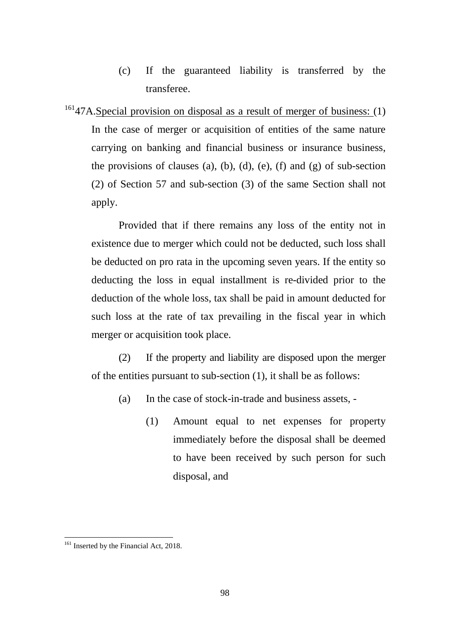- (c) If the guaranteed liability is transferred by the transferee.
- $16147A$  $16147A$ . Special provision on disposal as a result of merger of business: (1) In the case of merger or acquisition of entities of the same nature carrying on banking and financial business or insurance business, the provisions of clauses (a), (b), (d), (e), (f) and (g) of sub-section (2) of Section 57 and sub-section (3) of the same Section shall not apply.

Provided that if there remains any loss of the entity not in existence due to merger which could not be deducted, such loss shall be deducted on pro rata in the upcoming seven years. If the entity so deducting the loss in equal installment is re-divided prior to the deduction of the whole loss, tax shall be paid in amount deducted for such loss at the rate of tax prevailing in the fiscal year in which merger or acquisition took place.

(2) If the property and liability are disposed upon the merger of the entities pursuant to sub-section (1), it shall be as follows:

- (a) In the case of stock-in-trade and business assets,
	- (1) Amount equal to net expenses for property immediately before the disposal shall be deemed to have been received by such person for such disposal, and

<span id="page-97-0"></span><sup>&</sup>lt;sup>161</sup> Inserted by the Financial Act, 2018.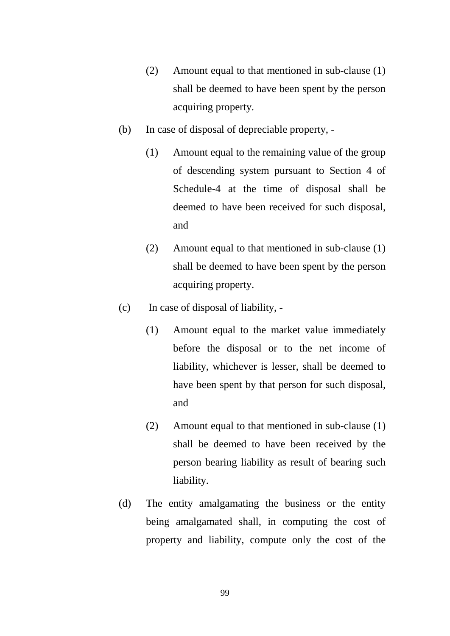- (2) Amount equal to that mentioned in sub-clause (1) shall be deemed to have been spent by the person acquiring property.
- (b) In case of disposal of depreciable property,
	- (1) Amount equal to the remaining value of the group of descending system pursuant to Section 4 of Schedule-4 at the time of disposal shall be deemed to have been received for such disposal, and
	- (2) Amount equal to that mentioned in sub-clause (1) shall be deemed to have been spent by the person acquiring property.
- (c) In case of disposal of liability,
	- (1) Amount equal to the market value immediately before the disposal or to the net income of liability, whichever is lesser, shall be deemed to have been spent by that person for such disposal, and
	- (2) Amount equal to that mentioned in sub-clause (1) shall be deemed to have been received by the person bearing liability as result of bearing such liability.
- (d) The entity amalgamating the business or the entity being amalgamated shall, in computing the cost of property and liability, compute only the cost of the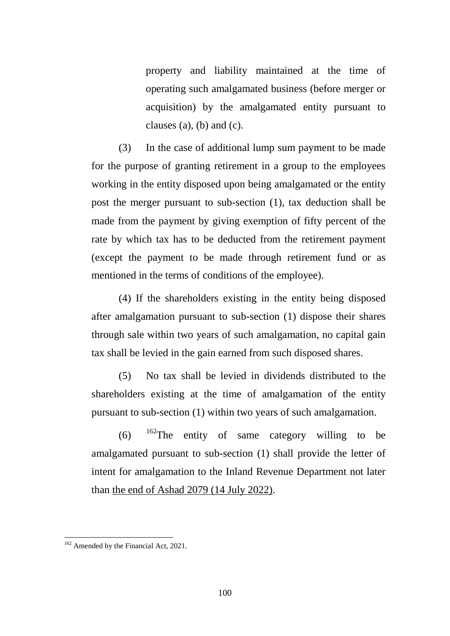property and liability maintained at the time of operating such amalgamated business (before merger or acquisition) by the amalgamated entity pursuant to clauses  $(a)$ ,  $(b)$  and  $(c)$ .

(3) In the case of additional lump sum payment to be made for the purpose of granting retirement in a group to the employees working in the entity disposed upon being amalgamated or the entity post the merger pursuant to sub-section (1), tax deduction shall be made from the payment by giving exemption of fifty percent of the rate by which tax has to be deducted from the retirement payment (except the payment to be made through retirement fund or as mentioned in the terms of conditions of the employee).

(4) If the shareholders existing in the entity being disposed after amalgamation pursuant to sub-section (1) dispose their shares through sale within two years of such amalgamation, no capital gain tax shall be levied in the gain earned from such disposed shares.

(5) No tax shall be levied in dividends distributed to the shareholders existing at the time of amalgamation of the entity pursuant to sub-section (1) within two years of such amalgamation.

(6)  $162$ The entity of same category willing to be amalgamated pursuant to sub-section (1) shall provide the letter of intent for amalgamation to the Inland Revenue Department not later than the end of Ashad 2079 (14 July 2022).

<span id="page-99-0"></span><sup>&</sup>lt;sup>162</sup> Amended by the Financial Act, 2021.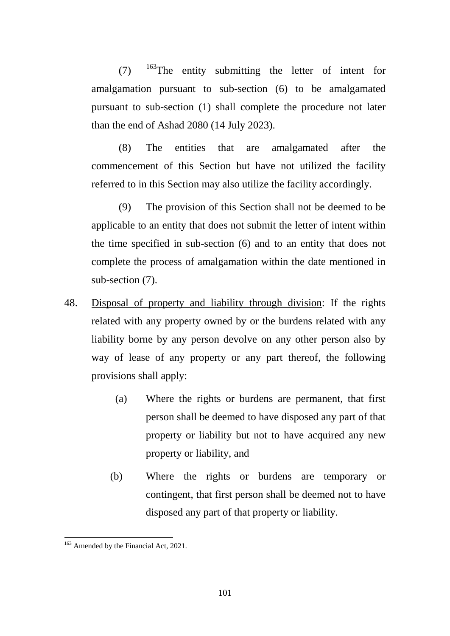$(7)$  <sup>[163](#page-100-0)</sup>The entity submitting the letter of intent for amalgamation pursuant to sub-section (6) to be amalgamated pursuant to sub-section (1) shall complete the procedure not later than the end of Ashad 2080 (14 July 2023).

(8) The entities that are amalgamated after the commencement of this Section but have not utilized the facility referred to in this Section may also utilize the facility accordingly.

(9) The provision of this Section shall not be deemed to be applicable to an entity that does not submit the letter of intent within the time specified in sub-section (6) and to an entity that does not complete the process of amalgamation within the date mentioned in sub-section (7).

- 48. Disposal of property and liability through division: If the rights related with any property owned by or the burdens related with any liability borne by any person devolve on any other person also by way of lease of any property or any part thereof, the following provisions shall apply:
	- (a) Where the rights or burdens are permanent, that first person shall be deemed to have disposed any part of that property or liability but not to have acquired any new property or liability, and
	- (b) Where the rights or burdens are temporary or contingent, that first person shall be deemed not to have disposed any part of that property or liability.

<span id="page-100-0"></span><sup>&</sup>lt;sup>163</sup> Amended by the Financial Act, 2021.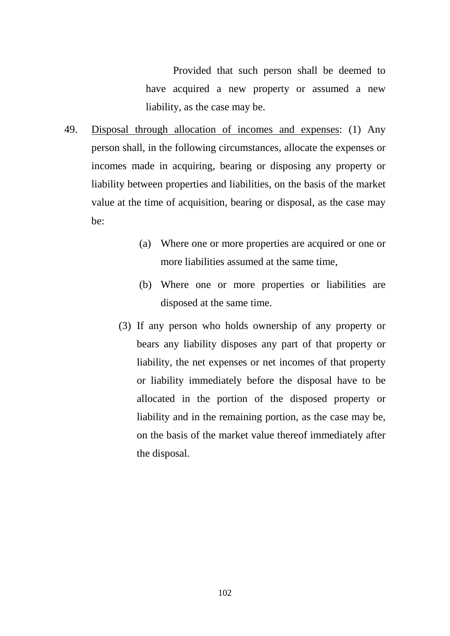Provided that such person shall be deemed to have acquired a new property or assumed a new liability, as the case may be.

- 49. Disposal through allocation of incomes and expenses: (1) Any person shall, in the following circumstances, allocate the expenses or incomes made in acquiring, bearing or disposing any property or liability between properties and liabilities, on the basis of the market value at the time of acquisition, bearing or disposal, as the case may be:
	- (a) Where one or more properties are acquired or one or more liabilities assumed at the same time,
	- (b) Where one or more properties or liabilities are disposed at the same time.
	- (3) If any person who holds ownership of any property or bears any liability disposes any part of that property or liability, the net expenses or net incomes of that property or liability immediately before the disposal have to be allocated in the portion of the disposed property or liability and in the remaining portion, as the case may be, on the basis of the market value thereof immediately after the disposal.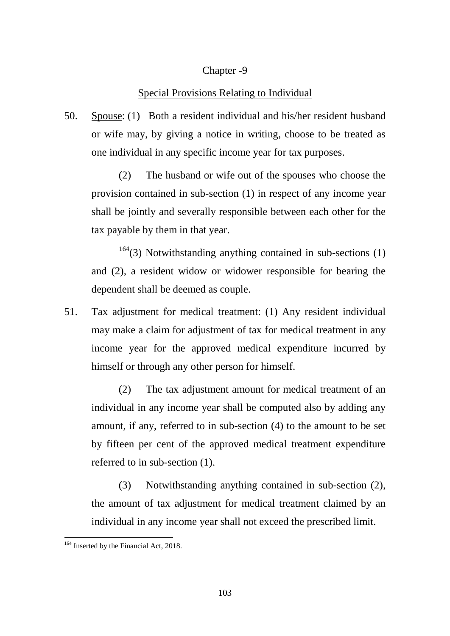### Chapter -9

#### Special Provisions Relating to Individual

50. Spouse: (1) Both a resident individual and his/her resident husband or wife may, by giving a notice in writing, choose to be treated as one individual in any specific income year for tax purposes.

(2) The husband or wife out of the spouses who choose the provision contained in sub-section (1) in respect of any income year shall be jointly and severally responsible between each other for the tax payable by them in that year.

 $164$ (3) Notwithstanding anything contained in sub-sections (1) and (2), a resident widow or widower responsible for bearing the dependent shall be deemed as couple.

51. Tax adjustment for medical treatment: (1) Any resident individual may make a claim for adjustment of tax for medical treatment in any income year for the approved medical expenditure incurred by himself or through any other person for himself.

(2) The tax adjustment amount for medical treatment of an individual in any income year shall be computed also by adding any amount, if any, referred to in sub-section (4) to the amount to be set by fifteen per cent of the approved medical treatment expenditure referred to in sub-section (1).

(3) Notwithstanding anything contained in sub-section (2), the amount of tax adjustment for medical treatment claimed by an individual in any income year shall not exceed the prescribed limit.

<span id="page-102-0"></span><sup>&</sup>lt;sup>164</sup> Inserted by the Financial Act, 2018.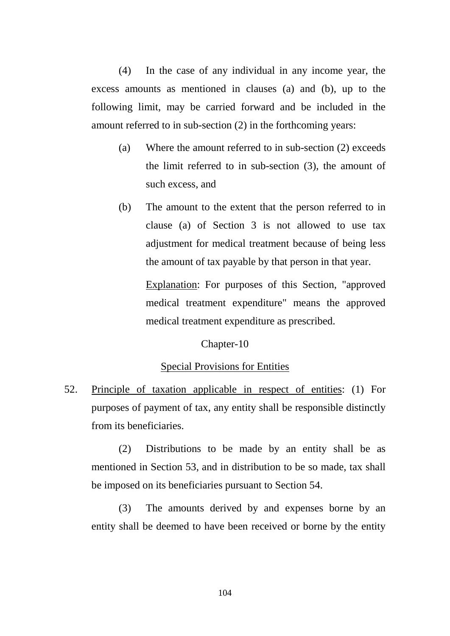(4) In the case of any individual in any income year, the excess amounts as mentioned in clauses (a) and (b), up to the following limit, may be carried forward and be included in the amount referred to in sub-section (2) in the forthcoming years:

- (a) Where the amount referred to in sub-section (2) exceeds the limit referred to in sub-section (3), the amount of such excess, and
- (b) The amount to the extent that the person referred to in clause (a) of Section 3 is not allowed to use tax adjustment for medical treatment because of being less the amount of tax payable by that person in that year.

Explanation: For purposes of this Section, "approved medical treatment expenditure" means the approved medical treatment expenditure as prescribed.

#### Chapter-10

# Special Provisions for Entities

52. Principle of taxation applicable in respect of entities: (1) For purposes of payment of tax, any entity shall be responsible distinctly from its beneficiaries.

(2) Distributions to be made by an entity shall be as mentioned in Section 53, and in distribution to be so made, tax shall be imposed on its beneficiaries pursuant to Section 54.

(3) The amounts derived by and expenses borne by an entity shall be deemed to have been received or borne by the entity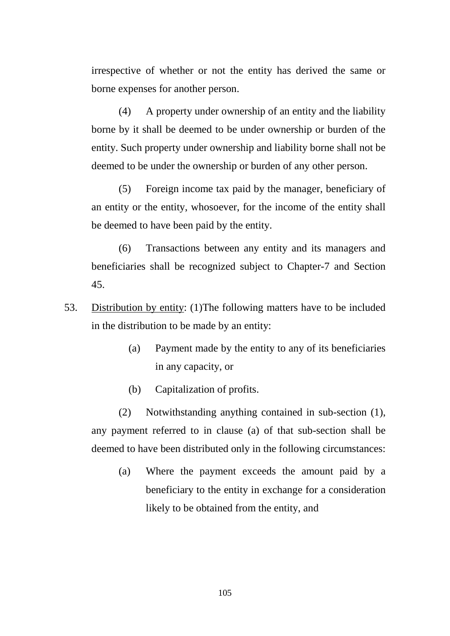irrespective of whether or not the entity has derived the same or borne expenses for another person.

(4) A property under ownership of an entity and the liability borne by it shall be deemed to be under ownership or burden of the entity. Such property under ownership and liability borne shall not be deemed to be under the ownership or burden of any other person.

(5) Foreign income tax paid by the manager, beneficiary of an entity or the entity, whosoever, for the income of the entity shall be deemed to have been paid by the entity.

(6) Transactions between any entity and its managers and beneficiaries shall be recognized subject to Chapter-7 and Section 45.

- 53. Distribution by entity: (1)The following matters have to be included in the distribution to be made by an entity:
	- (a) Payment made by the entity to any of its beneficiaries in any capacity, or
	- (b) Capitalization of profits.

(2) Notwithstanding anything contained in sub-section (1), any payment referred to in clause (a) of that sub-section shall be deemed to have been distributed only in the following circumstances:

(a) Where the payment exceeds the amount paid by a beneficiary to the entity in exchange for a consideration likely to be obtained from the entity, and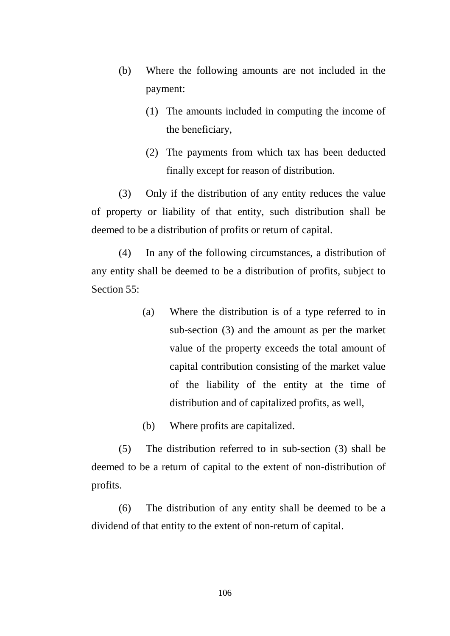- (b) Where the following amounts are not included in the payment:
	- (1) The amounts included in computing the income of the beneficiary,
	- (2) The payments from which tax has been deducted finally except for reason of distribution.

(3) Only if the distribution of any entity reduces the value of property or liability of that entity, such distribution shall be deemed to be a distribution of profits or return of capital.

(4) In any of the following circumstances, a distribution of any entity shall be deemed to be a distribution of profits, subject to Section 55:

> (a) Where the distribution is of a type referred to in sub-section (3) and the amount as per the market value of the property exceeds the total amount of capital contribution consisting of the market value of the liability of the entity at the time of distribution and of capitalized profits, as well,

(b) Where profits are capitalized.

(5) The distribution referred to in sub-section (3) shall be deemed to be a return of capital to the extent of non-distribution of profits.

(6) The distribution of any entity shall be deemed to be a dividend of that entity to the extent of non-return of capital.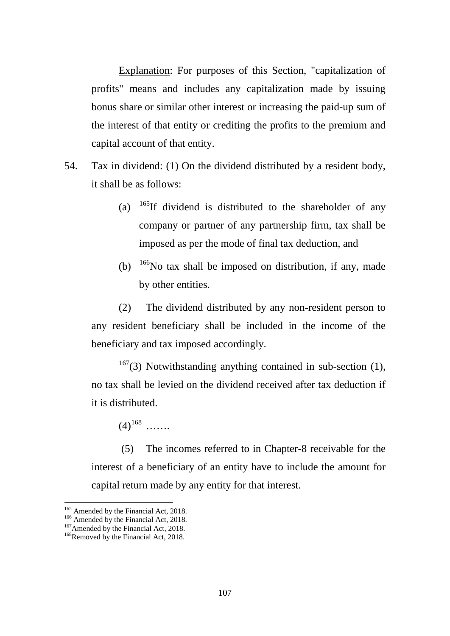Explanation: For purposes of this Section, "capitalization of profits" means and includes any capitalization made by issuing bonus share or similar other interest or increasing the paid-up sum of the interest of that entity or crediting the profits to the premium and capital account of that entity.

- 54. Tax in dividend: (1) On the dividend distributed by a resident body, it shall be as follows:
	- (a)  $165$ If dividend is distributed to the shareholder of any company or partner of any partnership firm, tax shall be imposed as per the mode of final tax deduction, and
	- (b)  $166$ No tax shall be imposed on distribution, if any, made by other entities.

(2) The dividend distributed by any non-resident person to any resident beneficiary shall be included in the income of the beneficiary and tax imposed accordingly.

 $167(3)$  $167(3)$  Notwithstanding anything contained in sub-section (1), no tax shall be levied on the dividend received after tax deduction if it is distributed.

 $(4)^{168}$  $(4)^{168}$  $(4)^{168}$  ……

(5) The incomes referred to in Chapter-8 receivable for the interest of a beneficiary of an entity have to include the amount for capital return made by any entity for that interest.

<span id="page-106-0"></span><sup>&</sup>lt;sup>165</sup> Amended by the Financial Act, 2018.

<span id="page-106-1"></span><sup>166</sup> Amended by the Financial Act, 2018.<br><sup>167</sup>Amended by the Financial Act, 2018.<br><sup>168</sup>Removed by the Financial Act, 2018.

<span id="page-106-3"></span><span id="page-106-2"></span>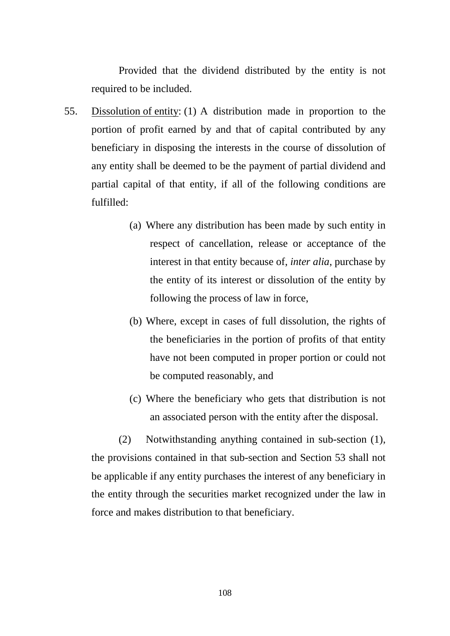Provided that the dividend distributed by the entity is not required to be included.

- 55. Dissolution of entity: (1) A distribution made in proportion to the portion of profit earned by and that of capital contributed by any beneficiary in disposing the interests in the course of dissolution of any entity shall be deemed to be the payment of partial dividend and partial capital of that entity, if all of the following conditions are fulfilled:
	- (a) Where any distribution has been made by such entity in respect of cancellation, release or acceptance of the interest in that entity because of, *inter alia*, purchase by the entity of its interest or dissolution of the entity by following the process of law in force,
	- (b) Where, except in cases of full dissolution, the rights of the beneficiaries in the portion of profits of that entity have not been computed in proper portion or could not be computed reasonably, and
	- (c) Where the beneficiary who gets that distribution is not an associated person with the entity after the disposal.

(2) Notwithstanding anything contained in sub-section (1), the provisions contained in that sub-section and Section 53 shall not be applicable if any entity purchases the interest of any beneficiary in the entity through the securities market recognized under the law in force and makes distribution to that beneficiary.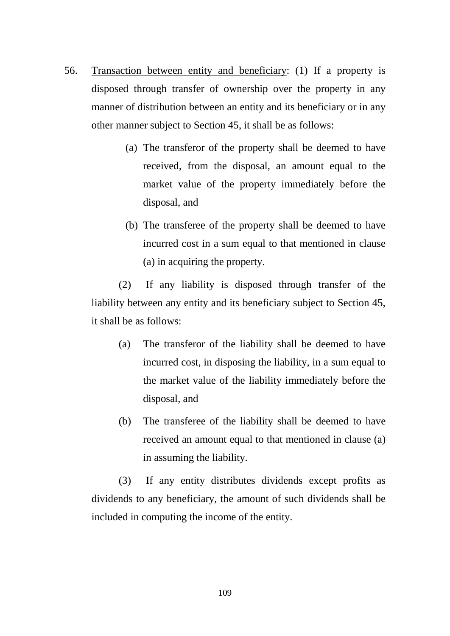- 56. Transaction between entity and beneficiary: (1) If a property is disposed through transfer of ownership over the property in any manner of distribution between an entity and its beneficiary or in any other manner subject to Section 45, it shall be as follows:
	- (a) The transferor of the property shall be deemed to have received, from the disposal, an amount equal to the market value of the property immediately before the disposal, and
	- (b) The transferee of the property shall be deemed to have incurred cost in a sum equal to that mentioned in clause (a) in acquiring the property.

(2) If any liability is disposed through transfer of the liability between any entity and its beneficiary subject to Section 45, it shall be as follows:

- (a) The transferor of the liability shall be deemed to have incurred cost, in disposing the liability, in a sum equal to the market value of the liability immediately before the disposal, and
- (b) The transferee of the liability shall be deemed to have received an amount equal to that mentioned in clause (a) in assuming the liability.

(3) If any entity distributes dividends except profits as dividends to any beneficiary, the amount of such dividends shall be included in computing the income of the entity.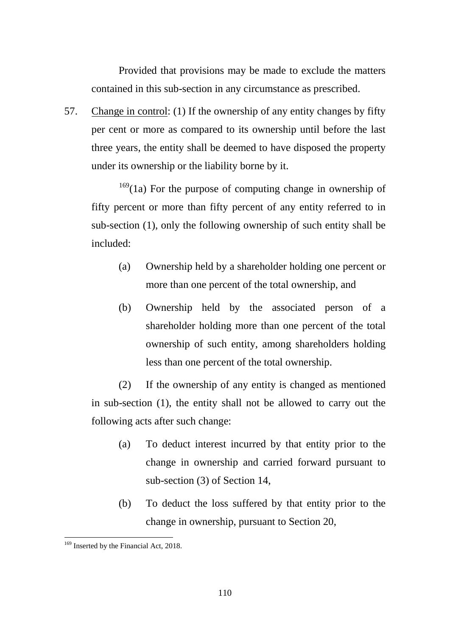Provided that provisions may be made to exclude the matters contained in this sub-section in any circumstance as prescribed.

57. Change in control: (1) If the ownership of any entity changes by fifty per cent or more as compared to its ownership until before the last three years, the entity shall be deemed to have disposed the property under its ownership or the liability borne by it.

 $169(1a)$  $169(1a)$  For the purpose of computing change in ownership of fifty percent or more than fifty percent of any entity referred to in sub-section (1), only the following ownership of such entity shall be included:

- (a) Ownership held by a shareholder holding one percent or more than one percent of the total ownership, and
- (b) Ownership held by the associated person of a shareholder holding more than one percent of the total ownership of such entity, among shareholders holding less than one percent of the total ownership.

(2) If the ownership of any entity is changed as mentioned in sub-section (1), the entity shall not be allowed to carry out the following acts after such change:

- (a) To deduct interest incurred by that entity prior to the change in ownership and carried forward pursuant to sub-section (3) of Section 14,
- (b) To deduct the loss suffered by that entity prior to the change in ownership, pursuant to Section 20,

<span id="page-109-0"></span><sup>&</sup>lt;sup>169</sup> Inserted by the Financial Act, 2018. -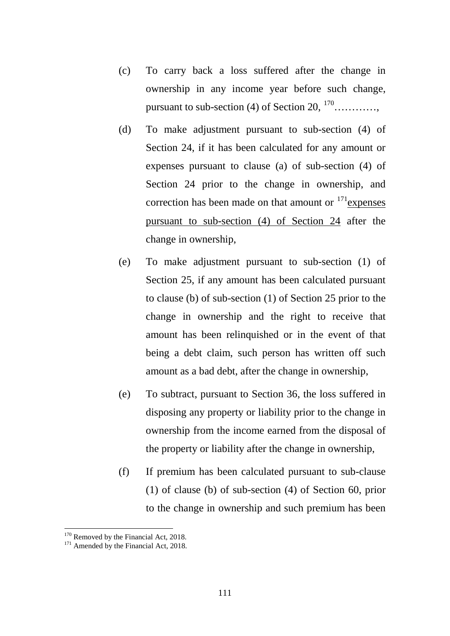- (c) To carry back a loss suffered after the change in ownership in any income year before such change, pursuant to sub-section (4) of Section  $20, \frac{170}{170}$  $20, \frac{170}{170}$  $20, \frac{170}{170}$  ..........
- (d) To make adjustment pursuant to sub-section (4) of Section 24, if it has been calculated for any amount or expenses pursuant to clause (a) of sub-section (4) of Section 24 prior to the change in ownership, and correction has been made on that amount or  $171$  expenses pursuant to sub-section (4) of Section 24 after the change in ownership,
- (e) To make adjustment pursuant to sub-section (1) of Section 25, if any amount has been calculated pursuant to clause (b) of sub-section (1) of Section 25 prior to the change in ownership and the right to receive that amount has been relinquished or in the event of that being a debt claim, such person has written off such amount as a bad debt, after the change in ownership,
- (e) To subtract, pursuant to Section 36, the loss suffered in disposing any property or liability prior to the change in ownership from the income earned from the disposal of the property or liability after the change in ownership,
- (f) If premium has been calculated pursuant to sub-clause (1) of clause (b) of sub-section (4) of Section 60, prior to the change in ownership and such premium has been

<span id="page-110-0"></span><sup>&</sup>lt;sup>170</sup> Removed by the Financial Act, 2018.<br><sup>171</sup> Amended by the Financial Act, 2018.

<span id="page-110-1"></span>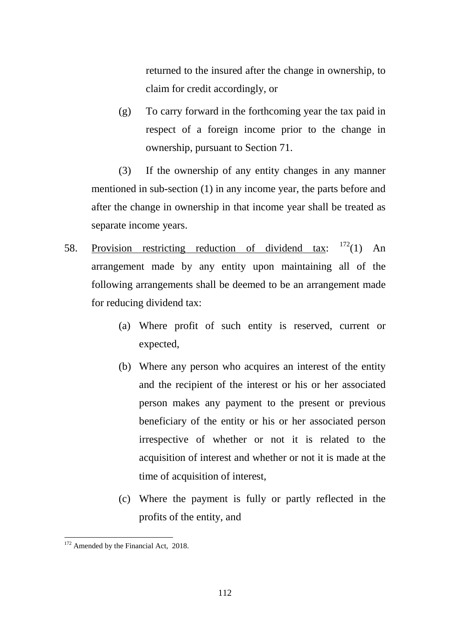returned to the insured after the change in ownership, to claim for credit accordingly, or

(g) To carry forward in the forthcoming year the tax paid in respect of a foreign income prior to the change in ownership, pursuant to Section 71.

(3) If the ownership of any entity changes in any manner mentioned in sub-section (1) in any income year, the parts before and after the change in ownership in that income year shall be treated as separate income years.

- 58. Provision restricting reduction of dividend tax:  $172(1)$  $172(1)$  An arrangement made by any entity upon maintaining all of the following arrangements shall be deemed to be an arrangement made for reducing dividend tax:
	- (a) Where profit of such entity is reserved, current or expected,
	- (b) Where any person who acquires an interest of the entity and the recipient of the interest or his or her associated person makes any payment to the present or previous beneficiary of the entity or his or her associated person irrespective of whether or not it is related to the acquisition of interest and whether or not it is made at the time of acquisition of interest,
	- (c) Where the payment is fully or partly reflected in the profits of the entity, and

<span id="page-111-0"></span><sup>&</sup>lt;sup>172</sup> Amended by the Financial Act, 2018. -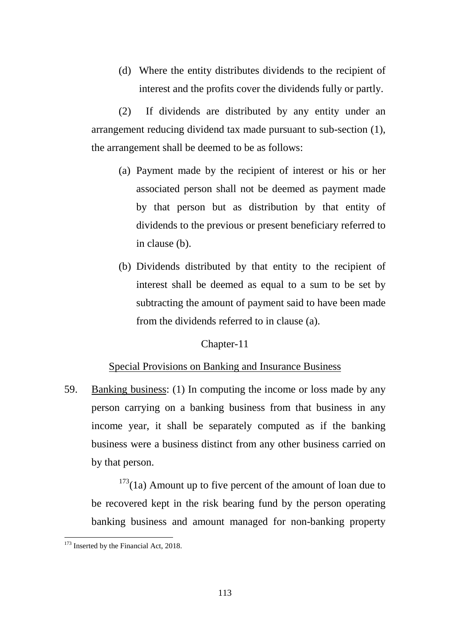(d) Where the entity distributes dividends to the recipient of interest and the profits cover the dividends fully or partly.

(2) If dividends are distributed by any entity under an arrangement reducing dividend tax made pursuant to sub-section (1), the arrangement shall be deemed to be as follows:

- (a) Payment made by the recipient of interest or his or her associated person shall not be deemed as payment made by that person but as distribution by that entity of dividends to the previous or present beneficiary referred to in clause (b).
- (b) Dividends distributed by that entity to the recipient of interest shall be deemed as equal to a sum to be set by subtracting the amount of payment said to have been made from the dividends referred to in clause (a).

## Chapter-11

## Special Provisions on Banking and Insurance Business

59. Banking business: (1) In computing the income or loss made by any person carrying on a banking business from that business in any income year, it shall be separately computed as if the banking business were a business distinct from any other business carried on by that person.

 $173(1a)$  $173(1a)$  Amount up to five percent of the amount of loan due to be recovered kept in the risk bearing fund by the person operating banking business and amount managed for non-banking property

<span id="page-112-0"></span><sup>&</sup>lt;sup>173</sup> Inserted by the Financial Act, 2018.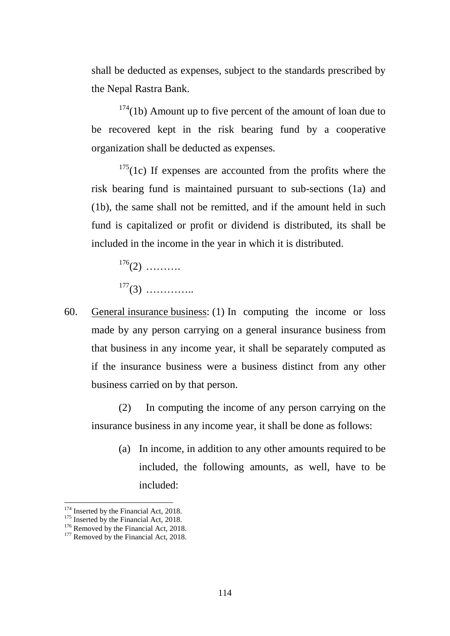shall be deducted as expenses, subject to the standards prescribed by the Nepal Rastra Bank.

 $174(1b)$  $174(1b)$  Amount up to five percent of the amount of loan due to be recovered kept in the risk bearing fund by a cooperative organization shall be deducted as expenses.

 $175(1c)$  $175(1c)$  If expenses are accounted from the profits where the risk bearing fund is maintained pursuant to sub-sections (1a) and (1b), the same shall not be remitted, and if the amount held in such fund is capitalized or profit or dividend is distributed, its shall be included in the income in the year in which it is distributed.

 $176(2)$  $176(2)$  ……….  $177(3)$  $177(3)$  ……………

60. General insurance business: (1) In computing the income or loss made by any person carrying on a general insurance business from that business in any income year, it shall be separately computed as if the insurance business were a business distinct from any other business carried on by that person.

(2) In computing the income of any person carrying on the insurance business in any income year, it shall be done as follows:

(a) In income, in addition to any other amounts required to be included, the following amounts, as well, have to be included:

<span id="page-113-1"></span><span id="page-113-0"></span><sup>&</sup>lt;sup>174</sup> Inserted by the Financial Act, 2018.<br><sup>175</sup> Inserted by the Financial Act, 2018.<br><sup>176</sup> Removed by the Financial Act, 2018.<br><sup>177</sup> Removed by the Financial Act, 2018.

<span id="page-113-3"></span><span id="page-113-2"></span>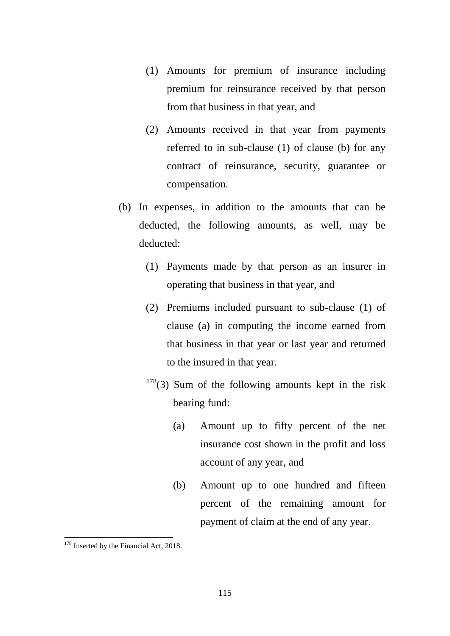- (1) Amounts for premium of insurance including premium for reinsurance received by that person from that business in that year, and
- (2) Amounts received in that year from payments referred to in sub-clause (1) of clause (b) for any contract of reinsurance, security, guarantee or compensation.
- (b) In expenses, in addition to the amounts that can be deducted, the following amounts, as well, may be deducted:
	- (1) Payments made by that person as an insurer in operating that business in that year, and
	- (2) Premiums included pursuant to sub-clause (1) of clause (a) in computing the income earned from that business in that year or last year and returned to the insured in that year.
	- $178(3)$  $178(3)$  Sum of the following amounts kept in the risk bearing fund:
		- (a) Amount up to fifty percent of the net insurance cost shown in the profit and loss account of any year, and
		- (b) Amount up to one hundred and fifteen percent of the remaining amount for payment of claim at the end of any year.

<span id="page-114-0"></span><sup>&</sup>lt;sup>178</sup> Inserted by the Financial Act, 2018.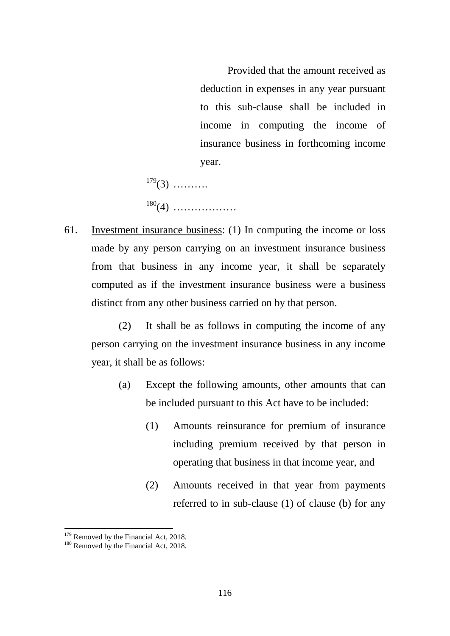Provided that the amount received as deduction in expenses in any year pursuant to this sub-clause shall be included in income in computing the income of insurance business in forthcoming income year.

 $179(3)$  $179(3)$  ………. [180](#page-115-1)(4) ………………

61. Investment insurance business: (1) In computing the income or loss made by any person carrying on an investment insurance business from that business in any income year, it shall be separately computed as if the investment insurance business were a business distinct from any other business carried on by that person.

(2) It shall be as follows in computing the income of any person carrying on the investment insurance business in any income year, it shall be as follows:

- (a) Except the following amounts, other amounts that can be included pursuant to this Act have to be included:
	- (1) Amounts reinsurance for premium of insurance including premium received by that person in operating that business in that income year, and
	- (2) Amounts received in that year from payments referred to in sub-clause (1) of clause (b) for any

<span id="page-115-1"></span><span id="page-115-0"></span>

 $179$  Removed by the Financial Act, 2018.<br><sup>180</sup> Removed by the Financial Act, 2018.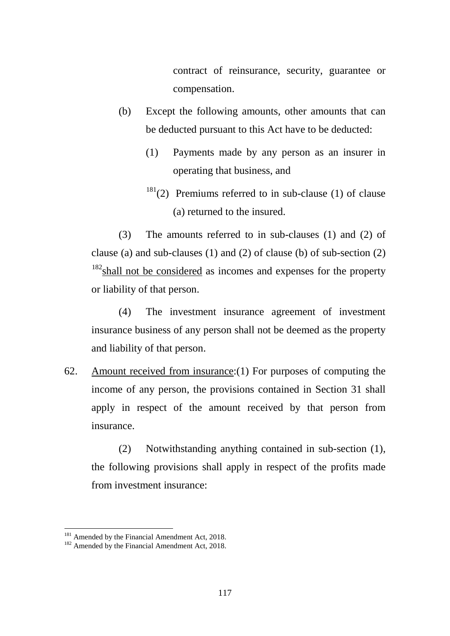contract of reinsurance, security, guarantee or compensation.

- (b) Except the following amounts, other amounts that can be deducted pursuant to this Act have to be deducted:
	- (1) Payments made by any person as an insurer in operating that business, and
	- $181(2)$  $181(2)$  Premiums referred to in sub-clause (1) of clause (a) returned to the insured.

(3) The amounts referred to in sub-clauses (1) and (2) of clause (a) and sub-clauses (1) and (2) of clause (b) of sub-section (2)  $182$  shall not be considered as incomes and expenses for the property or liability of that person.

(4) The investment insurance agreement of investment insurance business of any person shall not be deemed as the property and liability of that person.

62. Amount received from insurance:(1) For purposes of computing the income of any person, the provisions contained in Section 31 shall apply in respect of the amount received by that person from insurance.

(2) Notwithstanding anything contained in sub-section (1), the following provisions shall apply in respect of the profits made from investment insurance:

<span id="page-116-0"></span><sup>&</sup>lt;sup>181</sup> Amended by the Financial Amendment Act, 2018.<br><sup>182</sup> Amended by the Financial Amendment Act, 2018.

<span id="page-116-1"></span>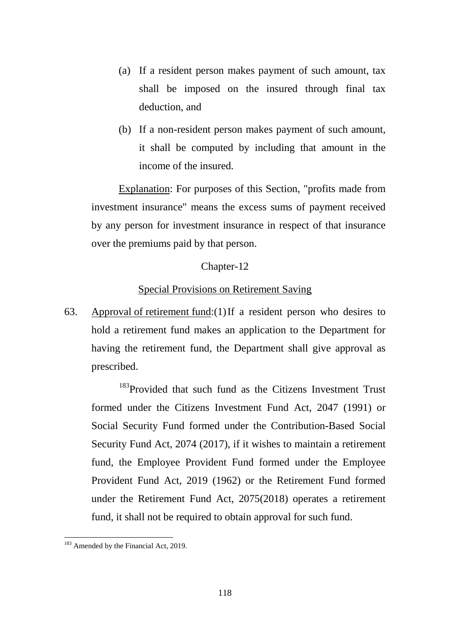- (a) If a resident person makes payment of such amount, tax shall be imposed on the insured through final tax deduction, and
- (b) If a non-resident person makes payment of such amount, it shall be computed by including that amount in the income of the insured.

Explanation: For purposes of this Section, "profits made from investment insurance" means the excess sums of payment received by any person for investment insurance in respect of that insurance over the premiums paid by that person.

## Chapter-12

# Special Provisions on Retirement Saving

63. Approval of retirement fund:(1)If a resident person who desires to hold a retirement fund makes an application to the Department for having the retirement fund, the Department shall give approval as prescribed.

<sup>[183](#page-117-0)</sup>Provided that such fund as the Citizens Investment Trust formed under the Citizens Investment Fund Act, 2047 (1991) or Social Security Fund formed under the Contribution-Based Social Security Fund Act, 2074 (2017), if it wishes to maintain a retirement fund, the Employee Provident Fund formed under the Employee Provident Fund Act, 2019 (1962) or the Retirement Fund formed under the Retirement Fund Act, 2075(2018) operates a retirement fund, it shall not be required to obtain approval for such fund.

<span id="page-117-0"></span><sup>&</sup>lt;sup>183</sup> Amended by the Financial Act, 2019.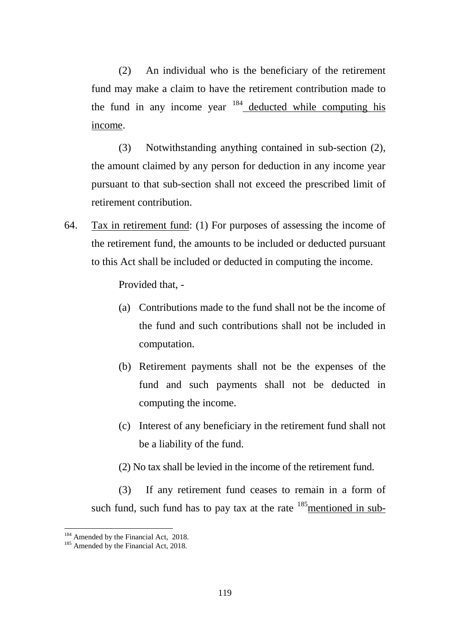(2) An individual who is the beneficiary of the retirement fund may make a claim to have the retirement contribution made to the fund in any income year  $184$  deducted while computing his income.

(3) Notwithstanding anything contained in sub-section (2), the amount claimed by any person for deduction in any income year pursuant to that sub-section shall not exceed the prescribed limit of retirement contribution.

64. Tax in retirement fund: (1) For purposes of assessing the income of the retirement fund, the amounts to be included or deducted pursuant to this Act shall be included or deducted in computing the income.

Provided that, -

- (a) Contributions made to the fund shall not be the income of the fund and such contributions shall not be included in computation.
- (b) Retirement payments shall not be the expenses of the fund and such payments shall not be deducted in computing the income.
- (c) Interest of any beneficiary in the retirement fund shall not be a liability of the fund.
- (2) No tax shall be levied in the income of the retirement fund.

(3) If any retirement fund ceases to remain in a form of such fund, such fund has to pay tax at the rate  $185$  mentioned in sub-

<span id="page-118-1"></span><span id="page-118-0"></span><sup>&</sup>lt;sup>184</sup> Amended by the Financial Act, 2018.<br><sup>185</sup> Amended by the Financial Act, 2018.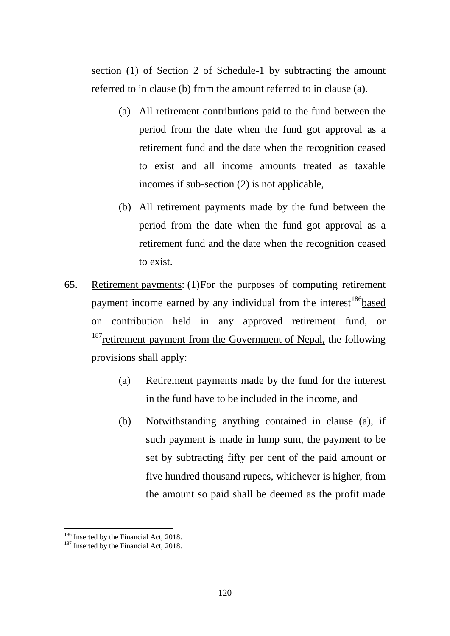section (1) of Section 2 of Schedule-1 by subtracting the amount referred to in clause (b) from the amount referred to in clause (a).

- (a) All retirement contributions paid to the fund between the period from the date when the fund got approval as a retirement fund and the date when the recognition ceased to exist and all income amounts treated as taxable incomes if sub-section (2) is not applicable,
- (b) All retirement payments made by the fund between the period from the date when the fund got approval as a retirement fund and the date when the recognition ceased to exist.
- 65. Retirement payments: (1)For the purposes of computing retirement payment income earned by any individual from the interest<sup>186</sup>based on contribution held in any approved retirement fund, or  $187$  retirement payment from the Government of Nepal, the following provisions shall apply:
	- (a) Retirement payments made by the fund for the interest in the fund have to be included in the income, and
	- (b) Notwithstanding anything contained in clause (a), if such payment is made in lump sum, the payment to be set by subtracting fifty per cent of the paid amount or five hundred thousand rupees, whichever is higher, from the amount so paid shall be deemed as the profit made

<span id="page-119-1"></span>

<span id="page-119-0"></span><sup>&</sup>lt;sup>186</sup> Inserted by the Financial Act, 2018.<br><sup>187</sup> Inserted by the Financial Act, 2018.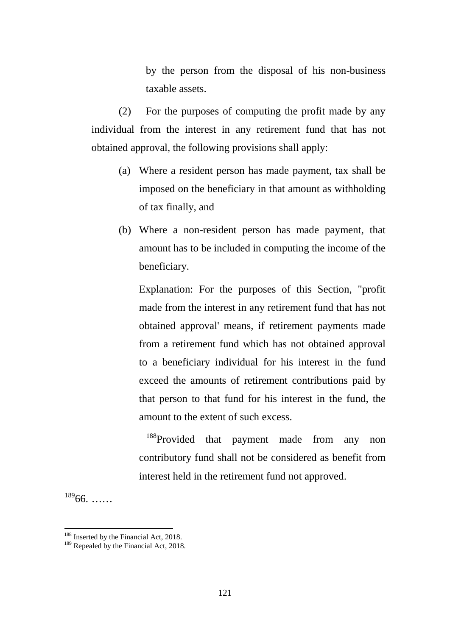by the person from the disposal of his non-business taxable assets.

(2) For the purposes of computing the profit made by any individual from the interest in any retirement fund that has not obtained approval, the following provisions shall apply:

- (a) Where a resident person has made payment, tax shall be imposed on the beneficiary in that amount as withholding of tax finally, and
- (b) Where a non-resident person has made payment, that amount has to be included in computing the income of the beneficiary.

Explanation: For the purposes of this Section, "profit made from the interest in any retirement fund that has not obtained approval' means, if retirement payments made from a retirement fund which has not obtained approval to a beneficiary individual for his interest in the fund exceed the amounts of retirement contributions paid by that person to that fund for his interest in the fund, the amount to the extent of such excess.

<sup>[188](#page-120-0)</sup>Provided that payment made from any non contributory fund shall not be considered as benefit from interest held in the retirement fund not approved.

 $18966$  $18966$ . ……

<span id="page-120-0"></span><sup>&</sup>lt;sup>188</sup> Inserted by the Financial Act, 2018.<br><sup>189</sup> Repealed by the Financial Act, 2018.

<span id="page-120-1"></span>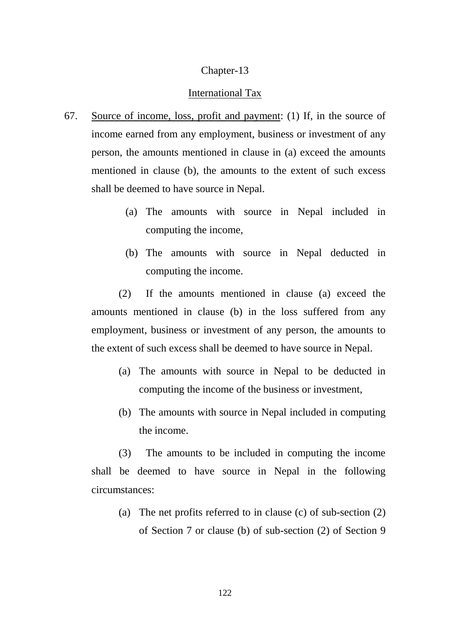## Chapter-13

#### International Tax

- 67. Source of income, loss, profit and payment: (1) If, in the source of income earned from any employment, business or investment of any person, the amounts mentioned in clause in (a) exceed the amounts mentioned in clause (b), the amounts to the extent of such excess shall be deemed to have source in Nepal.
	- (a) The amounts with source in Nepal included in computing the income,
	- (b) The amounts with source in Nepal deducted in computing the income.

(2) If the amounts mentioned in clause (a) exceed the amounts mentioned in clause (b) in the loss suffered from any employment, business or investment of any person, the amounts to the extent of such excess shall be deemed to have source in Nepal.

- (a) The amounts with source in Nepal to be deducted in computing the income of the business or investment,
- (b) The amounts with source in Nepal included in computing the income.

(3) The amounts to be included in computing the income shall be deemed to have source in Nepal in the following circumstances:

(a) The net profits referred to in clause (c) of sub-section (2) of Section 7 or clause (b) of sub-section (2) of Section 9

122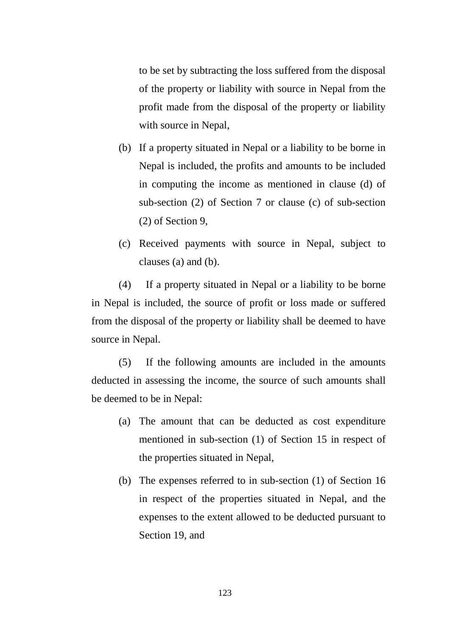to be set by subtracting the loss suffered from the disposal of the property or liability with source in Nepal from the profit made from the disposal of the property or liability with source in Nepal,

- (b) If a property situated in Nepal or a liability to be borne in Nepal is included, the profits and amounts to be included in computing the income as mentioned in clause (d) of sub-section (2) of Section 7 or clause (c) of sub-section (2) of Section 9,
- (c) Received payments with source in Nepal, subject to clauses (a) and (b).

(4) If a property situated in Nepal or a liability to be borne in Nepal is included, the source of profit or loss made or suffered from the disposal of the property or liability shall be deemed to have source in Nepal.

(5) If the following amounts are included in the amounts deducted in assessing the income, the source of such amounts shall be deemed to be in Nepal:

- (a) The amount that can be deducted as cost expenditure mentioned in sub-section (1) of Section 15 in respect of the properties situated in Nepal,
- (b) The expenses referred to in sub-section (1) of Section 16 in respect of the properties situated in Nepal, and the expenses to the extent allowed to be deducted pursuant to Section 19, and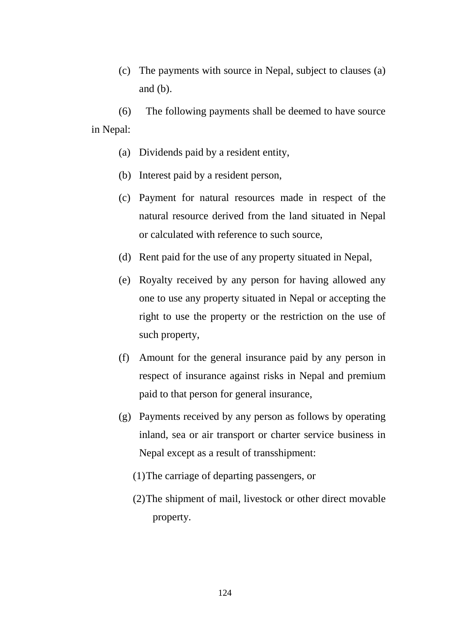(c) The payments with source in Nepal, subject to clauses (a) and (b).

(6) The following payments shall be deemed to have source in Nepal:

- (a) Dividends paid by a resident entity,
- (b) Interest paid by a resident person,
- (c) Payment for natural resources made in respect of the natural resource derived from the land situated in Nepal or calculated with reference to such source,
- (d) Rent paid for the use of any property situated in Nepal,
- (e) Royalty received by any person for having allowed any one to use any property situated in Nepal or accepting the right to use the property or the restriction on the use of such property,
- (f) Amount for the general insurance paid by any person in respect of insurance against risks in Nepal and premium paid to that person for general insurance,
- (g) Payments received by any person as follows by operating inland, sea or air transport or charter service business in Nepal except as a result of transshipment:
	- (1)The carriage of departing passengers, or
	- (2)The shipment of mail, livestock or other direct movable property.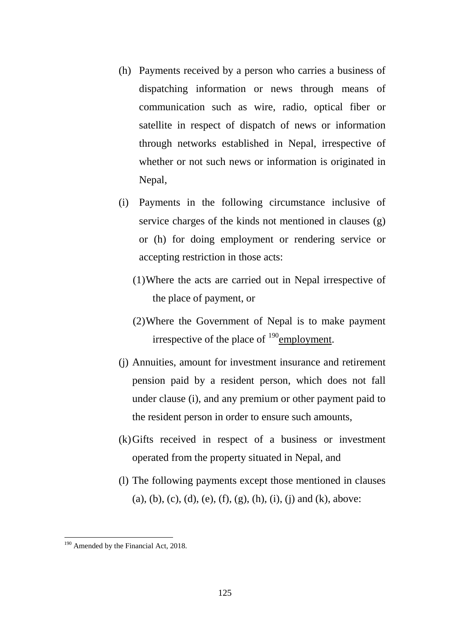- (h) Payments received by a person who carries a business of dispatching information or news through means of communication such as wire, radio, optical fiber or satellite in respect of dispatch of news or information through networks established in Nepal, irrespective of whether or not such news or information is originated in Nepal,
- (i) Payments in the following circumstance inclusive of service charges of the kinds not mentioned in clauses (g) or (h) for doing employment or rendering service or accepting restriction in those acts:
	- (1)Where the acts are carried out in Nepal irrespective of the place of payment, or
	- (2)Where the Government of Nepal is to make payment irrespective of the place of  $^{190}$  $^{190}$  $^{190}$ employment.
- (j) Annuities, amount for investment insurance and retirement pension paid by a resident person, which does not fall under clause (i), and any premium or other payment paid to the resident person in order to ensure such amounts,
- (k)Gifts received in respect of a business or investment operated from the property situated in Nepal, and
- (l) The following payments except those mentioned in clauses (a), (b), (c), (d), (e), (f), (g), (h), (i), (j) and (k), above:

<span id="page-124-0"></span><sup>&</sup>lt;sup>190</sup> Amended by the Financial Act, 2018.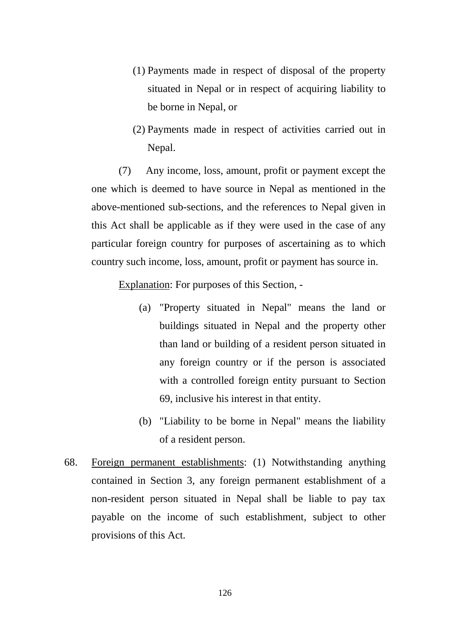- (1) Payments made in respect of disposal of the property situated in Nepal or in respect of acquiring liability to be borne in Nepal, or
- (2) Payments made in respect of activities carried out in Nepal.

(7) Any income, loss, amount, profit or payment except the one which is deemed to have source in Nepal as mentioned in the above-mentioned sub-sections, and the references to Nepal given in this Act shall be applicable as if they were used in the case of any particular foreign country for purposes of ascertaining as to which country such income, loss, amount, profit or payment has source in.

Explanation: For purposes of this Section, -

- (a) "Property situated in Nepal" means the land or buildings situated in Nepal and the property other than land or building of a resident person situated in any foreign country or if the person is associated with a controlled foreign entity pursuant to Section 69, inclusive his interest in that entity.
- (b) "Liability to be borne in Nepal" means the liability of a resident person.
- 68. Foreign permanent establishments: (1) Notwithstanding anything contained in Section 3, any foreign permanent establishment of a non-resident person situated in Nepal shall be liable to pay tax payable on the income of such establishment, subject to other provisions of this Act.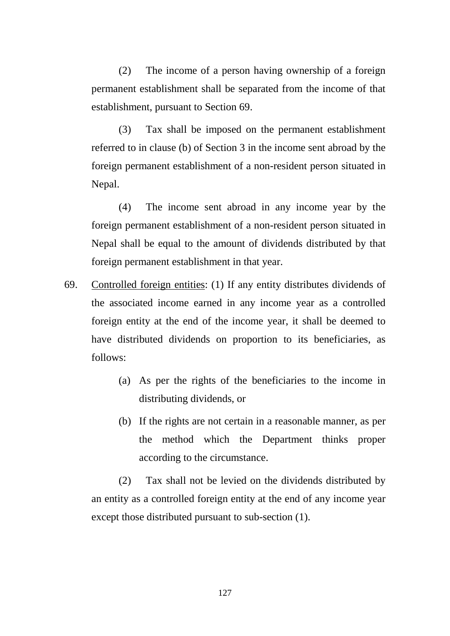(2) The income of a person having ownership of a foreign permanent establishment shall be separated from the income of that establishment, pursuant to Section 69.

(3) Tax shall be imposed on the permanent establishment referred to in clause (b) of Section 3 in the income sent abroad by the foreign permanent establishment of a non-resident person situated in Nepal.

(4) The income sent abroad in any income year by the foreign permanent establishment of a non-resident person situated in Nepal shall be equal to the amount of dividends distributed by that foreign permanent establishment in that year.

- 69. Controlled foreign entities: (1) If any entity distributes dividends of the associated income earned in any income year as a controlled foreign entity at the end of the income year, it shall be deemed to have distributed dividends on proportion to its beneficiaries, as follows:
	- (a) As per the rights of the beneficiaries to the income in distributing dividends, or
	- (b) If the rights are not certain in a reasonable manner, as per the method which the Department thinks proper according to the circumstance.

(2) Tax shall not be levied on the dividends distributed by an entity as a controlled foreign entity at the end of any income year except those distributed pursuant to sub-section (1).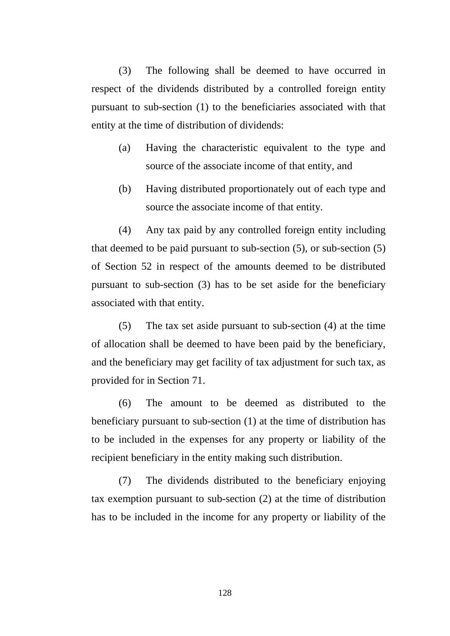(3) The following shall be deemed to have occurred in respect of the dividends distributed by a controlled foreign entity pursuant to sub-section (1) to the beneficiaries associated with that entity at the time of distribution of dividends:

- (a) Having the characteristic equivalent to the type and source of the associate income of that entity, and
- (b) Having distributed proportionately out of each type and source the associate income of that entity.

(4) Any tax paid by any controlled foreign entity including that deemed to be paid pursuant to sub-section (5), or sub-section (5) of Section 52 in respect of the amounts deemed to be distributed pursuant to sub-section (3) has to be set aside for the beneficiary associated with that entity.

(5) The tax set aside pursuant to sub-section (4) at the time of allocation shall be deemed to have been paid by the beneficiary, and the beneficiary may get facility of tax adjustment for such tax, as provided for in Section 71.

(6) The amount to be deemed as distributed to the beneficiary pursuant to sub-section (1) at the time of distribution has to be included in the expenses for any property or liability of the recipient beneficiary in the entity making such distribution.

(7) The dividends distributed to the beneficiary enjoying tax exemption pursuant to sub-section (2) at the time of distribution has to be included in the income for any property or liability of the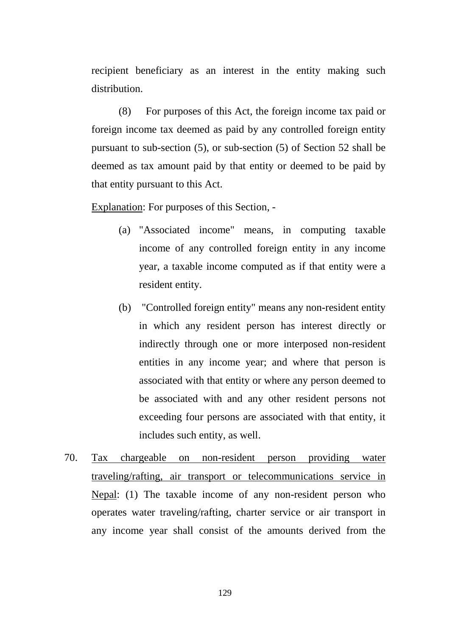recipient beneficiary as an interest in the entity making such distribution.

(8) For purposes of this Act, the foreign income tax paid or foreign income tax deemed as paid by any controlled foreign entity pursuant to sub-section (5), or sub-section (5) of Section 52 shall be deemed as tax amount paid by that entity or deemed to be paid by that entity pursuant to this Act.

Explanation: For purposes of this Section, -

- (a) "Associated income" means, in computing taxable income of any controlled foreign entity in any income year, a taxable income computed as if that entity were a resident entity.
- (b) "Controlled foreign entity" means any non-resident entity in which any resident person has interest directly or indirectly through one or more interposed non-resident entities in any income year; and where that person is associated with that entity or where any person deemed to be associated with and any other resident persons not exceeding four persons are associated with that entity, it includes such entity, as well.
- 70. Tax chargeable on non-resident person providing water traveling/rafting, air transport or telecommunications service in Nepal: (1) The taxable income of any non-resident person who operates water traveling/rafting, charter service or air transport in any income year shall consist of the amounts derived from the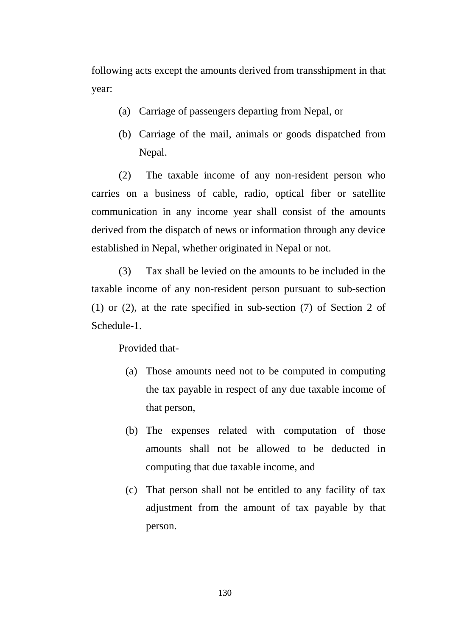following acts except the amounts derived from transshipment in that year:

- (a) Carriage of passengers departing from Nepal, or
- (b) Carriage of the mail, animals or goods dispatched from Nepal.

(2) The taxable income of any non-resident person who carries on a business of cable, radio, optical fiber or satellite communication in any income year shall consist of the amounts derived from the dispatch of news or information through any device established in Nepal, whether originated in Nepal or not.

(3) Tax shall be levied on the amounts to be included in the taxable income of any non-resident person pursuant to sub-section (1) or (2), at the rate specified in sub-section (7) of Section 2 of Schedule-1.

Provided that-

- (a) Those amounts need not to be computed in computing the tax payable in respect of any due taxable income of that person,
- (b) The expenses related with computation of those amounts shall not be allowed to be deducted in computing that due taxable income, and
- (c) That person shall not be entitled to any facility of tax adjustment from the amount of tax payable by that person.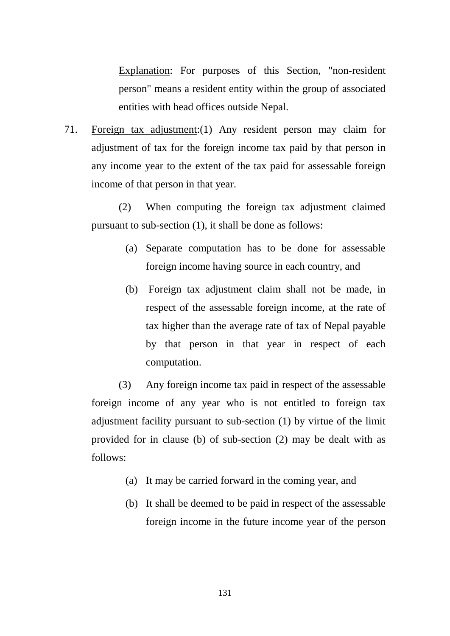Explanation: For purposes of this Section, "non-resident person" means a resident entity within the group of associated entities with head offices outside Nepal.

71. Foreign tax adjustment:(1) Any resident person may claim for adjustment of tax for the foreign income tax paid by that person in any income year to the extent of the tax paid for assessable foreign income of that person in that year.

(2) When computing the foreign tax adjustment claimed pursuant to sub-section (1), it shall be done as follows:

- (a) Separate computation has to be done for assessable foreign income having source in each country, and
- (b) Foreign tax adjustment claim shall not be made, in respect of the assessable foreign income, at the rate of tax higher than the average rate of tax of Nepal payable by that person in that year in respect of each computation.

(3) Any foreign income tax paid in respect of the assessable foreign income of any year who is not entitled to foreign tax adjustment facility pursuant to sub-section (1) by virtue of the limit provided for in clause (b) of sub-section (2) may be dealt with as follows:

- (a) It may be carried forward in the coming year, and
- (b) It shall be deemed to be paid in respect of the assessable foreign income in the future income year of the person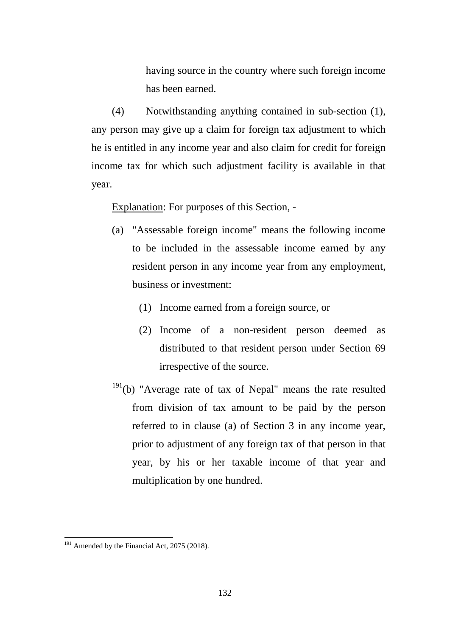having source in the country where such foreign income has been earned.

(4) Notwithstanding anything contained in sub-section (1), any person may give up a claim for foreign tax adjustment to which he is entitled in any income year and also claim for credit for foreign income tax for which such adjustment facility is available in that year.

Explanation: For purposes of this Section, -

- (a) "Assessable foreign income" means the following income to be included in the assessable income earned by any resident person in any income year from any employment, business or investment:
	- (1) Income earned from a foreign source, or
	- (2) Income of a non-resident person deemed as distributed to that resident person under Section 69 irrespective of the source.
- $191(b)$  $191(b)$  "Average rate of tax of Nepal" means the rate resulted from division of tax amount to be paid by the person referred to in clause (a) of Section 3 in any income year, prior to adjustment of any foreign tax of that person in that year, by his or her taxable income of that year and multiplication by one hundred.

<span id="page-131-0"></span> $191$  Amended by the Financial Act, 2075 (2018).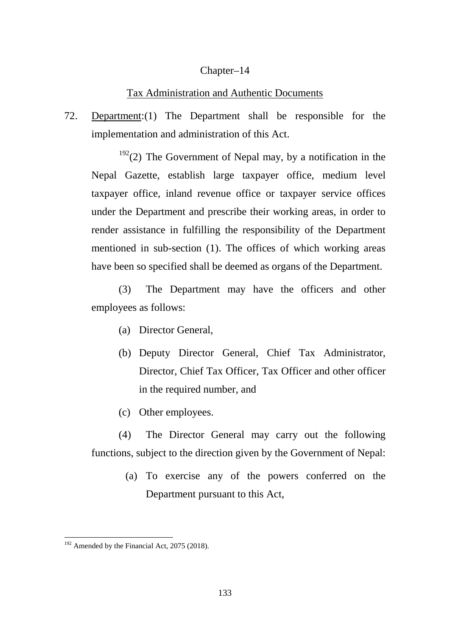## Chapter–14

## Tax Administration and Authentic Documents

72. Department:(1) The Department shall be responsible for the implementation and administration of this Act.

 $192(2)$  $192(2)$  The Government of Nepal may, by a notification in the Nepal Gazette, establish large taxpayer office, medium level taxpayer office, inland revenue office or taxpayer service offices under the Department and prescribe their working areas, in order to render assistance in fulfilling the responsibility of the Department mentioned in sub-section (1). The offices of which working areas have been so specified shall be deemed as organs of the Department.

(3) The Department may have the officers and other employees as follows:

- (a) Director General,
- (b) Deputy Director General, Chief Tax Administrator, Director, Chief Tax Officer, Tax Officer and other officer in the required number, and
- (c) Other employees.

(4) The Director General may carry out the following functions, subject to the direction given by the Government of Nepal:

> (a) To exercise any of the powers conferred on the Department pursuant to this Act,

<span id="page-132-0"></span> $192$  Amended by the Financial Act, 2075 (2018).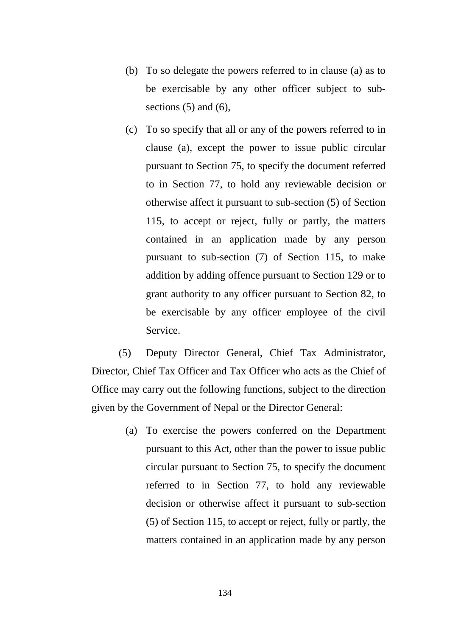- (b) To so delegate the powers referred to in clause (a) as to be exercisable by any other officer subject to subsections  $(5)$  and  $(6)$ ,
- (c) To so specify that all or any of the powers referred to in clause (a), except the power to issue public circular pursuant to Section 75, to specify the document referred to in Section 77, to hold any reviewable decision or otherwise affect it pursuant to sub-section (5) of Section 115, to accept or reject, fully or partly, the matters contained in an application made by any person pursuant to sub-section (7) of Section 115, to make addition by adding offence pursuant to Section 129 or to grant authority to any officer pursuant to Section 82, to be exercisable by any officer employee of the civil Service.

(5) Deputy Director General, Chief Tax Administrator, Director, Chief Tax Officer and Tax Officer who acts as the Chief of Office may carry out the following functions, subject to the direction given by the Government of Nepal or the Director General:

> (a) To exercise the powers conferred on the Department pursuant to this Act, other than the power to issue public circular pursuant to Section 75, to specify the document referred to in Section 77, to hold any reviewable decision or otherwise affect it pursuant to sub-section (5) of Section 115, to accept or reject, fully or partly, the matters contained in an application made by any person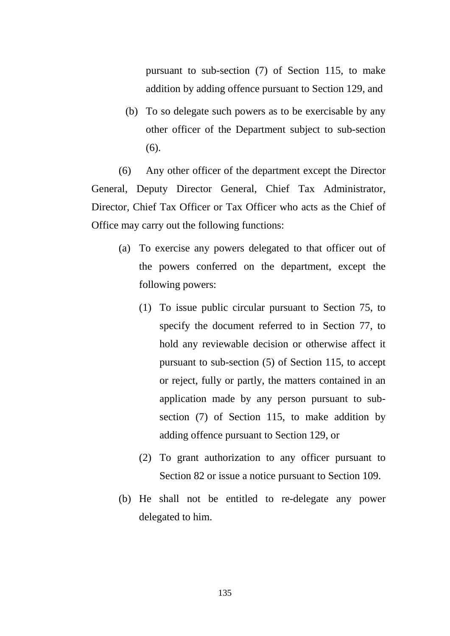pursuant to sub-section (7) of Section 115, to make addition by adding offence pursuant to Section 129, and

(b) To so delegate such powers as to be exercisable by any other officer of the Department subject to sub-section (6).

(6) Any other officer of the department except the Director General, Deputy Director General, Chief Tax Administrator, Director, Chief Tax Officer or Tax Officer who acts as the Chief of Office may carry out the following functions:

- (a) To exercise any powers delegated to that officer out of the powers conferred on the department, except the following powers:
	- (1) To issue public circular pursuant to Section 75, to specify the document referred to in Section 77, to hold any reviewable decision or otherwise affect it pursuant to sub-section (5) of Section 115, to accept or reject, fully or partly, the matters contained in an application made by any person pursuant to subsection (7) of Section 115, to make addition by adding offence pursuant to Section 129, or
	- (2) To grant authorization to any officer pursuant to Section 82 or issue a notice pursuant to Section 109.
- (b) He shall not be entitled to re-delegate any power delegated to him.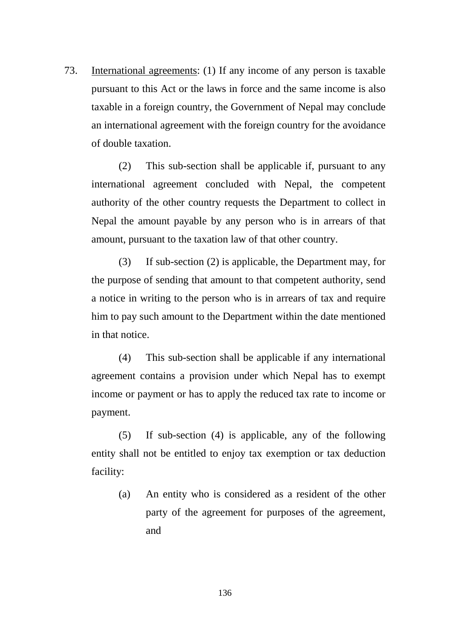73. International agreements: (1) If any income of any person is taxable pursuant to this Act or the laws in force and the same income is also taxable in a foreign country, the Government of Nepal may conclude an international agreement with the foreign country for the avoidance of double taxation.

(2) This sub-section shall be applicable if, pursuant to any international agreement concluded with Nepal, the competent authority of the other country requests the Department to collect in Nepal the amount payable by any person who is in arrears of that amount, pursuant to the taxation law of that other country.

(3) If sub-section (2) is applicable, the Department may, for the purpose of sending that amount to that competent authority, send a notice in writing to the person who is in arrears of tax and require him to pay such amount to the Department within the date mentioned in that notice.

(4) This sub-section shall be applicable if any international agreement contains a provision under which Nepal has to exempt income or payment or has to apply the reduced tax rate to income or payment.

(5) If sub-section (4) is applicable, any of the following entity shall not be entitled to enjoy tax exemption or tax deduction facility:

(a) An entity who is considered as a resident of the other party of the agreement for purposes of the agreement, and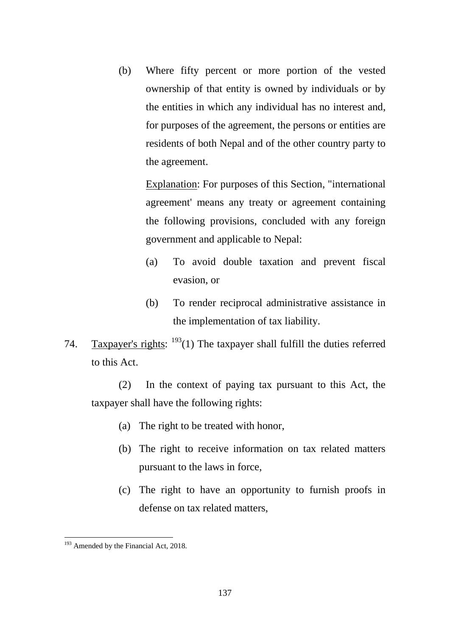(b) Where fifty percent or more portion of the vested ownership of that entity is owned by individuals or by the entities in which any individual has no interest and, for purposes of the agreement, the persons or entities are residents of both Nepal and of the other country party to the agreement.

Explanation: For purposes of this Section, "international agreement' means any treaty or agreement containing the following provisions, concluded with any foreign government and applicable to Nepal:

- (a) To avoid double taxation and prevent fiscal evasion, or
- (b) To render reciprocal administrative assistance in the implementation of tax liability.
- 74. Taxpayer's rights:  $193(1)$  $193(1)$  The taxpayer shall fulfill the duties referred to this Act.

(2) In the context of paying tax pursuant to this Act, the taxpayer shall have the following rights:

- (a) The right to be treated with honor,
- (b) The right to receive information on tax related matters pursuant to the laws in force,
- (c) The right to have an opportunity to furnish proofs in defense on tax related matters,

<span id="page-136-0"></span><sup>&</sup>lt;sup>193</sup> Amended by the Financial Act, 2018. -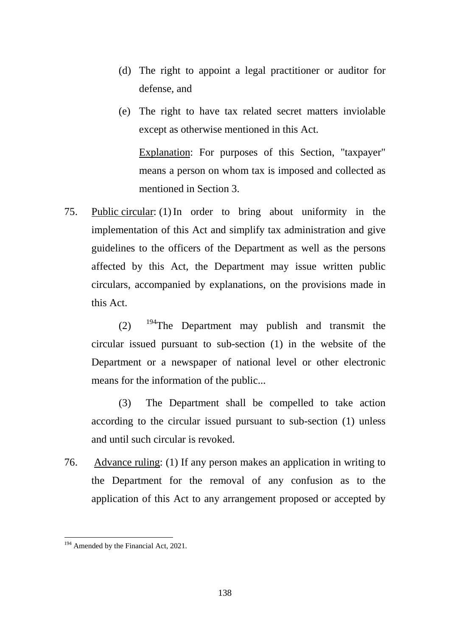- (d) The right to appoint a legal practitioner or auditor for defense, and
- (e) The right to have tax related secret matters inviolable except as otherwise mentioned in this Act.

Explanation: For purposes of this Section, "taxpayer" means a person on whom tax is imposed and collected as mentioned in Section 3.

75. Public circular: (1)In order to bring about uniformity in the implementation of this Act and simplify tax administration and give guidelines to the officers of the Department as well as the persons affected by this Act, the Department may issue written public circulars, accompanied by explanations, on the provisions made in this Act.

 $(2)$  <sup>[194](#page-137-0)</sup>The Department may publish and transmit the circular issued pursuant to sub-section (1) in the website of the Department or a newspaper of national level or other electronic means for the information of the public...

(3) The Department shall be compelled to take action according to the circular issued pursuant to sub-section (1) unless and until such circular is revoked.

76. Advance ruling: (1) If any person makes an application in writing to the Department for the removal of any confusion as to the application of this Act to any arrangement proposed or accepted by

<span id="page-137-0"></span><sup>&</sup>lt;sup>194</sup> Amended by the Financial Act, 2021. -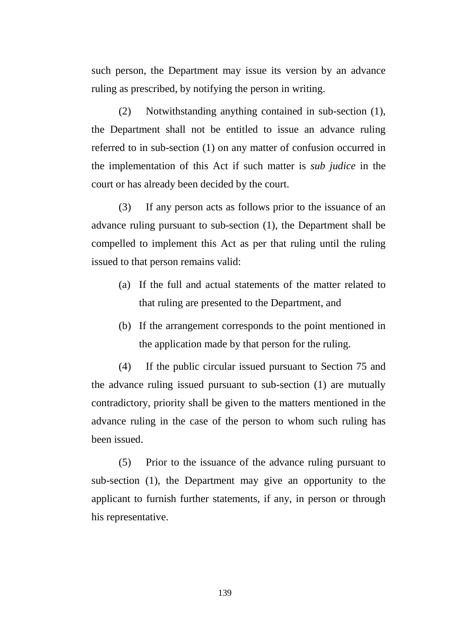such person, the Department may issue its version by an advance ruling as prescribed, by notifying the person in writing.

(2) Notwithstanding anything contained in sub-section (1), the Department shall not be entitled to issue an advance ruling referred to in sub-section (1) on any matter of confusion occurred in the implementation of this Act if such matter is *sub judice* in the court or has already been decided by the court.

(3) If any person acts as follows prior to the issuance of an advance ruling pursuant to sub-section (1), the Department shall be compelled to implement this Act as per that ruling until the ruling issued to that person remains valid:

- (a) If the full and actual statements of the matter related to that ruling are presented to the Department, and
- (b) If the arrangement corresponds to the point mentioned in the application made by that person for the ruling.

(4) If the public circular issued pursuant to Section 75 and the advance ruling issued pursuant to sub-section (1) are mutually contradictory, priority shall be given to the matters mentioned in the advance ruling in the case of the person to whom such ruling has been issued.

(5) Prior to the issuance of the advance ruling pursuant to sub-section (1), the Department may give an opportunity to the applicant to furnish further statements, if any, in person or through his representative.

139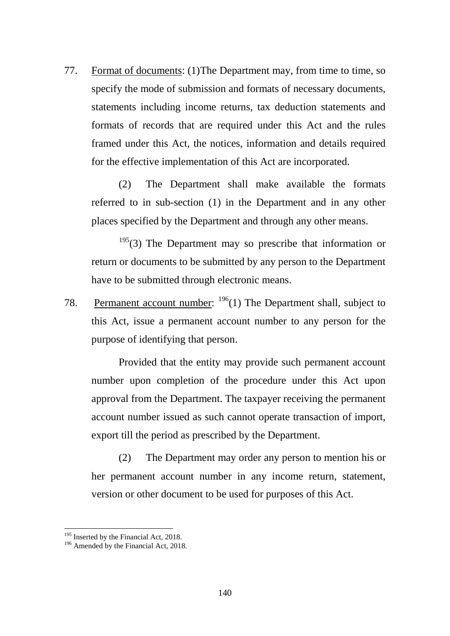77. Format of documents: (1)The Department may, from time to time, so specify the mode of submission and formats of necessary documents, statements including income returns, tax deduction statements and formats of records that are required under this Act and the rules framed under this Act, the notices, information and details required for the effective implementation of this Act are incorporated.

(2) The Department shall make available the formats referred to in sub-section (1) in the Department and in any other places specified by the Department and through any other means.

 $195(3)$  $195(3)$  The Department may so prescribe that information or return or documents to be submitted by any person to the Department have to be submitted through electronic means.

78. Permanent account number:  $196(1)$  $196(1)$  The Department shall, subject to this Act, issue a permanent account number to any person for the purpose of identifying that person.

Provided that the entity may provide such permanent account number upon completion of the procedure under this Act upon approval from the Department. The taxpayer receiving the permanent account number issued as such cannot operate transaction of import, export till the period as prescribed by the Department.

(2) The Department may order any person to mention his or her permanent account number in any income return, statement, version or other document to be used for purposes of this Act.

<span id="page-139-1"></span><span id="page-139-0"></span>

<sup>&</sup>lt;sup>195</sup> Inserted by the Financial Act, 2018.<br><sup>196</sup> Amended by the Financial Act, 2018.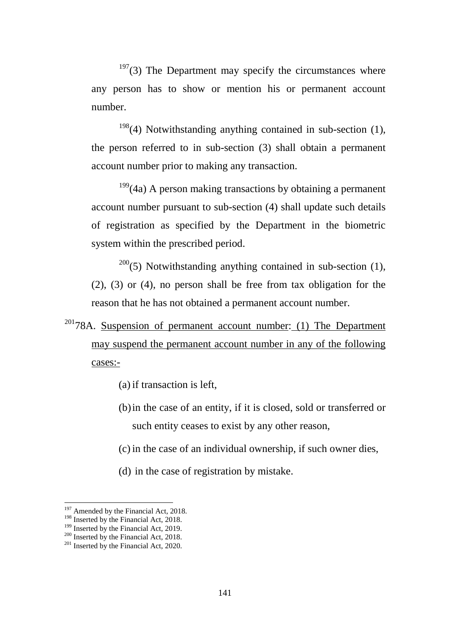$197(3)$  $197(3)$  The Department may specify the circumstances where any person has to show or mention his or permanent account number.

 $198(4)$  $198(4)$  Notwithstanding anything contained in sub-section (1), the person referred to in sub-section (3) shall obtain a permanent account number prior to making any transaction.

 $199(4a)$  $199(4a)$  A person making transactions by obtaining a permanent account number pursuant to sub-section (4) shall update such details of registration as specified by the Department in the biometric system within the prescribed period.

 $200(5)$  $200(5)$  Notwithstanding anything contained in sub-section (1), (2), (3) or (4), no person shall be free from tax obligation for the reason that he has not obtained a permanent account number.

 $20178A$  $20178A$ . Suspension of permanent account number: (1) The Department may suspend the permanent account number in any of the following cases:-

- (a) if transaction is left,
- (b)in the case of an entity, if it is closed, sold or transferred or such entity ceases to exist by any other reason,
- (c) in the case of an individual ownership, if such owner dies,
- (d) in the case of registration by mistake.

<sup>&</sup>lt;sup>197</sup> Amended by the Financial Act, 2018.

<span id="page-140-3"></span>

<span id="page-140-2"></span><span id="page-140-1"></span><span id="page-140-0"></span><sup>&</sup>lt;sup>198</sup> Inserted by the Financial Act, 2018.<br><sup>199</sup> Inserted by the Financial Act, 2019.<br><sup>200</sup> Inserted by the Financial Act, 2020.<br><sup>201</sup> Inserted by the Financial Act, 2020.

<span id="page-140-4"></span>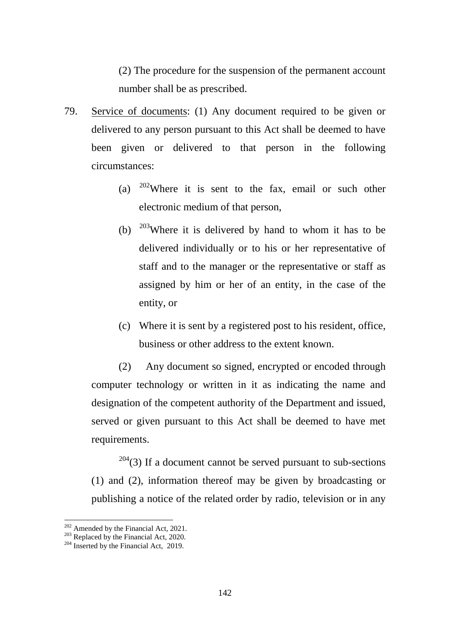(2) The procedure for the suspension of the permanent account number shall be as prescribed.

- 79. Service of documents: (1) Any document required to be given or delivered to any person pursuant to this Act shall be deemed to have been given or delivered to that person in the following circumstances:
	- (a)  $202$  Where it is sent to the fax, email or such other electronic medium of that person,
	- (b)  $203$  Where it is delivered by hand to whom it has to be delivered individually or to his or her representative of staff and to the manager or the representative or staff as assigned by him or her of an entity, in the case of the entity, or
	- (c) Where it is sent by a registered post to his resident, office, business or other address to the extent known.

(2) Any document so signed, encrypted or encoded through computer technology or written in it as indicating the name and designation of the competent authority of the Department and issued, served or given pursuant to this Act shall be deemed to have met requirements.

 $204(3)$  $204(3)$  If a document cannot be served pursuant to sub-sections (1) and (2), information thereof may be given by broadcasting or publishing a notice of the related order by radio, television or in any

<span id="page-141-1"></span><span id="page-141-0"></span><sup>&</sup>lt;sup>202</sup> Amended by the Financial Act, 2021.<br><sup>203</sup> Replaced by the Financial Act, 2020.<br><sup>204</sup> Inserted by the Financial Act, 2019.

<span id="page-141-2"></span>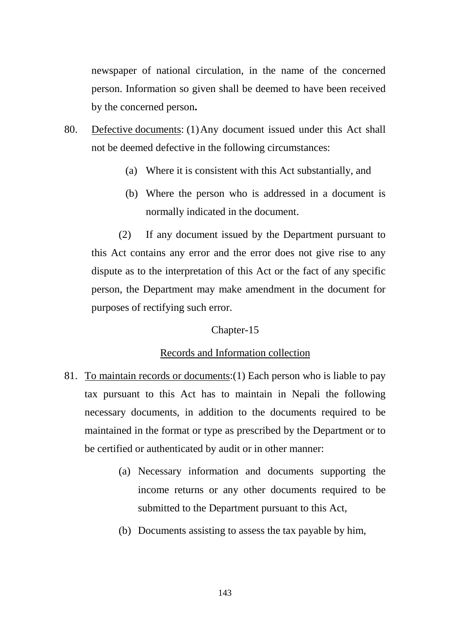newspaper of national circulation, in the name of the concerned person. Information so given shall be deemed to have been received by the concerned person**.**

- 80. Defective documents: (1)Any document issued under this Act shall not be deemed defective in the following circumstances:
	- (a) Where it is consistent with this Act substantially, and
	- (b) Where the person who is addressed in a document is normally indicated in the document.

(2) If any document issued by the Department pursuant to this Act contains any error and the error does not give rise to any dispute as to the interpretation of this Act or the fact of any specific person, the Department may make amendment in the document for purposes of rectifying such error.

# Chapter-15

# Records and Information collection

- 81. To maintain records or documents:(1) Each person who is liable to pay tax pursuant to this Act has to maintain in Nepali the following necessary documents, in addition to the documents required to be maintained in the format or type as prescribed by the Department or to be certified or authenticated by audit or in other manner:
	- (a) Necessary information and documents supporting the income returns or any other documents required to be submitted to the Department pursuant to this Act,
	- (b) Documents assisting to assess the tax payable by him,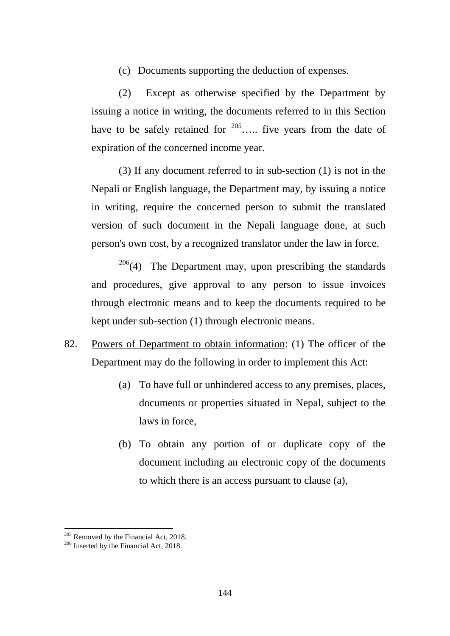(c) Documents supporting the deduction of expenses.

(2) Except as otherwise specified by the Department by issuing a notice in writing, the documents referred to in this Section have to be safely retained for  $205$ ..... five years from the date of expiration of the concerned income year.

(3) If any document referred to in sub-section (1) is not in the Nepali or English language, the Department may, by issuing a notice in writing, require the concerned person to submit the translated version of such document in the Nepali language done, at such person's own cost, by a recognized translator under the law in force.

 $206(4)$  $206(4)$  The Department may, upon prescribing the standards and procedures, give approval to any person to issue invoices through electronic means and to keep the documents required to be kept under sub-section (1) through electronic means.

- 82. Powers of Department to obtain information: (1) The officer of the Department may do the following in order to implement this Act:
	- (a) To have full or unhindered access to any premises, places, documents or properties situated in Nepal, subject to the laws in force,
	- (b) To obtain any portion of or duplicate copy of the document including an electronic copy of the documents to which there is an access pursuant to clause (a),

<span id="page-143-1"></span><span id="page-143-0"></span>

<sup>&</sup>lt;sup>205</sup> Removed by the Financial Act, 2018.<br><sup>206</sup> Inserted by the Financial Act, 2018.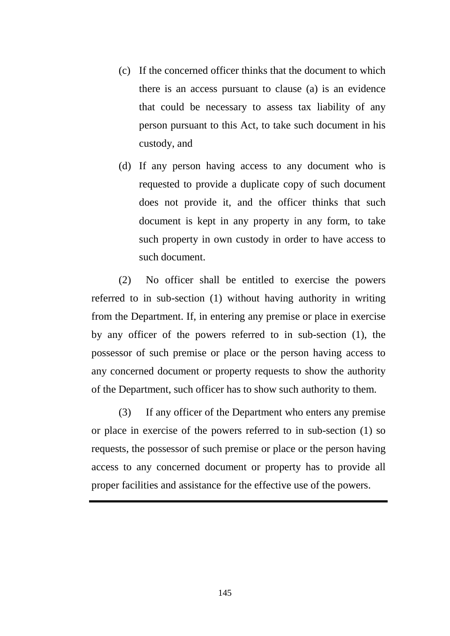- (c) If the concerned officer thinks that the document to which there is an access pursuant to clause (a) is an evidence that could be necessary to assess tax liability of any person pursuant to this Act, to take such document in his custody, and
- (d) If any person having access to any document who is requested to provide a duplicate copy of such document does not provide it, and the officer thinks that such document is kept in any property in any form, to take such property in own custody in order to have access to such document.

(2) No officer shall be entitled to exercise the powers referred to in sub-section (1) without having authority in writing from the Department. If, in entering any premise or place in exercise by any officer of the powers referred to in sub-section (1), the possessor of such premise or place or the person having access to any concerned document or property requests to show the authority of the Department, such officer has to show such authority to them.

(3) If any officer of the Department who enters any premise or place in exercise of the powers referred to in sub-section (1) so requests, the possessor of such premise or place or the person having access to any concerned document or property has to provide all proper facilities and assistance for the effective use of the powers.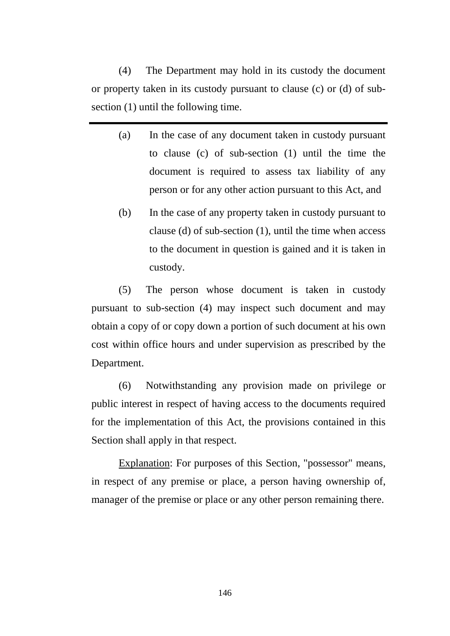(4) The Department may hold in its custody the document or property taken in its custody pursuant to clause (c) or (d) of subsection (1) until the following time.

- (a) In the case of any document taken in custody pursuant to clause (c) of sub-section (1) until the time the document is required to assess tax liability of any person or for any other action pursuant to this Act, and
- (b) In the case of any property taken in custody pursuant to clause (d) of sub-section (1), until the time when access to the document in question is gained and it is taken in custody.

(5) The person whose document is taken in custody pursuant to sub-section (4) may inspect such document and may obtain a copy of or copy down a portion of such document at his own cost within office hours and under supervision as prescribed by the Department.

(6) Notwithstanding any provision made on privilege or public interest in respect of having access to the documents required for the implementation of this Act, the provisions contained in this Section shall apply in that respect.

Explanation: For purposes of this Section, "possessor" means, in respect of any premise or place, a person having ownership of, manager of the premise or place or any other person remaining there.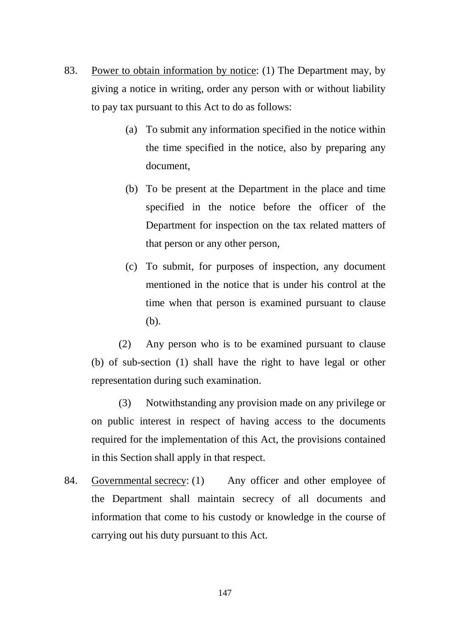- 83. Power to obtain information by notice: (1) The Department may, by giving a notice in writing, order any person with or without liability to pay tax pursuant to this Act to do as follows:
	- (a) To submit any information specified in the notice within the time specified in the notice, also by preparing any document,
	- (b) To be present at the Department in the place and time specified in the notice before the officer of the Department for inspection on the tax related matters of that person or any other person,
	- (c) To submit, for purposes of inspection, any document mentioned in the notice that is under his control at the time when that person is examined pursuant to clause (b).

(2) Any person who is to be examined pursuant to clause (b) of sub-section (1) shall have the right to have legal or other representation during such examination.

(3) Notwithstanding any provision made on any privilege or on public interest in respect of having access to the documents required for the implementation of this Act, the provisions contained in this Section shall apply in that respect.

84. Governmental secrecy: (1) Any officer and other employee of the Department shall maintain secrecy of all documents and information that come to his custody or knowledge in the course of carrying out his duty pursuant to this Act.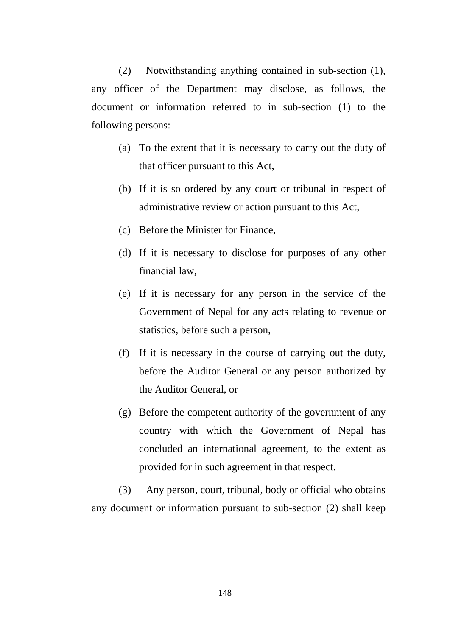(2) Notwithstanding anything contained in sub-section (1), any officer of the Department may disclose, as follows, the document or information referred to in sub-section (1) to the following persons:

- (a) To the extent that it is necessary to carry out the duty of that officer pursuant to this Act,
- (b) If it is so ordered by any court or tribunal in respect of administrative review or action pursuant to this Act,
- (c) Before the Minister for Finance,
- (d) If it is necessary to disclose for purposes of any other financial law,
- (e) If it is necessary for any person in the service of the Government of Nepal for any acts relating to revenue or statistics, before such a person,
- (f) If it is necessary in the course of carrying out the duty, before the Auditor General or any person authorized by the Auditor General, or
- (g) Before the competent authority of the government of any country with which the Government of Nepal has concluded an international agreement, to the extent as provided for in such agreement in that respect.

(3) Any person, court, tribunal, body or official who obtains any document or information pursuant to sub-section (2) shall keep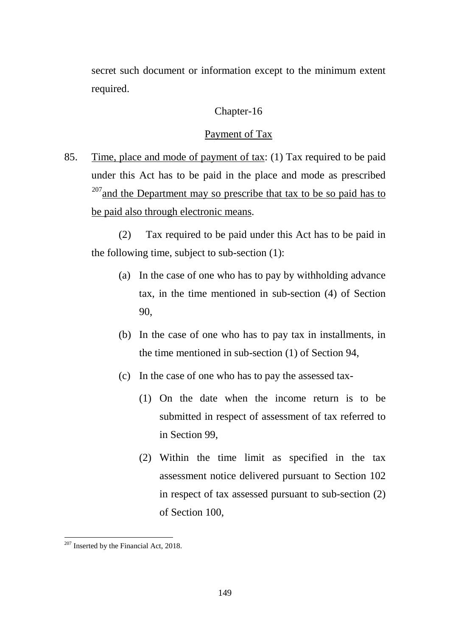secret such document or information except to the minimum extent required.

## Chapter-16

### Payment of Tax

85. Time, place and mode of payment of tax: (1) Tax required to be paid under this Act has to be paid in the place and mode as prescribed  $207$  and the Department may so prescribe that tax to be so paid has to be paid also through electronic means.

(2) Tax required to be paid under this Act has to be paid in the following time, subject to sub-section (1):

- (a) In the case of one who has to pay by withholding advance tax, in the time mentioned in sub-section (4) of Section 90,
- (b) In the case of one who has to pay tax in installments, in the time mentioned in sub-section (1) of Section 94,
- (c) In the case of one who has to pay the assessed tax-
	- (1) On the date when the income return is to be submitted in respect of assessment of tax referred to in Section 99,
	- (2) Within the time limit as specified in the tax assessment notice delivered pursuant to Section 102 in respect of tax assessed pursuant to sub-section (2) of Section 100,

<span id="page-148-0"></span> $207$  Inserted by the Financial Act, 2018. -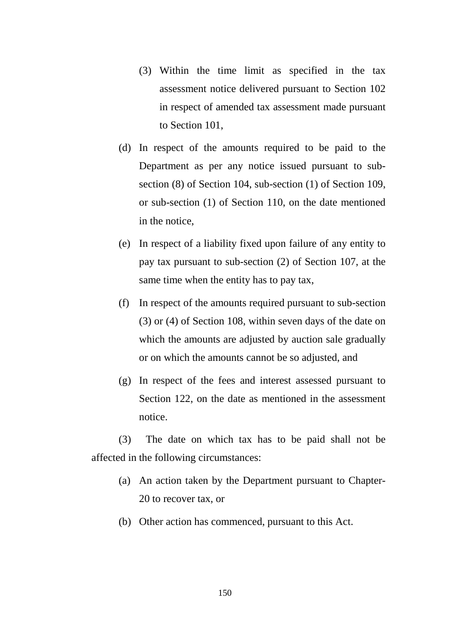- (3) Within the time limit as specified in the tax assessment notice delivered pursuant to Section 102 in respect of amended tax assessment made pursuant to Section 101,
- (d) In respect of the amounts required to be paid to the Department as per any notice issued pursuant to subsection (8) of Section 104, sub-section (1) of Section 109, or sub-section (1) of Section 110, on the date mentioned in the notice,
- (e) In respect of a liability fixed upon failure of any entity to pay tax pursuant to sub-section (2) of Section 107, at the same time when the entity has to pay tax,
- (f) In respect of the amounts required pursuant to sub-section (3) or (4) of Section 108, within seven days of the date on which the amounts are adjusted by auction sale gradually or on which the amounts cannot be so adjusted, and
- (g) In respect of the fees and interest assessed pursuant to Section 122, on the date as mentioned in the assessment notice.

(3) The date on which tax has to be paid shall not be affected in the following circumstances:

- (a) An action taken by the Department pursuant to Chapter-20 to recover tax, or
- (b) Other action has commenced, pursuant to this Act.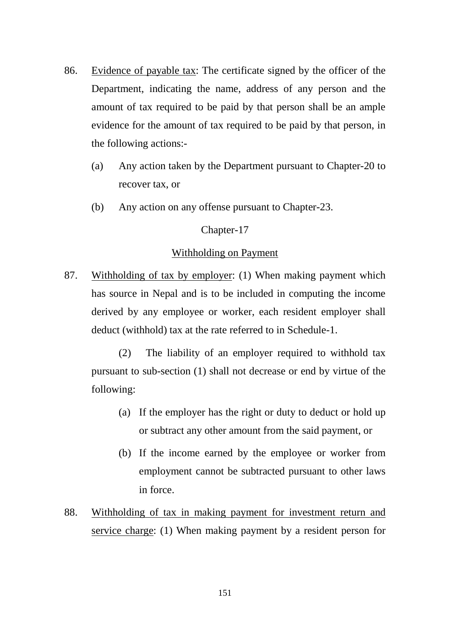- 86. Evidence of payable tax: The certificate signed by the officer of the Department, indicating the name, address of any person and the amount of tax required to be paid by that person shall be an ample evidence for the amount of tax required to be paid by that person, in the following actions:-
	- (a) Any action taken by the Department pursuant to Chapter-20 to recover tax, or
	- (b) Any action on any offense pursuant to Chapter-23.

### Chapter-17

#### Withholding on Payment

87. Withholding of tax by employer: (1) When making payment which has source in Nepal and is to be included in computing the income derived by any employee or worker, each resident employer shall deduct (withhold) tax at the rate referred to in Schedule-1.

(2) The liability of an employer required to withhold tax pursuant to sub-section (1) shall not decrease or end by virtue of the following:

- (a) If the employer has the right or duty to deduct or hold up or subtract any other amount from the said payment, or
- (b) If the income earned by the employee or worker from employment cannot be subtracted pursuant to other laws in force.
- 88. Withholding of tax in making payment for investment return and service charge: (1) When making payment by a resident person for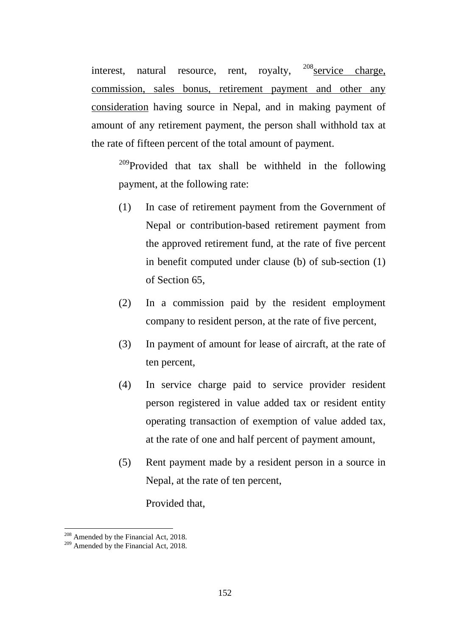interest, natural resource, rent, royalty,  $208$  service charge, commission, sales bonus, retirement payment and other any consideration having source in Nepal, and in making payment of amount of any retirement payment, the person shall withhold tax at the rate of fifteen percent of the total amount of payment.

<sup>[209](#page-151-1)</sup>Provided that tax shall be withheld in the following payment, at the following rate:

- (1) In case of retirement payment from the Government of Nepal or contribution-based retirement payment from the approved retirement fund, at the rate of five percent in benefit computed under clause (b) of sub-section (1) of Section 65,
- (2) In a commission paid by the resident employment company to resident person, at the rate of five percent,
- (3) In payment of amount for lease of aircraft, at the rate of ten percent,
- (4) In service charge paid to service provider resident person registered in value added tax or resident entity operating transaction of exemption of value added tax, at the rate of one and half percent of payment amount,
- (5) Rent payment made by a resident person in a source in Nepal, at the rate of ten percent,

Provided that,

<u>.</u>

<span id="page-151-1"></span><span id="page-151-0"></span> $^{208}$  Amended by the Financial Act, 2018.<br><sup>209</sup> Amended by the Financial Act, 2018.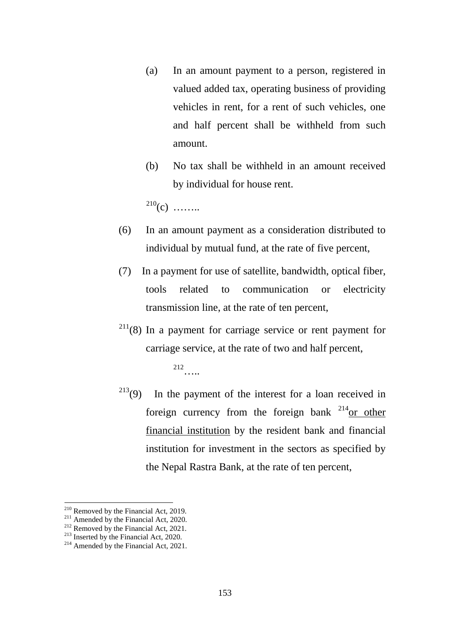- (a) In an amount payment to a person, registered in valued added tax, operating business of providing vehicles in rent, for a rent of such vehicles, one and half percent shall be withheld from such amount.
- (b) No tax shall be withheld in an amount received by individual for house rent.

 $^{210}(c)$  $^{210}(c)$  $^{210}(c)$  ……..

- (6) In an amount payment as a consideration distributed to individual by mutual fund, at the rate of five percent,
- (7) In a payment for use of satellite, bandwidth, optical fiber, tools related to communication or electricity transmission line, at the rate of ten percent,
- $211(8)$  $211(8)$  In a payment for carriage service or rent payment for carriage service, at the rate of two and half percent,

[212](#page-152-2)…..

 $213(9)$  $213(9)$  In the payment of the interest for a loan received in foreign currency from the foreign bank  $^{214}$  $^{214}$  $^{214}$ or other financial institution by the resident bank and financial institution for investment in the sectors as specified by the Nepal Rastra Bank, at the rate of ten percent,

<span id="page-152-0"></span> $210$  Removed by the Financial Act, 2019.

<span id="page-152-1"></span><sup>2&</sup>lt;sup>11</sup> Amended by the Financial Act, 2020.<br><sup>212</sup> Removed by the Financial Act, 2021.<br><sup>213</sup> Inserted by the Financial Act, 2020.<br><sup>214</sup> Amended by the Financial Act, 2021.

<span id="page-152-2"></span>

<span id="page-152-3"></span>

<span id="page-152-4"></span>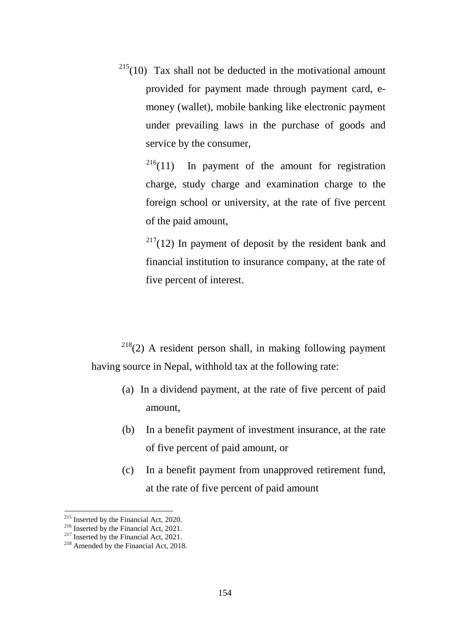$215(10)$  $215(10)$  Tax shall not be deducted in the motivational amount provided for payment made through payment card, emoney (wallet), mobile banking like electronic payment under prevailing laws in the purchase of goods and service by the consumer,

> $216(11)$  $216(11)$  In payment of the amount for registration charge, study charge and examination charge to the foreign school or university, at the rate of five percent of the paid amount,

> $2^{17}(12)$  In payment of deposit by the resident bank and financial institution to insurance company, at the rate of five percent of interest.

 $218(2)$  $218(2)$  A resident person shall, in making following payment having source in Nepal, withhold tax at the following rate:

- (a) In a dividend payment, at the rate of five percent of paid amount,
- (b) In a benefit payment of investment insurance, at the rate of five percent of paid amount, or
- (c) In a benefit payment from unapproved retirement fund, at the rate of five percent of paid amount

 $^{215}$  Inserted by the Financial Act, 2020.

<span id="page-153-3"></span><span id="page-153-2"></span>

<span id="page-153-1"></span><span id="page-153-0"></span><sup>&</sup>lt;sup>216</sup> Inserted by the Financial Act, 2021.<br><sup>217</sup> Inserted by the Financial Act, 2021.<br><sup>218</sup> Amended by the Financial Act, 2018.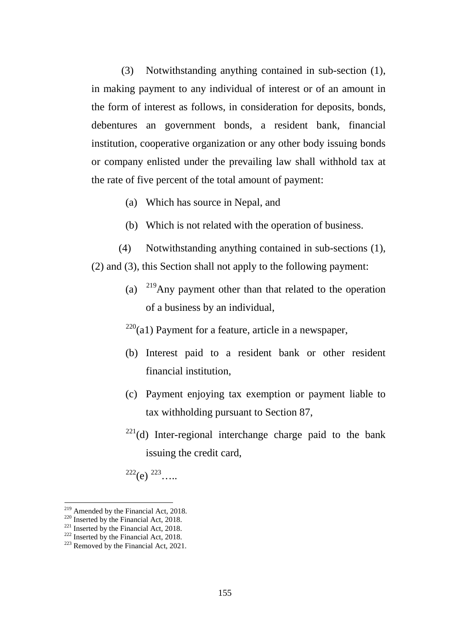(3) Notwithstanding anything contained in sub-section (1), in making payment to any individual of interest or of an amount in the form of interest as follows, in consideration for deposits, bonds, debentures an government bonds, a resident bank, financial institution, cooperative organization or any other body issuing bonds or company enlisted under the prevailing law shall withhold tax at the rate of five percent of the total amount of payment:

- (a) Which has source in Nepal, and
- (b) Which is not related with the operation of business.
- (4) Notwithstanding anything contained in sub-sections (1), (2) and (3), this Section shall not apply to the following payment:
	- (a) [219](#page-154-0)Any payment other than that related to the operation of a business by an individual,

 $220$ (a1) Payment for a feature, article in a newspaper,

- (b) Interest paid to a resident bank or other resident financial institution,
- (c) Payment enjoying tax exemption or payment liable to tax withholding pursuant to Section 87,
- $^{221}$  $^{221}$  $^{221}$ (d) Inter-regional interchange charge paid to the bank issuing the credit card,

 $^{222}$  $^{222}$  $^{222}$ (e)  $^{223}$  $^{223}$  $^{223}$ …...

<span id="page-154-0"></span> $219$  Amended by the Financial Act, 2018.

<span id="page-154-3"></span>

<span id="page-154-2"></span><span id="page-154-1"></span><sup>&</sup>lt;sup>220</sup> Inserted by the Financial Act, 2018.<br><sup>221</sup> Inserted by the Financial Act, 2018.<br><sup>222</sup> Inserted by the Financial Act, 2018.<br><sup>223</sup> Removed by the Financial Act, 2021.

<span id="page-154-4"></span>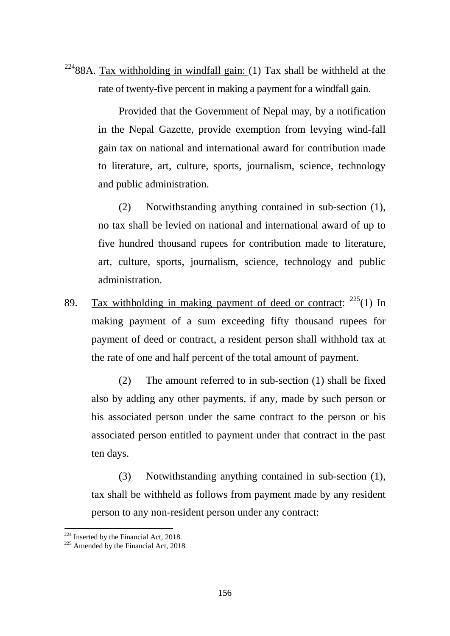$22488A$  $22488A$ . Tax withholding in windfall gain: (1) Tax shall be withheld at the rate of twenty-five percent in making a payment for a windfall gain.

> Provided that the Government of Nepal may, by a notification in the Nepal Gazette, provide exemption from levying wind-fall gain tax on national and international award for contribution made to literature, art, culture, sports, journalism, science, technology and public administration.

> (2) Notwithstanding anything contained in sub-section (1), no tax shall be levied on national and international award of up to five hundred thousand rupees for contribution made to literature, art, culture, sports, journalism, science, technology and public administration.

89. Tax withholding in making payment of deed or contract:  $225(1)$  $225(1)$  In making payment of a sum exceeding fifty thousand rupees for payment of deed or contract, a resident person shall withhold tax at the rate of one and half percent of the total amount of payment.

(2) The amount referred to in sub-section (1) shall be fixed also by adding any other payments, if any, made by such person or his associated person under the same contract to the person or his associated person entitled to payment under that contract in the past ten days.

(3) Notwithstanding anything contained in sub-section (1), tax shall be withheld as follows from payment made by any resident person to any non-resident person under any contract:

<sup>&</sup>lt;u>.</u>

<span id="page-155-1"></span><span id="page-155-0"></span> $^{224}$  Inserted by the Financial Act, 2018.<br> $^{225}$  Amended by the Financial Act, 2018.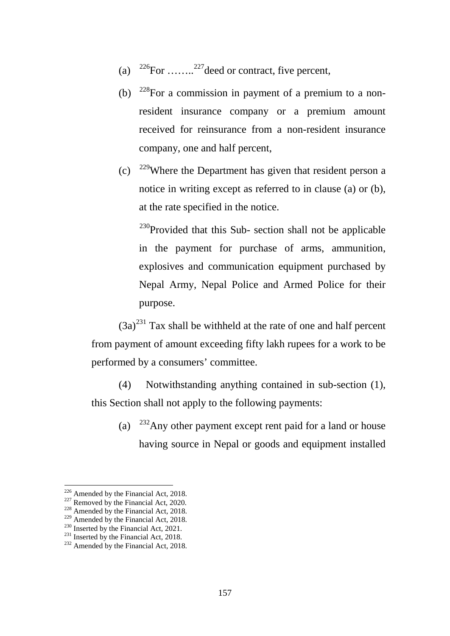- (a)  $^{226}$  $^{226}$  $^{226}$ For ….....<sup>[227](#page-156-1)</sup> deed or contract, five percent,
- (b)  $228$ For a commission in payment of a premium to a nonresident insurance company or a premium amount received for reinsurance from a non-resident insurance company, one and half percent,
- (c)  $^{229}$  $^{229}$  $^{229}$ Where the Department has given that resident person a notice in writing except as referred to in clause (a) or (b), at the rate specified in the notice.

 $^{230}$  $^{230}$  $^{230}$ Provided that this Sub- section shall not be applicable in the payment for purchase of arms, ammunition, explosives and communication equipment purchased by Nepal Army, Nepal Police and Armed Police for their purpose.

 $(3a)^{231}$  $(3a)^{231}$  $(3a)^{231}$  Tax shall be withheld at the rate of one and half percent from payment of amount exceeding fifty lakh rupees for a work to be performed by a consumers' committee.

(4) Notwithstanding anything contained in sub-section (1), this Section shall not apply to the following payments:

(a)  $^{232}$  $^{232}$  $^{232}$ Any other payment except rent paid for a land or house having source in Nepal or goods and equipment installed

<span id="page-156-0"></span><sup>&</sup>lt;sup>226</sup> Amended by the Financial Act, 2018.

<span id="page-156-2"></span><span id="page-156-1"></span><sup>&</sup>lt;sup>227</sup> Removed by the Financial Act, 2020.<br><sup>228</sup> Amended by the Financial Act, 2018.<br><sup>229</sup> Amended by the Financial Act, 2018.

<span id="page-156-6"></span>

<span id="page-156-5"></span><span id="page-156-4"></span><span id="page-156-3"></span><sup>&</sup>lt;sup>230</sup> Inserted by the Financial Act, 2021.<br><sup>231</sup> Inserted by the Financial Act, 2018.<br><sup>232</sup> Amended by the Financial Act, 2018.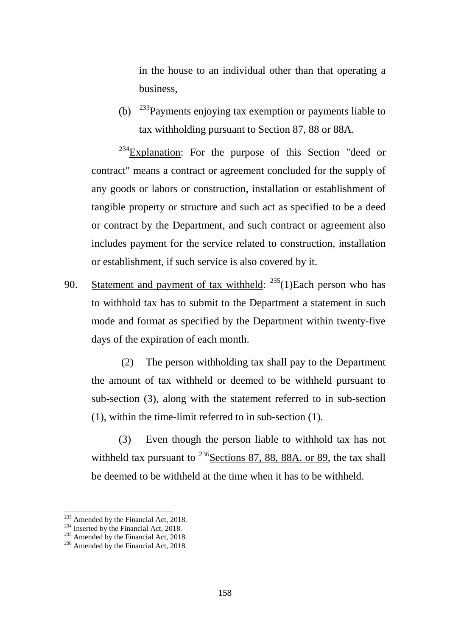in the house to an individual other than that operating a business,

(b)  $^{233}$  $^{233}$  $^{233}$ Payments enjoying tax exemption or payments liable to tax withholding pursuant to Section 87, 88 or 88A.

 $234$ Explanation: For the purpose of this Section "deed or contract" means a contract or agreement concluded for the supply of any goods or labors or construction, installation or establishment of tangible property or structure and such act as specified to be a deed or contract by the Department, and such contract or agreement also includes payment for the service related to construction, installation or establishment, if such service is also covered by it.

90. Statement and payment of tax withheld:  $235(1)$  $235(1)$ Each person who has to withhold tax has to submit to the Department a statement in such mode and format as specified by the Department within twenty-five days of the expiration of each month.

(2) The person withholding tax shall pay to the Department the amount of tax withheld or deemed to be withheld pursuant to sub-section (3), along with the statement referred to in sub-section (1), within the time-limit referred to in sub-section (1).

(3) Even though the person liable to withhold tax has not withheld tax pursuant to  $^{236}$  $^{236}$  $^{236}$ Sections 87, 88, 88A. or 89, the tax shall be deemed to be withheld at the time when it has to be withheld.

<sup>&</sup>lt;sup>233</sup> Amended by the Financial Act, 2018.

<span id="page-157-2"></span><span id="page-157-1"></span><span id="page-157-0"></span><sup>&</sup>lt;sup>234</sup> Inserted by the Financial Act, 2018.<br><sup>235</sup> Amended by the Financial Act, 2018.<br><sup>236</sup> Amended by the Financial Act, 2018.

<span id="page-157-3"></span>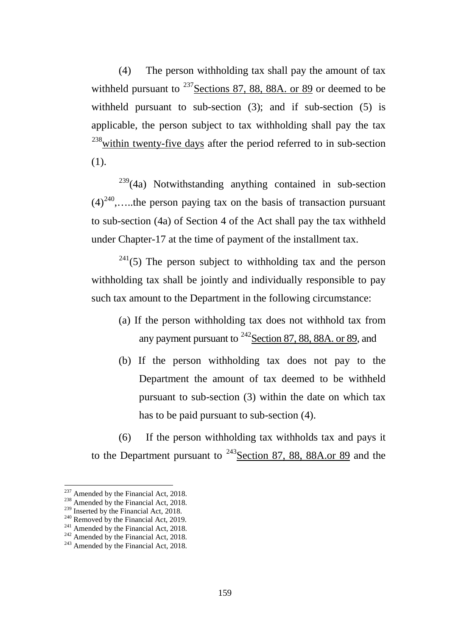(4) The person withholding tax shall pay the amount of tax withheld pursuant to  $^{237}$  $^{237}$  $^{237}$  Sections 87, 88, 88A. or 89 or deemed to be withheld pursuant to sub-section (3); and if sub-section (5) is applicable, the person subject to tax withholding shall pay the tax  $^{238}$  $^{238}$  $^{238}$ within twenty-five days after the period referred to in sub-section (1).

 $239(4a)$  $239(4a)$  Notwithstanding anything contained in sub-section  $(4)^{240}$ ,....the person paying tax on the basis of transaction pursuant to sub-section (4a) of Section 4 of the Act shall pay the tax withheld under Chapter-17 at the time of payment of the installment tax.

 $241(5)$  $241(5)$  The person subject to withholding tax and the person withholding tax shall be jointly and individually responsible to pay such tax amount to the Department in the following circumstance:

- (a) If the person withholding tax does not withhold tax from any payment pursuant to  $^{242}$ Section 87, 88, 88A. or 89, and
- (b) If the person withholding tax does not pay to the Department the amount of tax deemed to be withheld pursuant to sub-section (3) within the date on which tax has to be paid pursuant to sub-section (4).

(6) If the person withholding tax withholds tax and pays it to the Department pursuant to  $243$  Section 87, 88, 88A.or 89 and the

<span id="page-158-0"></span><sup>&</sup>lt;sup>237</sup> Amended by the Financial Act, 2018.

<span id="page-158-3"></span>

<span id="page-158-5"></span><span id="page-158-4"></span>

<span id="page-158-2"></span><span id="page-158-1"></span><sup>&</sup>lt;sup>238</sup> Amended by the Financial Act, 2018.<br><sup>239</sup> Inserted by the Financial Act, 2018.<br><sup>240</sup> Removed by the Financial Act, 2019.<br><sup>241</sup> Amended by the Financial Act, 2018.<br><sup>242</sup> Amended by the Financial Act, 2018.<br><sup>243</sup> Amen

<span id="page-158-6"></span>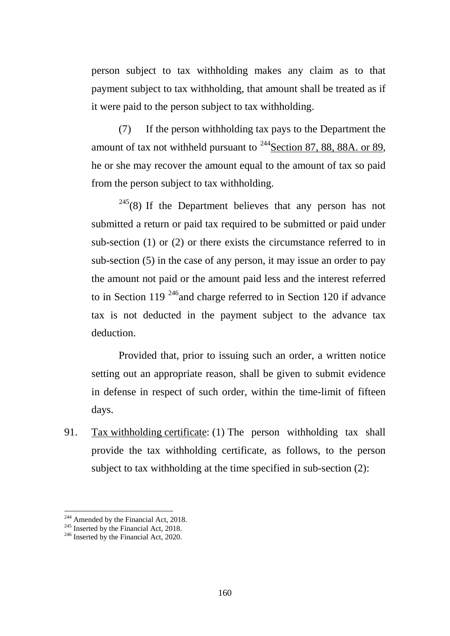person subject to tax withholding makes any claim as to that payment subject to tax withholding, that amount shall be treated as if it were paid to the person subject to tax withholding.

(7) If the person withholding tax pays to the Department the amount of tax not withheld pursuant to  $244$ Section 87, 88, 88A. or 89, he or she may recover the amount equal to the amount of tax so paid from the person subject to tax withholding.

 $245(8)$  $245(8)$  If the Department believes that any person has not submitted a return or paid tax required to be submitted or paid under sub-section (1) or (2) or there exists the circumstance referred to in sub-section (5) in the case of any person, it may issue an order to pay the amount not paid or the amount paid less and the interest referred to in Section 119<sup>246</sup> and charge referred to in Section 120 if advance tax is not deducted in the payment subject to the advance tax deduction.

Provided that, prior to issuing such an order, a written notice setting out an appropriate reason, shall be given to submit evidence in defense in respect of such order, within the time-limit of fifteen days.

91. Tax withholding certificate: (1) The person withholding tax shall provide the tax withholding certificate, as follows, to the person subject to tax withholding at the time specified in sub-section (2):

<sup>&</sup>lt;sup>244</sup> Amended by the Financial Act, 2018.

<span id="page-159-2"></span><span id="page-159-1"></span><span id="page-159-0"></span><sup>&</sup>lt;sup>245</sup> Inserted by the Financial Act, 2018.<br><sup>246</sup> Inserted by the Financial Act, 2020.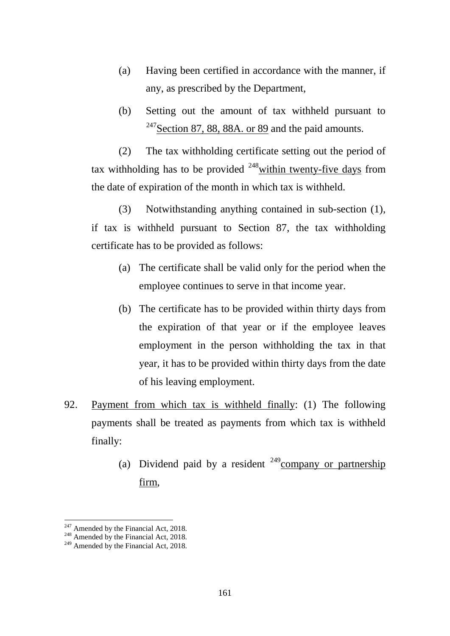- (a) Having been certified in accordance with the manner, if any, as prescribed by the Department,
- (b) Setting out the amount of tax withheld pursuant to  $^{247}$  $^{247}$  $^{247}$ Section 87, 88, 88A. or 89 and the paid amounts.

(2) The tax withholding certificate setting out the period of tax withholding has to be provided  $^{248}$  $^{248}$  $^{248}$  within twenty-five days from the date of expiration of the month in which tax is withheld.

(3) Notwithstanding anything contained in sub-section (1), if tax is withheld pursuant to Section 87, the tax withholding certificate has to be provided as follows:

- (a) The certificate shall be valid only for the period when the employee continues to serve in that income year.
- (b) The certificate has to be provided within thirty days from the expiration of that year or if the employee leaves employment in the person withholding the tax in that year, it has to be provided within thirty days from the date of his leaving employment.
- 92. Payment from which tax is withheld finally: (1) The following payments shall be treated as payments from which tax is withheld finally:
	- (a) Dividend paid by a resident  $249$ company or partnership firm,

-

<span id="page-160-0"></span><sup>&</sup>lt;sup>247</sup> Amended by the Financial Act, 2018.<br><sup>248</sup> Amended by the Financial Act, 2018.<br><sup>249</sup> Amended by the Financial Act, 2018.

<span id="page-160-1"></span>

<span id="page-160-2"></span>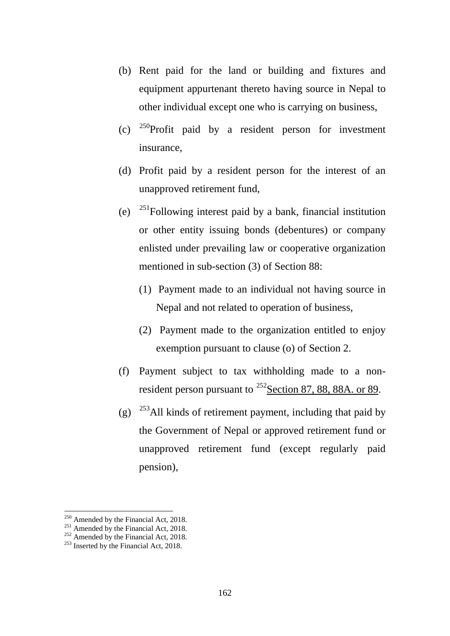- (b) Rent paid for the land or building and fixtures and equipment appurtenant thereto having source in Nepal to other individual except one who is carrying on business,
- (c)  $^{250}$  $^{250}$  $^{250}$ Profit paid by a resident person for investment insurance,
- (d) Profit paid by a resident person for the interest of an unapproved retirement fund,
- (e)  $^{251}$  $^{251}$  $^{251}$ Following interest paid by a bank, financial institution or other entity issuing bonds (debentures) or company enlisted under prevailing law or cooperative organization mentioned in sub-section (3) of Section 88:
	- (1) Payment made to an individual not having source in Nepal and not related to operation of business,
	- (2) Payment made to the organization entitled to enjoy exemption pursuant to clause (o) of Section 2.
- (f) Payment subject to tax withholding made to a nonresident person pursuant to  $^{252}$  $^{252}$  $^{252}$  Section 87, 88, 88A. or 89.
- (g)  $253$ All kinds of retirement payment, including that paid by the Government of Nepal or approved retirement fund or unapproved retirement fund (except regularly paid pension),

 $250$  Amended by the Financial Act, 2018.

<span id="page-161-2"></span><span id="page-161-1"></span><span id="page-161-0"></span><sup>&</sup>lt;sup>251</sup> Amended by the Financial Act, 2018.<br><sup>252</sup> Amended by the Financial Act, 2018.<br><sup>253</sup> Inserted by the Financial Act, 2018.

<span id="page-161-3"></span>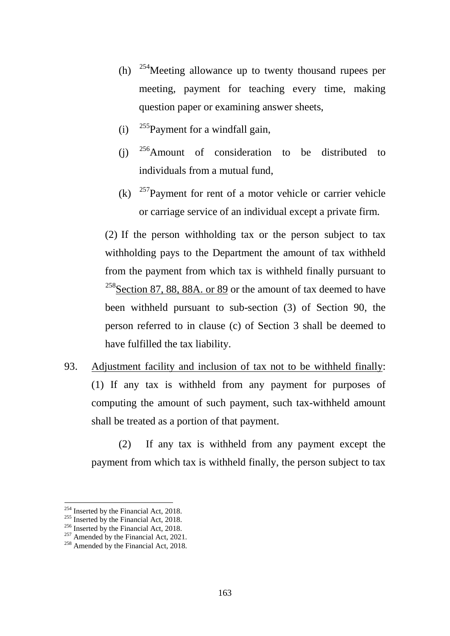- (h)  $^{254}$  $^{254}$  $^{254}$ Meeting allowance up to twenty thousand rupees per meeting, payment for teaching every time, making question paper or examining answer sheets,
- (i)  $^{255}$  $^{255}$  $^{255}$ Payment for a windfall gain,
- (i)  $^{256}$  $^{256}$  $^{256}$ Amount of consideration to be distributed to individuals from a mutual fund,
- (k)  $257$  Payment for rent of a motor vehicle or carrier vehicle or carriage service of an individual except a private firm.

(2) If the person withholding tax or the person subject to tax withholding pays to the Department the amount of tax withheld from the payment from which tax is withheld finally pursuant to  $258$ Section 87, 88, 88A. or 89 or the amount of tax deemed to have been withheld pursuant to sub-section (3) of Section 90, the person referred to in clause (c) of Section 3 shall be deemed to have fulfilled the tax liability.

93. Adjustment facility and inclusion of tax not to be withheld finally: (1) If any tax is withheld from any payment for purposes of computing the amount of such payment, such tax-withheld amount shall be treated as a portion of that payment.

(2) If any tax is withheld from any payment except the payment from which tax is withheld finally, the person subject to tax

<sup>&</sup>lt;sup>254</sup> Inserted by the Financial Act, 2018.

<span id="page-162-3"></span>

<span id="page-162-2"></span><span id="page-162-1"></span><span id="page-162-0"></span><sup>&</sup>lt;sup>255</sup> Inserted by the Financial Act, 2018.<br><sup>256</sup> Inserted by the Financial Act, 2018.<br><sup>257</sup> Amended by the Financial Act, 2018.<br><sup>258</sup> Amended by the Financial Act, 2018.

<span id="page-162-4"></span>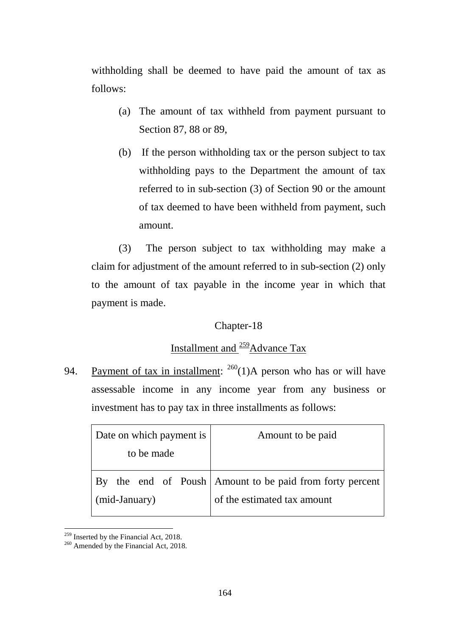withholding shall be deemed to have paid the amount of tax as follows:

- (a) The amount of tax withheld from payment pursuant to Section 87, 88 or 89,
- (b) If the person withholding tax or the person subject to tax withholding pays to the Department the amount of tax referred to in sub-section (3) of Section 90 or the amount of tax deemed to have been withheld from payment, such amount.

(3) The person subject to tax withholding may make a claim for adjustment of the amount referred to in sub-section (2) only to the amount of tax payable in the income year in which that payment is made.

## Chapter-18

# Installment and <sup>[259](#page-163-0)</sup>Advance Tax

94. Payment of tax in installment:  $^{260}(1)$ A person who has or will have assessable income in any income year from any business or investment has to pay tax in three installments as follows:

| Date on which payment is | Amount to be paid                                     |
|--------------------------|-------------------------------------------------------|
| to be made               |                                                       |
| $\rm\,By$                | the end of Poush Amount to be paid from forty percent |
| (mid-January)            | of the estimated tax amount                           |

<sup>&</sup>lt;u>.</u>

<span id="page-163-1"></span><span id="page-163-0"></span> $^{259}$  Inserted by the Financial Act, 2018.<br><sup>260</sup> Amended by the Financial Act, 2018.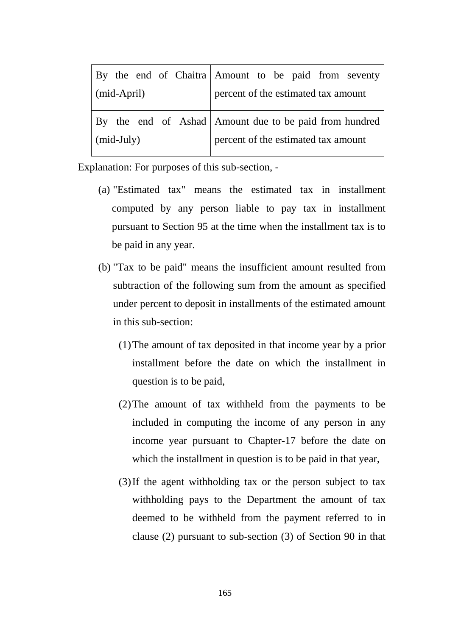|                   |  |  |  |  |                                     | By the end of Chaitra Amount to be paid from seventy   |  |  |  |  |  |
|-------------------|--|--|--|--|-------------------------------------|--------------------------------------------------------|--|--|--|--|--|
| (mid-April)       |  |  |  |  | percent of the estimated tax amount |                                                        |  |  |  |  |  |
|                   |  |  |  |  |                                     | By the end of Ashad Amount due to be paid from hundred |  |  |  |  |  |
| $\mid$ (mid-July) |  |  |  |  | percent of the estimated tax amount |                                                        |  |  |  |  |  |

Explanation: For purposes of this sub-section, -

- (a) "Estimated tax" means the estimated tax in installment computed by any person liable to pay tax in installment pursuant to Section 95 at the time when the installment tax is to be paid in any year.
- (b) "Tax to be paid" means the insufficient amount resulted from subtraction of the following sum from the amount as specified under percent to deposit in installments of the estimated amount in this sub-section:
	- (1)The amount of tax deposited in that income year by a prior installment before the date on which the installment in question is to be paid,
	- (2)The amount of tax withheld from the payments to be included in computing the income of any person in any income year pursuant to Chapter-17 before the date on which the installment in question is to be paid in that year,
	- (3)If the agent withholding tax or the person subject to tax withholding pays to the Department the amount of tax deemed to be withheld from the payment referred to in clause (2) pursuant to sub-section (3) of Section 90 in that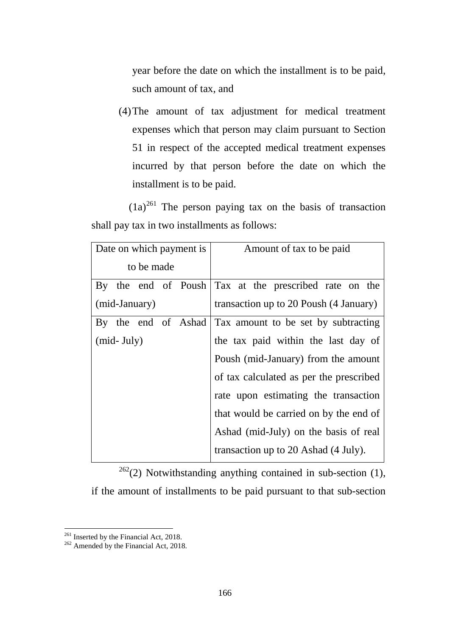year before the date on which the installment is to be paid, such amount of tax, and

(4)The amount of tax adjustment for medical treatment expenses which that person may claim pursuant to Section 51 in respect of the accepted medical treatment expenses incurred by that person before the date on which the installment is to be paid.

 $(1a)^{261}$  $(1a)^{261}$  $(1a)^{261}$  The person paying tax on the basis of transaction shall pay tax in two installments as follows:

|               |                |  |  | Date on which payment is | Amount of tax to be paid                              |
|---------------|----------------|--|--|--------------------------|-------------------------------------------------------|
| to be made    |                |  |  |                          |                                                       |
|               |                |  |  |                          | By the end of Poush Tax at the prescribed rate on the |
| (mid-January) |                |  |  |                          | transaction up to 20 Poush (4 January)                |
|               |                |  |  | By the end of Ashad      | Tax amount to be set by subtracting                   |
|               | $(mid$ - July) |  |  |                          | the tax paid within the last day of                   |
|               |                |  |  |                          | Poush (mid-January) from the amount                   |
|               |                |  |  |                          | of tax calculated as per the prescribed               |
|               |                |  |  |                          | rate upon estimating the transaction                  |
|               |                |  |  |                          | that would be carried on by the end of                |
|               |                |  |  |                          | Ashad (mid-July) on the basis of real                 |
|               |                |  |  |                          | transaction up to 20 Ashad (4 July).                  |

 $262(2)$  $262(2)$  Notwithstanding anything contained in sub-section (1), if the amount of installments to be paid pursuant to that sub-section

<u>.</u>

<span id="page-165-1"></span><span id="page-165-0"></span><sup>&</sup>lt;sup>261</sup> Inserted by the Financial Act, 2018.<br><sup>262</sup> Amended by the Financial Act, 2018.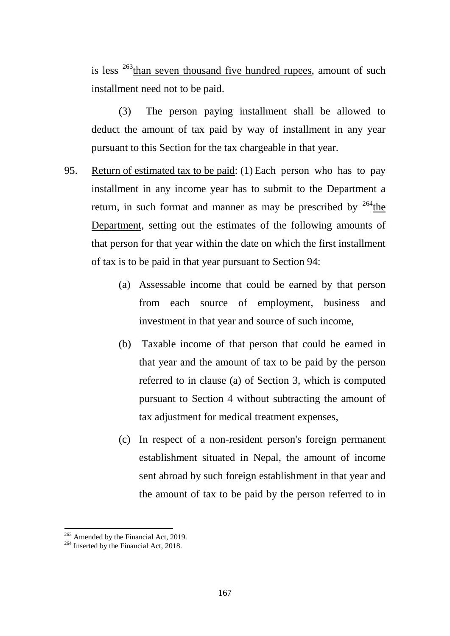is less  $263$ <sup>than seven thousand five hundred rupees, amount of such such</sup> installment need not to be paid.

(3) The person paying installment shall be allowed to deduct the amount of tax paid by way of installment in any year pursuant to this Section for the tax chargeable in that year.

- 95. Return of estimated tax to be paid: (1) Each person who has to pay installment in any income year has to submit to the Department a return, in such format and manner as may be prescribed by  $264$  the Department, setting out the estimates of the following amounts of that person for that year within the date on which the first installment of tax is to be paid in that year pursuant to Section 94:
	- (a) Assessable income that could be earned by that person from each source of employment, business and investment in that year and source of such income,
	- (b) Taxable income of that person that could be earned in that year and the amount of tax to be paid by the person referred to in clause (a) of Section 3, which is computed pursuant to Section 4 without subtracting the amount of tax adjustment for medical treatment expenses,
	- (c) In respect of a non-resident person's foreign permanent establishment situated in Nepal, the amount of income sent abroad by such foreign establishment in that year and the amount of tax to be paid by the person referred to in

<u>.</u>

<span id="page-166-0"></span> $^{263}$  Amended by the Financial Act, 2019.<br><sup>264</sup> Inserted by the Financial Act, 2018.

<span id="page-166-1"></span>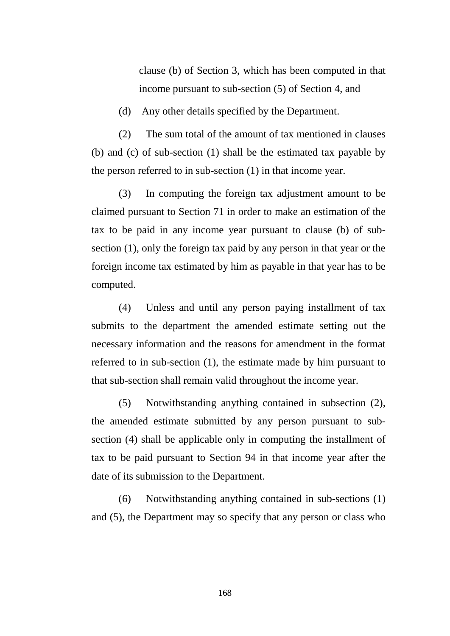clause (b) of Section 3, which has been computed in that income pursuant to sub-section (5) of Section 4, and

(d) Any other details specified by the Department.

(2) The sum total of the amount of tax mentioned in clauses (b) and (c) of sub-section (1) shall be the estimated tax payable by the person referred to in sub-section (1) in that income year.

(3) In computing the foreign tax adjustment amount to be claimed pursuant to Section 71 in order to make an estimation of the tax to be paid in any income year pursuant to clause (b) of subsection (1), only the foreign tax paid by any person in that year or the foreign income tax estimated by him as payable in that year has to be computed.

(4) Unless and until any person paying installment of tax submits to the department the amended estimate setting out the necessary information and the reasons for amendment in the format referred to in sub-section (1), the estimate made by him pursuant to that sub-section shall remain valid throughout the income year.

(5) Notwithstanding anything contained in subsection (2), the amended estimate submitted by any person pursuant to subsection (4) shall be applicable only in computing the installment of tax to be paid pursuant to Section 94 in that income year after the date of its submission to the Department.

(6) Notwithstanding anything contained in sub-sections (1) and (5), the Department may so specify that any person or class who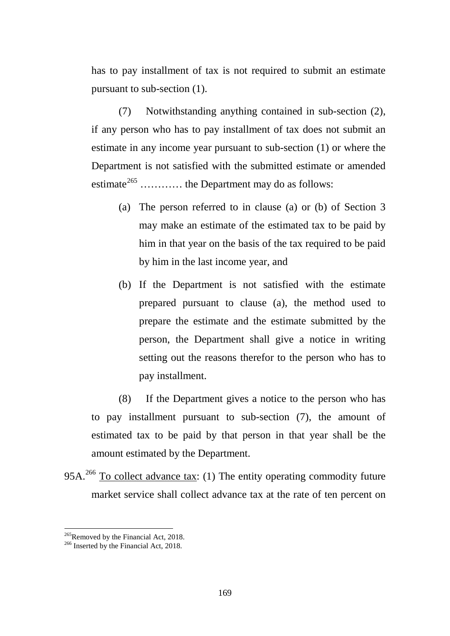has to pay installment of tax is not required to submit an estimate pursuant to sub-section (1).

(7) Notwithstanding anything contained in sub-section (2), if any person who has to pay installment of tax does not submit an estimate in any income year pursuant to sub-section (1) or where the Department is not satisfied with the submitted estimate or amended estimate<sup>[265](#page-168-0)</sup> ............ the Department may do as follows:

- (a) The person referred to in clause (a) or (b) of Section 3 may make an estimate of the estimated tax to be paid by him in that year on the basis of the tax required to be paid by him in the last income year, and
- (b) If the Department is not satisfied with the estimate prepared pursuant to clause (a), the method used to prepare the estimate and the estimate submitted by the person, the Department shall give a notice in writing setting out the reasons therefor to the person who has to pay installment.

(8) If the Department gives a notice to the person who has to pay installment pursuant to sub-section (7), the amount of estimated tax to be paid by that person in that year shall be the amount estimated by the Department.

95A.<sup>[266](#page-168-1)</sup> To collect advance tax: (1) The entity operating commodity future market service shall collect advance tax at the rate of ten percent on

<u>.</u>

<span id="page-168-0"></span><sup>&</sup>lt;sup>265</sup>Removed by the Financial Act, 2018.<br><sup>266</sup> Inserted by the Financial Act, 2018.

<span id="page-168-1"></span>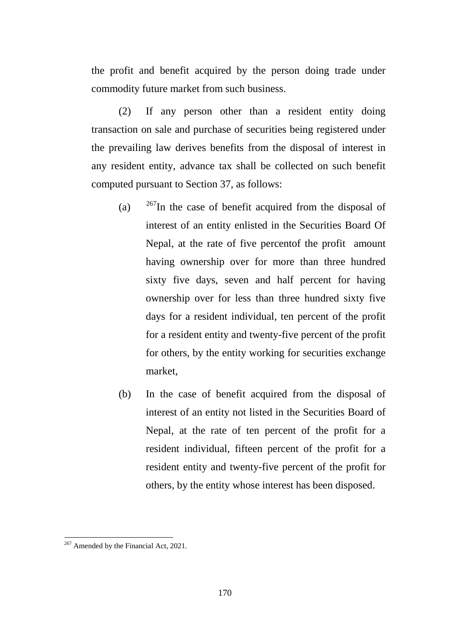the profit and benefit acquired by the person doing trade under commodity future market from such business.

(2) If any person other than a resident entity doing transaction on sale and purchase of securities being registered under the prevailing law derives benefits from the disposal of interest in any resident entity, advance tax shall be collected on such benefit computed pursuant to Section 37, as follows:

- (a)  $267$ In the case of benefit acquired from the disposal of interest of an entity enlisted in the Securities Board Of Nepal, at the rate of five percentof the profit amount having ownership over for more than three hundred sixty five days, seven and half percent for having ownership over for less than three hundred sixty five days for a resident individual, ten percent of the profit for a resident entity and twenty-five percent of the profit for others, by the entity working for securities exchange market,
- (b) In the case of benefit acquired from the disposal of interest of an entity not listed in the Securities Board of Nepal, at the rate of ten percent of the profit for a resident individual, fifteen percent of the profit for a resident entity and twenty-five percent of the profit for others, by the entity whose interest has been disposed.

-

<span id="page-169-0"></span><sup>&</sup>lt;sup>267</sup> Amended by the Financial Act, 2021.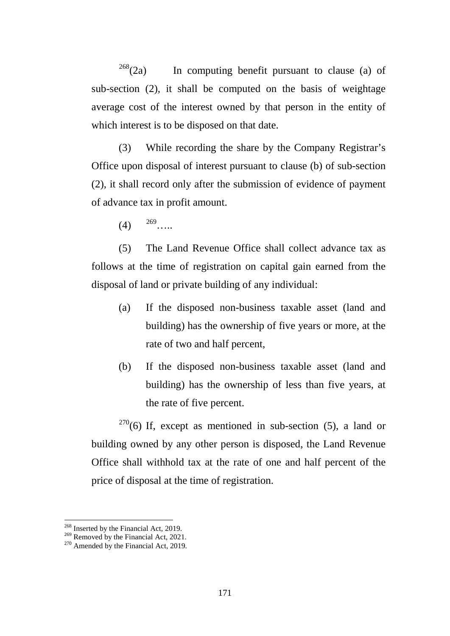$268$ (2a) In computing benefit pursuant to clause (a) of sub-section (2), it shall be computed on the basis of weightage average cost of the interest owned by that person in the entity of which interest is to be disposed on that date.

(3) While recording the share by the Company Registrar's Office upon disposal of interest pursuant to clause (b) of sub-section (2), it shall record only after the submission of evidence of payment of advance tax in profit amount.

(5) The Land Revenue Office shall collect advance tax as follows at the time of registration on capital gain earned from the disposal of land or private building of any individual:

- (a) If the disposed non-business taxable asset (land and building) has the ownership of five years or more, at the rate of two and half percent,
- (b) If the disposed non-business taxable asset (land and building) has the ownership of less than five years, at the rate of five percent.

 $270(6)$  $270(6)$  If, except as mentioned in sub-section (5), a land or building owned by any other person is disposed, the Land Revenue Office shall withhold tax at the rate of one and half percent of the price of disposal at the time of registration.

 $(4)$   $269$  .....

<sup>&</sup>lt;sup>268</sup> Inserted by the Financial Act, 2019.

<span id="page-170-1"></span><span id="page-170-0"></span><sup>&</sup>lt;sup>269</sup> Removed by the Financial Act, 2021.<br><sup>270</sup> Amended by the Financial Act, 2019.

<span id="page-170-2"></span>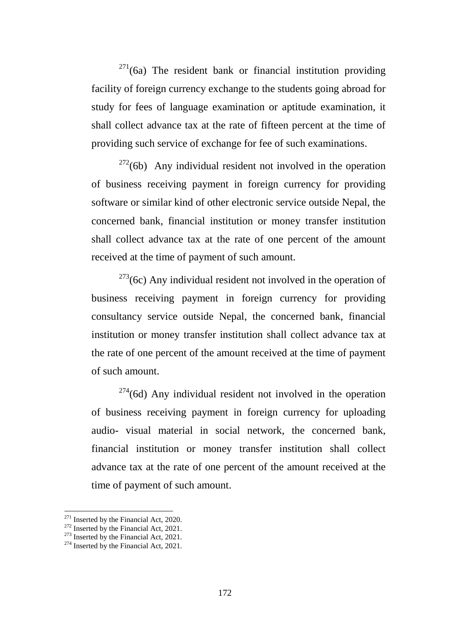$271(6a)$  $271(6a)$  The resident bank or financial institution providing facility of foreign currency exchange to the students going abroad for study for fees of language examination or aptitude examination, it shall collect advance tax at the rate of fifteen percent at the time of providing such service of exchange for fee of such examinations.

 $272(6b)$  $272(6b)$  Any individual resident not involved in the operation of business receiving payment in foreign currency for providing software or similar kind of other electronic service outside Nepal, the concerned bank, financial institution or money transfer institution shall collect advance tax at the rate of one percent of the amount received at the time of payment of such amount.

 $273$ (6c) Any individual resident not involved in the operation of business receiving payment in foreign currency for providing consultancy service outside Nepal, the concerned bank, financial institution or money transfer institution shall collect advance tax at the rate of one percent of the amount received at the time of payment of such amount.

 $274$ (6d) Any individual resident not involved in the operation of business receiving payment in foreign currency for uploading audio- visual material in social network, the concerned bank, financial institution or money transfer institution shall collect advance tax at the rate of one percent of the amount received at the time of payment of such amount.

 $271$  Inserted by the Financial Act, 2020.

<span id="page-171-2"></span><span id="page-171-1"></span><span id="page-171-0"></span><sup>&</sup>lt;sup>272</sup> Inserted by the Financial Act, 2021.<br><sup>273</sup> Inserted by the Financial Act, 2021.<br><sup>274</sup> Inserted by the Financial Act, 2021.

<span id="page-171-3"></span>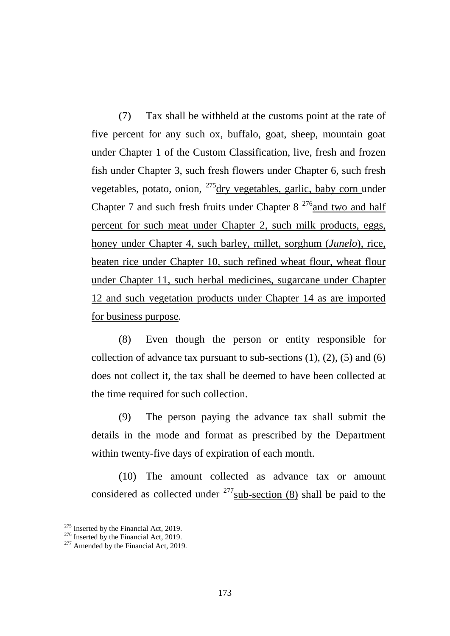(7) Tax shall be withheld at the customs point at the rate of five percent for any such ox, buffalo, goat, sheep, mountain goat under Chapter 1 of the Custom Classification, live, fresh and frozen fish under Chapter 3, such fresh flowers under Chapter 6, such fresh vegetables, potato, onion,  $^{275}$  $^{275}$  $^{275}$ dry vegetables, garlic, baby corn under Chapter 7 and such fresh fruits under Chapter  $8^{276}$  and two and half percent for such meat under Chapter 2, such milk products, eggs, honey under Chapter 4, such barley, millet, sorghum (*Junelo*), rice, beaten rice under Chapter 10, such refined wheat flour, wheat flour under Chapter 11, such herbal medicines, sugarcane under Chapter 12 and such vegetation products under Chapter 14 as are imported for business purpose.

(8) Even though the person or entity responsible for collection of advance tax pursuant to sub-sections  $(1)$ ,  $(2)$ ,  $(5)$  and  $(6)$ does not collect it, the tax shall be deemed to have been collected at the time required for such collection.

(9) The person paying the advance tax shall submit the details in the mode and format as prescribed by the Department within twenty-five days of expiration of each month.

(10) The amount collected as advance tax or amount considered as collected under  $277$  sub-section (8) shall be paid to the

-

<span id="page-172-1"></span><span id="page-172-0"></span><sup>&</sup>lt;sup>275</sup> Inserted by the Financial Act, 2019.<br><sup>276</sup> Inserted by the Financial Act, 2019.<br><sup>277</sup> Amended by the Financial Act, 2019.

<span id="page-172-2"></span>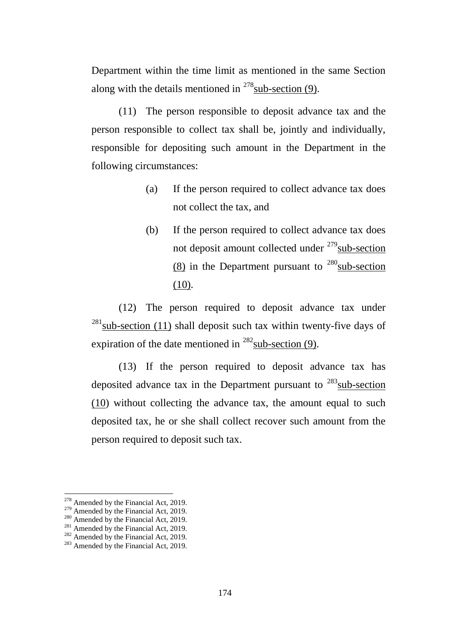Department within the time limit as mentioned in the same Section along with the details mentioned in  $278$  sub-section (9).

(11) The person responsible to deposit advance tax and the person responsible to collect tax shall be, jointly and individually, responsible for depositing such amount in the Department in the following circumstances:

- (a) If the person required to collect advance tax does not collect the tax, and
- (b) If the person required to collect advance tax does not deposit amount collected under  $279$  sub-section (8) in the Department pursuant to  $^{280}$ sub-section  $(10)$ .

(12) The person required to deposit advance tax under  $^{281}$  $^{281}$  $^{281}$ sub-section (11) shall deposit such tax within twenty-five days of expiration of the date mentioned in  $^{282}$  $^{282}$  $^{282}$ sub-section (9).

(13) If the person required to deposit advance tax has deposited advance tax in the Department pursuant to  $283$  sub-section (10) without collecting the advance tax, the amount equal to such deposited tax, he or she shall collect recover such amount from the person required to deposit such tax.

<sup>&</sup>lt;sup>278</sup> Amended by the Financial Act, 2019.

<span id="page-173-4"></span><span id="page-173-3"></span>

<span id="page-173-2"></span><span id="page-173-1"></span><span id="page-173-0"></span><sup>&</sup>lt;sup>279</sup> Amended by the Financial Act, 2019.<br><sup>280</sup> Amended by the Financial Act, 2019.<br><sup>281</sup> Amended by the Financial Act, 2019.<br><sup>282</sup> Amended by the Financial Act, 2019.<br><sup>283</sup> Amended by the Financial Act, 2019.

<span id="page-173-5"></span>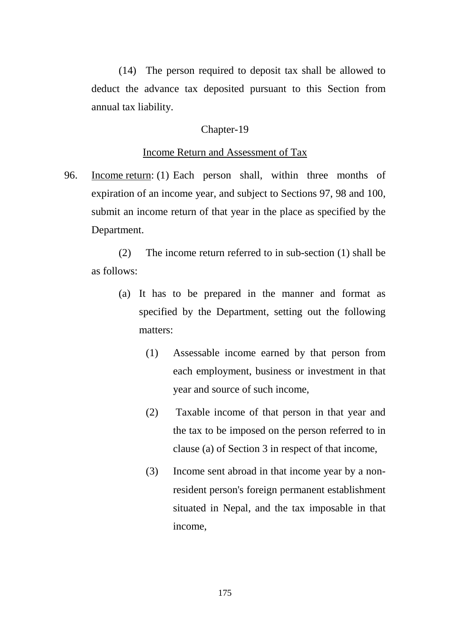(14) The person required to deposit tax shall be allowed to deduct the advance tax deposited pursuant to this Section from annual tax liability.

### Chapter-19

### Income Return and Assessment of Tax

96. Income return: (1) Each person shall, within three months of expiration of an income year, and subject to Sections 97, 98 and 100, submit an income return of that year in the place as specified by the Department.

(2) The income return referred to in sub-section (1) shall be as follows:

- (a) It has to be prepared in the manner and format as specified by the Department, setting out the following matters:
	- (1) Assessable income earned by that person from each employment, business or investment in that year and source of such income,
	- (2) Taxable income of that person in that year and the tax to be imposed on the person referred to in clause (a) of Section 3 in respect of that income,
	- (3) Income sent abroad in that income year by a nonresident person's foreign permanent establishment situated in Nepal, and the tax imposable in that income,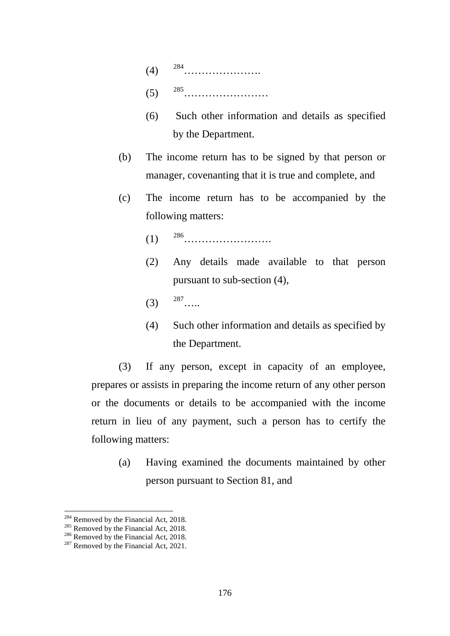- (4) [284](#page-175-0)………………….
- (5) [285](#page-175-1)……………………
- (6) Such other information and details as specified by the Department.
- (b) The income return has to be signed by that person or manager, covenanting that it is true and complete, and
- (c) The income return has to be accompanied by the following matters:
	- (1) [286](#page-175-2)…………………….
	- (2) Any details made available to that person pursuant to sub-section (4),
	- $(3)$   $287$  .....
	- (4) Such other information and details as specified by the Department.

(3) If any person, except in capacity of an employee, prepares or assists in preparing the income return of any other person or the documents or details to be accompanied with the income return in lieu of any payment, such a person has to certify the following matters:

(a) Having examined the documents maintained by other person pursuant to Section 81, and

<sup>&</sup>lt;sup>284</sup> Removed by the Financial Act, 2018.

<span id="page-175-2"></span><span id="page-175-1"></span><span id="page-175-0"></span><sup>285</sup> Removed by the Financial Act, 2018.<br><sup>286</sup> Removed by the Financial Act, 2018.<br><sup>287</sup> Removed by the Financial Act, 2021.

<span id="page-175-3"></span>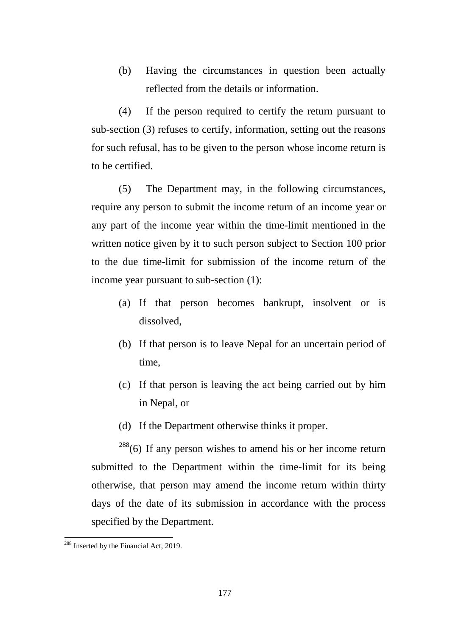(b) Having the circumstances in question been actually reflected from the details or information.

(4) If the person required to certify the return pursuant to sub-section (3) refuses to certify, information, setting out the reasons for such refusal, has to be given to the person whose income return is to be certified.

(5) The Department may, in the following circumstances, require any person to submit the income return of an income year or any part of the income year within the time-limit mentioned in the written notice given by it to such person subject to Section 100 prior to the due time-limit for submission of the income return of the income year pursuant to sub-section (1):

- (a) If that person becomes bankrupt, insolvent or is dissolved,
- (b) If that person is to leave Nepal for an uncertain period of time,
- (c) If that person is leaving the act being carried out by him in Nepal, or
- (d) If the Department otherwise thinks it proper.

 $288(6)$  $288(6)$  If any person wishes to amend his or her income return submitted to the Department within the time-limit for its being otherwise, that person may amend the income return within thirty days of the date of its submission in accordance with the process specified by the Department.

-

<span id="page-176-0"></span><sup>&</sup>lt;sup>288</sup> Inserted by the Financial Act, 2019.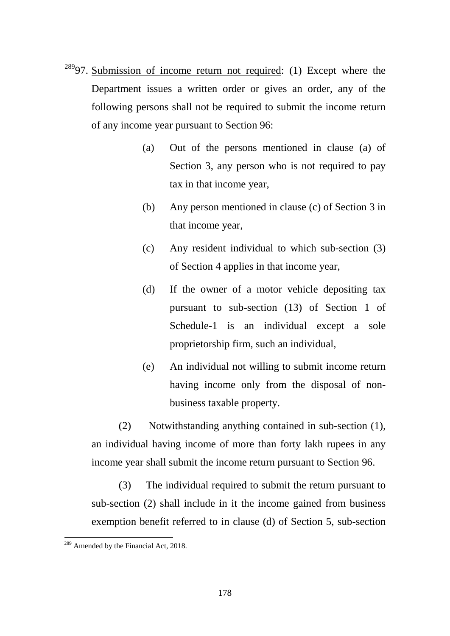- $289$ 97. Submission of income return not required: (1) Except where the Department issues a written order or gives an order, any of the following persons shall not be required to submit the income return of any income year pursuant to Section 96:
	- (a) Out of the persons mentioned in clause (a) of Section 3, any person who is not required to pay tax in that income year,
	- (b) Any person mentioned in clause (c) of Section 3 in that income year,
	- (c) Any resident individual to which sub-section (3) of Section 4 applies in that income year,
	- (d) If the owner of a motor vehicle depositing tax pursuant to sub-section (13) of Section 1 of Schedule-1 is an individual except a sole proprietorship firm, such an individual,
	- (e) An individual not willing to submit income return having income only from the disposal of nonbusiness taxable property.

(2) Notwithstanding anything contained in sub-section (1), an individual having income of more than forty lakh rupees in any income year shall submit the income return pursuant to Section 96.

(3) The individual required to submit the return pursuant to sub-section (2) shall include in it the income gained from business exemption benefit referred to in clause (d) of Section 5, sub-section

-

<span id="page-177-0"></span><sup>&</sup>lt;sup>289</sup> Amended by the Financial Act, 2018.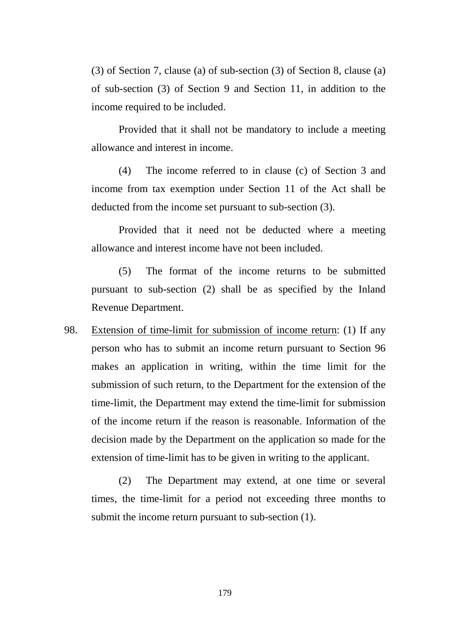(3) of Section 7, clause (a) of sub-section (3) of Section 8, clause (a) of sub-section (3) of Section 9 and Section 11, in addition to the income required to be included.

Provided that it shall not be mandatory to include a meeting allowance and interest in income.

(4) The income referred to in clause (c) of Section 3 and income from tax exemption under Section 11 of the Act shall be deducted from the income set pursuant to sub-section (3).

Provided that it need not be deducted where a meeting allowance and interest income have not been included.

(5) The format of the income returns to be submitted pursuant to sub-section (2) shall be as specified by the Inland Revenue Department.

98. Extension of time-limit for submission of income return: (1) If any person who has to submit an income return pursuant to Section 96 makes an application in writing, within the time limit for the submission of such return, to the Department for the extension of the time-limit, the Department may extend the time-limit for submission of the income return if the reason is reasonable. Information of the decision made by the Department on the application so made for the extension of time-limit has to be given in writing to the applicant.

(2) The Department may extend, at one time or several times, the time-limit for a period not exceeding three months to submit the income return pursuant to sub-section (1).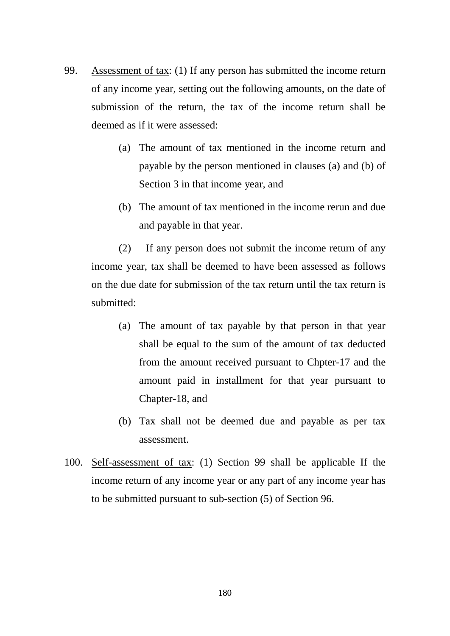- 99. Assessment of tax: (1) If any person has submitted the income return of any income year, setting out the following amounts, on the date of submission of the return, the tax of the income return shall be deemed as if it were assessed:
	- (a) The amount of tax mentioned in the income return and payable by the person mentioned in clauses (a) and (b) of Section 3 in that income year, and
	- (b) The amount of tax mentioned in the income rerun and due and payable in that year.

(2) If any person does not submit the income return of any income year, tax shall be deemed to have been assessed as follows on the due date for submission of the tax return until the tax return is submitted:

- (a) The amount of tax payable by that person in that year shall be equal to the sum of the amount of tax deducted from the amount received pursuant to Chpter-17 and the amount paid in installment for that year pursuant to Chapter-18, and
- (b) Tax shall not be deemed due and payable as per tax assessment.
- 100. Self-assessment of tax: (1) Section 99 shall be applicable If the income return of any income year or any part of any income year has to be submitted pursuant to sub-section (5) of Section 96.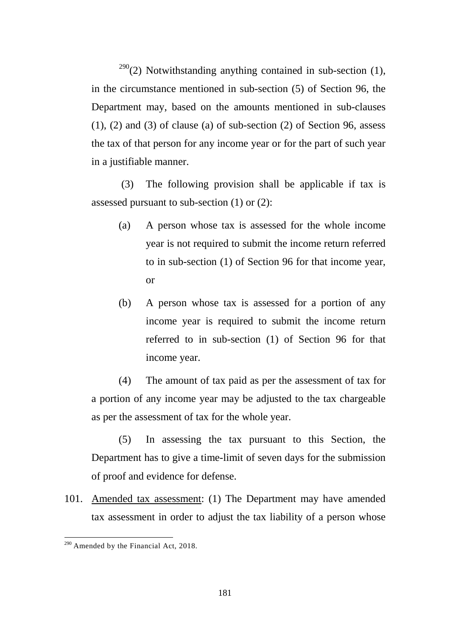$290(2)$  $290(2)$  Notwithstanding anything contained in sub-section (1), in the circumstance mentioned in sub-section (5) of Section 96, the Department may, based on the amounts mentioned in sub-clauses  $(1)$ ,  $(2)$  and  $(3)$  of clause  $(a)$  of sub-section  $(2)$  of Section 96, assess the tax of that person for any income year or for the part of such year in a justifiable manner.

(3) The following provision shall be applicable if tax is assessed pursuant to sub-section (1) or (2):

- (a) A person whose tax is assessed for the whole income year is not required to submit the income return referred to in sub-section (1) of Section 96 for that income year, or
- (b) A person whose tax is assessed for a portion of any income year is required to submit the income return referred to in sub-section (1) of Section 96 for that income year.

(4) The amount of tax paid as per the assessment of tax for a portion of any income year may be adjusted to the tax chargeable as per the assessment of tax for the whole year.

(5) In assessing the tax pursuant to this Section, the Department has to give a time-limit of seven days for the submission of proof and evidence for defense.

101. Amended tax assessment: (1) The Department may have amended tax assessment in order to adjust the tax liability of a person whose

<span id="page-180-0"></span> $290$  Amended by the Financial Act, 2018. -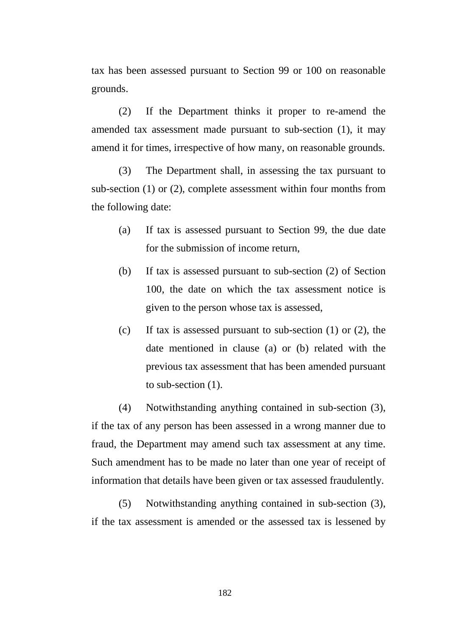tax has been assessed pursuant to Section 99 or 100 on reasonable grounds.

(2) If the Department thinks it proper to re-amend the amended tax assessment made pursuant to sub-section (1), it may amend it for times, irrespective of how many, on reasonable grounds.

(3) The Department shall, in assessing the tax pursuant to sub-section (1) or (2), complete assessment within four months from the following date:

- (a) If tax is assessed pursuant to Section 99, the due date for the submission of income return,
- (b) If tax is assessed pursuant to sub-section (2) of Section 100, the date on which the tax assessment notice is given to the person whose tax is assessed,
- (c) If tax is assessed pursuant to sub-section (1) or (2), the date mentioned in clause (a) or (b) related with the previous tax assessment that has been amended pursuant to sub-section (1).

(4) Notwithstanding anything contained in sub-section (3), if the tax of any person has been assessed in a wrong manner due to fraud, the Department may amend such tax assessment at any time. Such amendment has to be made no later than one year of receipt of information that details have been given or tax assessed fraudulently.

(5) Notwithstanding anything contained in sub-section (3), if the tax assessment is amended or the assessed tax is lessened by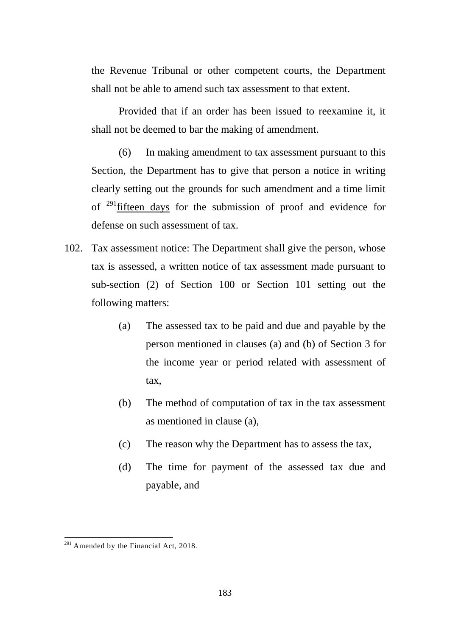the Revenue Tribunal or other competent courts, the Department shall not be able to amend such tax assessment to that extent.

Provided that if an order has been issued to reexamine it, it shall not be deemed to bar the making of amendment.

(6) In making amendment to tax assessment pursuant to this Section, the Department has to give that person a notice in writing clearly setting out the grounds for such amendment and a time limit of  $^{291}$  fifteen days for the submission of proof and evidence for defense on such assessment of tax.

- 102. Tax assessment notice: The Department shall give the person, whose tax is assessed, a written notice of tax assessment made pursuant to sub-section (2) of Section 100 or Section 101 setting out the following matters:
	- (a) The assessed tax to be paid and due and payable by the person mentioned in clauses (a) and (b) of Section 3 for the income year or period related with assessment of tax,
	- (b) The method of computation of tax in the tax assessment as mentioned in clause (a),
	- (c) The reason why the Department has to assess the tax,
	- (d) The time for payment of the assessed tax due and payable, and

<span id="page-182-0"></span> $291$  Amended by the Financial Act, 2018.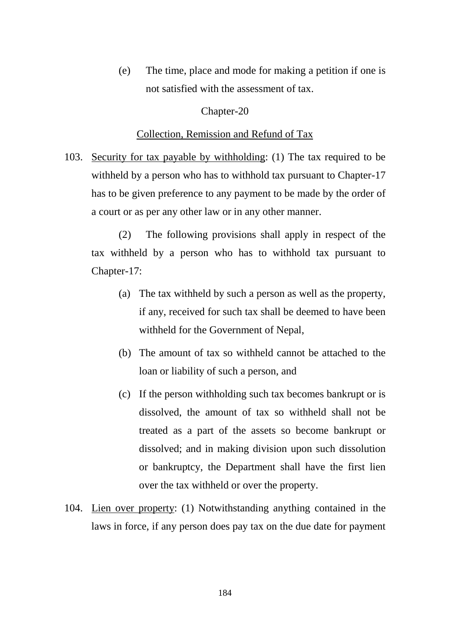(e) The time, place and mode for making a petition if one is not satisfied with the assessment of tax.

## Chapter-20

#### Collection, Remission and Refund of Tax

103. Security for tax payable by withholding: (1) The tax required to be withheld by a person who has to withhold tax pursuant to Chapter-17 has to be given preference to any payment to be made by the order of a court or as per any other law or in any other manner.

(2) The following provisions shall apply in respect of the tax withheld by a person who has to withhold tax pursuant to Chapter-17:

- (a) The tax withheld by such a person as well as the property, if any, received for such tax shall be deemed to have been withheld for the Government of Nepal,
- (b) The amount of tax so withheld cannot be attached to the loan or liability of such a person, and
- (c) If the person withholding such tax becomes bankrupt or is dissolved, the amount of tax so withheld shall not be treated as a part of the assets so become bankrupt or dissolved; and in making division upon such dissolution or bankruptcy, the Department shall have the first lien over the tax withheld or over the property.
- 104. Lien over property: (1) Notwithstanding anything contained in the laws in force, if any person does pay tax on the due date for payment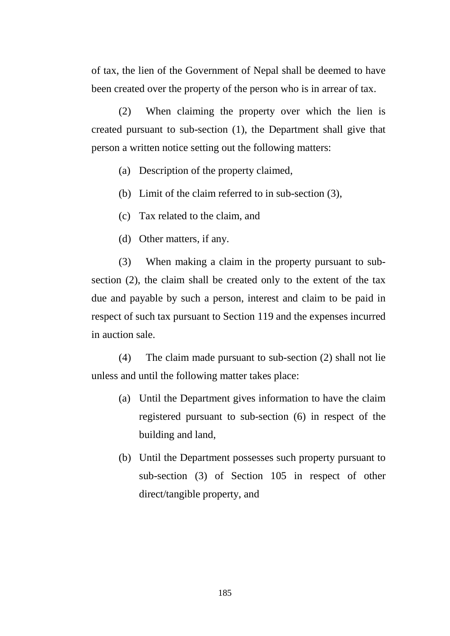of tax, the lien of the Government of Nepal shall be deemed to have been created over the property of the person who is in arrear of tax.

(2) When claiming the property over which the lien is created pursuant to sub-section (1), the Department shall give that person a written notice setting out the following matters:

- (a) Description of the property claimed,
- (b) Limit of the claim referred to in sub-section (3),
- (c) Tax related to the claim, and
- (d) Other matters, if any.

(3) When making a claim in the property pursuant to subsection (2), the claim shall be created only to the extent of the tax due and payable by such a person, interest and claim to be paid in respect of such tax pursuant to Section 119 and the expenses incurred in auction sale.

(4) The claim made pursuant to sub-section (2) shall not lie unless and until the following matter takes place:

- (a) Until the Department gives information to have the claim registered pursuant to sub-section (6) in respect of the building and land,
- (b) Until the Department possesses such property pursuant to sub-section (3) of Section 105 in respect of other direct/tangible property, and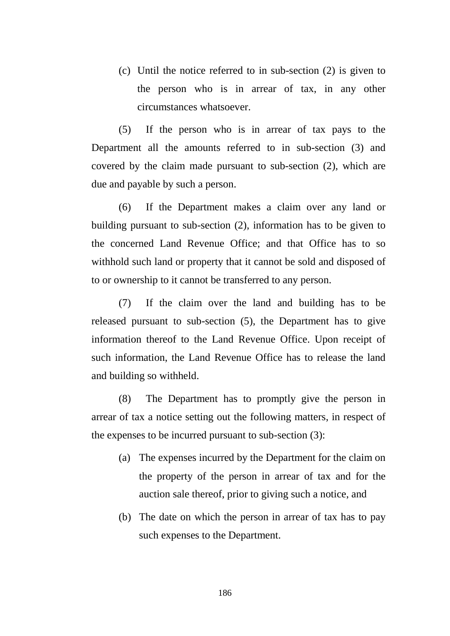(c) Until the notice referred to in sub-section (2) is given to the person who is in arrear of tax, in any other circumstances whatsoever.

(5) If the person who is in arrear of tax pays to the Department all the amounts referred to in sub-section (3) and covered by the claim made pursuant to sub-section (2), which are due and payable by such a person.

(6) If the Department makes a claim over any land or building pursuant to sub-section (2), information has to be given to the concerned Land Revenue Office; and that Office has to so withhold such land or property that it cannot be sold and disposed of to or ownership to it cannot be transferred to any person.

(7) If the claim over the land and building has to be released pursuant to sub-section (5), the Department has to give information thereof to the Land Revenue Office. Upon receipt of such information, the Land Revenue Office has to release the land and building so withheld.

(8) The Department has to promptly give the person in arrear of tax a notice setting out the following matters, in respect of the expenses to be incurred pursuant to sub-section (3):

- (a) The expenses incurred by the Department for the claim on the property of the person in arrear of tax and for the auction sale thereof, prior to giving such a notice, and
- (b) The date on which the person in arrear of tax has to pay such expenses to the Department.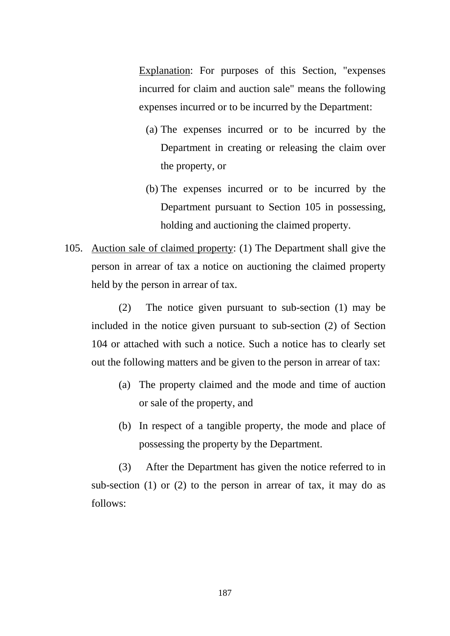Explanation: For purposes of this Section, "expenses incurred for claim and auction sale" means the following expenses incurred or to be incurred by the Department:

- (a) The expenses incurred or to be incurred by the Department in creating or releasing the claim over the property, or
- (b) The expenses incurred or to be incurred by the Department pursuant to Section 105 in possessing, holding and auctioning the claimed property.
- 105. Auction sale of claimed property: (1) The Department shall give the person in arrear of tax a notice on auctioning the claimed property held by the person in arrear of tax.

(2) The notice given pursuant to sub-section (1) may be included in the notice given pursuant to sub-section (2) of Section 104 or attached with such a notice. Such a notice has to clearly set out the following matters and be given to the person in arrear of tax:

- (a) The property claimed and the mode and time of auction or sale of the property, and
- (b) In respect of a tangible property, the mode and place of possessing the property by the Department.

(3) After the Department has given the notice referred to in sub-section (1) or (2) to the person in arrear of tax, it may do as follows: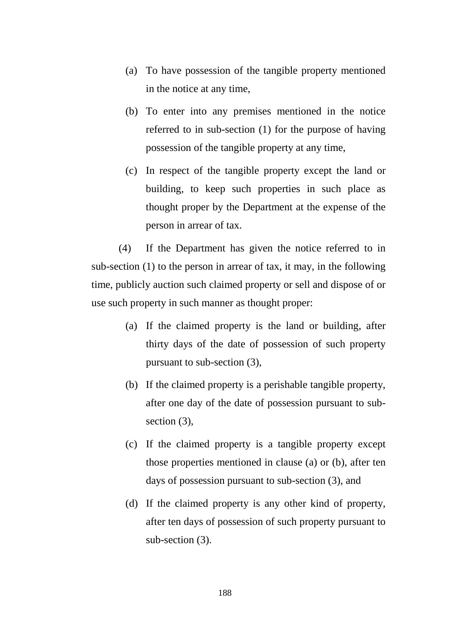- (a) To have possession of the tangible property mentioned in the notice at any time,
- (b) To enter into any premises mentioned in the notice referred to in sub-section (1) for the purpose of having possession of the tangible property at any time,
- (c) In respect of the tangible property except the land or building, to keep such properties in such place as thought proper by the Department at the expense of the person in arrear of tax.

(4) If the Department has given the notice referred to in sub-section (1) to the person in arrear of tax, it may, in the following time, publicly auction such claimed property or sell and dispose of or use such property in such manner as thought proper:

- (a) If the claimed property is the land or building, after thirty days of the date of possession of such property pursuant to sub-section (3),
- (b) If the claimed property is a perishable tangible property, after one day of the date of possession pursuant to subsection  $(3)$ ,
- (c) If the claimed property is a tangible property except those properties mentioned in clause (a) or (b), after ten days of possession pursuant to sub-section (3), and
- (d) If the claimed property is any other kind of property, after ten days of possession of such property pursuant to sub-section (3).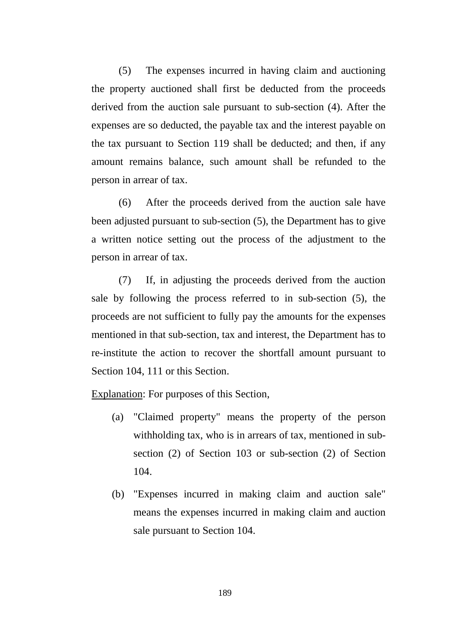(5) The expenses incurred in having claim and auctioning the property auctioned shall first be deducted from the proceeds derived from the auction sale pursuant to sub-section (4). After the expenses are so deducted, the payable tax and the interest payable on the tax pursuant to Section 119 shall be deducted; and then, if any amount remains balance, such amount shall be refunded to the person in arrear of tax.

(6) After the proceeds derived from the auction sale have been adjusted pursuant to sub-section (5), the Department has to give a written notice setting out the process of the adjustment to the person in arrear of tax.

(7) If, in adjusting the proceeds derived from the auction sale by following the process referred to in sub-section (5), the proceeds are not sufficient to fully pay the amounts for the expenses mentioned in that sub-section, tax and interest, the Department has to re-institute the action to recover the shortfall amount pursuant to Section 104, 111 or this Section.

Explanation: For purposes of this Section,

- (a) "Claimed property" means the property of the person withholding tax, who is in arrears of tax, mentioned in subsection (2) of Section 103 or sub-section (2) of Section 104.
- (b) "Expenses incurred in making claim and auction sale" means the expenses incurred in making claim and auction sale pursuant to Section 104.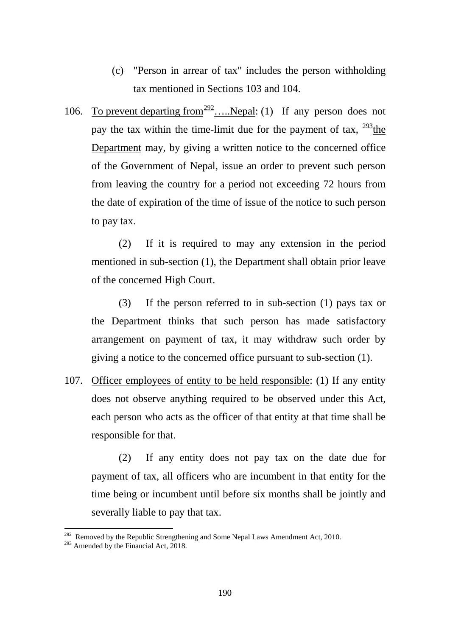- (c) "Person in arrear of tax" includes the person withholding tax mentioned in Sections 103 and 104.
- 106. To prevent departing from  $\frac{292}{2}$  $\frac{292}{2}$  $\frac{292}{2}$ ...., Nepal: (1) If any person does not pay the tax within the time-limit due for the payment of tax,  $^{293}$  $^{293}$  $^{293}$ the Department may, by giving a written notice to the concerned office of the Government of Nepal, issue an order to prevent such person from leaving the country for a period not exceeding 72 hours from the date of expiration of the time of issue of the notice to such person to pay tax.

(2) If it is required to may any extension in the period mentioned in sub-section (1), the Department shall obtain prior leave of the concerned High Court.

(3) If the person referred to in sub-section (1) pays tax or the Department thinks that such person has made satisfactory arrangement on payment of tax, it may withdraw such order by giving a notice to the concerned office pursuant to sub-section (1).

107. Officer employees of entity to be held responsible: (1) If any entity does not observe anything required to be observed under this Act, each person who acts as the officer of that entity at that time shall be responsible for that.

(2) If any entity does not pay tax on the date due for payment of tax, all officers who are incumbent in that entity for the time being or incumbent until before six months shall be jointly and severally liable to pay that tax.

<u>.</u>

<span id="page-189-0"></span><sup>&</sup>lt;sup>292</sup> Removed by the Republic Strengthening and Some Nepal Laws Amendment Act, 2010.<br><sup>293</sup> Amended by the Financial Act, 2018.

<span id="page-189-1"></span>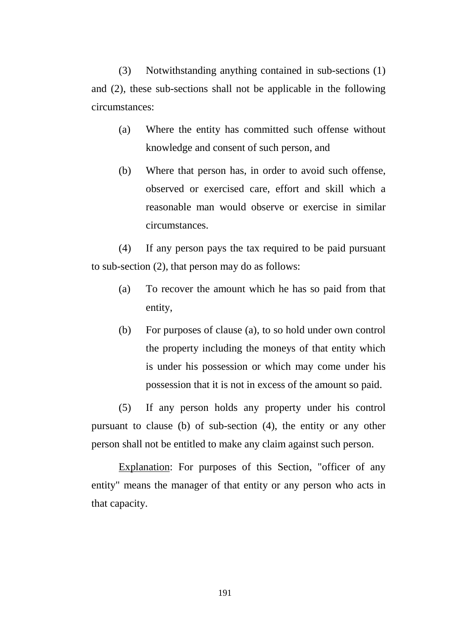(3) Notwithstanding anything contained in sub-sections (1) and (2), these sub-sections shall not be applicable in the following circumstances:

- (a) Where the entity has committed such offense without knowledge and consent of such person, and
- (b) Where that person has, in order to avoid such offense, observed or exercised care, effort and skill which a reasonable man would observe or exercise in similar circumstances.

(4) If any person pays the tax required to be paid pursuant to sub-section (2), that person may do as follows:

- (a) To recover the amount which he has so paid from that entity,
- (b) For purposes of clause (a), to so hold under own control the property including the moneys of that entity which is under his possession or which may come under his possession that it is not in excess of the amount so paid.

(5) If any person holds any property under his control pursuant to clause (b) of sub-section (4), the entity or any other person shall not be entitled to make any claim against such person.

Explanation: For purposes of this Section, "officer of any entity" means the manager of that entity or any person who acts in that capacity.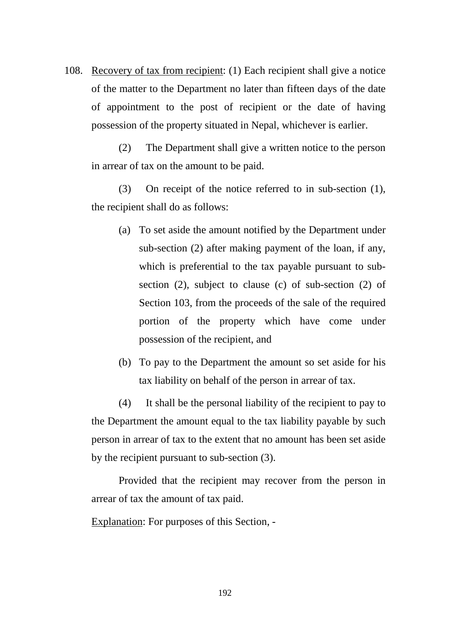108. Recovery of tax from recipient: (1) Each recipient shall give a notice of the matter to the Department no later than fifteen days of the date of appointment to the post of recipient or the date of having possession of the property situated in Nepal, whichever is earlier.

(2) The Department shall give a written notice to the person in arrear of tax on the amount to be paid.

(3) On receipt of the notice referred to in sub-section (1), the recipient shall do as follows:

- (a) To set aside the amount notified by the Department under sub-section (2) after making payment of the loan, if any, which is preferential to the tax payable pursuant to subsection (2), subject to clause (c) of sub-section (2) of Section 103, from the proceeds of the sale of the required portion of the property which have come under possession of the recipient, and
- (b) To pay to the Department the amount so set aside for his tax liability on behalf of the person in arrear of tax.

(4) It shall be the personal liability of the recipient to pay to the Department the amount equal to the tax liability payable by such person in arrear of tax to the extent that no amount has been set aside by the recipient pursuant to sub-section (3).

Provided that the recipient may recover from the person in arrear of tax the amount of tax paid.

Explanation: For purposes of this Section, -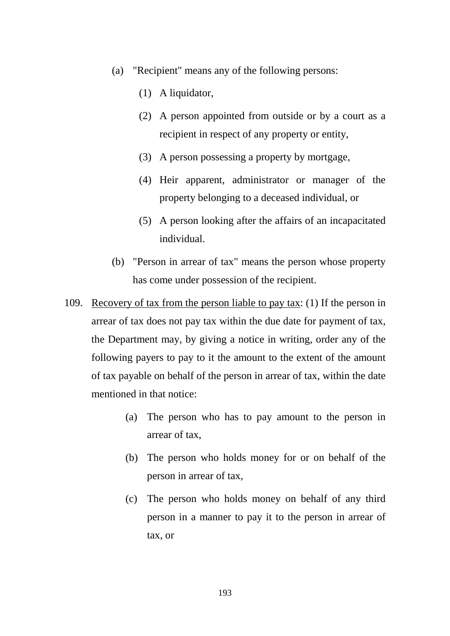- (a) "Recipient" means any of the following persons:
	- (1) A liquidator,
	- (2) A person appointed from outside or by a court as a recipient in respect of any property or entity,
	- (3) A person possessing a property by mortgage,
	- (4) Heir apparent, administrator or manager of the property belonging to a deceased individual, or
	- (5) A person looking after the affairs of an incapacitated individual.
- (b) "Person in arrear of tax" means the person whose property has come under possession of the recipient.
- 109. Recovery of tax from the person liable to pay tax: (1) If the person in arrear of tax does not pay tax within the due date for payment of tax, the Department may, by giving a notice in writing, order any of the following payers to pay to it the amount to the extent of the amount of tax payable on behalf of the person in arrear of tax, within the date mentioned in that notice:
	- (a) The person who has to pay amount to the person in arrear of tax,
	- (b) The person who holds money for or on behalf of the person in arrear of tax,
	- (c) The person who holds money on behalf of any third person in a manner to pay it to the person in arrear of tax, or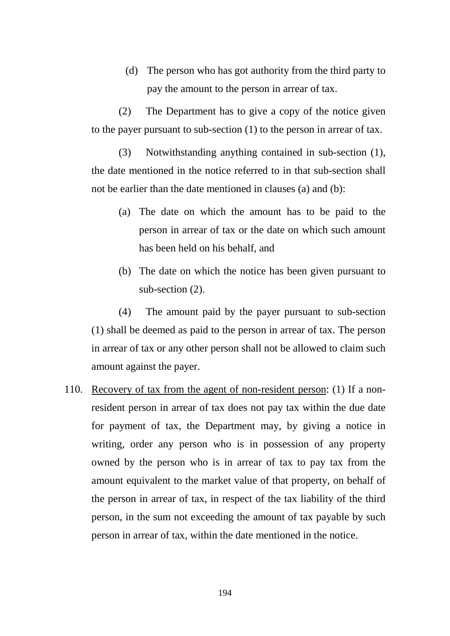(d) The person who has got authority from the third party to pay the amount to the person in arrear of tax.

(2) The Department has to give a copy of the notice given to the payer pursuant to sub-section (1) to the person in arrear of tax.

(3) Notwithstanding anything contained in sub-section (1), the date mentioned in the notice referred to in that sub-section shall not be earlier than the date mentioned in clauses (a) and (b):

- (a) The date on which the amount has to be paid to the person in arrear of tax or the date on which such amount has been held on his behalf, and
- (b) The date on which the notice has been given pursuant to sub-section (2).

(4) The amount paid by the payer pursuant to sub-section (1) shall be deemed as paid to the person in arrear of tax. The person in arrear of tax or any other person shall not be allowed to claim such amount against the payer.

110. Recovery of tax from the agent of non-resident person: (1) If a nonresident person in arrear of tax does not pay tax within the due date for payment of tax, the Department may, by giving a notice in writing, order any person who is in possession of any property owned by the person who is in arrear of tax to pay tax from the amount equivalent to the market value of that property, on behalf of the person in arrear of tax, in respect of the tax liability of the third person, in the sum not exceeding the amount of tax payable by such person in arrear of tax, within the date mentioned in the notice.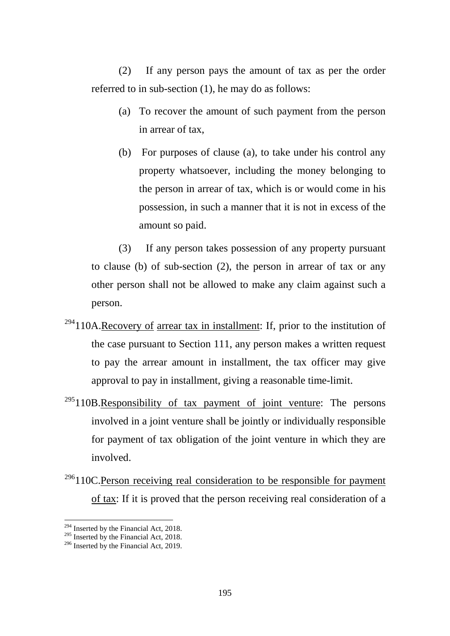(2) If any person pays the amount of tax as per the order referred to in sub-section (1), he may do as follows:

- (a) To recover the amount of such payment from the person in arrear of tax,
- (b) For purposes of clause (a), to take under his control any property whatsoever, including the money belonging to the person in arrear of tax, which is or would come in his possession, in such a manner that it is not in excess of the amount so paid.

(3) If any person takes possession of any property pursuant to clause (b) of sub-section (2), the person in arrear of tax or any other person shall not be allowed to make any claim against such a person.

- $294110A$  $294110A$ .Recovery of arrear tax in installment: If, prior to the institution of the case pursuant to Section 111, any person makes a written request to pay the arrear amount in installment, the tax officer may give approval to pay in installment, giving a reasonable time-limit.
- $295110B$  $295110B$ .Responsibility of tax payment of joint venture: The persons involved in a joint venture shall be jointly or individually responsible for payment of tax obligation of the joint venture in which they are involved.
- $296110C$  $296110C$ . Person receiving real consideration to be responsible for payment of tax: If it is proved that the person receiving real consideration of a

<span id="page-194-1"></span><span id="page-194-0"></span><sup>&</sup>lt;sup>294</sup> Inserted by the Financial Act, 2018.<br><sup>295</sup> Inserted by the Financial Act, 2018.<br><sup>296</sup> Inserted by the Financial Act, 2019.

<span id="page-194-2"></span>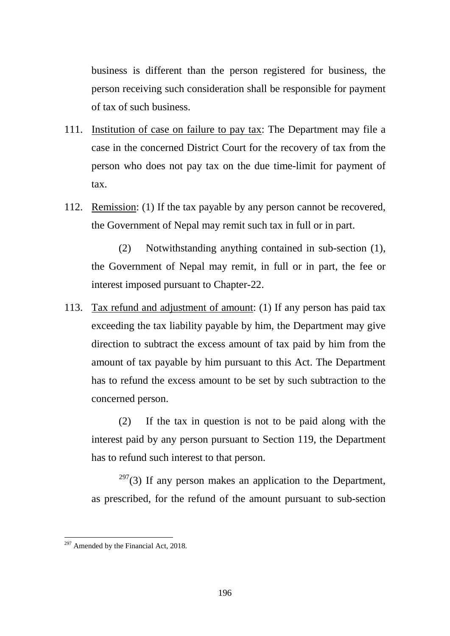business is different than the person registered for business, the person receiving such consideration shall be responsible for payment of tax of such business.

- 111. Institution of case on failure to pay tax: The Department may file a case in the concerned District Court for the recovery of tax from the person who does not pay tax on the due time-limit for payment of tax.
- 112. Remission: (1) If the tax payable by any person cannot be recovered, the Government of Nepal may remit such tax in full or in part.

(2) Notwithstanding anything contained in sub-section (1), the Government of Nepal may remit, in full or in part, the fee or interest imposed pursuant to Chapter-22.

113. Tax refund and adjustment of amount: (1) If any person has paid tax exceeding the tax liability payable by him, the Department may give direction to subtract the excess amount of tax paid by him from the amount of tax payable by him pursuant to this Act. The Department has to refund the excess amount to be set by such subtraction to the concerned person.

(2) If the tax in question is not to be paid along with the interest paid by any person pursuant to Section 119, the Department has to refund such interest to that person.

 $297(3)$  $297(3)$  If any person makes an application to the Department, as prescribed, for the refund of the amount pursuant to sub-section

<span id="page-195-0"></span> $297$  Amended by the Financial Act, 2018. -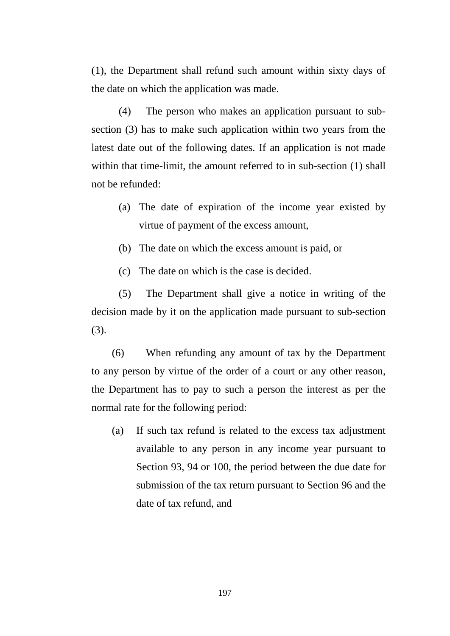(1), the Department shall refund such amount within sixty days of the date on which the application was made.

(4) The person who makes an application pursuant to subsection (3) has to make such application within two years from the latest date out of the following dates. If an application is not made within that time-limit, the amount referred to in sub-section (1) shall not be refunded:

- (a) The date of expiration of the income year existed by virtue of payment of the excess amount,
- (b) The date on which the excess amount is paid, or
- (c) The date on which is the case is decided.

(5) The Department shall give a notice in writing of the decision made by it on the application made pursuant to sub-section (3).

(6) When refunding any amount of tax by the Department to any person by virtue of the order of a court or any other reason, the Department has to pay to such a person the interest as per the normal rate for the following period:

(a) If such tax refund is related to the excess tax adjustment available to any person in any income year pursuant to Section 93, 94 or 100, the period between the due date for submission of the tax return pursuant to Section 96 and the date of tax refund, and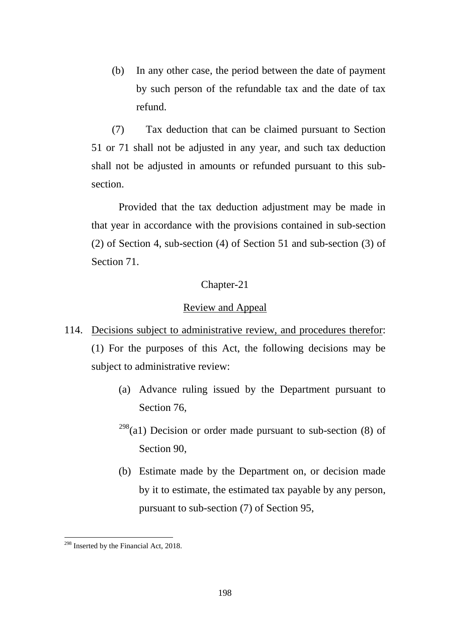(b) In any other case, the period between the date of payment by such person of the refundable tax and the date of tax refund.

(7) Tax deduction that can be claimed pursuant to Section 51 or 71 shall not be adjusted in any year, and such tax deduction shall not be adjusted in amounts or refunded pursuant to this subsection.

Provided that the tax deduction adjustment may be made in that year in accordance with the provisions contained in sub-section (2) of Section 4, sub-section (4) of Section 51 and sub-section (3) of Section 71.

## Chapter-21

### Review and Appeal

- 114. Decisions subject to administrative review, and procedures therefor: (1) For the purposes of this Act, the following decisions may be subject to administrative review:
	- (a) Advance ruling issued by the Department pursuant to Section 76,
	- $298$ (a1) Decision or order made pursuant to sub-section (8) of Section 90,
	- (b) Estimate made by the Department on, or decision made by it to estimate, the estimated tax payable by any person, pursuant to sub-section (7) of Section 95,

<span id="page-197-0"></span><sup>&</sup>lt;sup>298</sup> Inserted by the Financial Act, 2018. -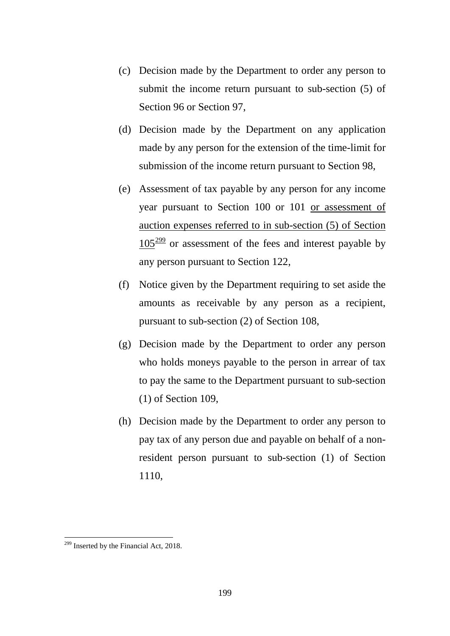- (c) Decision made by the Department to order any person to submit the income return pursuant to sub-section (5) of Section 96 or Section 97,
- (d) Decision made by the Department on any application made by any person for the extension of the time-limit for submission of the income return pursuant to Section 98,
- (e) Assessment of tax payable by any person for any income year pursuant to Section 100 or 101 or assessment of auction expenses referred to in sub-section (5) of Section  $105<sup>299</sup>$  $105<sup>299</sup>$  $105<sup>299</sup>$  or assessment of the fees and interest payable by any person pursuant to Section 122,
- (f) Notice given by the Department requiring to set aside the amounts as receivable by any person as a recipient, pursuant to sub-section (2) of Section 108,
- (g) Decision made by the Department to order any person who holds moneys payable to the person in arrear of tax to pay the same to the Department pursuant to sub-section (1) of Section 109,
- (h) Decision made by the Department to order any person to pay tax of any person due and payable on behalf of a nonresident person pursuant to sub-section (1) of Section 1110,

<span id="page-198-0"></span><sup>&</sup>lt;sup>299</sup> Inserted by the Financial Act, 2018.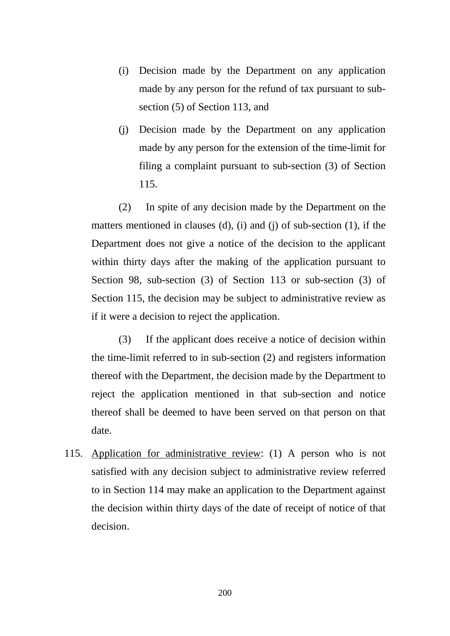- (i) Decision made by the Department on any application made by any person for the refund of tax pursuant to subsection (5) of Section 113, and
- (j) Decision made by the Department on any application made by any person for the extension of the time-limit for filing a complaint pursuant to sub-section (3) of Section 115.

(2) In spite of any decision made by the Department on the matters mentioned in clauses (d), (i) and (j) of sub-section (1), if the Department does not give a notice of the decision to the applicant within thirty days after the making of the application pursuant to Section 98, sub-section (3) of Section 113 or sub-section (3) of Section 115, the decision may be subject to administrative review as if it were a decision to reject the application.

(3) If the applicant does receive a notice of decision within the time-limit referred to in sub-section (2) and registers information thereof with the Department, the decision made by the Department to reject the application mentioned in that sub-section and notice thereof shall be deemed to have been served on that person on that date.

115. Application for administrative review: (1) A person who is not satisfied with any decision subject to administrative review referred to in Section 114 may make an application to the Department against the decision within thirty days of the date of receipt of notice of that decision.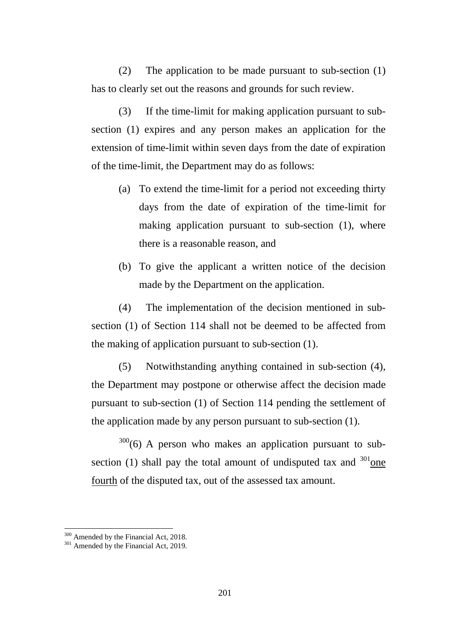(2) The application to be made pursuant to sub-section (1) has to clearly set out the reasons and grounds for such review.

(3) If the time-limit for making application pursuant to subsection (1) expires and any person makes an application for the extension of time-limit within seven days from the date of expiration of the time-limit, the Department may do as follows:

- (a) To extend the time-limit for a period not exceeding thirty days from the date of expiration of the time-limit for making application pursuant to sub-section (1), where there is a reasonable reason, and
- (b) To give the applicant a written notice of the decision made by the Department on the application.

(4) The implementation of the decision mentioned in subsection (1) of Section 114 shall not be deemed to be affected from the making of application pursuant to sub-section (1).

(5) Notwithstanding anything contained in sub-section (4), the Department may postpone or otherwise affect the decision made pursuant to sub-section (1) of Section 114 pending the settlement of the application made by any person pursuant to sub-section (1).

 $300(6)$  $300(6)$  A person who makes an application pursuant to subsection (1) shall pay the total amount of undisputed tax and  $301$  one fourth of the disputed tax, out of the assessed tax amount.

<u>.</u>

<span id="page-200-0"></span> $300$  Amended by the Financial Act, 2018.<br> $301$  Amended by the Financial Act, 2019.

<span id="page-200-1"></span>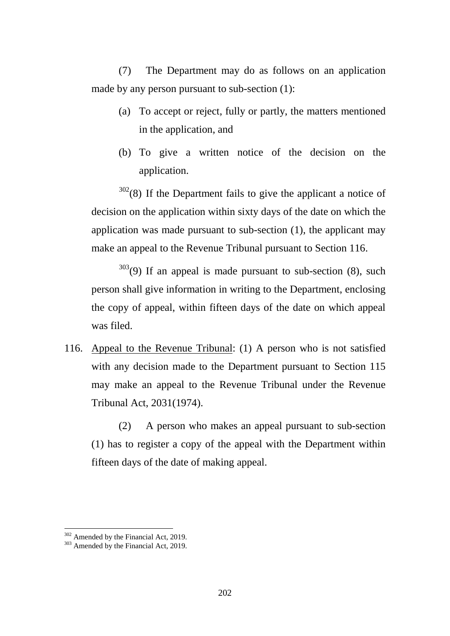(7) The Department may do as follows on an application made by any person pursuant to sub-section (1):

- (a) To accept or reject, fully or partly, the matters mentioned in the application, and
- (b) To give a written notice of the decision on the application.

 $302(8)$  $302(8)$  If the Department fails to give the applicant a notice of decision on the application within sixty days of the date on which the application was made pursuant to sub-section (1), the applicant may make an appeal to the Revenue Tribunal pursuant to Section 116.

 $303(9)$  $303(9)$  If an appeal is made pursuant to sub-section (8), such person shall give information in writing to the Department, enclosing the copy of appeal, within fifteen days of the date on which appeal was filed.

116. Appeal to the Revenue Tribunal: (1) A person who is not satisfied with any decision made to the Department pursuant to Section 115 may make an appeal to the Revenue Tribunal under the Revenue Tribunal Act, 2031(1974).

(2) A person who makes an appeal pursuant to sub-section (1) has to register a copy of the appeal with the Department within fifteen days of the date of making appeal.

<u>.</u>

<span id="page-201-1"></span><span id="page-201-0"></span>

 $302$  Amended by the Financial Act, 2019.<br> $303$  Amended by the Financial Act, 2019.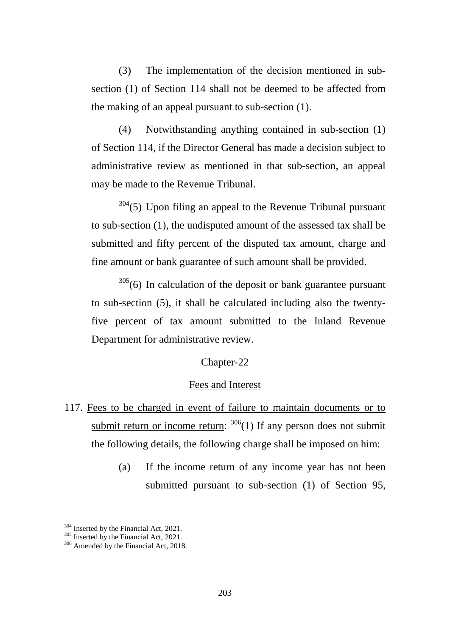(3) The implementation of the decision mentioned in subsection (1) of Section 114 shall not be deemed to be affected from the making of an appeal pursuant to sub-section (1).

(4) Notwithstanding anything contained in sub-section (1) of Section 114, if the Director General has made a decision subject to administrative review as mentioned in that sub-section, an appeal may be made to the Revenue Tribunal.

 $304(5)$  $304(5)$  Upon filing an appeal to the Revenue Tribunal pursuant to sub-section (1), the undisputed amount of the assessed tax shall be submitted and fifty percent of the disputed tax amount, charge and fine amount or bank guarantee of such amount shall be provided.

 $305(6)$  $305(6)$  In calculation of the deposit or bank guarantee pursuant to sub-section (5), it shall be calculated including also the twentyfive percent of tax amount submitted to the Inland Revenue Department for administrative review.

# Chapter-22

### Fees and Interest

- 117. Fees to be charged in event of failure to maintain documents or to submit return or income return:  $306(1)$  $306(1)$  If any person does not submit the following details, the following charge shall be imposed on him:
	- (a) If the income return of any income year has not been submitted pursuant to sub-section (1) of Section 95,

<span id="page-202-1"></span><span id="page-202-0"></span>

<sup>&</sup>lt;sup>304</sup> Inserted by the Financial Act, 2021.<br><sup>305</sup> Inserted by the Financial Act, 2021.<br><sup>306</sup> Amended by the Financial Act, 2018.

<span id="page-202-2"></span>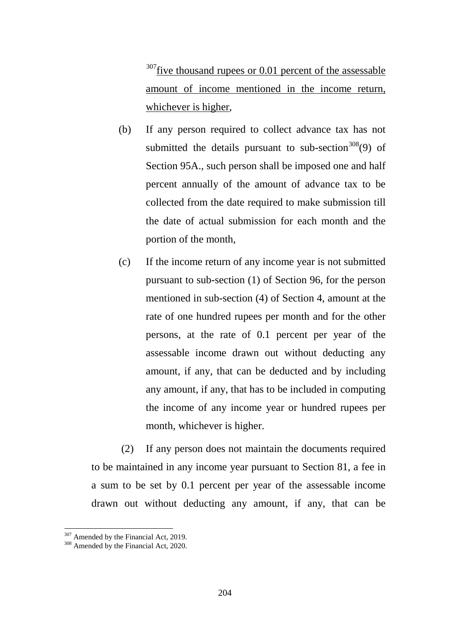$307$  five thousand rupees or 0.01 percent of the assessable amount of income mentioned in the income return, whichever is higher,

- (b) If any person required to collect advance tax has not submitted the details pursuant to sub-section  $308(9)$  $308(9)$  of Section 95A., such person shall be imposed one and half percent annually of the amount of advance tax to be collected from the date required to make submission till the date of actual submission for each month and the portion of the month,
- (c) If the income return of any income year is not submitted pursuant to sub-section (1) of Section 96, for the person mentioned in sub-section (4) of Section 4, amount at the rate of one hundred rupees per month and for the other persons, at the rate of 0.1 percent per year of the assessable income drawn out without deducting any amount, if any, that can be deducted and by including any amount, if any, that has to be included in computing the income of any income year or hundred rupees per month, whichever is higher.

(2) If any person does not maintain the documents required to be maintained in any income year pursuant to Section 81, a fee in a sum to be set by 0.1 percent per year of the assessable income drawn out without deducting any amount, if any, that can be

<u>.</u>

<span id="page-203-0"></span> $307$  Amended by the Financial Act, 2019.<br> $308$  Amended by the Financial Act, 2020.

<span id="page-203-1"></span>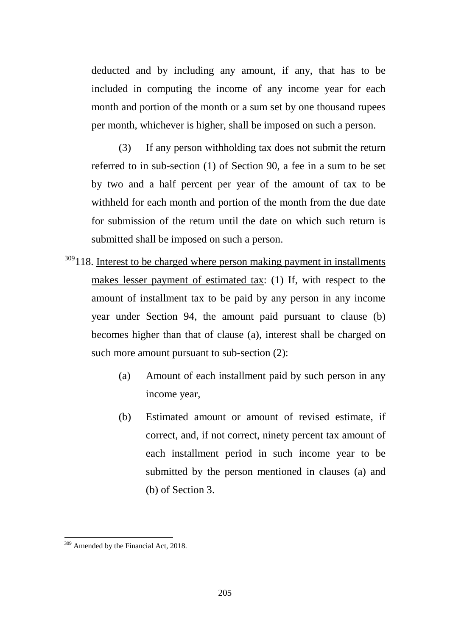deducted and by including any amount, if any, that has to be included in computing the income of any income year for each month and portion of the month or a sum set by one thousand rupees per month, whichever is higher, shall be imposed on such a person.

(3) If any person withholding tax does not submit the return referred to in sub-section (1) of Section 90, a fee in a sum to be set by two and a half percent per year of the amount of tax to be withheld for each month and portion of the month from the due date for submission of the return until the date on which such return is submitted shall be imposed on such a person.

- <sup>[309](#page-204-0)</sup>118. Interest to be charged where person making payment in installments makes lesser payment of estimated tax: (1) If, with respect to the amount of installment tax to be paid by any person in any income year under Section 94, the amount paid pursuant to clause (b) becomes higher than that of clause (a), interest shall be charged on such more amount pursuant to sub-section  $(2)$ :
	- (a) Amount of each installment paid by such person in any income year,
	- (b) Estimated amount or amount of revised estimate, if correct, and, if not correct, ninety percent tax amount of each installment period in such income year to be submitted by the person mentioned in clauses (a) and (b) of Section 3.

<span id="page-204-0"></span><sup>&</sup>lt;sup>309</sup> Amended by the Financial Act, 2018.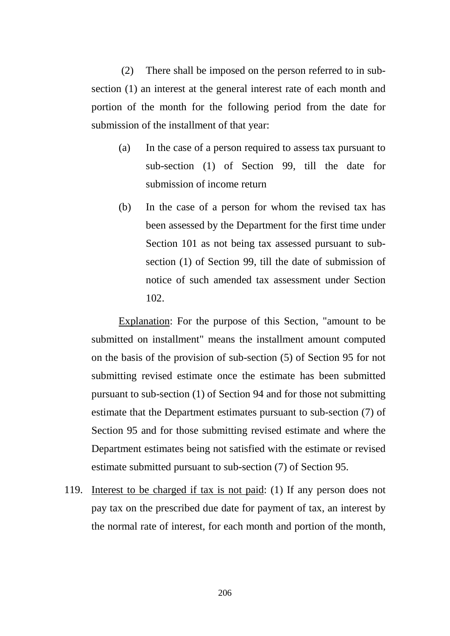(2) There shall be imposed on the person referred to in subsection (1) an interest at the general interest rate of each month and portion of the month for the following period from the date for submission of the installment of that year:

- (a) In the case of a person required to assess tax pursuant to sub-section (1) of Section 99, till the date for submission of income return
- (b) In the case of a person for whom the revised tax has been assessed by the Department for the first time under Section 101 as not being tax assessed pursuant to subsection (1) of Section 99, till the date of submission of notice of such amended tax assessment under Section 102.

Explanation: For the purpose of this Section, "amount to be submitted on installment" means the installment amount computed on the basis of the provision of sub-section (5) of Section 95 for not submitting revised estimate once the estimate has been submitted pursuant to sub-section (1) of Section 94 and for those not submitting estimate that the Department estimates pursuant to sub-section (7) of Section 95 and for those submitting revised estimate and where the Department estimates being not satisfied with the estimate or revised estimate submitted pursuant to sub-section (7) of Section 95.

119. Interest to be charged if tax is not paid: (1) If any person does not pay tax on the prescribed due date for payment of tax, an interest by the normal rate of interest, for each month and portion of the month,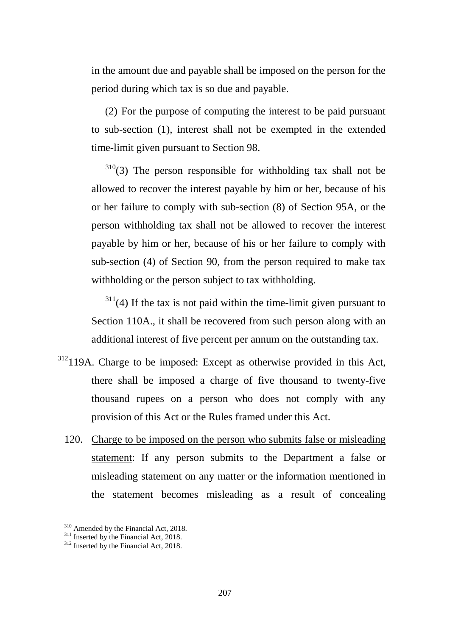in the amount due and payable shall be imposed on the person for the period during which tax is so due and payable.

(2) For the purpose of computing the interest to be paid pursuant to sub-section (1), interest shall not be exempted in the extended time-limit given pursuant to Section 98.

 $310(3)$  $310(3)$  The person responsible for withholding tax shall not be allowed to recover the interest payable by him or her, because of his or her failure to comply with sub-section (8) of Section 95A, or the person withholding tax shall not be allowed to recover the interest payable by him or her, because of his or her failure to comply with sub-section (4) of Section 90, from the person required to make tax withholding or the person subject to tax withholding.

 $311(4)$  $311(4)$  If the tax is not paid within the time-limit given pursuant to Section 110A., it shall be recovered from such person along with an additional interest of five percent per annum on the outstanding tax.

- <sup>[312](#page-206-2)</sup>119A. Charge to be imposed: Except as otherwise provided in this Act, there shall be imposed a charge of five thousand to twenty-five thousand rupees on a person who does not comply with any provision of this Act or the Rules framed under this Act.
	- 120. Charge to be imposed on the person who submits false or misleading statement: If any person submits to the Department a false or misleading statement on any matter or the information mentioned in the statement becomes misleading as a result of concealing

<span id="page-206-0"></span><sup>&</sup>lt;sup>310</sup> Amended by the Financial Act, 2018.<br><sup>311</sup> Inserted by the Financial Act, 2018.<br><sup>312</sup> Inserted by the Financial Act, 2018.

<span id="page-206-1"></span>

<span id="page-206-2"></span>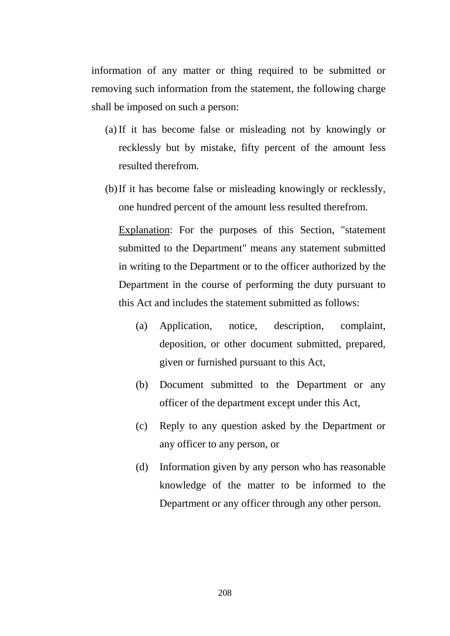information of any matter or thing required to be submitted or removing such information from the statement, the following charge shall be imposed on such a person:

- (a) If it has become false or misleading not by knowingly or recklessly but by mistake, fifty percent of the amount less resulted therefrom.
- (b)If it has become false or misleading knowingly or recklessly, one hundred percent of the amount less resulted therefrom.

Explanation: For the purposes of this Section, "statement submitted to the Department" means any statement submitted in writing to the Department or to the officer authorized by the Department in the course of performing the duty pursuant to this Act and includes the statement submitted as follows:

- (a) Application, notice, description, complaint, deposition, or other document submitted, prepared, given or furnished pursuant to this Act,
- (b) Document submitted to the Department or any officer of the department except under this Act,
- (c) Reply to any question asked by the Department or any officer to any person, or
- (d) Information given by any person who has reasonable knowledge of the matter to be informed to the Department or any officer through any other person.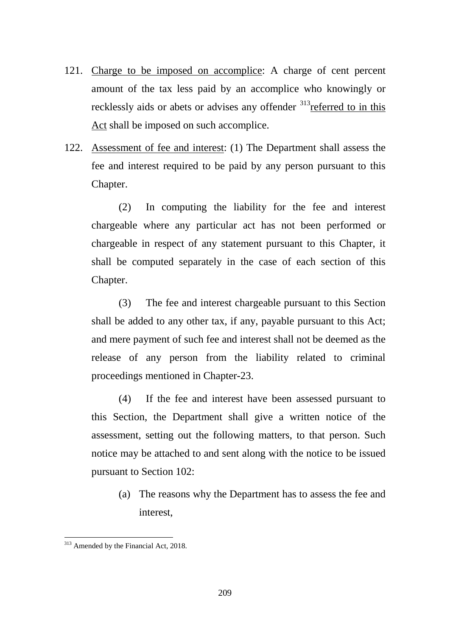- 121. Charge to be imposed on accomplice: A charge of cent percent amount of the tax less paid by an accomplice who knowingly or recklessly aids or abets or advises any offender <sup>313</sup>referred to in this Act shall be imposed on such accomplice.
- 122. Assessment of fee and interest: (1) The Department shall assess the fee and interest required to be paid by any person pursuant to this Chapter.

(2) In computing the liability for the fee and interest chargeable where any particular act has not been performed or chargeable in respect of any statement pursuant to this Chapter, it shall be computed separately in the case of each section of this Chapter.

(3) The fee and interest chargeable pursuant to this Section shall be added to any other tax, if any, payable pursuant to this Act; and mere payment of such fee and interest shall not be deemed as the release of any person from the liability related to criminal proceedings mentioned in Chapter-23.

(4) If the fee and interest have been assessed pursuant to this Section, the Department shall give a written notice of the assessment, setting out the following matters, to that person. Such notice may be attached to and sent along with the notice to be issued pursuant to Section 102:

(a) The reasons why the Department has to assess the fee and interest,

<span id="page-208-0"></span><sup>&</sup>lt;sup>313</sup> Amended by the Financial Act, 2018. -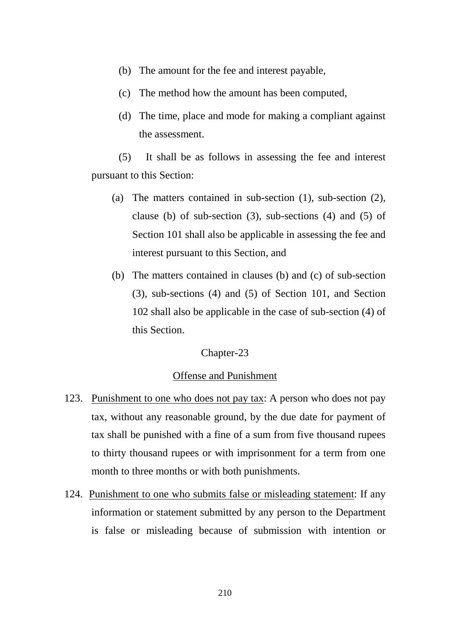- (b) The amount for the fee and interest payable,
- (c) The method how the amount has been computed,
- (d) The time, place and mode for making a compliant against the assessment.

(5) It shall be as follows in assessing the fee and interest pursuant to this Section:

- (a) The matters contained in sub-section (1), sub-section (2), clause (b) of sub-section  $(3)$ , sub-sections  $(4)$  and  $(5)$  of Section 101 shall also be applicable in assessing the fee and interest pursuant to this Section, and
- (b) The matters contained in clauses (b) and (c) of sub-section (3), sub-sections (4) and (5) of Section 101, and Section 102 shall also be applicable in the case of sub-section (4) of this Section.

### Chapter-23

#### Offense and Punishment

- 123. Punishment to one who does not pay tax: A person who does not pay tax, without any reasonable ground, by the due date for payment of tax shall be punished with a fine of a sum from five thousand rupees to thirty thousand rupees or with imprisonment for a term from one month to three months or with both punishments.
- 124. Punishment to one who submits false or misleading statement: If any information or statement submitted by any person to the Department is false or misleading because of submission with intention or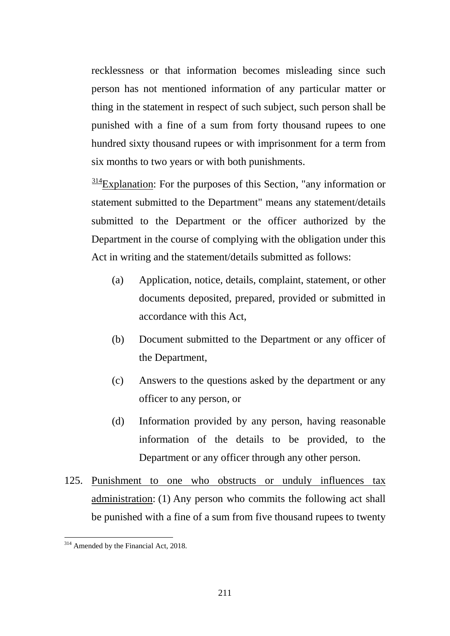recklessness or that information becomes misleading since such person has not mentioned information of any particular matter or thing in the statement in respect of such subject, such person shall be punished with a fine of a sum from forty thousand rupees to one hundred sixty thousand rupees or with imprisonment for a term from six months to two years or with both punishments.

 $\frac{314}{2}$  $\frac{314}{2}$  $\frac{314}{2}$ Explanation: For the purposes of this Section, "any information or statement submitted to the Department" means any statement/details submitted to the Department or the officer authorized by the Department in the course of complying with the obligation under this Act in writing and the statement/details submitted as follows:

- (a) Application, notice, details, complaint, statement, or other documents deposited, prepared, provided or submitted in accordance with this Act,
- (b) Document submitted to the Department or any officer of the Department,
- (c) Answers to the questions asked by the department or any officer to any person, or
- (d) Information provided by any person, having reasonable information of the details to be provided, to the Department or any officer through any other person.
- 125. Punishment to one who obstructs or unduly influences tax administration: (1) Any person who commits the following act shall be punished with a fine of a sum from five thousand rupees to twenty

<span id="page-210-0"></span><sup>&</sup>lt;sup>314</sup> Amended by the Financial Act, 2018. -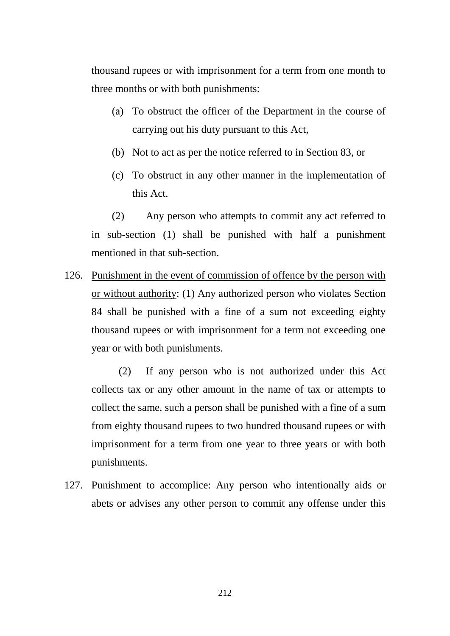thousand rupees or with imprisonment for a term from one month to three months or with both punishments:

- (a) To obstruct the officer of the Department in the course of carrying out his duty pursuant to this Act,
- (b) Not to act as per the notice referred to in Section 83, or
- (c) To obstruct in any other manner in the implementation of this Act.

(2) Any person who attempts to commit any act referred to in sub-section (1) shall be punished with half a punishment mentioned in that sub-section.

126. Punishment in the event of commission of offence by the person with or without authority: (1) Any authorized person who violates Section 84 shall be punished with a fine of a sum not exceeding eighty thousand rupees or with imprisonment for a term not exceeding one year or with both punishments.

(2) If any person who is not authorized under this Act collects tax or any other amount in the name of tax or attempts to collect the same, such a person shall be punished with a fine of a sum from eighty thousand rupees to two hundred thousand rupees or with imprisonment for a term from one year to three years or with both punishments.

127. Punishment to accomplice: Any person who intentionally aids or abets or advises any other person to commit any offense under this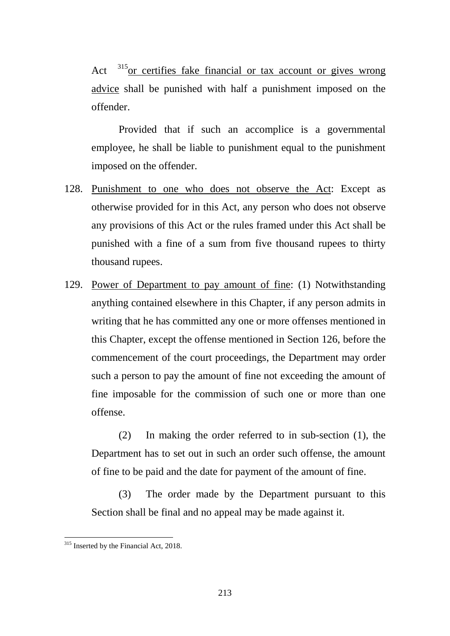Act  $315$  or certifies fake financial or tax account or gives wrong advice shall be punished with half a punishment imposed on the offender.

Provided that if such an accomplice is a governmental employee, he shall be liable to punishment equal to the punishment imposed on the offender.

- 128. Punishment to one who does not observe the Act: Except as otherwise provided for in this Act, any person who does not observe any provisions of this Act or the rules framed under this Act shall be punished with a fine of a sum from five thousand rupees to thirty thousand rupees.
- 129. Power of Department to pay amount of fine: (1) Notwithstanding anything contained elsewhere in this Chapter, if any person admits in writing that he has committed any one or more offenses mentioned in this Chapter, except the offense mentioned in Section 126, before the commencement of the court proceedings, the Department may order such a person to pay the amount of fine not exceeding the amount of fine imposable for the commission of such one or more than one offense.

(2) In making the order referred to in sub-section (1), the Department has to set out in such an order such offense, the amount of fine to be paid and the date for payment of the amount of fine.

(3) The order made by the Department pursuant to this Section shall be final and no appeal may be made against it.

<span id="page-212-0"></span><sup>&</sup>lt;sup>315</sup> Inserted by the Financial Act, 2018. -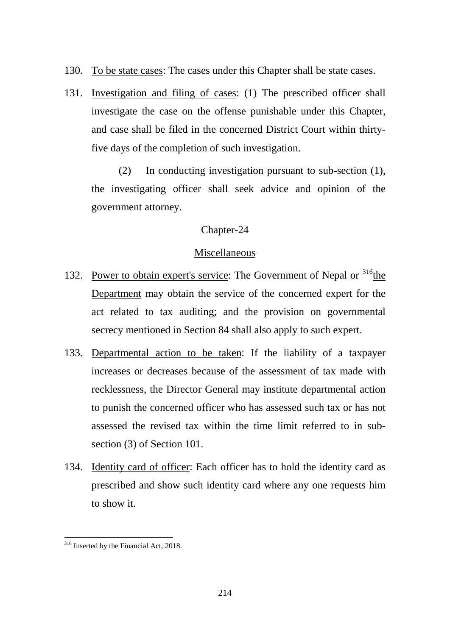- 130. To be state cases: The cases under this Chapter shall be state cases.
- 131. Investigation and filing of cases: (1) The prescribed officer shall investigate the case on the offense punishable under this Chapter, and case shall be filed in the concerned District Court within thirtyfive days of the completion of such investigation.

(2) In conducting investigation pursuant to sub-section (1), the investigating officer shall seek advice and opinion of the government attorney.

# Chapter-24

# Miscellaneous

- 132. Power to obtain expert's service: The Government of Nepal or <sup>[316](#page-213-0)</sup>the Department may obtain the service of the concerned expert for the act related to tax auditing; and the provision on governmental secrecy mentioned in Section 84 shall also apply to such expert.
- 133. Departmental action to be taken: If the liability of a taxpayer increases or decreases because of the assessment of tax made with recklessness, the Director General may institute departmental action to punish the concerned officer who has assessed such tax or has not assessed the revised tax within the time limit referred to in subsection (3) of Section 101.
- 134. Identity card of officer: Each officer has to hold the identity card as prescribed and show such identity card where any one requests him to show it.

<span id="page-213-0"></span><sup>&</sup>lt;sup>316</sup> Inserted by the Financial Act, 2018. -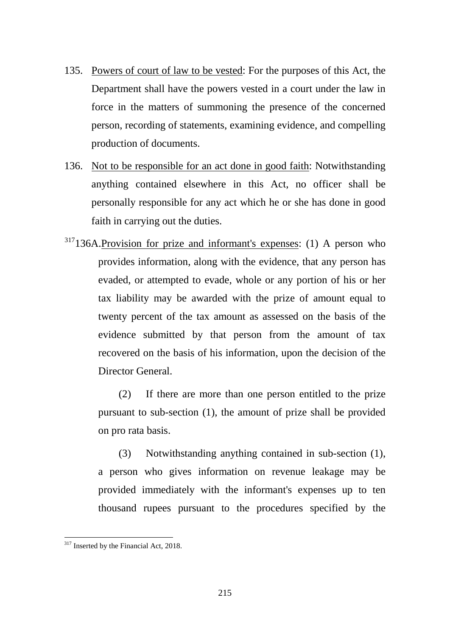- 135. Powers of court of law to be vested: For the purposes of this Act, the Department shall have the powers vested in a court under the law in force in the matters of summoning the presence of the concerned person, recording of statements, examining evidence, and compelling production of documents.
- 136. Not to be responsible for an act done in good faith: Notwithstanding anything contained elsewhere in this Act, no officer shall be personally responsible for any act which he or she has done in good faith in carrying out the duties.
- $317136A$  $317136A$ . Provision for prize and informant's expenses: (1) A person who provides information, along with the evidence, that any person has evaded, or attempted to evade, whole or any portion of his or her tax liability may be awarded with the prize of amount equal to twenty percent of the tax amount as assessed on the basis of the evidence submitted by that person from the amount of tax recovered on the basis of his information, upon the decision of the Director General.

(2) If there are more than one person entitled to the prize pursuant to sub-section (1), the amount of prize shall be provided on pro rata basis.

(3) Notwithstanding anything contained in sub-section (1), a person who gives information on revenue leakage may be provided immediately with the informant's expenses up to ten thousand rupees pursuant to the procedures specified by the

<span id="page-214-0"></span><sup>&</sup>lt;sup>317</sup> Inserted by the Financial Act, 2018.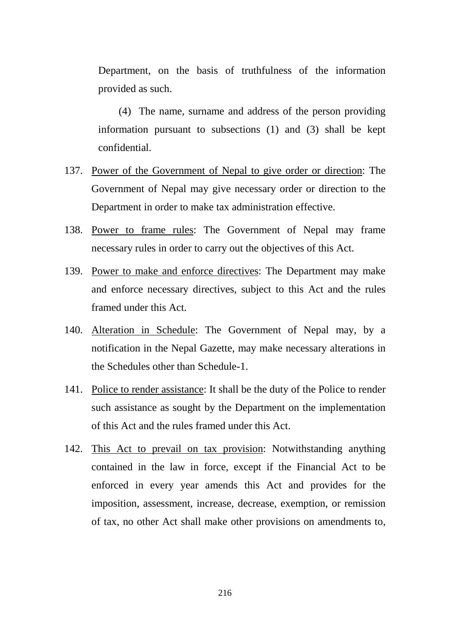Department, on the basis of truthfulness of the information provided as such.

(4) The name, surname and address of the person providing information pursuant to subsections (1) and (3) shall be kept confidential.

- 137. Power of the Government of Nepal to give order or direction: The Government of Nepal may give necessary order or direction to the Department in order to make tax administration effective.
- 138. Power to frame rules: The Government of Nepal may frame necessary rules in order to carry out the objectives of this Act.
- 139. Power to make and enforce directives: The Department may make and enforce necessary directives, subject to this Act and the rules framed under this Act.
- 140. Alteration in Schedule: The Government of Nepal may, by a notification in the Nepal Gazette, may make necessary alterations in the Schedules other than Schedule-1.
- 141. Police to render assistance: It shall be the duty of the Police to render such assistance as sought by the Department on the implementation of this Act and the rules framed under this Act.
- 142. This Act to prevail on tax provision: Notwithstanding anything contained in the law in force, except if the Financial Act to be enforced in every year amends this Act and provides for the imposition, assessment, increase, decrease, exemption, or remission of tax, no other Act shall make other provisions on amendments to,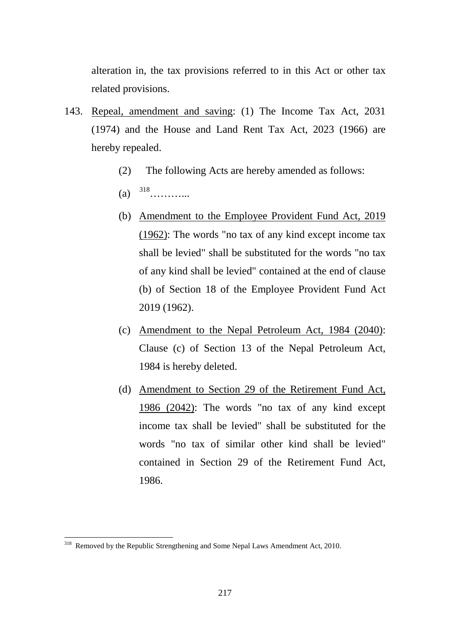alteration in, the tax provisions referred to in this Act or other tax related provisions.

- 143. Repeal, amendment and saving: (1) The Income Tax Act, 2031 (1974) and the House and Land Rent Tax Act, 2023 (1966) are hereby repealed.
	- (2) The following Acts are hereby amended as follows:
	- (a)  $318$ …………
	- (b) Amendment to the Employee Provident Fund Act, 2019 (1962): The words "no tax of any kind except income tax shall be levied" shall be substituted for the words "no tax of any kind shall be levied" contained at the end of clause (b) of Section 18 of the Employee Provident Fund Act 2019 (1962).
	- (c) Amendment to the Nepal Petroleum Act, 1984 (2040): Clause (c) of Section 13 of the Nepal Petroleum Act, 1984 is hereby deleted.
	- (d) Amendment to Section 29 of the Retirement Fund Act, 1986 (2042): The words "no tax of any kind except income tax shall be levied" shall be substituted for the words "no tax of similar other kind shall be levied" contained in Section 29 of the Retirement Fund Act, 1986.

<span id="page-216-0"></span><sup>&</sup>lt;sup>318</sup> Removed by the Republic Strengthening and Some Nepal Laws Amendment Act, 2010.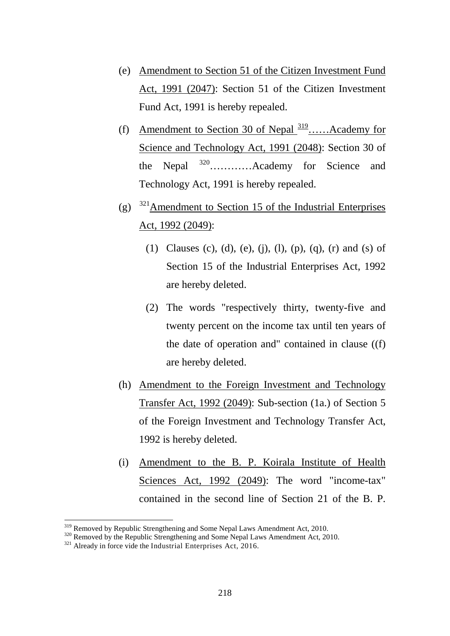- (e) Amendment to Section 51 of the Citizen Investment Fund Act, 1991 (2047): Section 51 of the Citizen Investment Fund Act, 1991 is hereby repealed.
- (f) Amendment to Section 30 of Nepal  $\frac{319}{2}$ …...Academy for Science and Technology Act, 1991 (2048): Section 30 of the Nepal [320…](#page-217-1)………Academy for Science and Technology Act, 1991 is hereby repealed.
- (g)  $321$  Amendment to Section 15 of the Industrial Enterprises Act, 1992 (2049):
	- (1) Clauses (c), (d), (e), (j), (l), (p), (q), (r) and (s) of Section 15 of the Industrial Enterprises Act, 1992 are hereby deleted.
	- (2) The words "respectively thirty, twenty-five and twenty percent on the income tax until ten years of the date of operation and" contained in clause ((f) are hereby deleted.
- (h) Amendment to the Foreign Investment and Technology Transfer Act, 1992 (2049): Sub-section (1a.) of Section 5 of the Foreign Investment and Technology Transfer Act, 1992 is hereby deleted.
- (i) Amendment to the B. P. Koirala Institute of Health Sciences Act, 1992 (2049): The word "income-tax" contained in the second line of Section 21 of the B. P.

<span id="page-217-0"></span><sup>&</sup>lt;sup>319</sup> Removed by Republic Strengthening and Some Nepal Laws Amendment Act, 2010.

<span id="page-217-2"></span><span id="page-217-1"></span><sup>&</sup>lt;sup>320</sup> Removed by the Republic Strengthening and Some Nepal Laws Amendment Act, 2010.<br><sup>321</sup> Already in force vide the Industrial Enterprises Act, 2016.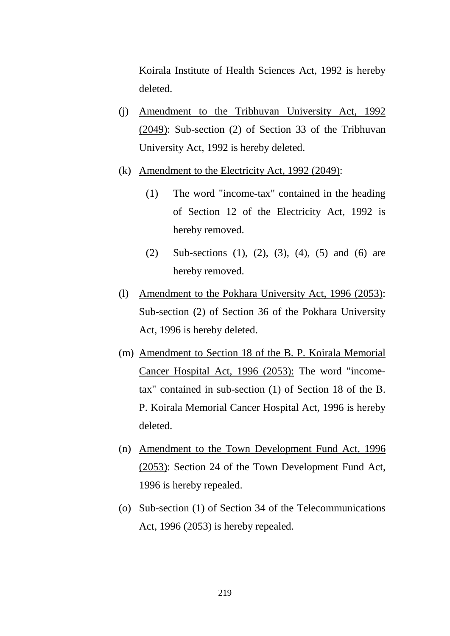Koirala Institute of Health Sciences Act, 1992 is hereby deleted.

- (j) Amendment to the Tribhuvan University Act, 1992 (2049): Sub-section (2) of Section 33 of the Tribhuvan University Act, 1992 is hereby deleted.
- (k) Amendment to the Electricity Act, 1992 (2049):
	- (1) The word "income-tax" contained in the heading of Section 12 of the Electricity Act, 1992 is hereby removed.
	- (2) Sub-sections (1), (2), (3), (4), (5) and (6) are hereby removed.
- (l) Amendment to the Pokhara University Act, 1996 (2053): Sub-section (2) of Section 36 of the Pokhara University Act, 1996 is hereby deleted.
- (m) Amendment to Section 18 of the B. P. Koirala Memorial Cancer Hospital Act, 1996 (2053): The word "incometax" contained in sub-section (1) of Section 18 of the B. P. Koirala Memorial Cancer Hospital Act, 1996 is hereby deleted.
- (n) Amendment to the Town Development Fund Act, 1996 (2053): Section 24 of the Town Development Fund Act, 1996 is hereby repealed.
- (o) Sub-section (1) of Section 34 of the Telecommunications Act, 1996 (2053) is hereby repealed.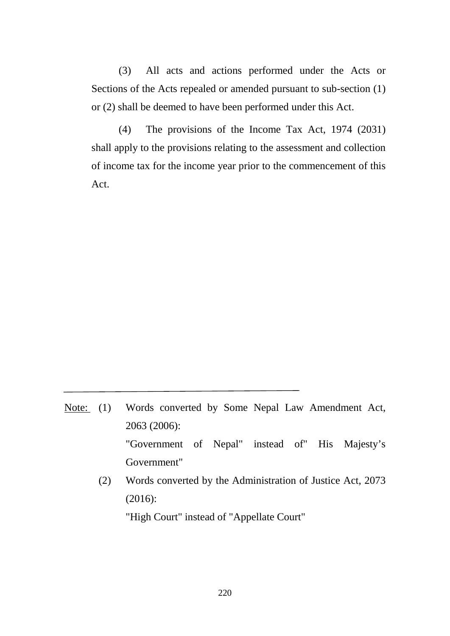(3) All acts and actions performed under the Acts or Sections of the Acts repealed or amended pursuant to sub-section (1) or (2) shall be deemed to have been performed under this Act.

(4) The provisions of the Income Tax Act, 1974 (2031) shall apply to the provisions relating to the assessment and collection of income tax for the income year prior to the commencement of this Act.

- Note: (1) Words converted by Some Nepal Law Amendment Act, 2063 (2006): "Government of Nepal" instead of" His Majesty's Government"
	- (2) Words converted by the Administration of Justice Act, 2073 (2016):

"High Court" instead of "Appellate Court"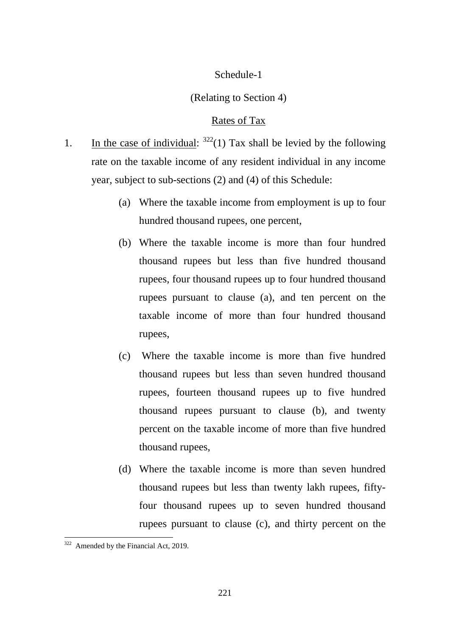## Schedule-1

## (Relating to Section 4)

## Rates of Tax

- 1. In the case of individual:  $322(1)$  $322(1)$  Tax shall be levied by the following rate on the taxable income of any resident individual in any income year, subject to sub-sections (2) and (4) of this Schedule:
	- (a) Where the taxable income from employment is up to four hundred thousand rupees, one percent,
	- (b) Where the taxable income is more than four hundred thousand rupees but less than five hundred thousand rupees, four thousand rupees up to four hundred thousand rupees pursuant to clause (a), and ten percent on the taxable income of more than four hundred thousand rupees,
	- (c) Where the taxable income is more than five hundred thousand rupees but less than seven hundred thousand rupees, fourteen thousand rupees up to five hundred thousand rupees pursuant to clause (b), and twenty percent on the taxable income of more than five hundred thousand rupees,
	- (d) Where the taxable income is more than seven hundred thousand rupees but less than twenty lakh rupees, fiftyfour thousand rupees up to seven hundred thousand rupees pursuant to clause (c), and thirty percent on the

<span id="page-220-0"></span><sup>&</sup>lt;sup>322</sup> Amended by the Financial Act, 2019. -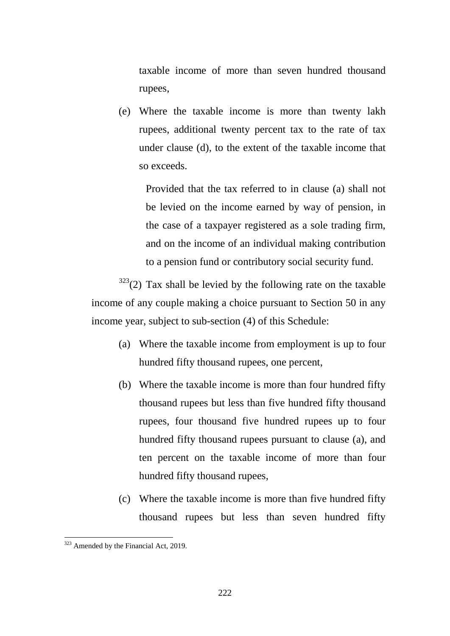taxable income of more than seven hundred thousand rupees,

(e) Where the taxable income is more than twenty lakh rupees, additional twenty percent tax to the rate of tax under clause (d), to the extent of the taxable income that so exceeds.

Provided that the tax referred to in clause (a) shall not be levied on the income earned by way of pension, in the case of a taxpayer registered as a sole trading firm, and on the income of an individual making contribution to a pension fund or contributory social security fund.

 $323$ <sup>323</sup>(2) Tax shall be levied by the following rate on the taxable income of any couple making a choice pursuant to Section 50 in any income year, subject to sub-section (4) of this Schedule:

- (a) Where the taxable income from employment is up to four hundred fifty thousand rupees, one percent,
- (b) Where the taxable income is more than four hundred fifty thousand rupees but less than five hundred fifty thousand rupees, four thousand five hundred rupees up to four hundred fifty thousand rupees pursuant to clause (a), and ten percent on the taxable income of more than four hundred fifty thousand rupees,
- (c) Where the taxable income is more than five hundred fifty thousand rupees but less than seven hundred fifty

<span id="page-221-0"></span><sup>&</sup>lt;sup>323</sup> Amended by the Financial Act, 2019.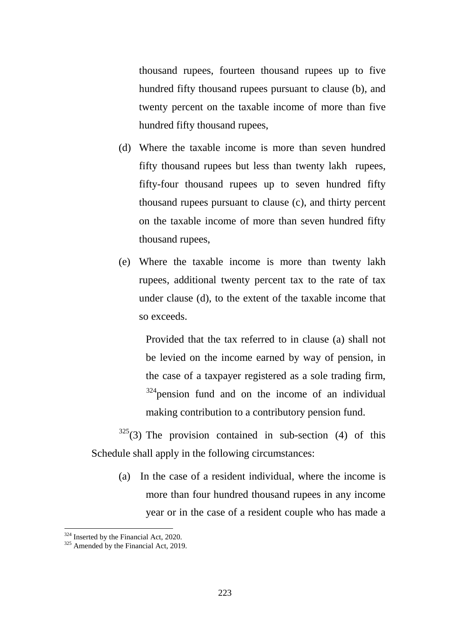thousand rupees, fourteen thousand rupees up to five hundred fifty thousand rupees pursuant to clause (b), and twenty percent on the taxable income of more than five hundred fifty thousand rupees,

- (d) Where the taxable income is more than seven hundred fifty thousand rupees but less than twenty lakh rupees, fifty-four thousand rupees up to seven hundred fifty thousand rupees pursuant to clause (c), and thirty percent on the taxable income of more than seven hundred fifty thousand rupees,
- (e) Where the taxable income is more than twenty lakh rupees, additional twenty percent tax to the rate of tax under clause (d), to the extent of the taxable income that so exceeds.

Provided that the tax referred to in clause (a) shall not be levied on the income earned by way of pension, in the case of a taxpayer registered as a sole trading firm,  $324$  pension fund and on the income of an individual making contribution to a contributory pension fund.

 $325(3)$  $325(3)$  The provision contained in sub-section (4) of this Schedule shall apply in the following circumstances:

(a) In the case of a resident individual, where the income is more than four hundred thousand rupees in any income year or in the case of a resident couple who has made a

<u>.</u>

<span id="page-222-1"></span>

<span id="page-222-0"></span> $324$  Inserted by the Financial Act, 2020.<br> $325$  Amended by the Financial Act, 2019.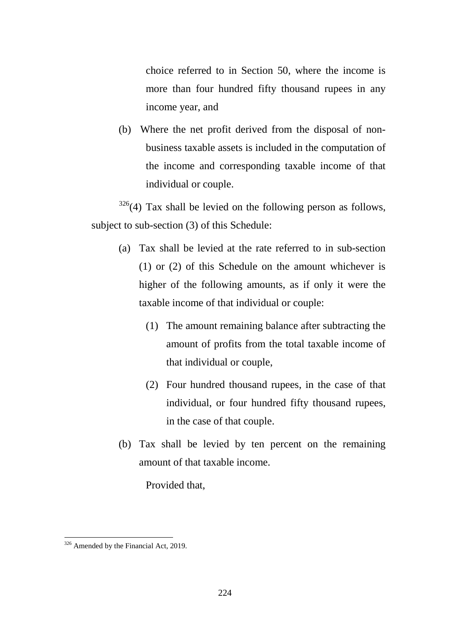choice referred to in Section 50, where the income is more than four hundred fifty thousand rupees in any income year, and

(b) Where the net profit derived from the disposal of nonbusiness taxable assets is included in the computation of the income and corresponding taxable income of that individual or couple.

 $326(4)$  $326(4)$  Tax shall be levied on the following person as follows, subject to sub-section (3) of this Schedule:

- (a) Tax shall be levied at the rate referred to in sub-section (1) or (2) of this Schedule on the amount whichever is higher of the following amounts, as if only it were the taxable income of that individual or couple:
	- (1) The amount remaining balance after subtracting the amount of profits from the total taxable income of that individual or couple,
	- (2) Four hundred thousand rupees, in the case of that individual, or four hundred fifty thousand rupees, in the case of that couple.
- (b) Tax shall be levied by ten percent on the remaining amount of that taxable income.

Provided that,

<span id="page-223-0"></span><sup>&</sup>lt;sup>326</sup> Amended by the Financial Act, 2019. -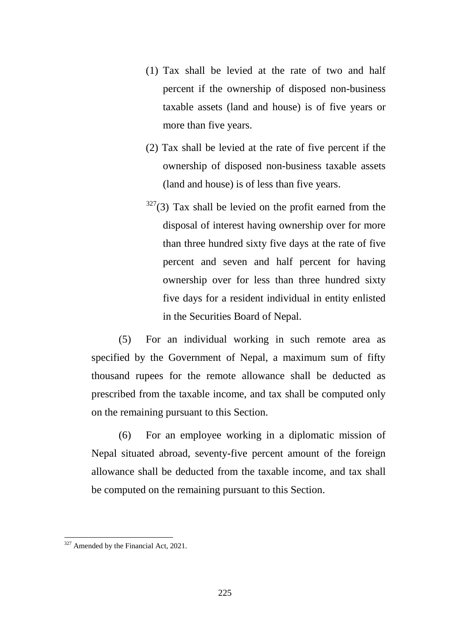- (1) Tax shall be levied at the rate of two and half percent if the ownership of disposed non-business taxable assets (land and house) is of five years or more than five years.
- (2) Tax shall be levied at the rate of five percent if the ownership of disposed non-business taxable assets (land and house) is of less than five years.
- $327(3)$  $327(3)$  Tax shall be levied on the profit earned from the disposal of interest having ownership over for more than three hundred sixty five days at the rate of five percent and seven and half percent for having ownership over for less than three hundred sixty five days for a resident individual in entity enlisted in the Securities Board of Nepal.

(5) For an individual working in such remote area as specified by the Government of Nepal, a maximum sum of fifty thousand rupees for the remote allowance shall be deducted as prescribed from the taxable income, and tax shall be computed only on the remaining pursuant to this Section.

(6) For an employee working in a diplomatic mission of Nepal situated abroad, seventy-five percent amount of the foreign allowance shall be deducted from the taxable income, and tax shall be computed on the remaining pursuant to this Section.

<span id="page-224-0"></span> $327$  Amended by the Financial Act, 2021.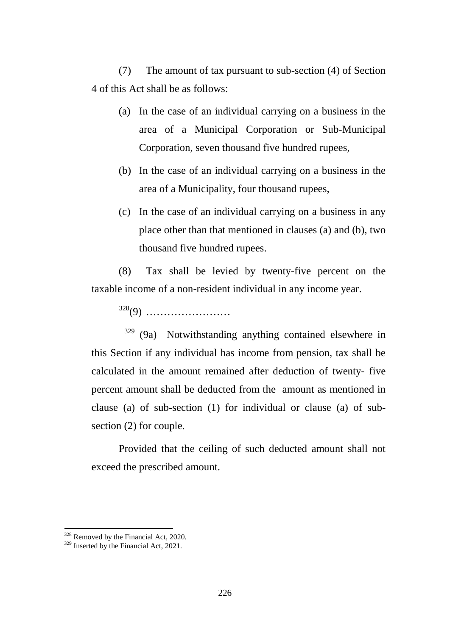(7) The amount of tax pursuant to sub-section (4) of Section 4 of this Act shall be as follows:

- (a) In the case of an individual carrying on a business in the area of a Municipal Corporation or Sub-Municipal Corporation, seven thousand five hundred rupees,
- (b) In the case of an individual carrying on a business in the area of a Municipality, four thousand rupees,
- (c) In the case of an individual carrying on a business in any place other than that mentioned in clauses (a) and (b), two thousand five hundred rupees.

(8) Tax shall be levied by twenty-five percent on the taxable income of a non-resident individual in any income year.

[328](#page-225-0)(9) ……………………

 $329$  (9a) Notwithstanding anything contained elsewhere in this Section if any individual has income from pension, tax shall be calculated in the amount remained after deduction of twenty- five percent amount shall be deducted from the amount as mentioned in clause (a) of sub-section (1) for individual or clause (a) of subsection (2) for couple.

Provided that the ceiling of such deducted amount shall not exceed the prescribed amount.

<u>.</u>

<span id="page-225-0"></span><sup>&</sup>lt;sup>328</sup> Removed by the Financial Act, 2020.

<span id="page-225-1"></span><sup>&</sup>lt;sup>329</sup> Inserted by the Financial Act, 2021.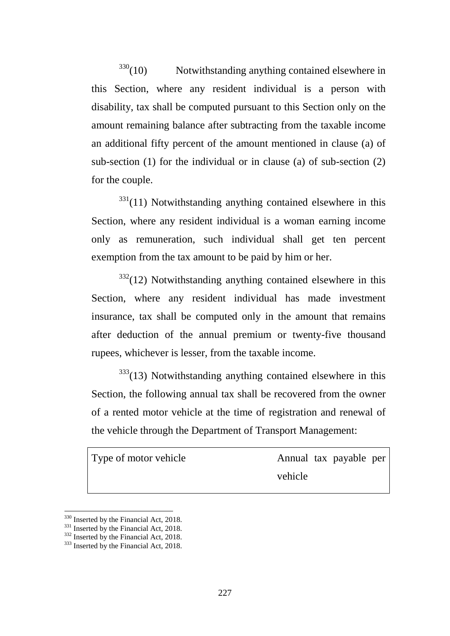$330(10)$  $330(10)$  Notwithstanding anything contained elsewhere in this Section, where any resident individual is a person with disability, tax shall be computed pursuant to this Section only on the amount remaining balance after subtracting from the taxable income an additional fifty percent of the amount mentioned in clause (a) of sub-section (1) for the individual or in clause (a) of sub-section (2) for the couple.

 $331(11)$  $331(11)$  Notwithstanding anything contained elsewhere in this Section, where any resident individual is a woman earning income only as remuneration, such individual shall get ten percent exemption from the tax amount to be paid by him or her.

 $332(12)$  $332(12)$  Notwithstanding anything contained elsewhere in this Section, where any resident individual has made investment insurance, tax shall be computed only in the amount that remains after deduction of the annual premium or twenty-five thousand rupees, whichever is lesser, from the taxable income.

 $333(13)$  $333(13)$  Notwithstanding anything contained elsewhere in this Section, the following annual tax shall be recovered from the owner of a rented motor vehicle at the time of registration and renewal of the vehicle through the Department of Transport Management:

Type of motor vehicle Annual tax payable per vehicle

<sup>&</sup>lt;sup>330</sup> Inserted by the Financial Act, 2018.

<span id="page-226-2"></span><span id="page-226-1"></span><span id="page-226-0"></span><sup>&</sup>lt;sup>331</sup> Inserted by the Financial Act, 2018.<br><sup>332</sup> Inserted by the Financial Act, 2018.<br><sup>333</sup> Inserted by the Financial Act, 2018.

<span id="page-226-3"></span>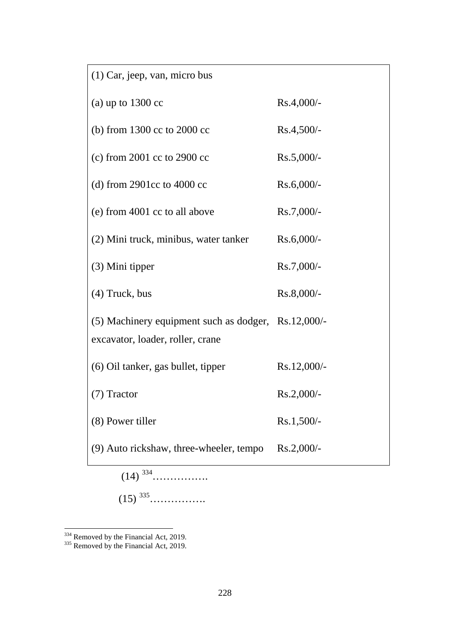| $(1)$ Car, jeep, van, micro bus                                                         |               |
|-----------------------------------------------------------------------------------------|---------------|
| (a) up to $1300 \text{ cc}$                                                             | $Rs.4,000/-$  |
| (b) from 1300 cc to 2000 cc                                                             | $Rs.4,500/-$  |
| (c) from $2001$ cc to $2900$ cc                                                         | $Rs.5,000/-$  |
| (d) from 2901cc to 4000 cc                                                              | $Rs.6,000/-$  |
| (e) from 4001 cc to all above                                                           | $Rs.7,000/-$  |
| (2) Mini truck, minibus, water tanker                                                   | $Rs.6,000/-$  |
| (3) Mini tipper                                                                         | Rs.7,000/-    |
| $(4)$ Truck, bus                                                                        | $Rs.8,000/-$  |
| (5) Machinery equipment such as dodger, Rs.12,000/-<br>excavator, loader, roller, crane |               |
| (6) Oil tanker, gas bullet, tipper                                                      | $Rs.12,000/-$ |
| $(7)$ Tractor                                                                           | $Rs.2,000/-$  |
| (8) Power tiller                                                                        | $Rs.1,500/-$  |
| (9) Auto rickshaw, three-wheeler, tempo                                                 | $Rs.2,000/$ - |
| $(14)$ 334                                                                              |               |

(15) [335](#page-227-1)…………….

<u>.</u>

<span id="page-227-0"></span> $334$  Removed by the Financial Act, 2019.<br> $335$  Removed by the Financial Act, 2019.

<span id="page-227-1"></span>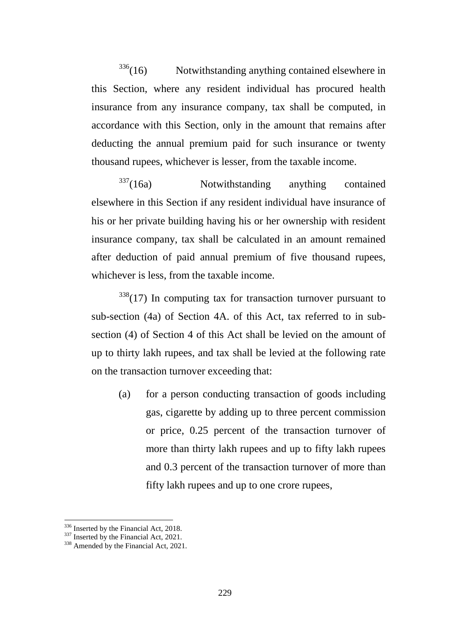$336(16)$  $336(16)$  Notwithstanding anything contained elsewhere in this Section, where any resident individual has procured health insurance from any insurance company, tax shall be computed, in accordance with this Section, only in the amount that remains after deducting the annual premium paid for such insurance or twenty thousand rupees, whichever is lesser, from the taxable income.

 $337(16a)$  $337(16a)$  Notwithstanding anything contained elsewhere in this Section if any resident individual have insurance of his or her private building having his or her ownership with resident insurance company, tax shall be calculated in an amount remained after deduction of paid annual premium of five thousand rupees, whichever is less, from the taxable income.

 $338(17)$  $338(17)$  In computing tax for transaction turnover pursuant to sub-section (4a) of Section 4A. of this Act, tax referred to in subsection (4) of Section 4 of this Act shall be levied on the amount of up to thirty lakh rupees, and tax shall be levied at the following rate on the transaction turnover exceeding that:

(a) for a person conducting transaction of goods including gas, cigarette by adding up to three percent commission or price, 0.25 percent of the transaction turnover of more than thirty lakh rupees and up to fifty lakh rupees and 0.3 percent of the transaction turnover of more than fifty lakh rupees and up to one crore rupees,

<span id="page-228-2"></span><span id="page-228-1"></span>

<span id="page-228-0"></span><sup>&</sup>lt;sup>336</sup> Inserted by the Financial Act, 2018.<br><sup>337</sup> Inserted by the Financial Act, 2021.<br><sup>338</sup> Amended by the Financial Act, 2021.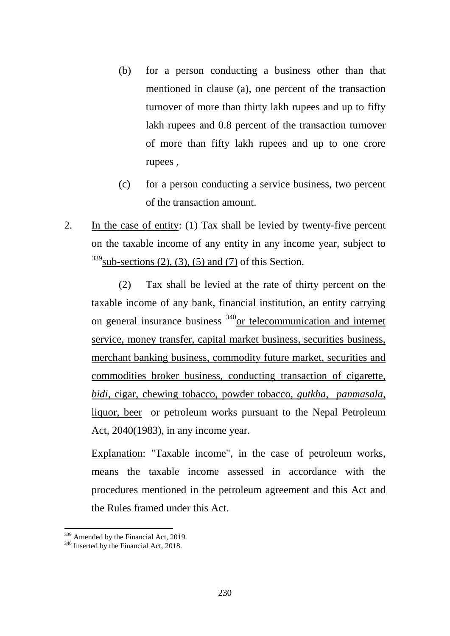- (b) for a person conducting a business other than that mentioned in clause (a), one percent of the transaction turnover of more than thirty lakh rupees and up to fifty lakh rupees and 0.8 percent of the transaction turnover of more than fifty lakh rupees and up to one crore rupees ,
- (c) for a person conducting a service business, two percent of the transaction amount.
- 2. In the case of entity: (1) Tax shall be levied by twenty-five percent on the taxable income of any entity in any income year, subject to  $339$ sub-sections (2), (3), (5) and (7) of this Section.

(2) Tax shall be levied at the rate of thirty percent on the taxable income of any bank, financial institution, an entity carrying on general insurance business [340o](#page-229-1)r telecommunication and internet service, money transfer, capital market business, securities business, merchant banking business, commodity future market, securities and commodities broker business, conducting transaction of cigarette, *bidi,* cigar, chewing tobacco, powder tobacco, *gutkha, panmasala,*  liquor, beer or petroleum works pursuant to the Nepal Petroleum Act, 2040(1983), in any income year.

Explanation: "Taxable income", in the case of petroleum works, means the taxable income assessed in accordance with the procedures mentioned in the petroleum agreement and this Act and the Rules framed under this Act.

<u>.</u>

<span id="page-229-1"></span><span id="page-229-0"></span> $339$  Amended by the Financial Act, 2019.<br> $340$  Inserted by the Financial Act, 2018.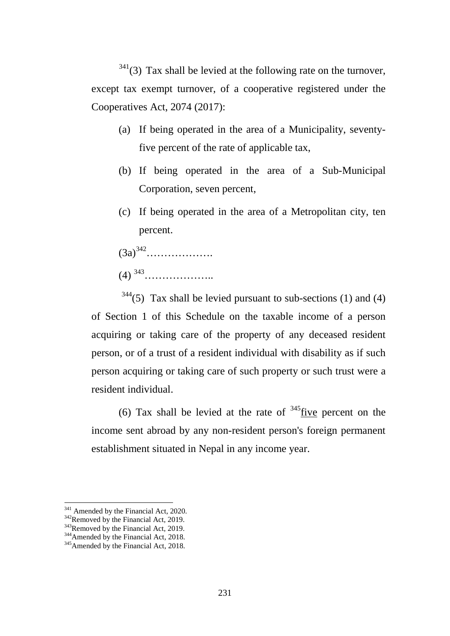$341(3)$  $341(3)$  Tax shall be levied at the following rate on the turnover, except tax exempt turnover, of a cooperative registered under the Cooperatives Act, 2074 (2017):

- (a) If being operated in the area of a Municipality, seventyfive percent of the rate of applicable tax,
- (b) If being operated in the area of a Sub-Municipal Corporation, seven percent,
- (c) If being operated in the area of a Metropolitan city, ten percent.
- $(3a)^{342}$ ………………
- (4) [343](#page-230-2)………………..

 $344(5)$  $344(5)$  Tax shall be levied pursuant to sub-sections (1) and (4) of Section 1 of this Schedule on the taxable income of a person acquiring or taking care of the property of any deceased resident person, or of a trust of a resident individual with disability as if such person acquiring or taking care of such property or such trust were a resident individual.

(6) Tax shall be levied at the rate of  $345$  five percent on the income sent abroad by any non-resident person's foreign permanent establishment situated in Nepal in any income year.

<span id="page-230-0"></span><sup>&</sup>lt;sup>341</sup> Amended by the Financial Act, 2020.

<span id="page-230-3"></span>

<span id="page-230-2"></span><span id="page-230-1"></span><sup>&</sup>lt;sup>342</sup>Removed by the Financial Act, 2019.<br><sup>343</sup>Removed by the Financial Act, 2019.<br><sup>344</sup>Amended by the Financial Act, 2018.<br><sup>345</sup>Amended by the Financial Act, 2018.

<span id="page-230-4"></span>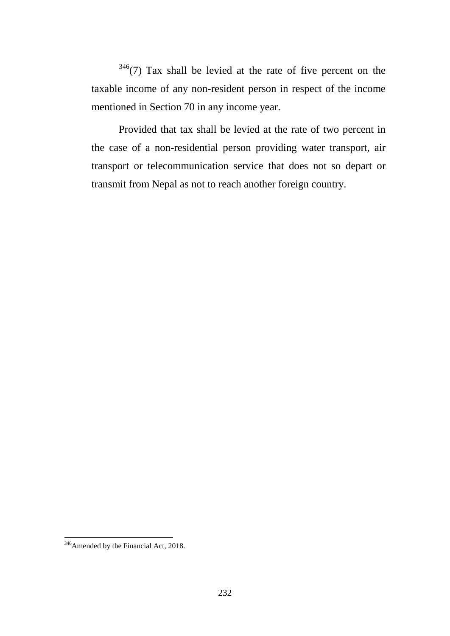$346(7)$  $346(7)$  Tax shall be levied at the rate of five percent on the taxable income of any non-resident person in respect of the income mentioned in Section 70 in any income year.

Provided that tax shall be levied at the rate of two percent in the case of a non-residential person providing water transport, air transport or telecommunication service that does not so depart or transmit from Nepal as not to reach another foreign country.

<span id="page-231-0"></span><sup>&</sup>lt;sup>346</sup> Amended by the Financial Act, 2018.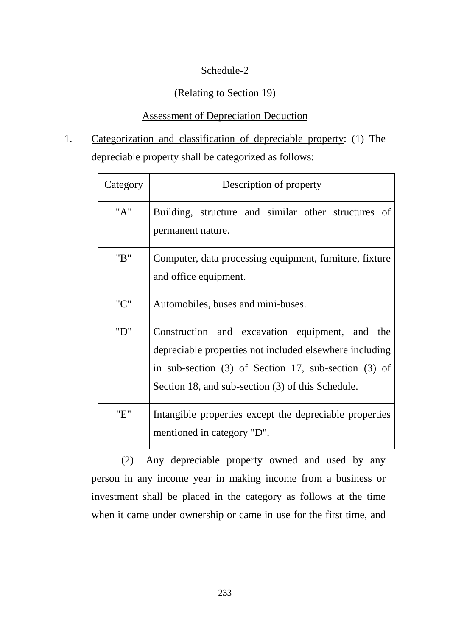# Schedule-2

## (Relating to Section 19)

## Assessment of Depreciation Deduction

1. Categorization and classification of depreciable property: (1) The depreciable property shall be categorized as follows:

| Category | Description of property                                                                                                                                                                                                    |
|----------|----------------------------------------------------------------------------------------------------------------------------------------------------------------------------------------------------------------------------|
| "A"      | Building, structure and similar other structures of<br>permanent nature.                                                                                                                                                   |
| "B"      | Computer, data processing equipment, furniture, fixture<br>and office equipment.                                                                                                                                           |
| "C"      | Automobiles, buses and mini-buses.                                                                                                                                                                                         |
| "D"      | Construction and excavation equipment, and the<br>depreciable properties not included elsewhere including<br>in sub-section $(3)$ of Section 17, sub-section $(3)$ of<br>Section 18, and sub-section (3) of this Schedule. |
| "E"      | Intangible properties except the depreciable properties<br>mentioned in category "D".                                                                                                                                      |

(2) Any depreciable property owned and used by any person in any income year in making income from a business or investment shall be placed in the category as follows at the time when it came under ownership or came in use for the first time, and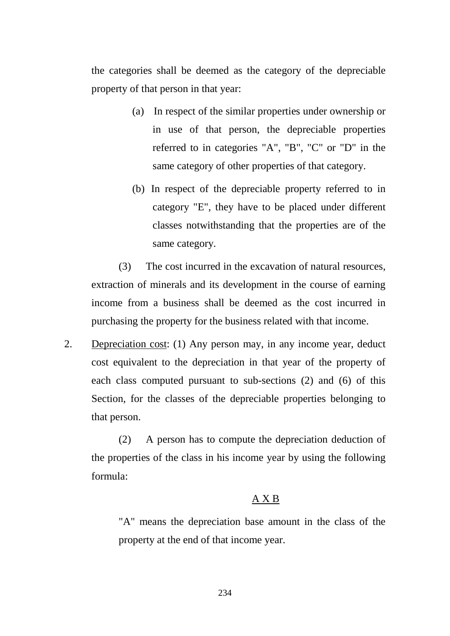the categories shall be deemed as the category of the depreciable property of that person in that year:

- (a) In respect of the similar properties under ownership or in use of that person, the depreciable properties referred to in categories "A", "B", "C" or "D" in the same category of other properties of that category.
- (b) In respect of the depreciable property referred to in category "E", they have to be placed under different classes notwithstanding that the properties are of the same category.

(3) The cost incurred in the excavation of natural resources, extraction of minerals and its development in the course of earning income from a business shall be deemed as the cost incurred in purchasing the property for the business related with that income.

2. Depreciation cost: (1) Any person may, in any income year, deduct cost equivalent to the depreciation in that year of the property of each class computed pursuant to sub-sections (2) and (6) of this Section, for the classes of the depreciable properties belonging to that person.

(2) A person has to compute the depreciation deduction of the properties of the class in his income year by using the following formula:

## A X B

"A" means the depreciation base amount in the class of the property at the end of that income year.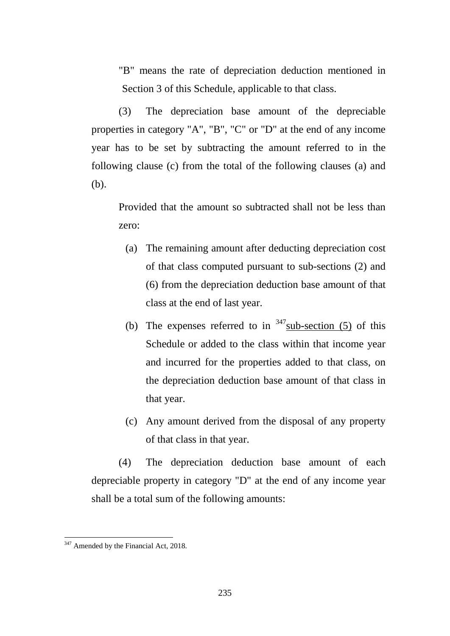"B" means the rate of depreciation deduction mentioned in Section 3 of this Schedule, applicable to that class.

(3) The depreciation base amount of the depreciable properties in category "A", "B", "C" or "D" at the end of any income year has to be set by subtracting the amount referred to in the following clause (c) from the total of the following clauses (a) and (b).

Provided that the amount so subtracted shall not be less than zero:

- (a) The remaining amount after deducting depreciation cost of that class computed pursuant to sub-sections (2) and (6) from the depreciation deduction base amount of that class at the end of last year.
- (b) The expenses referred to in  $347$  sub-section (5) of this Schedule or added to the class within that income year and incurred for the properties added to that class, on the depreciation deduction base amount of that class in that year.
- (c) Any amount derived from the disposal of any property of that class in that year.

(4) The depreciation deduction base amount of each depreciable property in category "D" at the end of any income year shall be a total sum of the following amounts:

<span id="page-234-0"></span><sup>&</sup>lt;sup>347</sup> Amended by the Financial Act, 2018.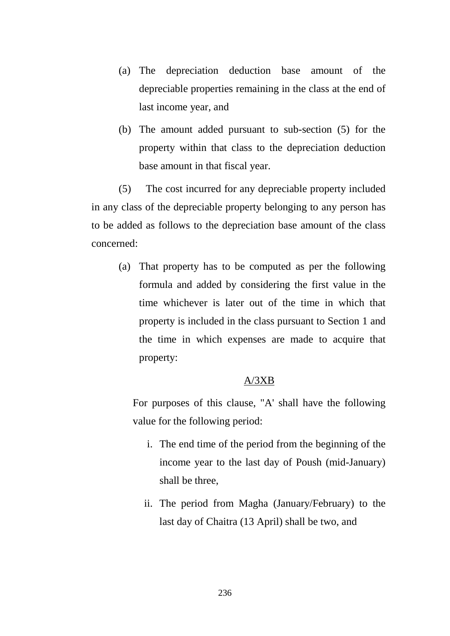- (a) The depreciation deduction base amount of the depreciable properties remaining in the class at the end of last income year, and
- (b) The amount added pursuant to sub-section (5) for the property within that class to the depreciation deduction base amount in that fiscal year.

(5) The cost incurred for any depreciable property included in any class of the depreciable property belonging to any person has to be added as follows to the depreciation base amount of the class concerned:

(a) That property has to be computed as per the following formula and added by considering the first value in the time whichever is later out of the time in which that property is included in the class pursuant to Section 1 and the time in which expenses are made to acquire that property:

### A/3XB

For purposes of this clause, "A' shall have the following value for the following period:

- i. The end time of the period from the beginning of the income year to the last day of Poush (mid-January) shall be three,
- ii. The period from Magha (January/February) to the last day of Chaitra (13 April) shall be two, and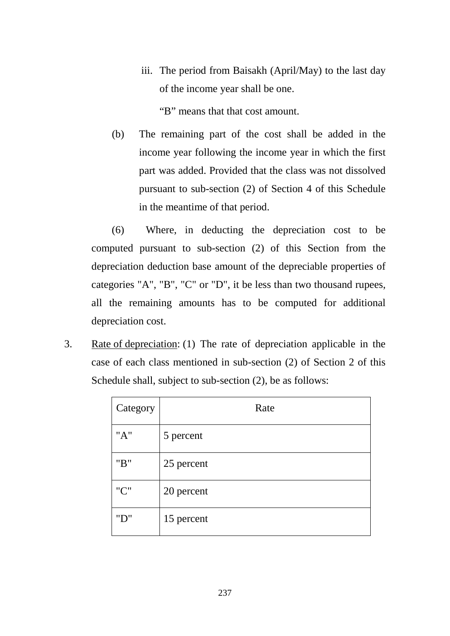iii. The period from Baisakh (April/May) to the last day of the income year shall be one.

"B" means that that cost amount.

(b) The remaining part of the cost shall be added in the income year following the income year in which the first part was added. Provided that the class was not dissolved pursuant to sub-section (2) of Section 4 of this Schedule in the meantime of that period.

(6) Where, in deducting the depreciation cost to be computed pursuant to sub-section (2) of this Section from the depreciation deduction base amount of the depreciable properties of categories "A", "B", "C" or "D", it be less than two thousand rupees, all the remaining amounts has to be computed for additional depreciation cost.

3. Rate of depreciation: (1) The rate of depreciation applicable in the case of each class mentioned in sub-section (2) of Section 2 of this Schedule shall, subject to sub-section  $(2)$ , be as follows:

| Category | Rate       |
|----------|------------|
| "A"      | 5 percent  |
| "B"      | 25 percent |
| "C"      | 20 percent |
| "D"      | 15 percent |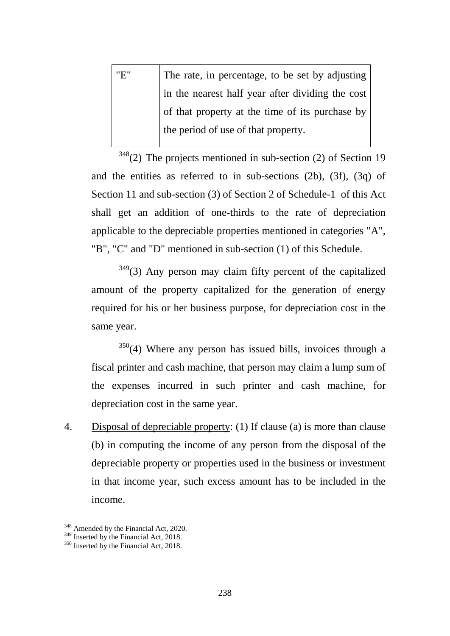| "E" | The rate, in percentage, to be set by adjusting  |
|-----|--------------------------------------------------|
|     | in the nearest half year after dividing the cost |
|     | of that property at the time of its purchase by  |
|     | the period of use of that property.              |
|     |                                                  |

 $348$ (2) The projects mentioned in sub-section (2) of Section 19 and the entities as referred to in sub-sections (2b), (3f), (3q) of Section 11 and sub-section (3) of Section 2 of Schedule-1 of this Act shall get an addition of one-thirds to the rate of depreciation applicable to the depreciable properties mentioned in categories "A", "B", "C" and "D" mentioned in sub-section (1) of this Schedule.

 $349$ (3) Any person may claim fifty percent of the capitalized amount of the property capitalized for the generation of energy required for his or her business purpose, for depreciation cost in the same year.

 $350(4)$  $350(4)$  Where any person has issued bills, invoices through a fiscal printer and cash machine, that person may claim a lump sum of the expenses incurred in such printer and cash machine, for depreciation cost in the same year.

4. Disposal of depreciable property: (1) If clause (a) is more than clause (b) in computing the income of any person from the disposal of the depreciable property or properties used in the business or investment in that income year, such excess amount has to be included in the income.

<span id="page-237-1"></span><span id="page-237-0"></span><sup>&</sup>lt;sup>348</sup> Amended by the Financial Act, 2020.<br><sup>349</sup> Inserted by the Financial Act, 2018.<br><sup>350</sup> Inserted by the Financial Act, 2018.

<span id="page-237-2"></span>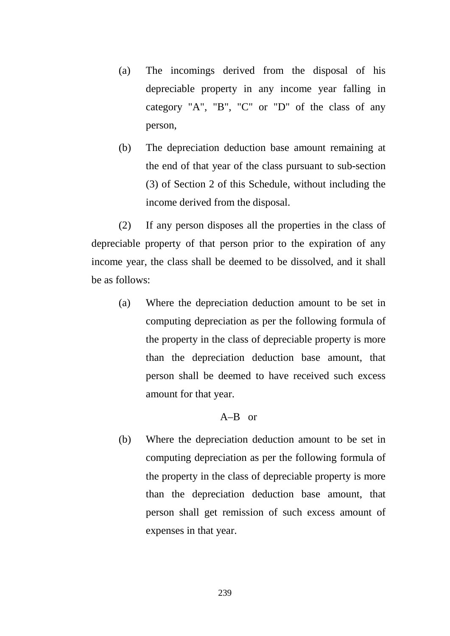- (a) The incomings derived from the disposal of his depreciable property in any income year falling in category "A", "B", "C" or "D" of the class of any person,
- (b) The depreciation deduction base amount remaining at the end of that year of the class pursuant to sub-section (3) of Section 2 of this Schedule, without including the income derived from the disposal.

(2) If any person disposes all the properties in the class of depreciable property of that person prior to the expiration of any income year, the class shall be deemed to be dissolved, and it shall be as follows:

(a) Where the depreciation deduction amount to be set in computing depreciation as per the following formula of the property in the class of depreciable property is more than the depreciation deduction base amount, that person shall be deemed to have received such excess amount for that year.

### A–B or

(b) Where the depreciation deduction amount to be set in computing depreciation as per the following formula of the property in the class of depreciable property is more than the depreciation deduction base amount, that person shall get remission of such excess amount of expenses in that year.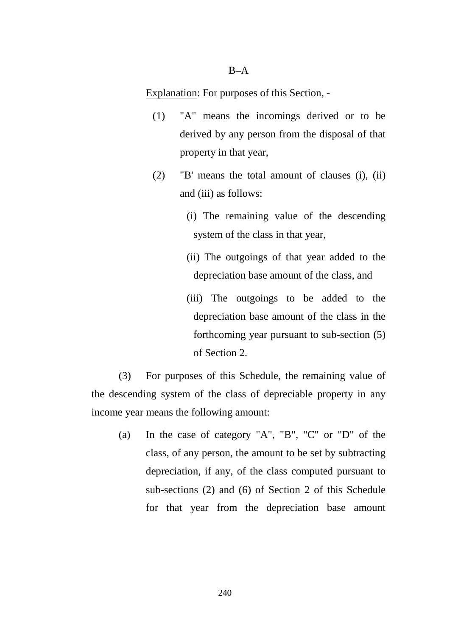#### $B-A$

Explanation: For purposes of this Section, -

- (1) "A" means the incomings derived or to be derived by any person from the disposal of that property in that year,
- (2) "B' means the total amount of clauses (i), (ii) and (iii) as follows:
	- (i) The remaining value of the descending system of the class in that year,
	- (ii) The outgoings of that year added to the depreciation base amount of the class, and
	- (iii) The outgoings to be added to the depreciation base amount of the class in the forthcoming year pursuant to sub-section (5) of Section 2.

(3) For purposes of this Schedule, the remaining value of the descending system of the class of depreciable property in any income year means the following amount:

(a) In the case of category "A", "B", "C" or "D" of the class, of any person, the amount to be set by subtracting depreciation, if any, of the class computed pursuant to sub-sections (2) and (6) of Section 2 of this Schedule for that year from the depreciation base amount